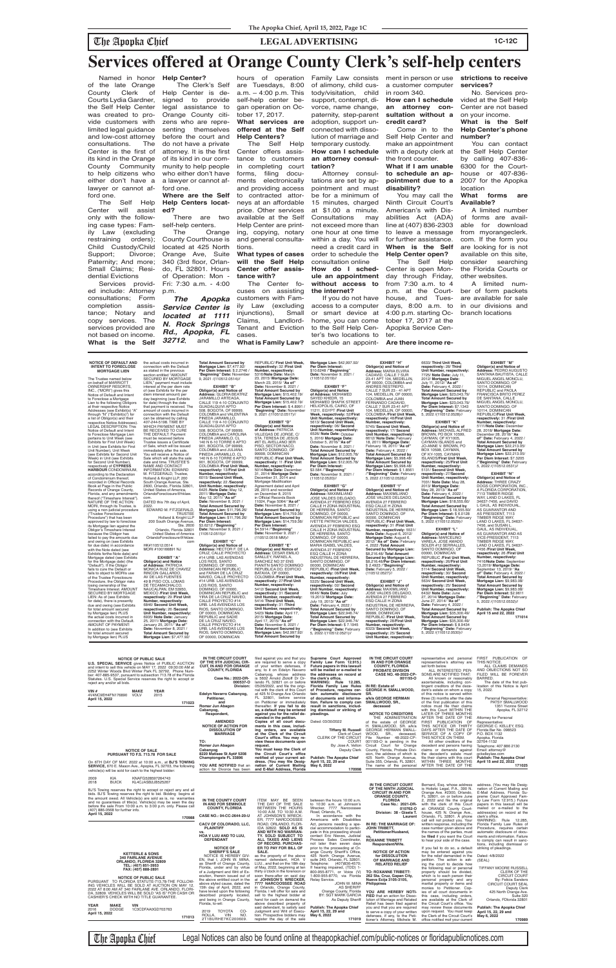## The Apopka Chief **LEGAL ADVERTISING 1C-12C**

GUADALQUIVI APTO<br>508, BOGOTA, OF 99999,<br>COLOMBIA and VALENTINA<br>PINEDA JARAMILLO, CALLE 119 4-10 CONJUNTO<br>GUADALQUIVI APTO 508, BOGOTA, OF 99999, COLOMBIA and CAROLINA PINEDA JARAMILO, CL 140 N 6-10 TORRE 6 APTO 901, BOGOTA, OF 99999, COLOMBIA and JULIANA<br>PINEDA JARAMILLO, CL PINEDA JARAMILLO, CL<br>140 N 6-10 TORRE 6 APTO<br>901, BOGOTA, OF 99999,<br>COLOMBIA /**First Unit Week, respectively:** 13/**First Unit Number, respectively:** 6015/ **Second Unit Week, respectively:** 22 /**Second Unit Number, respectively:** 6425 /**Note Date:** May 12, 2011/ **Mortgage Date:** May 12, 2011/ "**As of" Date:** November 8, 2021 / **Total Amount Secured by Mortgage Lien:** \$11,796.26/ **Total Amount Secured by** 

CALLE 119 4-10 CONJUNTO **Total Amount Secured by Mortgage Lien:** \$15,402.19/ **Per Diem Interest:** \$ 4.8991 / "**Beginning" Date:** November 9, 2021 /(110512.0517)// **EXHIBIT "D"**

> **Obligor(s) and Notice<br><b>of Address:** PATRICIA<br>VILLEGAS DE JORGE, C/<br>STA. TERESA DE JESUS<br>#6T EL AVELLANO 3ER PISO, SECTOR NACO, SANTO DOMINGO, OF 99999, DOMINICAN REPUBLIC /**First Unit Week, respectively:** 11 /**First Unit Number, respectively:** 5014/**Note Date:** Dec 31, 2014/ **Mortgage Date:** December 31, 2014 and Mortgage Modification<br>Agreement dated and April Agreement dated and no<br>28, 2015 and recorded on December 8, 2015<br>in Official Records Book 11024, Page 5064/ "**As of" Date:** November 8, 2021 / **Total Amount Secured by Mortgage Lien:** \$14,759.36/ **Total Amount Secured by Mortgage Lien: \$14,759.36/<br><b>Per Diem Interest:**<br>\$4.5914 /"**Beginning**"<br>**Date:** November 9, 2021 /<br>(110512.0518 MM)//

**NOTICE OF DEFAULT AND INTENT TO FORECLOSE MORTGAGE LIEN** the actual costs incurred in connection with the Default as stated in the previous

The Trustee named below on behalf of MARRIOTT OWNERSHIP RESORTS, INC., ("MORI") gives this Notice of Default and Intent to Foreclose a Mortgage Lien to the following Obligors at their respective Notice Addresses (see Exhibit(s) "A" through "N" ("Exhibit(s)") for a list of Obligor(s) and their respective Notice Addresses). LEGAL DESCRIPTION: This Notice of Default and Intent to Foreclose Mortgage Lien pertains to Unit Week (see Exhibits for First Unit Week) in Unit (see Exhibits for First Unit Number), Unit Week (see Exhibits for Second Unit Week) in Unit (see Exhibits for Second Unit Number), respectively of **CYPRESS HARBOUR** CONDOMINIUM, according to the Declaration of Condominium thereof, recorded in Official Records Book at Page in the Public Records of Orange County, Florida, and any amendments thereof ("Timeshare Interest"). NATURE OF THE ACTION: MORI, through its Trustee, is using a non-judicial procedure ("Trustee Foreclosure Procedure") that has been approved by law to foreclose its Mortgage lien against the Obligor's Timeshare Interest because the Obligor has section entitled "AMOUNT SECURED BY MORTGAGE LIEN," payment must include interest at the per diem rate

**EXHIBIT ''M" Obligor(s) and Notice of Address:** PEDRO AUGUSTO SANTANA BAUTISTA, CALLE MIGUEL ANGEL MONCLU, SANTO DOMINGO, OF<br>10114, DOMINICAN<br>REPUBLIC and PAOLA<br>FRANCISCA BRITO PEREZ MIGUEL ANGEL MONCLU, SANTO DOMINGO, OF<br>10114, DOMINICAN<br>REPUBLIC/**First Unit Week, respectively:** 31 /**First Unit Number, respectively:** 5111/**Note Date:** December 28, 2018/ **Mortgage Date:** December 28, 2018/ "**As of" Date:** February 4, 2022 / **Total Amount Secured by Mortgage Lien:** \$22,213.05/ **Total Amount Secured by Mortgage Lien: \$22,213.05/<br><b>Per Diem Interest: \$**7.3205<br>/"**Beginning" Date:** February<br>5, 2022 /(110512.0531)//

failed to pay the amounts due and owing on (see Exhibits for due date) in accordance

of (see Exhibits for the per diem interest amount) per day beginning (see Exhibits for date) through the date that payment is received. The amount of costs incurred in connection with the Default can be obtained by calling 407-244-5198. TIME BY WHICH PAYMENT MUST BE RECEIVED TO CURE THE DEFAULT: Payment must be received before Trustee issues a Certificate of Sale, which will be issued immediately after the sale. You will receive a Notice of Sale which will state the sale date and time. TRUSTEE'S NAME AND CONTACT INFORMATION: EDWARD M. FITZGERALD, Trustee, Holland & Knight LLP, 200 South Orange Avenue, St. 2600, Orlando, Florida 32801, United States of America, OrlandoForeclosure@hklaw. com. DATED this 7th day of April, 2022. EDWARD M. FITZGERALD, TRUSTEE Holland & Knight LLP 200 South Orange Avenue, Ste. 2600

HK#110512.0514

Orlando, Florida 32801 United States of America OrlandoForeclosure@hklaw. com **Mortgage Lien:** \$11,796.26/ **Per Diem Interest:** \$3.6212 /"**Beginning" Date:** November 9, 2021 /<br>(110512.0515)// **EXHIBIT "C"**

| <b>NOTICE OF PUBLIC SALE</b><br><b>U.S. SPECIAL SERVICE</b> gives Notice of PUBLIC AUCTION<br>and intent to sell this vehicle on MAY 17, 2022 09:30:00 AM at<br>2252 Winter Woods Blvd Winter Park FL 32792, Phone Num-<br>ber: 407-885-9537, pursuant to subsection 713.78 of the Florida<br>Statutes. U.S. Special Service reserves the right to accept or<br>reject any and/or all bids.<br><b>YEAR</b><br>VIN $#$<br><b>MAKE</b><br>4V4NC9EH4FN176890<br><b>VOLV</b><br>2015<br>April 15, 2022<br>171023 | IN THE CIRCUIT COURT<br>OF THE 9TH JUDICIAL CIR-<br><b>CUIT, IN AND FOR ORANGE</b><br><b>COUNTY, FLORIDA</b><br>Case No.: 2022-DR-<br>000537-O<br>Division:<br>Edelyn Navarro Cabanyog,<br>Petitioner,<br>and<br>Romar Jun Abagon<br>Cabanyog,<br>Respondent,                                              | filed against you and that you<br>are required to serve a copy<br>of your written defenses, if<br>any, to it on Edelyn Navarro<br>Cabanyog, whose address<br>is 5602 Arnold Zlotoff Dr Or-<br>lando FL 32821 on or before<br>05/26/2022, and file the origi-<br>nal with the clerk of this Court<br>at 425 N Orange Ave Orlando<br>FL 32801, before service<br>on Petitioner or immediately<br>thereafter. If you fail to do<br>so, a default may be entered<br>against you for the relief de- | Supreme Court Approved<br>Family Law Form 12.915.)<br>Future papers in this lawsuit<br>will be mailed or e-mailed to<br>the addresses on record at<br>the clerk's office.<br><b>WARNING: Rule 12.285,</b><br>Florida Family Law Rules<br>of Procedure, requires cer-<br>tain automatic disclosure<br>of documents and informa-<br>tion. Failure to comply can<br>result in sanctions, includ-<br>ing dismissal or striking of<br>pleadings. | IN THE CIRCUIT COURT<br>IN AND FOR ORANGE<br><b>COUNTY, FLORIDA</b><br>PROBATE DIVISION<br>CASE NO. 48-2022-CP-<br>001193-O<br>IN RE: Estate of<br><b>GEORGE H. SMALLWOOD,</b><br>SR.<br>a/k/a GEORGE HERMAN<br>SMALLWOOD, SR.,<br>deceased<br><b>NOTICE TO CREDITORS</b>                                                                                                           | representative and personal<br>representative's attorney are<br>set forth below.<br>ALL INTERESTED PER-<br>SONS ARE NOTIFIED THAT:<br>All known or reasonably<br>ascertainable, including con-<br>tingent creditors of the dece-<br>dent's estate on whom a copy<br>of this notice is served within<br>three (3) months after the date<br>of the first publication of this<br>notice must file their claims<br>with this Court WITHIN THE<br>LATER OF THREE MONTHS | PUBLICATION OF<br>FIRST<br>THIS NOTICE.<br>ALL CLAIMS DEMANDS<br>AND OBJECTIONS NOT SO<br>FILED WILL BE FOREVER<br>BARRED.<br>The date of the first pub-<br>lication of this Notice is April<br>15, 2022.<br>Personal Representative:<br>PATSY SMALLWOOD<br>1351 Yvonne Street<br>Apopka, FL 32712                                   |
|--------------------------------------------------------------------------------------------------------------------------------------------------------------------------------------------------------------------------------------------------------------------------------------------------------------------------------------------------------------------------------------------------------------------------------------------------------------------------------------------------------------|------------------------------------------------------------------------------------------------------------------------------------------------------------------------------------------------------------------------------------------------------------------------------------------------------------|------------------------------------------------------------------------------------------------------------------------------------------------------------------------------------------------------------------------------------------------------------------------------------------------------------------------------------------------------------------------------------------------------------------------------------------------------------------------------------------------|---------------------------------------------------------------------------------------------------------------------------------------------------------------------------------------------------------------------------------------------------------------------------------------------------------------------------------------------------------------------------------------------------------------------------------------------|-------------------------------------------------------------------------------------------------------------------------------------------------------------------------------------------------------------------------------------------------------------------------------------------------------------------------------------------------------------------------------------|--------------------------------------------------------------------------------------------------------------------------------------------------------------------------------------------------------------------------------------------------------------------------------------------------------------------------------------------------------------------------------------------------------------------------------------------------------------------|--------------------------------------------------------------------------------------------------------------------------------------------------------------------------------------------------------------------------------------------------------------------------------------------------------------------------------------|
| <b>NOTICE OF SALE</b><br>PURSUANT TO F.S. 713.78 FOR SALE<br>On 6TH DAY OF MAY, 2022 at 10:00 a.m., at <b>BJ'S TOWING</b><br><b>SERVICE.</b> 670 E. Mason Ave., Apopka, FL 32703, the following<br>vehicle(s) will be sold for cash to the highest bidder:                                                                                                                                                                                                                                                   | <b>AMENDED</b><br><b>NOTICE OF ACTION FOR</b><br><b>DISSOLUTION OF</b><br><b>MARRIAGE</b><br>TO:<br>Romar Jun Abagon<br>Cabanvog<br>8220 Matisee St Apt# 5208<br>Championgate FL 33896<br>YOU ARE NOTIFIED that an<br>action for Divorce has been                                                          | manded in the petition.<br>Copies of all court docu-<br>ments in this case, includ-<br>ing orders, are available<br>at the Clerk of the Circuit<br>Court's office. You may re-<br>view these documents upon<br>request.<br>You must keep the Clerk of<br>the Circuit Court's office<br>notified of your current ad-<br>dress. (You may file Desig-<br>nation of Current Mailing<br>and E-Mail Address, Florida                                                                                 | Dated: 03/30/2022<br><b>Tiffany M. Russell</b><br>Clerk of Court<br><b>CLERK OF THE CIRCUIT</b><br><b>COURT</b><br>By: Jose A. Vellon<br>Deputy Clerk<br><b>Publish: The Apopka Chief</b><br>April 15, 22, 29 and<br>May 6, 2022<br>170998                                                                                                                                                                                                  | THE ADMINISTRATION<br>of the estate of GEORGE<br>H. SMALLWOOD, SR. a/k/a<br><b>GEORGE HERMAN SMALL-</b><br>WOOD.<br>SR., deceased,<br>File Number 48-2022-CP-<br>001193-O is pending in the<br>Circuit Court for Orange<br>County, Florida, Probate Divi-<br>sion, the address of which is<br>425 North Orange Avenue,<br>Suite 355, Orlando, FL 32801.<br>The name of the personal | AFTER THE DATE OF THE<br>FIRST PUBLICATION<br>OF<br>THIS NOTICE OR THIRTY<br>DAYS AFTER THE DATE OF<br>SERVICE OF A COPY OF<br>THIS NOTICE ON THEM.<br>All other creditors of the<br>decedent and persons having<br>claims or demands against<br>the decedent's estate must<br>file their claims with this court<br>WITHIN THREE MONTHS<br>AFTER THE DATE OF THE                                                                                                   | Attorney for Personal<br>Representative:<br>GEORGE C. KELLEY, ESQ.<br>Florida Bar No. 098523<br>P.O. BOX 1132<br>Apopka, Florida<br>32704-1132<br>Telephone: 407 886 2130<br>Email: attorney@<br>gckelleylaw.com<br>Publish: The Apopka Chief<br>April 15 and 22, 2022<br>171025                                                     |
| KIA<br>KNAFG528597264743<br>2009<br>2018<br><b>BUICK</b><br>KL4CJASB2JB525267<br>BJ'S Towing reserves the right to accept or reject any and all<br>bids. BJ'S Towing reserves the right to bid. Bidding begins at<br>the amount owed. All Vehicle(s) are sold as is, no warranties<br>and no guarantees of title(s). Vehicle(s) may be seen the day<br>before the sale From 10:00 a.m. to 3:00 p.m. only. Please call<br>(407) 886-0568 for further info.<br>April 15, 2022<br>170988                        | IN THE COUNTY COURT<br>IN AND FOR SEMINOLE<br><b>COUNTY, FLORIDA</b><br>CASE NO.: 04-CC-2644-20-U<br>CACV OF COLORADO, LLC,                                                                                                                                                                                | ITEM MAY BE SEEN<br>THE DAY OF THE SALE<br>BETWEEN THE HOURS<br>10:00 A.M. TO 10:30 A.M.<br>AT JOHNSON'S WRECK-<br>ER, 7777 NARCOOSSEE<br>ROAD, ORLANDO, FLOR-                                                                                                                                                                                                                                                                                                                                 | between the hours 10:00 a.m.<br>to 10:30 a.m. at Johnson's<br>Wrecker, 7777 Narcoossee<br>Road, Orlando, FL.<br>In accordance with the<br>Americans with Disabilities<br>Act, persons needing a spe-                                                                                                                                                                                                                                        | IN THE CIRCUIT COURT<br>OF THE NINTH JUDICIAL<br><b>CIRCUIT IN AND FOR</b><br><b>ORANGE COUNTY,</b><br><b>FLORIDA</b><br>Case No.: 2021-DR-<br>010762-0<br>Division: 38 - Gisela T.<br>Laurent<br>IN RE: THE MARRIAGE OF:                                                                                                                                                           | Bernard, Esq. whose address<br>is Holistic Legal, P.A., 390 N.<br>Orange Ave. #2300, Orlando,<br>FL 32801, on or before June<br>2, 2022 and file the original<br>with the clerk of this Court<br>at: ORANGE County Court-<br>house, 425 N. Orange Ave.,<br>Orlando, FL 32801. A phone<br>call will not protect you. Your<br>written response, including the                                                                                                        | address. (You may file Desig-<br>nation of Current Mailing and<br>E-Mail Address, Florida Su-<br>preme Court Approved Fam-<br>ily Law Form 12.915.) Future<br>papers in this lawsuit will be<br>mailed or e-mailed to the<br>address(es) on record at the<br>clerk's office.<br>WARNING: Rule 12.285,<br>Florida Family Law Rules of |
| <b>KETTERLE &amp; SONS</b><br><b>340 FAIRLANE AVENUE</b><br>ORLANDO, FLORIDA 32809<br>TEL: (407) 851-3953<br>FAX: (407) 888-2891                                                                                                                                                                                                                                                                                                                                                                             | <b>PLAINTIFF</b><br>VS.<br>HOA V LUU AND TO LUU,<br><b>DEFENDANT</b><br><b>NOTICE OF</b><br><b>SHERIFF'S SALE</b><br>NOTICE IS HEREBY GIV-<br>EN, that I, JOHN W. MINA,<br>as Sheriff of Orange County,<br>Florida, under and by virtue<br>of a Judgment and Writ of Ex-<br>ecution, therein issued out of | IDA 32822. SOLD AS IS<br>AND WITH NO WARRAN-<br>TY. SOLD SUBJECT TO<br>ALL TAXES AND LIENS<br>OF RECORD. PURCHAS-<br>ER TO PAY FOR BILL OF<br>SALE.<br>as the property of the above<br>named defendant, HOA V<br>LUU., and that on the 18th day<br>of May, 2022, beginning at ten<br>thirty o'clock in the forenoon or<br>soon there-after on said day                                                                                                                                         | cial accommodation to partici-<br>pate in this proceeding should<br>contact Eric Nieves, Judicial<br>Process Sales Coordinator,<br>not later than seven days<br>prior to the proceeding at Or-<br>ange County Sheriff's Office,<br>425 North Orange Avenue,<br>suite 240, Orlando, FL 32801.<br>Telephone:<br>(407)836-4570;<br>If hearing impaired, (TDD) 1-<br>800-955-8771, or Voice (V)<br>1-800-955-8770, via Florida                  | <b>JOHN TRIBETT.</b><br>Petitioner/Husband,<br>VS.<br><b>ROXANNE TRIBETT</b><br>Respondent/Wife.<br><b>NOTICE OF ACTION</b><br>for DISSOLUTION<br>OF MARRIAGE AND<br><b>RELATED RELIEF</b><br>TO: ROXANNE TRIBETT:<br>262 Sta. Cruz, Gapan City,                                                                                                                                    | case number given above and<br>the names of the parties, must<br>be filed if you want the Court<br>to hear your side of the case.<br>If you fail to do so, a default<br>may be entered against you<br>for the relief demanded in the<br>petition. The action is ask-<br>ing the court to decide how<br>the following real or personal<br>property should be divided,<br>which is to each person their                                                              | Procedure, requires certain<br>automatic disclosure of docu-<br>ments and information. Failure<br>to comply can result in sanc-<br>tions, including dismissal or<br>striking of pleadings.<br>Dated: 4/8/2022<br>(SEAL)<br><b>TIFFANY MOORE RUSSELL</b><br><b>CLERK OF THE</b><br><b>CIRCUIT COURT</b>                               |
| <b>NOTICE OF PUBLIC SALE</b><br>PURSUANT TO FLORIDA STATUTE-713.78-THE FOLLOW-<br>ING VEHICLES WILL BE SOLD AT AUCTION ON MAY 12,<br>2022 AT 8:00 AM AT 340 FAIRLANE AVE. ORLANDO, FLORI-<br>DA, 32809. VEHICLES WILL BE SOLD "AS IS" FOR CASH OR<br>CASHIER'S CHECK WITH NO TITLE GUARANTEE.<br><b>YEAR</b><br><b>MAKE</b><br>VIN<br><b>DODGE</b><br>1C3CDFAA0GD703763<br>2016<br>April 15, 2022<br>171013                                                                                                  | the above entitled court in the<br>above styled cause, dated the<br>15th day of April, 2022, and<br>have levied upon the following<br>described property located,<br>and being in Orange County,<br>Florida, to-wit:<br><b>TOYOTA</b><br>CO-<br>2019<br>NO.<br>ROLLA.<br><b>VIN</b><br>2T1BURHE7KC200609.  | at JOHNSON'S WRECKER,<br>7777 NARCOOSSEE ROAD<br>in Orlando, Orange County,<br>Florida. I will offer for sale and<br>sell to the highest bidder at<br>hand for cash on demand the<br>above described property of<br>said defendant, to satisfy said<br>Judgment and Writ of Execu-<br>tion. Prospective bidders may<br>register the day of the sale                                                                                                                                            | Relay Service.<br>JOHN W. MINA<br><b>AS SHERIFF</b><br>Orange County, Florida<br>BY: SGT MARK GARCIA<br>As Deputy Sheriff<br><b>Publish: The Apopka Chief</b><br>April 15, 22, 29 and<br>May 6, 2022<br>171019                                                                                                                                                                                                                              | Nueva Ecija 3105-3105,<br><b>Philippines</b><br>YOU ARE HEREBY NOTI-<br>FIED that an action for Disso-<br>lution of Marriage and Related<br>Relief has been filed against<br>you and that you are required<br>to serve a copy of your written<br>defenses, if any, to the Peti-<br>tioner's Attorney, Michele M.                                                                    | personal property and any<br>marital property or items and<br>monies to Petitioner. Cop-<br>ies of all court documents in<br>this case, including orders,<br>are available at the Clerk of<br>the Circuit Court's office. You<br>may review these documents<br>upon request. You must keep<br>the Clerk of the Circuit Court's<br>office notified mof your current                                                                                                 | <b>By: Felicia Sanders</b><br><b>CIRCUIT COURT SEAL</b><br><b>Deputy Clerk</b><br>425 North Orange Ave.<br>Suite 320<br>Orlando, FDlorida 32801<br><b>Publish: The Apopka Chief</b><br>April 15, 22, 29 and<br>May 6, 2022<br>170989                                                                                                 |

The Apopka Chief Legal Notices can also be found online at theapopkachief.com/public-notices or floridapublicnotices.com

**Total Amount Secured by Mortgage Lien:** \$7,477.92/ **Per Diem Interest:** \$ 2.2746 / "**Beginning" Date:** November 9, 2021 /(110512.0514)// **EXHIBIT "B" Obligor(s) and Notice of Address:** GLORIA BEATRIZ JARAMILLO ARTEAGA, REPUBLIC/ **First Unit Week, respectively:** 32 /**First Unit Mortgage Lien:** \$15,402.19/

**Number, respectively:** 5316/**Note Date:** March 23, 2015/ **Mortgage Date:** March 23, 2015/ "**As of" Date:** November 8, 2021 / **Total Amount Secured by** 

**Obligor(s) and Notice of EXHIBIT "E" Obligor(s) and Notice of** 

**Mortgage Lien:** \$42,997.92/ **Per Diem Interest:** \$10.6248 /**"Beginning" Date:** November 9, 2021 / (110512.0519)// **EXHIBIT "F"**<br>Obligor(s) and Notic **Obligor(s) and Notice of Address:** MOHAMED SAYED KHEDR, 15 MOHAMED SHAFIK STREET HELIOPOLIS, CAIRO, OF 11211, EGYPT /**First Unit Week, respectively:** 52/**First Unit Number, respectively:** 5613/ **Second Unit Week, respectively:** 06/ **Second Unit Number, respectively:** 6526/ **Note Date:** October 5, 2016/ **Mortgage Date:** October 5, 2016/ "**As of" Date:** November 8, 2021 / **Total Amount Secured by Mortgage Lien:** \$12,005.78/ **Total Amount Secured by Mortgage Lien:** \$12,005.78/ **Per Diem Interest:** \$3.584 /**"Beginning" Date:** November 9, 2021 /

| with the Note dated (see       | MORI #100166891 NJ                | Address: HECTOR F. DE LA  | Obligor(s) and Notice of          | AVENIDA 27 FEBRERO                 | Secured by Mortgage Lien:         | SANTO DOMINGO. OF                  | 7456 /First Unit Week.            |
|--------------------------------|-----------------------------------|---------------------------|-----------------------------------|------------------------------------|-----------------------------------|------------------------------------|-----------------------------------|
| Exhibits forthe Note date) and |                                   | CRUZ. CALLE PROYECTO      | Address: CESAR EMILIO             | ESQ CALLE H ZONA                   | \$8.216.48/ Total Amount          | 00000, DOMINICAN                   | respectively: 26 / First Unit     |
| Mortgage dated (see Exhibits   | <b>EXHIBIT "A"</b>                | #14 URB. LAS AVENIDAS     | SANLLEY, RAFAEL A,                | INDUSTRIAL DE HERRERA.             | Secured by Mortgage Lien:         | <b>REPUBLIC /First Unit Week.</b>  | Number, respectively:             |
| for the Mortgage date) (the    | Obligor(s) and Notice             | LOS RIOS, SANTO           | SANCHEZ NO 37 ENS                 | SANTO DOMINGO, OF                  | \$8.216.48/Per Diem Interest:     | respectively: 26/First Unit        | 7416/Note Date: September         |
| "Default"). If the Obligor     | of Address: PATRICIA              | DOMINGO, OF 00000,        | PIANITN SANTO DOMINGO             | 00000, DOMINICAN                   | $$2.4923$ /"Beginning"            | Number, respectively:              | 13,2019/ Mortgage Date:           |
| fails to cure the Default or   | MONICA RUIZ DE CHAVEZ             | DOMINICAN REPUBLIC        | REPUBLICA DO, EDIFICIO            | REPUBLIC /First Unit Week.         | <b>Date:</b> February 5, 2022 /   | 5114/ Second Unit Week,            | September 13, 2019/ "As           |
| fails to object to MORIs use   | RINCON GALLARDO.                  | and FARAH DE LA CRUZ      | BATAVIA, OF 00000.                | respectively: 08/First Unit        | $(110512.0527)$ //                | respectively: 30/ Second           | of" Date: February 4, 2022 /      |
| of the Trustee Foreclosure     | AV DE LAS FUENTES                 | NAVEO, CALLE PROYECTO     | <b>COLOMBIA/First Unit Week.</b>  | Number, respectively:              |                                   | Unit Number, respectively:         | <b>Total Amount Secured by</b>    |
| Procedure, the Obligor risks   | 49 B PISO COL LOMAS               | #14 URB. LAS AVENIDAS     | respectively: 27/First Unit       | 5325/ Second Unit Week.            | <b>EXHIBIT "J"</b>                | 5634/ Second Unit Week.            | <b>Mortgage Lien: \$9,983.08/</b> |
| losing ownership of the        | DE TECAMACHALCO.                  | LOS RIOS, SANTO           | Number, respectively:             | respectively: 02/ Second           | Obligor(s) and Notice of          | respectively: 25/ Second           | <b>Total Amount Secured by</b>    |
| Timeshare Interest. AMOUNT     | NAUCALPAN. EM 53950.              | DOMINGO, OF 00000,        | 5412/ Second Unit Week,           | Unit Number, respectively:         | Address: MAXIMILIANO              | Unit Number, respectively:         | <b>Mortgage Lien: \$9,983.08/</b> |
| SECURED BY MORTGAGE            | <b>MEXICO /First Unit Week.</b>   | DOMINICAN REPUBLIC and    | respectively: 31 / Second         | 6646/ Note Date: July              | JOSE VALDES DELGADO,              | 6432/ Note Date: June              | Per Diem Interest: \$2,9611       |
| LIEN: As of (see Exhibits      | respectively: 29 / First Unit     | YIRA DE LA CRUZ NAVEO.    | Unit Number, respectively:        | 19,2013/ Mortgage Date:            | AVENIDA 27 FEBRERO                | 27, 2014/ Mortgage Date:           | "Beginning" Date: February        |
| for date), there is presently  | Number, respectively:             | CALLE PROYECTO #14        | 5414/ Third Unit Week,            | July 19, 2013/ "As of"             | ESQ CALLE H ZONA                  | June 27, 2014/ "As of"             | 5, 2022 /(110512.0532)//          |
| due and owing (see Exhibits    | 6846/ Second Unit Week.           | URB. LAS AVENIDAS LOS     | respectively: 31 /Third           | <b>Date: February 4, 2022 /</b>    | <b>INDUSTRIAL DE HERRERA</b>      | <b>Date: February 4, 2022 /</b>    |                                   |
| for total amount secured       | respectively: 26 / Second         | RIOS, SANTO DOMINGO,      | Unit Number, respectively:        | <b>Total Amount Secured by</b>     | SANTO DOMINGO, OF                 | <b>Total Amount Secured by</b>     | <b>Publish: The Apopka Chief</b>  |
| by Mortgage lien) PLUS         | Unit Number, respectively:        | OF 00000, DOMINICAN       | 5423/ <b>Note Date:</b> April 17, | <b>Mortgage Lien: \$22,946.74/</b> | 99999, DOMINICAN                  | <b>Mortgage Lien: \$35,300.49/</b> | April 15 and 22, 2022             |
| the actual costs incurred in   | 6935/ <b>Note Date:</b> January   | <b>REPUBLIC and SADIE</b> | 2015/ Mortgage Date:              | <b>Total Amount Secured by</b>     | <b>REPUBLIC /First Unit Week.</b> | <b>Total Amount Secured by</b>     | 171014                            |
| connection with the Default.   | 25, 2011/ Mortgage Date:          | DE LA CRUZ NAVEO,         | April 17, 2015/ "As of"           | Mortgage Lien: \$22,946.74/        | respectively: 28/First Unit       | <b>Mortgage Lien: \$35,300.49/</b> |                                   |
| AMOUNT OF PAYMENT:             | January 25, 2011/ "As of"         | CALLE PROYECTO #14        | <b>Date:</b> November 8, 2021 /   | Per Diem Interest: \$7,1945        | Number, respectively:             | Per Diem Interest: \$8.9434        |                                   |
| In addition to (see Exhibits   | <b>Date:</b> November 8, 2021 /   | URB. LAS AVENIDAS LOS     | <b>Total Amount Secured by</b>    | "Beginning" Date: February         | 6323/ Second Unit Week,           | "Beginning" Date: February         |                                   |
| for total amount secured       | <b>Total Amount Secured by</b>    | RIOS, SANTO DOMINGO,      | Mortgage Lien: \$42,997.92/       | 5, 2022 /(110512.0521)//           | respectively: 25/ Second          | 5, 2022 /(110512.0530)//           |                                   |
| by Mortgage lien) PLUS         | <b>Mortgage Lien: \$7,477.92/</b> | OF 00000, DOMINICAN       | <b>Total Amount Secured by</b>    |                                    | Unit Number, respectively:        |                                    |                                   |
|                                |                                   |                           |                                   |                                    |                                   |                                    |                                   |

(110512.0520)// **EXHIBIT "G" Obligor(s) and Notice of Address:** MAXIMILIANO JOSE VALDES DELGADO,<br>AVENIDA 27 FEBRERO ESQ<br>CALLE H ZONA INDUSTRIAL<br>DE HERRERA, SANTO DOMINGO, OF 00000, DOMINICAN REPUBLIC and IVETTE PATRICIA VALDES, AVENIDA 27 FEBRERO ESQ CALLE H ZONA INDUSTRIAL DE HERRERA, SANTO DOMINGO, OF 00000, DOMINICAN REPUBLIC and MARIA ISABEL VALDES,

**EXHIBIT "H" Obligor(s) and Notice of Address:** MARIA ELVIRA CADAVID, CALLE 7 SUR 23-41 APT 104, MEDELLIN, OF 00000, COLOMBIA and ANDRES RESTREPO CALLE 7 SUR 23 - 41 APT 104, MEDELLIN, OF 00000,

COLOMBIA and JUAN FERNANDO CADAVID,<br>CALLE 7 SUR 23-41 APT 104, MEDELLIN, OF 00000, COLOMBIA /**First Unit Week, respectively:** 48/**First Unit Number, respectively:** 5745/ **Second Unit Week, respectively:** 17/ **Second Unit Number, respectively:** 6612/ **Note Date:** February 18, 2011/ **Mortgage Date:** February 18, 2011/ "**As of" Date:** February 4, 2022 / **Total Amount Secured by Mortgage Lien:** \$5,998.48/ **Total Amount Secured by Mortgage Lien:** \$5,998.48/ **Per Diem Interest:** \$ 1.8561 /**"Beginning" Date:** February 5, 2022 /(110512.0526)// **EXHIBIT "I" Obligor(s) and Notice of Address:** MAXIMILIANO

JOSE VALDES DELGADO, AVENIDA 27 FEBRERO ESQ CALLE H ZONA INDUSTRIAL DE HERRERA, SANTO DOMINGO, OF 00000, DOMINICAN REPUBLIC /**First Unit Week, respectively:** 31 /**First Unit Number, respectively:** 5531/ **Note Date:** August 6, 2012/ **Mortgage Date:** August 6, 2012/ "**As of" Date:** February 4, 2022 /**Total Amount Date:** February 4, 2022 / **Total Amount Secured by Mortgage Lien:** \$18,555.60/ **Total Amount Secured by Mortgage Lien:** \$ 18,555.60/ **Per Diem Interest:** \$ 6.0128 /**"Beginning" Date:** February 5, 2022 /(110512.0529)// **EXHIBIT "L" Obligor(s) and Notice of Address:** MARCELINO VARELA, JOSE AMADO SOLER #12 SERRALLES,

**EXHIBIT "K"**

6633/ **Third Unit Week, respectively:** 28/ **Third Unit Number, respectively:** 7725/ **Note Date:** July 11, 2012/ **Mortgage Date:** July 11, 2012/ "**As of" Date:** February 4, 2022 / **Total Amount Secured by Mortgage Lien:** \$23,043.79/ **Total Amount Secured by Mortgage Lien:** \$23,043.79/ **Per Diem Interest:** \$7.1343 /**"Beginning" Date:** February 5, 2022 /(110512.0528)// **Obligor(s) and Notice of Address:** MICHAEL ALFRED BROWN, PO BOX 10599, CAYMAN, OF KY1005, CAYMAN ISLANDS and JO-ANNE V. BROWN, PO BOX 10598, CAYMAN, OF KY-1005, CAYMAN ISLANDS/**First Unit Week, respectively:** 25/**First Unit Number, respectively:** DE SANTANA, CALLE

5131/ **Second Unit Week, respectively:** 27/**Second Unit Number, respectively:** 7031/ **Note Date:** May 28, 2013/ **Mortgage Date:** May 28, 2013/ "**As of" EXHIBIT "N"** 7113 TIMBER RIDGE WAY, LAND O LAKES, FL 34637-7456, and DAVID L GAUL, AS INDIVIDUAL, AS GUARANTOR AND AS PRESIDENT, 7113 TIMBER RIDGE WAY, LAND O LAKES, FL 34637- 7456, and SUSAN L. GAUL, AS INDIVIDUAL, AS GUARANTOR AND AS VICE-PRESIDENT, 7113 TIMBER RIDGE WAY,<br>LAND O LAKES, FL 34637-7456 /**First Unit Week,** 

**Obligor(s) and Notice of Address:** THREE CRAZY DOGS CORPORATION, INC., A FLORIDA CORPORATION,

Named in honor **Help Center?** of the late Orange County Clerk of Courts Lydia Gardner, the Self Help Center was created to provide customers with limited legal guidance and low-cost attorney consultations. The Center is the first of its kind in the Orange County Community to help citizens who either don't have a lawyer or cannot afford one.

The Self Help Center will assist only with the following case types: Family Law (excluding restraining orders); Child Custody/Child Support; Divorce; Paternity; And more; Small Claims; Residential Evictions

Services provided include: Attorney consultations; Form completion assistance; Notary and copy services. The services provided are not based on income. **What is the Self** 

The Clerk's Self

Help Center is designed to provide legal assistance to Orange County citizens who are representing themselves before the court and do not have a private attorney. It is the first of its kind in our community to help people who either don't have a lawyer or cannot afford one.

### **Where are the Self Help Centers located?**

There are two self-help centers.

The Orange County Courthouse is located at 425 North Orange Ave, Suite 340 (3rd floor, Orlando, FL 32801. Hours of Operation: Mon - Fri: 7:30 a.m. - 4:00 p.m.

*The Apopka Service Center is located at 1111 N. Rock Springs Rd., Apopka, FL 32712*, and the

hours of operation are Tuesdays, 8:00 a.m. – 4:00 p.m. This self-help center began operation on October 17, 2017.

### **What services are offered at the Self Help Centers?**

The Self Help Center offers assistance to customers in completing court forms, filing documents electronically and providing access to contracted attorneys at an affordable price. Other services available at the Self Help Center are printing, copying, notary and general consultations.

**What types of cases will the Self Help Center offer assistance with?**

The Center focuses on assisting customers with Family Law (excluding injunctions), Small Claims, Landlord-Tenant and Eviction cases. **What is Family Law?**

Family Law consists of alimony, child custody/visitation, child support, contempt, divorce, name change, paternity, step-parent adoption, support unconnected with dissolution of marriage and temporary custody. **How can I schedule** 

**an attorney consultation?** Attorney consultations are set by appointment and must be for a minimum of 15 minutes, charged

at \$1.00 a minute. Consultations may not exceed more than one hour at one time within a day. You will need a credit card in order to schedule the consultation online

**How do I schedule an appointment without access to the internet?**

a customer computer in room 340.

**How can I schedule an attorney consultation without a credit card?**

Come in to the Self Help Center and make an appointment with a deputy clerk at the front counter.

**What if I am unable to schedule an appointment due to a disability?**

If you do not have access to a computer or smart device at home, you can come to the Self Help Center's two locations to schedule an appointter.

ment in person or use **strictions to receive services?**

You may call the Ninth Circuit Court's American's with Disabilities Act (ADA) line at (407) 836-2303 to leave a message for further assistance. **When is the Self Help Center open?**

The Self Help Center is open Monday through Friday, from 7:30 a.m. to 4 p.m. at the Courthouse, and Tuesdays, 8:00 a.m. to 4:00 p.m. starting October 17, 2017 at the Apopka Service Cen-

**Are there income re-**

No. Services provided at the Self Help Center are not based on your income.

**What is the Self Help Center's phone number?**

You can contact the Self Help Center by calling 407-836- 6300 for the Courthouse or 407-836- 2007 for the Apopka location

### **What forms are Available?**

A limited number of forms are available for download from myorangeclerk. com. If the form you are looking for is not available on this site, consider searching the Florida Courts or other websites.

A limited number of form packets are available for sale in our divisions and branch locations

# **Services offered at Orange County Clerk's self-help centers**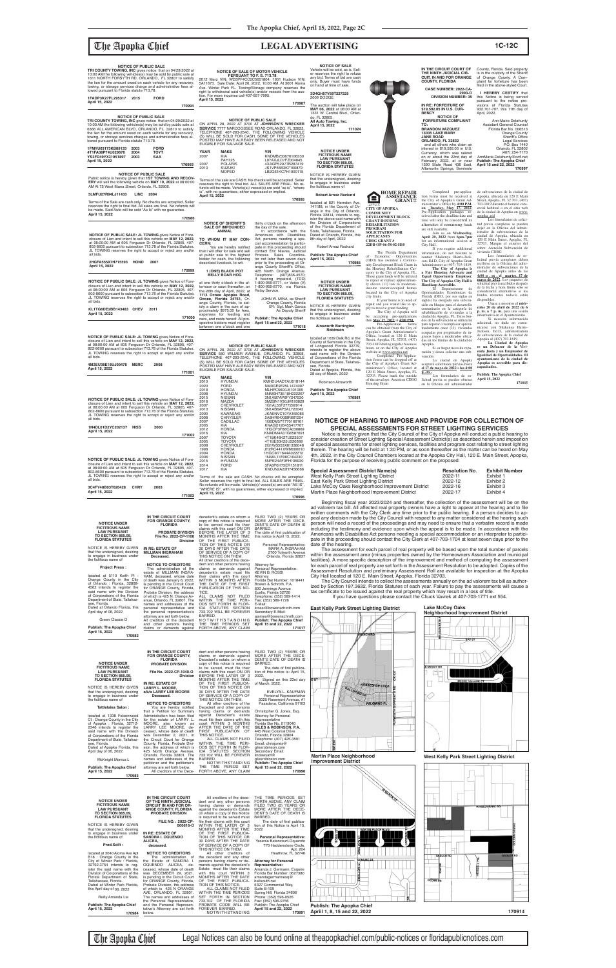## The Apopka Chief **LEGAL ADVERTISING 1C-12C**

towing, or storage services charge and administrative fees al-lowed pursuant to Florida statute 713.78.

**TRI COUNTY TOWING, INC OF PUBLIC SALE**<br>10:00 AM the following vehicles(s) may be sold by public sale at<br>10:00 AM the following vehicles(s) may be sold by public sale at<br>6366 ALL AMERICAN BLVD, ORLANDO, FL. 32810 to satisf

**1FADP3K27FL295317 2015 FORD April 15, 2022**

**170994**

**1FMYU03173KB89133 2003 FORD 4T1FA38P74U029676 2004 TOYT YS3FD49YX31051897 2003 SAA** 

**April 15, 2022**

**5LMFU27R94LJ11433 LINC 2004**

**170986**

| <b>NOTICE OF PUBLIC SALE: JL TOWING gives Notice of Fore-</b>                                                                               |
|---------------------------------------------------------------------------------------------------------------------------------------------|
| closure of Lien and intent to sell this vehicle on <b>MAY 12, 2022.</b>                                                                     |
| at 08:00:00 AM at 605 Ferguson Dr Orlando, FL 32805, 407-                                                                                   |
| 802-8600 pursuant to subsection 713.78 of the Florida Statutes.<br>JL TOWING reserves the right to accept or reject any and/or<br>all bids. |
|                                                                                                                                             |

### **4M2EU38E18UJ09478 MERC 2008 April 15, 2022**

**171001**

**NOTICE OF PUBLIC SALE: JL TOWING** gives Notice of Fore-closure of Lien and intent to sell this vehicle on **MAY 12, 2022,** at 08:00:00 AM at 605 Ferguson Dr Orlando, FL 32805, 407- 802-8600 pursuant to subsection 713.78 of the Florida Statutes. JL TOWING reserves the right to accept or reject any and/or all bids. **1N4DL01D2YC202137 NISS 2000**

**NOTICE OF SALE OF MOTOR VEHICLE PERSUANT TO F. S. 713.78**  2012 Merz VIN: WD3PF4CC0C5651804. 1951 Hudson VIN: 5A11673. Sale Date: April 26, 2022, 10:00 AM. At 3001 Aloma<br>Ave. Winter Park FL. Towing/Storage company reserves the<br>right to withdrawal said vehicle(s) and/or vessels from the auc-<br>tion. For more inquiries call 407-657-79

**April 15, 2022 171002**

**NOTICE OF PUBLIC SALE: JL TOWING** gives Notice of Fore-<br>closure of Lien and intent to sell this vehicle on MAY 12, 2022,<br>at 08:00:00 AM at 605 Ferguson Dr Orlando, FL 32805, 407-<br>802-8600 pursuant to subsection 713.78 of JL TOWING reserves the right to accept or reject any and/or 2007 TOYOTA 4T1BK46K27U023507<br>2005 TOYOTA 4T1BE30K25U520368<br>2008 CHEVROLET 2G1WS553X8133804<br>1998 HONDA JH2RC441XWM00001 2005 TOYOTA 4T1BE30K25U520368 2008 CHEVROLET 2G1WS553X81338048 1998 HONDA JH2RC441XWM000010 2004 HONDA 1HGCM71644A022212 2006 NISSAN 1N4AL11E06C164230 2015 HYUNDAI 5NPE24AF0FH195930 2014 FORD 3FA6P0H75ER151811<br>2017 KIA KNDJN2A22H745666 Terms of the sale are CASH. No checks will be accepted. Seller reserves the right to final bid. ALL SALES ARE FINAL.<br>No refunds will be made. Vehicle(s)/ vessel(s) are sold "AS IS",

NOTICE OF PUBLIC SALE<br>SERVICE 7777 NARCOOSSEE ROAD ORTAINDO, FL 32822,<br>SERVICE 7777 NARCOOSSEE ROAD ORLANDO, FL 32822,<br>TELEPHONE 407-293-2540, THE FOLLOWING VEHICLE<br>(S) WILL BE SOLD FOR CASH. SOME OF THE VEHICLES POSTED MAY HAVE ALREADY BEEN RELEASED AND NOT ELIGIBLE FOR SALVAGE SALE.

| all bids.         |      | JL TOWING reserves the right to accept or reject any and/or |
|-------------------|------|-------------------------------------------------------------|
| 3C4FY48B03T626428 | CHRY | 2003                                                        |

| April 15, 2022 |        |
|----------------|--------|
|                | 171003 |
|                |        |

You are hereby notified<br>that I will offer for sale and sell at public sale to the highest bidder for cash, the following described livestock, to-wit: **1 (ONE) BLACK POT BELLY BOAR HOG** at one thirty o'clock in the afternoon or soon thereafter, on the 26th day of April, 2022, at **1113 Ocoee Apopka Road, Ocoee, Florida 34761,** Orange County, Florida, to satisfy a claim in the sum of ap-proximately \$975.00 for fees, expenses for feeding and care, and costs hereof. All pro-spective bidders must register between one o'clock and one

**YEAR MAKE**<br>2010 HYUNDAI

| IFM YUU3 I / 3KB89 I 33<br>ZUU3.<br><b>FUKU</b><br>IT1FA38P74U029676<br>TOYT<br>2004<br>YS3FD49YX31051897<br><b>SAA</b><br>2003<br>April 15. 2022<br>170993                     | <b>YEAR</b><br>2007<br>2007 | <b>MAKE</b><br>KIA<br><b>PAH125</b><br><b>POLARIS</b> | VIN<br>KNDMB233676106330<br>L97AXJLD7FZ004845<br>4XAGP52A77B287419                                                                                                                                |
|---------------------------------------------------------------------------------------------------------------------------------------------------------------------------------|-----------------------------|-------------------------------------------------------|---------------------------------------------------------------------------------------------------------------------------------------------------------------------------------------------------|
| <b>NOTICE OF PUBLIC SALE</b>                                                                                                                                                    | 2019                        | <b>SUZUKI</b><br><b>MOPED</b>                         | JS1VP55B3K7100879<br>LB2G61KC7H1000115                                                                                                                                                            |
| Public notice is hereby given that 1ST TOWING AND RECOV-<br>ERY will sell the following vehicle on MAY 10, 2022 at 08:00:00<br>AM At 75 West Illiana Street. Orlando. FL 32806. |                             |                                                       | Terms of the sale are CASH. No checks will be accepted. Selle<br>reserves the right to final bid. ALL SALES ARE FINAL. No re-<br>funds will be made Vehicle(s)/ yessel(s) are sold "as is" "where |

Terms of the sale are CASH. No checks will be accepted. Seller<br>reserves the right to final bid. ALL SALES ARE FINAL. No refunds will be made. Vehicle(s)/ vessel(s) are sold "as is", "where<br>is", with no guarantees, either expressed or implied.<br>**April 15, 2022** 

**170987**

 **170995**

**NOTICE OF SHERIFF'S SALE OF IMPOUNDED ANIMAL TO WHOM IT MAY CON-**

**CERN:**

thirty o'clock on the afternoon the day of the sale. In accordance with the Americans with Disabilities

Act, persons needing a spe-<br>cial accommodation to partici-<br>pate in this proceeding should<br>contact Eric Nieves, Judicial<br>Process Sales Coordina-<br>tor not later than seven days

prior to the proceeding at Or-<br>ange County Sheriff's Office,<br>425 North Orange Avenue.<br>Telephone: (407)836-4570;<br>If hearing impaired, (TDD)<br>1-800-955-8771, or Voice (V)

1-800-955-8770, via Florida

Relay Service.

NOTICE OF PUBLIC SALE<br>SERVICE 580 2022 AT 0700 AT JOHNSON'S WRECKER<br>SERVICE 580 WILMER AVENUE, ORLANDO, FL 32808,<br>TELEPHONE 407-293-2540, THE FOLLOWING VEHICLE<br>(S) WILL BE SOLD FOR CASH. SOME OF THE VEHICLES

JOHN W. MINA, as Sheriff Orange County, Florida BY: Sgt. Mark Garcia As Deputy Sheriff

MLHPC5600J5101065<br>5NMSH73E18H222267

**Publish: The Apopka Chief April 15 and 22, 2022**

**171018**

POSTED MAY HAVE ALREADY BEEN RELEASED AND NOT ELIGIBLE FOR SALVAGE SALE.

1990 YEAR MAKE VIN VIN<br>2010 HYUNDAI KMHDU4AD7AU018144<br>2020 FORD NORD NMOGE9E25L1474097 2020 FORD NM0GE9E25L1474097<br>2018 HONDA MLHPC5600J5101065<br>2005 NISSAN 5NMSH73E18H222267<br>2015 NISSAN 3N1AB7AP6FY247530

2008 HYUNDAI 5NMSH73E18H222267 2015 NISSAN 3N1AB7AP6FY247530 2018 MAZDA 3MZBN1V30JM193829 2007 CHEVROLET 1G1AL55F277292914

2010 NISSAN 3N1AB6AP5AL720043<br>2008 CHRYSLER JA8HR64X68R661254<br>2007 CADILLAC 1G6DM57T770166161<br>2007 KIA KNAGD1126AN 1G6DM57T770166161<br>2012 HONDA 1HGCP3F88CA030869 2000 KAWASAKI JIKAENVC10YA165085<br>2000 CHRYSLER 2A8HR64X68R661254<br>2007 CADILLAC 1G6DM57T770166161<br>2005 KIA KNAGD126455417767<br>2012 HONDA 1HGCP3F88CA030869<br>2007 TOYOTA 4T1BK46K27U023507

**TRI COUNTY TOWING, INC GUE SALE**<br>10:00 AM the following vehicles(s) may be sold by public sale at<br>10:00 AM the following vehicles(s) may be sold by public sale at<br>1611 NORTH FORSYTH RD, ORLANDO, FL 32807 to satisfy<br>the li

that the undersigned, desiring to engage in business under the fictitious name of **Ainsworth Barrington Robinson** located at 1039 Delk Rd, in the<br>County of Seminole in the City<br>of Longwood Florida 32779,<br>intends to register the above<br>said name with the Division<br>of Corporations of the Florida be accepting pre-applications<br>
Pre-Application forms<br>
can be obtained from the City of<br>
can be obtained from the City of<br>
Apopka's Grant Administrator's<br>
Office, located at 120 E Main Street, Apopka, FL 32703, (407)<br>703-1819 during regular business<br>hours or on the City of Apopka<br>website at <u>www.apopka.net</u><br>Completed Pre-Applica-<br>tion forms can be dropped off at

Department of State, Tallahassee, Florida. Dated at Apopka, Florida, this 28 day of March, 2022 Robinson Ainsworth the City of Apopka's Grant Ad-<br>ministrator's Office, located at<br>120 E Main Street, Apopka, FL<br>32703. Please mark the outside<br>of the envelope: Attention CDBG<br>Housing Grant

2017 KIA KNDJN2A22H7456666

"WHERE IS", with no guarantees, either expressed or implied.

**April 15, 2022**

Terms of the Sale are cash only. No checks are accepted. Seller<br>reserves the right to final bid. All sales are final. No refunds will<br>be made. Said Auto will be sold "As Is" with no guarantee.<br>**April 15, 2022** 

 **170996**

**on Tuesday, May 17, 2022.**<br>Pre-Application packages received after the deadline date and time will only be considered as alternates if remaining funds are still available. Join us on **Wednesday, April 20, 2022** from **6pm-7pm**

**el 17 de mayo de 2022** a **las 4:00 p . m .** Los formularios de so-licitud previa se pueden obtener EUS formularios de so-<br>licitud previa se pueden obtener<br>en la Oficina del administrador

tud previa completos se pueden<br>dejar en la Oficina del administrador de subvenciones de la ciudad de Apopka, ubicada en 120 E Main Street, Apopka, FL 32703. Marque el exterior del sobre: Atención Subvención de vivienda CDBG

Los formularios de so-<br>licitud previa completos deben<br>recibirse en la Oficina del admi-<br>nistrador de subvenciones de la<br>ciudad de Apopka antes de las **4:00 p . m . el \_martes, 17 de mayo de 2022**. Los paquetes de solicitud previa recibidos después<br>solicitud previa recibidos después<br>de la fecha y hora límite solo se considerarán alternativos si los fondos restantes todavía están disponibles.

**enda Justa y un Empleador de Igualdad de Oportunidades. El ayuntamiento de la ciudad de Apopka es accesible para dis**cap:

County, Florida. Said property is in the custody of the Sheriff of Orange County. A Complaint for forfeiture has been<br>filed in the above-styled Court.

Beginning fiscal year 2023/2024 and thereafter, the collection of the assessment will be on the ad valorem tax bill. All affected real property owners have a right to appear at the hearing and to file written comments with the City Clerk any time prior to the public hearing. If a person decides to ap-

NOTICE OF PUBLIC SALE: JL TOWING gives Notice of Fore-<br>closure of Lien and intent to sell this vehicle on MAY 12, 2022,<br>at 08:00:00 AM at 605 Ferguson Dr Orlando, FL 32805, 407-<br>802-8600 pursuant to subsection 713.78 of th JL TOWING reserves the right to accept or reject any and/or all bids.

**NOTICE OF PUBLIC SALE: JL TOWING** gives Notice of Fore-<br>closure of Lien and intent to sell this vehicle on MAY 12, 2022,<br>at 08:00:00 AM at 605 Ferguson Dr Orlando, FL 32805, 407-<br>802-8600 pursuant to subsection 713.78 of JL TOWING reserves the right to accept or reject any and/or all bids.

| <b>NOTICE UNDER</b><br><b>FICTITIOUS NAME</b><br><b>LAW PURSUANT</b><br><b>TO SECTION 865.09.</b><br><b>FLORIDA STATUTES</b><br>NOTICE IS HEREBY GIVEN<br>that the undersigned, desiring<br>to engage in business under<br>the fictitious name of<br><b>Project Press:</b><br>located at 5110 Keith PI :<br>Orange County in the City<br>of Orlando: Florida, 32808-<br>4562 intends to register the<br>said name with the Division<br>of Corporations of the Florida<br>Department of State, Tallahas-<br>see, Florida.<br>Dated at Orlando Florida, this                                                                                                               | IN THE CIRCUIT COURT<br>FOR ORANGE COUNTY,<br><b>FLORIDA</b><br>PROBATE DIVISION<br>File No. 2022-CP-1108<br><b>Division</b><br>IN RE: ESTATE OF<br><b>MILLMAN INGRAHAM</b><br>Deceased.<br><b>NOTICE TO CREDITORS</b><br>The administration of the<br>estate of MILLMAN INGRA-<br>HAM, deceased, whose date<br>of death was January 6, 2022,<br>is pending in the Circuit Court<br>for ORANGE County, Florida,<br>Probate Division, the address<br>of which is 425 N. Orange Av-<br>enue, Orlando, FL 32801. The<br>names and addresses of the<br>personal representative and                                                                                                                                                                                                     | decedent's estate on whom a<br>copy of this notice is required<br>to be served must file their<br>claims with this court ON OR<br>BEFORE THE LATER OF 3<br>MONTHS AFTER THE TIME<br>OF THE FIRST PUBLICA-<br>TION OF THIS NOTICE OR<br>30 DAYS AFTER THE DATE<br>OF SERVICE OF A COPY OF<br>THIS NOTICE ON THEM.<br>All other creditors of the dece-<br>dent and other persons having<br>claims or demands against<br>decedent's estate must file<br>their claims with this court<br>WITHIN 3 MONTHS AFTER<br>THE DATE OF THE FIRST<br>PUBLICATION OF THIS NO-<br>TICE.<br>ALL CLAIMS NOT FILED<br>WITHIN THE TIME PERI-<br>ODS SET FORTH IN FLOR-<br>IDA STATUTES SECTION                                                                                                                                                                             | FILED TWO (2) YEARS OR<br>MORE AFTER THE DECE-<br>DENT'S DATE OF DEATH IS<br>BARRED.<br>The date of first publication of<br>this notice is April 15, 2022.<br>Personal Representative:<br>MARK A. INGRAHAM<br>2700 Tolworth Avenue<br>Orlando, Florida 32837<br>Attorney for<br>Personal Representative:<br><b>KEVIN B. ROSSI</b><br>Attorney<br>Florida Bar Number: 1018441<br>Bowen & Schroth, P.A.<br>600 Jennings Avenue<br>Eustis, Florida 32726<br>Telephone: (352) 589-1414<br>Fax: (352) 589-1726<br>E-Mail:<br>krossi@bowenschroth.com                                                                                                                                                                   | peal any decision made by the City Council with respect to any matter considered at the hearing such<br>person will need a record of the proceedings and may need to ensure that a verbatim record is made<br>including the testimony and evidence upon which the appeal is to be made. In accordance with the<br>Americans with Disabilities Act persons needing a special accommodation or an interpreter to partici-<br>pate in this proceeding should contact the City Clerk at 407-703-1704 at least seven days prior to the<br>date of the hearing.<br>within the assessment area (minus properties owned by the Homeowners Association and municipal<br>facilities). A more specific description of the improvement and method of computing the assessment<br>for each parcel of real property are set forth in the Assessment Resolution to be adopted. Copies of the<br>Assessment Resolution and preliminary Assessment Roll are available for inspection at the Apopka<br>City Hall located at 120 E. Main Street, Apopka, Florida 32703.<br>ized by Section 197.3632, Florida Statutes of each year. Failure to pay the assessments will cause a<br>tax certificate to be issued against the real property which may result in a loss of title.<br>If you have questions please contact the Chuck Vavrek at 407-703-1771 ext 554.<br><b>East Kelly Park Street Lighting District</b> | no man and only dronk why anno prior to and public nowing. If who does<br>The assessment for each parcel of real property will be based upon the total number of parcels<br>The City Council intends to collect the assessments annually on the ad valorem tax bill as author-<br><b>Lake McCoy Oaks</b> |
|--------------------------------------------------------------------------------------------------------------------------------------------------------------------------------------------------------------------------------------------------------------------------------------------------------------------------------------------------------------------------------------------------------------------------------------------------------------------------------------------------------------------------------------------------------------------------------------------------------------------------------------------------------------------------|------------------------------------------------------------------------------------------------------------------------------------------------------------------------------------------------------------------------------------------------------------------------------------------------------------------------------------------------------------------------------------------------------------------------------------------------------------------------------------------------------------------------------------------------------------------------------------------------------------------------------------------------------------------------------------------------------------------------------------------------------------------------------------|--------------------------------------------------------------------------------------------------------------------------------------------------------------------------------------------------------------------------------------------------------------------------------------------------------------------------------------------------------------------------------------------------------------------------------------------------------------------------------------------------------------------------------------------------------------------------------------------------------------------------------------------------------------------------------------------------------------------------------------------------------------------------------------------------------------------------------------------------------|-------------------------------------------------------------------------------------------------------------------------------------------------------------------------------------------------------------------------------------------------------------------------------------------------------------------------------------------------------------------------------------------------------------------------------------------------------------------------------------------------------------------------------------------------------------------------------------------------------------------------------------------------------------------------------------------------------------------|--------------------------------------------------------------------------------------------------------------------------------------------------------------------------------------------------------------------------------------------------------------------------------------------------------------------------------------------------------------------------------------------------------------------------------------------------------------------------------------------------------------------------------------------------------------------------------------------------------------------------------------------------------------------------------------------------------------------------------------------------------------------------------------------------------------------------------------------------------------------------------------------------------------------------------------------------------------------------------------------------------------------------------------------------------------------------------------------------------------------------------------------------------------------------------------------------------------------------------------------------------------------------------------------------------------------------------------------------------------------------------------------------|----------------------------------------------------------------------------------------------------------------------------------------------------------------------------------------------------------------------------------------------------------------------------------------------------------|
| April day of 06, 2022                                                                                                                                                                                                                                                                                                                                                                                                                                                                                                                                                                                                                                                    | the personal representative's<br>attorney are set forth below.                                                                                                                                                                                                                                                                                                                                                                                                                                                                                                                                                                                                                                                                                                                     | 733.702 WILL BE FOREVER<br><b>BARRED</b>                                                                                                                                                                                                                                                                                                                                                                                                                                                                                                                                                                                                                                                                                                                                                                                                               | Secondary E-Mail:<br>ajames@bowenschroth.com                                                                                                                                                                                                                                                                                                                                                                                                                                                                                                                                                                                                                                                                      |                                                                                                                                                                                                                                                                                                                                                                                                                                                                                                                                                                                                                                                                                                                                                                                                                                                                                                                                                                                                                                                                                                                                                                                                                                                                                                                                                                                                  | <b>Neighborhood Improvement District</b>                                                                                                                                                                                                                                                                 |
| Green Classie D                                                                                                                                                                                                                                                                                                                                                                                                                                                                                                                                                                                                                                                          | All creditors of the decedent<br>and other persons having                                                                                                                                                                                                                                                                                                                                                                                                                                                                                                                                                                                                                                                                                                                          | NOTWITHSTANDING<br>THE TIME PERIODS SET                                                                                                                                                                                                                                                                                                                                                                                                                                                                                                                                                                                                                                                                                                                                                                                                                | Publish: The Apopka Chief<br>April 15 and 22, 2022                                                                                                                                                                                                                                                                                                                                                                                                                                                                                                                                                                                                                                                                |                                                                                                                                                                                                                                                                                                                                                                                                                                                                                                                                                                                                                                                                                                                                                                                                                                                                                                                                                                                                                                                                                                                                                                                                                                                                                                                                                                                                  |                                                                                                                                                                                                                                                                                                          |
| Publish: The Apopka Chief<br>April 15, 2022                                                                                                                                                                                                                                                                                                                                                                                                                                                                                                                                                                                                                              | claims or demands against                                                                                                                                                                                                                                                                                                                                                                                                                                                                                                                                                                                                                                                                                                                                                          | FORTH ABOVE, ANY CLAIM                                                                                                                                                                                                                                                                                                                                                                                                                                                                                                                                                                                                                                                                                                                                                                                                                                 | 171017                                                                                                                                                                                                                                                                                                                                                                                                                                                                                                                                                                                                                                                                                                            | <b>ONDICH RD</b>                                                                                                                                                                                                                                                                                                                                                                                                                                                                                                                                                                                                                                                                                                                                                                                                                                                                                                                                                                                                                                                                                                                                                                                                                                                                                                                                                                                 |                                                                                                                                                                                                                                                                                                          |
| 170982                                                                                                                                                                                                                                                                                                                                                                                                                                                                                                                                                                                                                                                                   |                                                                                                                                                                                                                                                                                                                                                                                                                                                                                                                                                                                                                                                                                                                                                                                    |                                                                                                                                                                                                                                                                                                                                                                                                                                                                                                                                                                                                                                                                                                                                                                                                                                                        |                                                                                                                                                                                                                                                                                                                                                                                                                                                                                                                                                                                                                                                                                                                   |                                                                                                                                                                                                                                                                                                                                                                                                                                                                                                                                                                                                                                                                                                                                                                                                                                                                                                                                                                                                                                                                                                                                                                                                                                                                                                                                                                                                  | <b>BAYS</b>                                                                                                                                                                                                                                                                                              |
| <b>NOTICE UNDER</b><br><b>FICTITIOUS NAME</b><br><b>LAW PURSUANT</b><br><b>TO SECTION 865.09.</b><br><b>FLORIDA STATUTES</b><br>NOTICE IS HEREBY GIVEN<br>that the undersigned, desiring<br>to engage in business under<br>the fictitious name of<br><b>Tattletales Salon:</b><br>located at 1338 Falconwood<br>Ct: Orange County in the City<br>of Apopka : Florida, 32712-<br>2346 intends to register the<br>said name with the Division<br>of Corporations of the Florida<br>Department of State, Tallahas-<br>see, Florida.<br>Dated at Apopka Florida, this<br>April day of 06, 2022<br>McKnight Monica L<br>Publish: The Apopka Chief<br>April 15, 2022<br>170983 | IN THE CIRCUIT COURT<br>FOR ORANGE COUNTY,<br><b>FLORIDA</b><br>PROBATE DIVISION<br>File No. 2022-CP-1040-O<br><b>Division</b><br>IN RE: ESTATE OF<br><b>LARRY L. MOORE.</b><br>a/k/a LARRY LEE MOORE<br>Deceased.<br><b>NOTICE TO CREDITORS</b><br>You are hereby notified<br>that a Petition for Summary<br>Administration has been filed<br>for the estate of LARRY L.<br>MOORE, also known as<br>LARRY LEE MOORE, de-<br>ceased, whose date of death<br>was December 2, 2021, in<br>the Circuit Court for Orange<br>County, Florida, Probate Divi-<br>sion, the address of which is<br>425 North Orange Avenue,<br>Orlando, Florida 32801. The<br>names and addresses of the<br>petitioner and the petitioner's<br>attorney are set forth below.<br>All creditors of the Dece- | dent and other persons having<br>claims or demands against<br>Decedent's estate, on whom a<br>copy of this notice is required<br>to be served, must file their<br>claims with this court ON OR<br>BEFORE THE LATER OF 3<br>MONTHS AFTER THE TIME<br>OF THE FIRST PUBLICA-<br>TION OF THIS NOTICE OR<br>30 DAYS AFTER THE DATE<br>OF SERVICE OF A COPY OF<br>THIS NOTICE ON THEM.<br>All other creditors of the<br>Decedent and other persons<br>having claims or demands<br>against Decedent's estate<br>must file their claims with this<br>court WITHIN 3 MONTHS<br>AFTER THE DATE OF THE<br>FIRST PUBLICATION OF<br>THIS NOTICE.<br>ALL CLAIMS NOT FILED<br>WITHIN THE TIME PERI-<br>ODS SET FORTH IN FLOR-<br>IDA STATUTES SECTION<br>733.702 WILL BE FOREVER<br><b>BARRED</b><br>NOTWITHSTANDING<br>THE TIME PERIOD SET<br>FORTH ABOVE, ANY CLAIM | FILED TWO (2) YEARS OR<br>MORE AFTER THE DECE-<br>DENT'S DATE OF DEATH IS<br>BARRED.<br>The date of first publica-<br>tion of this notice is: April 15,<br>2022<br>Signed on this 23rd day<br>of March, 2022.<br>EVELYN L. KAUFMAN<br>Personal Representative<br>2025 Rosemont Avenue, #1<br>Pasadena, California 91103<br>Christopher G. Jones, Esq.<br>Attorney for Personal<br>Representative<br>Florida Bar No. 0119040<br>GILES & ROBINSON, P.A.<br>445 West Colonial Drive<br>Orlando, Florida 32804<br>Telephone: (407) 425-3591<br>Email: chrisjones@<br>gilesrobinson.com<br>Secondary Email:<br>lindawyatt@<br>gilesrobinson.com<br><b>Publish: The Apopka Chief</b><br>April 15 and 22, 2022<br>170990 | E ST<br>HORSESHOE LOOP<br>GALLOPI<br><b>PALOMINO PL</b><br><b>Martin Place Neighborhood</b><br><b>Improvement District</b>                                                                                                                                                                                                                                                                                                                                                                                                                                                                                                                                                                                                                                                                                                                                                                                                                                                                                                                                                                                                                                                                                                                                                                                                                                                                       | <b>E MCCOY DR</b><br><b>West Kelly Park Street Lighting District</b>                                                                                                                                                                                                                                     |
| <b>NOTICE UNDER</b>                                                                                                                                                                                                                                                                                                                                                                                                                                                                                                                                                                                                                                                      | IN THE CIRCUIT COURT<br>OF THE NINTH JUDICIAL                                                                                                                                                                                                                                                                                                                                                                                                                                                                                                                                                                                                                                                                                                                                      | All creditors of the dece-<br>dent and any other persons                                                                                                                                                                                                                                                                                                                                                                                                                                                                                                                                                                                                                                                                                                                                                                                               | THE TIME PERIODS SET<br>FORTH ABOVE, ANY CLAIM                                                                                                                                                                                                                                                                                                                                                                                                                                                                                                                                                                                                                                                                    | WMARTIN ST                                                                                                                                                                                                                                                                                                                                                                                                                                                                                                                                                                                                                                                                                                                                                                                                                                                                                                                                                                                                                                                                                                                                                                                                                                                                                                                                                                                       |                                                                                                                                                                                                                                                                                                          |
| <b>FICTITIOUS NAME</b><br><b>LAW PURSUANT</b>                                                                                                                                                                                                                                                                                                                                                                                                                                                                                                                                                                                                                            | <b>CIRCUIT IN AND FOR OR-</b><br>ANGE COUNTY, FLORIDA                                                                                                                                                                                                                                                                                                                                                                                                                                                                                                                                                                                                                                                                                                                              | having claims or demands<br>against the decedent's Estate                                                                                                                                                                                                                                                                                                                                                                                                                                                                                                                                                                                                                                                                                                                                                                                              | FILED TWO (2) YEARS OR<br>MORE AFTER THE DECE-                                                                                                                                                                                                                                                                                                                                                                                                                                                                                                                                                                                                                                                                    |                                                                                                                                                                                                                                                                                                                                                                                                                                                                                                                                                                                                                                                                                                                                                                                                                                                                                                                                                                                                                                                                                                                                                                                                                                                                                                                                                                                                  | <b>W KELLY PARK RD</b>                                                                                                                                                                                                                                                                                   |
| <b>TO SECTION 865.09.</b><br><b>FLORIDA STATUTES</b>                                                                                                                                                                                                                                                                                                                                                                                                                                                                                                                                                                                                                     | PROBATE DIVISION<br>FILE NO.: 2022-CP-                                                                                                                                                                                                                                                                                                                                                                                                                                                                                                                                                                                                                                                                                                                                             | on whom a copy of this Notice<br>is required to be served must<br>file their claims with this court                                                                                                                                                                                                                                                                                                                                                                                                                                                                                                                                                                                                                                                                                                                                                    | DENT'S DATE OF DEATH IS<br>BARRED.<br>The date of first publica-                                                                                                                                                                                                                                                                                                                                                                                                                                                                                                                                                                                                                                                  |                                                                                                                                                                                                                                                                                                                                                                                                                                                                                                                                                                                                                                                                                                                                                                                                                                                                                                                                                                                                                                                                                                                                                                                                                                                                                                                                                                                                  |                                                                                                                                                                                                                                                                                                          |
| NOTICE IS HEREBY GIVEN<br>that the undersigned, desiring                                                                                                                                                                                                                                                                                                                                                                                                                                                                                                                                                                                                                 | 000616-0                                                                                                                                                                                                                                                                                                                                                                                                                                                                                                                                                                                                                                                                                                                                                                           | WITHIN THE LATER OF 3<br>MONTHS AFTER THE TIME                                                                                                                                                                                                                                                                                                                                                                                                                                                                                                                                                                                                                                                                                                                                                                                                         | tion of this Notice is April 15,<br>2022                                                                                                                                                                                                                                                                                                                                                                                                                                                                                                                                                                                                                                                                          |                                                                                                                                                                                                                                                                                                                                                                                                                                                                                                                                                                                                                                                                                                                                                                                                                                                                                                                                                                                                                                                                                                                                                                                                                                                                                                                                                                                                  |                                                                                                                                                                                                                                                                                                          |
| to engage in business under<br>the fictitious name of                                                                                                                                                                                                                                                                                                                                                                                                                                                                                                                                                                                                                    | IN RE: ESTATE OF<br><b>SANDRA I. OQUENDO</b>                                                                                                                                                                                                                                                                                                                                                                                                                                                                                                                                                                                                                                                                                                                                       | OF THE FIRST PUBLICA-<br>TION OF THIS NOTICE OR<br>30 DAYS AFTER THE DATE                                                                                                                                                                                                                                                                                                                                                                                                                                                                                                                                                                                                                                                                                                                                                                              | <b>Personal Representative:</b>                                                                                                                                                                                                                                                                                                                                                                                                                                                                                                                                                                                                                                                                                   |                                                                                                                                                                                                                                                                                                                                                                                                                                                                                                                                                                                                                                                                                                                                                                                                                                                                                                                                                                                                                                                                                                                                                                                                                                                                                                                                                                                                  |                                                                                                                                                                                                                                                                                                          |
| Prod.Solfi:                                                                                                                                                                                                                                                                                                                                                                                                                                                                                                                                                                                                                                                              | ALICEA,<br>deceased.                                                                                                                                                                                                                                                                                                                                                                                                                                                                                                                                                                                                                                                                                                                                                               | OF SERVICE OF A COPY OF                                                                                                                                                                                                                                                                                                                                                                                                                                                                                                                                                                                                                                                                                                                                                                                                                                | Yesenia Betancourt-Oquendo<br>770 Haddenstone Circle,                                                                                                                                                                                                                                                                                                                                                                                                                                                                                                                                                                                                                                                             |                                                                                                                                                                                                                                                                                                                                                                                                                                                                                                                                                                                                                                                                                                                                                                                                                                                                                                                                                                                                                                                                                                                                                                                                                                                                                                                                                                                                  |                                                                                                                                                                                                                                                                                                          |
| located at 3040 Aloma Ave Apt<br>B18 : Orange County in the<br>City of Winter Park : Florida,<br>32792-3754 intends to reg-<br>ister the said name with the<br>Division of Corporations of the<br>Florida Department of State,<br>Tallahassee, Florida.<br>Dated at Winter Park Florida,<br>this April day of 06, 2022<br>Reilly Amanda Lia                                                                                                                                                                                                                                                                                                                              | <b>NOTICE TO CREDITORS</b><br>The administration of<br>the Estate of SANDRA I.<br>OQUENDO ALICEA, de-<br>ceased, whose date of death<br>was DECEMBER 29, 2021,<br>is pending in the Circuit Court<br>for ORANGE County, Florida,<br>Probate Division, the address<br>of which is 425 N ORANGE<br>AVE, ORLANDO, FL 32801.<br>The names and addresses of<br>the Personal Representative,                                                                                                                                                                                                                                                                                                                                                                                             | THIS NOTICE ON THEM.<br>All other creditors of<br>the decedent and any other<br>persons having claims or de-<br>mands against the decedent's<br>Estate must file their claims<br>with this court WITHIN 3<br>MONTHS AFTER THE DATE<br>OF THE FIRST PUBLICA-<br>TION OF THIS NOTICE.<br>ALL CLAIMS NOT FILED<br>WITHIN THE TIME PERIODS<br>SET FORTH IN SECTION<br>733.702 OF THE FLORIDA                                                                                                                                                                                                                                                                                                                                                                                                                                                               | Apt. 204<br>Heathrow, FL 32746<br><b>Attorney for Personal</b><br>Representative:<br>Amanda J. Germann, Esquire<br>Florida Bar Number: 0627380<br>amandagermannesq@<br>bellsouth.net<br>5327 Commercial Way,<br>Suite B-109<br>Spring Hill, Florida 34606<br>Phone: (352) 596-0526<br>Fax: (352) 596-9756                                                                                                                                                                                                                                                                                                                                                                                                         | CONURE ST.                                                                                                                                                                                                                                                                                                                                                                                                                                                                                                                                                                                                                                                                                                                                                                                                                                                                                                                                                                                                                                                                                                                                                                                                                                                                                                                                                                                       | <b>SADLER RD</b><br><b>TRUSSELL TR</b><br><b>CEDAR RD</b>                                                                                                                                                                                                                                                |
| <b>Publish: The Apopka Chief</b><br>April 15, 2022                                                                                                                                                                                                                                                                                                                                                                                                                                                                                                                                                                                                                       | and the Personal Represen-<br>tative's Attorney are set forth                                                                                                                                                                                                                                                                                                                                                                                                                                                                                                                                                                                                                                                                                                                      | PROBATE CODE WILL BE<br>FOREVER BARRED.                                                                                                                                                                                                                                                                                                                                                                                                                                                                                                                                                                                                                                                                                                                                                                                                                | Publish: The Apopka Chief<br>April 15 and 22, 2022                                                                                                                                                                                                                                                                                                                                                                                                                                                                                                                                                                                                                                                                | <b>Publish: The Apopka Chief</b>                                                                                                                                                                                                                                                                                                                                                                                                                                                                                                                                                                                                                                                                                                                                                                                                                                                                                                                                                                                                                                                                                                                                                                                                                                                                                                                                                                 |                                                                                                                                                                                                                                                                                                          |
| 170984                                                                                                                                                                                                                                                                                                                                                                                                                                                                                                                                                                                                                                                                   | below.                                                                                                                                                                                                                                                                                                                                                                                                                                                                                                                                                                                                                                                                                                                                                                             | NOTWITHSTANDING                                                                                                                                                                                                                                                                                                                                                                                                                                                                                                                                                                                                                                                                                                                                                                                                                                        | 170991                                                                                                                                                                                                                                                                                                                                                                                                                                                                                                                                                                                                                                                                                                            | April 1, 8, 15 and 22, 2022                                                                                                                                                                                                                                                                                                                                                                                                                                                                                                                                                                                                                                                                                                                                                                                                                                                                                                                                                                                                                                                                                                                                                                                                                                                                                                                                                                      | 170914                                                                                                                                                                                                                                                                                                   |

**NOTICE OF SALE** Vehicle will be sold, as is. Sell-er reserves the right to refuse any bid. Terms of bid are cash only. Buyer must have funds on hand at time of sale. **3D4GH57V59T227225**

2009 DODGE The auction will take place on **MAY 06, 2022** at 08:00 AM at<br>1331 W. Central Blvd., Orlan-<br>do, FL 32805. **All Auto Towing, Inc. April 15, 2022 171024 NOTICE UNDER FICTITIOUS NAME** 



The Apopka Chief Legal Notices can also be found online at theapopkachief.com/public-notices or floridapublicnotices.com

NOTICE IS HEREBY GIVEN that the undersigned, desiring<br>to engage in business under<br>the fictitious name of 仚 **Robert Arnaz Rackard**

**April 15, 2022**

located at 821 Herndon Ave, 141188, in the County of Or-ange in the City of Orlando, Florida 32814, intends to register the above said name with the Division of Corporations of the Florida Department of State, Tallahassee, Florida. Dated at Orlando, Florida, this 8th day of April, 2022 Robert Arnaz Rackard **CITY OF APOPKA COMMUNITY DEVELOPMENT BLOCK GRANT HOUSING REHABILITATION PROGRAM SOLICITATION FOR APPLICANTS CDBG GRANT # 22DB-OP-06-58-02-H10**

**Publish: The Apopka Chief 170985 NOTICE UNDER FICTITIOUS NAME LAW PURSUANT TO SECTION 865.09, FLORIDA STATUTES** The Florida Department of Economic Opportunities (DEO) has awarded a Community Development Block Grant in the Housing Rehabilitation Cat-egory to the City of Apopka, FL. These grant funds will be utilized to repair or replace approximate-ly eleven (11) low to moderateincome owner-occupied homes located in the City of Apopka city limits.

**Publish: The Apopka Chief April 15, 2022 170981**

**HOME REPAIR ASSISTANCE GRANT!!**

NOTICE IS HEREBY GIVEN If your home is in need of repair and you would like to ap-ply to receive grant funding

Florida (DEO, por sus siglas en inglés) ha otorgado una subven-ción en bloque para el desarrollo comunitario en la categoría de

The City of Apopka will rehabilitación de viviendas a la<br>ciudad de Apopka, FL. Estos fon-<br>dos de la subvención se utilizarán<br>para reparar o reemplazar aproxi-<br>madamente once (11) viviendas

Completed pre-applica-tion forms must be received at the City of Apopka's Grant Ad-<br>ministrator's Office by **4:00 P.M.** de subvenciones de la ciudad de Apopka, ubicada en 120 E Main Street, Apopka, FL 32 703, (407) 703-1819 durante el horario comercial habitual o en el sitio web de la ciudad de Apopka en www. apopka .red Los formularios de solici-

ocupadas por propietarios de ingresos bajos a moderados ubica-das en los límites de la ciudad de

Apopka. Si su hogar necesita repa-ración y desea solicitar una subvención La ciudad de Apopka aceptará solicitudes previas hasta

Únase a nosotros el **miércoles 20 de abril de 2022 de 6 p. m. a 7 p. m.** para una sesión informativa en el Ayuntamiento.

Si necesita información adicional, no dude en comunicarse con Shakenya Harris-Jackson, Ed.D, administradora de subvenciones de la ciudad de Apopka al (407) 703-1819. **La Ciudad de Apopka es un Defensor de la Vivi-**

# **Publish: The Apopka Chief April 15, 2022**

**171015**

**IN THE CIRCUIT COURT OF THE NINTH JUDICIAL CIR-CUIT, IN AND FOR ORANGE COUNTY, FLORIDA**

**CASE NUMBER: 2022-CA-2993-O DIVISION NUMBER: 35**

**IN RE: FORFEITURE OF \$19,592.05 IN U.S. CUR-**

**RENCY** 

**TO:** 

City Hall.<br>Informational session at information, do not hesitate to<br>information, do not hesitate to<br>contact Shakenya Harris-Jack-<br>son, Ed.D, City of Apopka Grant<br>Administrator at (407) 703-1819.<br>The City of Apopka is<br>a Fai

**BRANDON VAZQUEZ 13035 LAKE MARY JANE ROAD**

### **NOTICE OF FORFEITURE COMPLAINT ORLANDO, FL 32832** and all others who claim an interest in \$19,592.05 in U.S. Currency, which was seized on or about the 22nd day of February, 2022, at or near 1390 State Road 436 East, Altamonte Springs, Seminole Ann-Marie Delahunty Assistant General Counsel Florida Bar No. 006513 Orange County<br>
Sheriff's Office<br>
Legal Services<br>
P.O. Box 1440 Orlando, FL 32802 (407) 254-7170 AnnMarie.Delahunty@ocfl .net **Publish: The Apopka Chief April 15 and 22, 2022 170997**

**I HEREBY CERTIFY** that this Notice is being served pursuant to the notice provisions of Florida Statutes 932.701-707, this 11th day of April, 2022.

### **NOTICE OF HEARING TO IMPOSE AND PROVIDE FOR COLLECTION OF SPECIAL ASSESSMENTS FOR STREET LIGHTING SERVICES**

Notice is hereby given that the City Council of the City of Apopka will conduct a public hearing to consider creation of Street Lighting Special Assessment District(s) as described herein and imposition of special assessments for street lighting services, facilities and program cost relating to street lighting therein. The hearing will be held at 1:30 PM, or as soon thereafter as the matter can be heard on May 4th, 2022, in the City Council Chambers located at the Apopka City Hall, 120 E. Main Street, Apopka, Florida for the purpose of receiving public comment on the proposed:

| <b>Special Assessment District Name(s)</b>        | <b>Resolution No.</b> | <b>Exhibit Number</b> |
|---------------------------------------------------|-----------------------|-----------------------|
| West Kelly Park Street Lighting District          | 2022-11               | Fxhibit 1             |
| East Kelly Park Street Lighting District          | 2022-12               | Fxhibit 2             |
| Lake McCoy Oaks Neighborhood Improvement District | 2022-16               | Exhibit 3             |
| Martin Place Neighborhood Improvement District    | 2022-17               | Fxhibit 4             |

**2HGFA555X7H715593 HOND 2007 April 15, 2022**

**170999**

## **KL1TG6DE2BB143483 CHEV 2011 April 15, 2022**

**171000**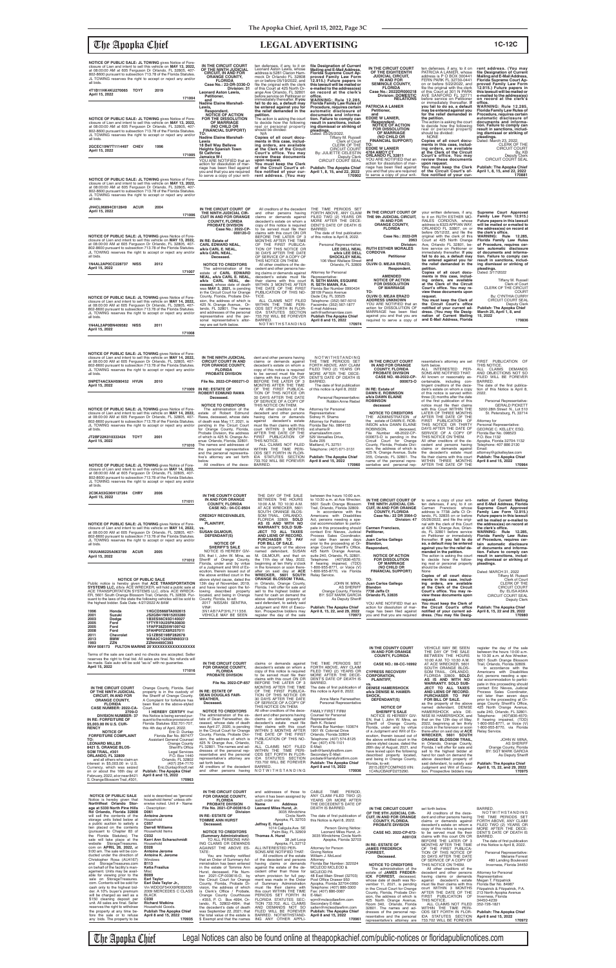## The Apopka Chief **LEGAL ADVERTISING 1C-12C**

| NOTICE OF PUBLIC SALE: JL TOWING gives Notice of Fore-<br>closure of Lien and intent to sell this vehicle on MAY 13, 2022,<br>at 08:00:00 AM at 605 Ferguson Dr Orlando, FL 32805, 407-<br>802-8600 pursuant to subsection 713.78 of the Florida Statutes.<br>JL TOWING reserves the right to accept or reject any and/or<br>all bids.<br>4T1B11HK4KU270065 TOYT<br>2019<br>April 15, 2022<br>171004<br>NOTICE OF PUBLIC SALE: JL TOWING gives Notice of Fore-<br>closure of Lien and intent to sell this vehicle on MAY 13, 2022,<br>at 08:00:00 AM at 605 Ferguson Dr Orlando, FL 32805, 407-<br>802-8600 pursuant to subsection 713.78 of the Florida Statutes.<br>JL TOWING reserves the right to accept or reject any and/or | IN THE CIRCUIT COURT<br>OF THE NINTH JUDICIAL<br><b>CIRCUIT. IN AND FOR</b><br><b>ORANGE COUNTY,</b><br><b>FLORIDA</b><br>Case No.: 22-DR-3330-O<br>Division: 31<br><b>Leonard Aston Lewis,</b><br>Petitioner,<br>and<br><b>Nadine Elaine Marshall-</b><br>Lewis,<br>Respondent.<br><b>NOTICE OF ACTION</b><br>FOR THE DISSOLUTION<br><b>OF MARRIAGE</b><br>(NO CHILD OR<br><b>FINANCIAL SUPPORT)</b><br><b>ΤΩ:</b><br><b>Nadine Elaine Marshall-</b> | ten defenses, if any, to it on<br>Leonard Aston Lewis, whose<br>address is 5281 Clarion Ham-<br>mock Dr Orlando FL 32808<br>on or before 05/19/2022, and<br>file the original with the clerk<br>of this Court at 425 North Or-<br>ange Ave Orlando, FL 32801<br>before service on Petitioner or<br>immediately thereafter. If you<br>fail to do so, a default may<br>be entered against you for<br>the relief demanded in the<br>petition.<br>The action is asking the court<br>to decide how the following<br>real or personal property<br>should be divided:<br>N/A<br>Copies of all court docu- | file Designation of Current<br>Mailing and E-Mail Address,<br>Florida Supreme Court Ap-<br>proved Family Law Form<br>12.915.) Future papers in<br>this lawsuit will be mailed or<br>e-mailed to the address(es)<br>on record at the clerk's<br>office.<br>WARNING: Rule 12.285.<br><b>Florida Family Law Rules of</b><br>Procedure, requires certain<br>automatic disclosure of<br>documents and informa-<br>tion. Failure to comply can<br>result in sanctions, includ-<br>ing dismissal or striking of<br>pleadings.<br>Dated: 03/25/2022. | IN THE CIRCUIT COURT<br>OF THE EIGHTEENTH<br><b>JUDICIAL CIRCUIT,</b><br>IN AND FOR<br><b>SEMINOLE COUNTY,</b><br><b>FLORIDA</b><br>Case No.: 2022DR000218<br><b>Division: DOMESTIC</b><br><b>RELATIONS</b><br><b>PATRICIA A LANIER</b><br>Petitioner.<br>and<br><b>EDDIE W LANIER,</b><br>Respondent.<br><b>NOTICE OF ACTION</b><br><b>FOR DISSOLUTION</b><br>OF MARRIAGE<br>(NO CHILD OR | ten defenses, if any, to it on<br>PATRICIA A LANIER, whose<br>address is P O BOX 300441<br>FERN PARK FL 32730-0441<br>on or before 5/22/2022, and<br>file the original with the clerk<br>of this Court at 301 N PARK<br>AVE SANFORD FL 32771<br>before service on Petitioner<br>or immediately thereafter. If<br>you fail to do so, a default<br>may be entered against you<br>for the relief demanded in<br>the petition.<br>The action is asking the court<br>to decide how the following<br>real or personal property<br>should be divided:<br><b>NONE</b> | rent address. (You may<br>file Designation of Current<br>Mailing and E-Mail Address.<br>Florida Supreme Court Ap-<br>proved Family Law Form<br>12.915.) Future papers in<br>this lawsuit will be mailed or<br>e-mailed to the address(es)<br>on record at the clerk's<br>office.<br><b>WARNING: Rule 12.285,</b><br><b>Florida Family Law Rules of</b><br>Procedure, requires certain<br>automatic disclosure of<br>documents and informa-<br>tion. Failure to comply can<br>result in sanctions, includ-<br>ing dismissal or striking of<br>pleadings. |
|-----------------------------------------------------------------------------------------------------------------------------------------------------------------------------------------------------------------------------------------------------------------------------------------------------------------------------------------------------------------------------------------------------------------------------------------------------------------------------------------------------------------------------------------------------------------------------------------------------------------------------------------------------------------------------------------------------------------------------------|-------------------------------------------------------------------------------------------------------------------------------------------------------------------------------------------------------------------------------------------------------------------------------------------------------------------------------------------------------------------------------------------------------------------------------------------------------|----------------------------------------------------------------------------------------------------------------------------------------------------------------------------------------------------------------------------------------------------------------------------------------------------------------------------------------------------------------------------------------------------------------------------------------------------------------------------------------------------------------------------------------------------------------------------------------------------|----------------------------------------------------------------------------------------------------------------------------------------------------------------------------------------------------------------------------------------------------------------------------------------------------------------------------------------------------------------------------------------------------------------------------------------------------------------------------------------------------------------------------------------------|--------------------------------------------------------------------------------------------------------------------------------------------------------------------------------------------------------------------------------------------------------------------------------------------------------------------------------------------------------------------------------------------|---------------------------------------------------------------------------------------------------------------------------------------------------------------------------------------------------------------------------------------------------------------------------------------------------------------------------------------------------------------------------------------------------------------------------------------------------------------------------------------------------------------------------------------------------------------|---------------------------------------------------------------------------------------------------------------------------------------------------------------------------------------------------------------------------------------------------------------------------------------------------------------------------------------------------------------------------------------------------------------------------------------------------------------------------------------------------------------------------------------------------------|
| all bids.<br>2GCEC19W7T1114497 CHEV<br>1996<br>April 15, 2022<br>171005                                                                                                                                                                                                                                                                                                                                                                                                                                                                                                                                                                                                                                                           | Lewis<br>18 Bell Way Belleve<br><b>Heights Spanish Town</b><br><b>St Cathrine</b><br>Jamaica W-I<br>YOU ARE NOTIFIED that an<br>action for dissolution of mar-<br>riage has been filed against<br>you and that you are required<br>to serve a copy of your writ-                                                                                                                                                                                      | ments in this case, includ-<br>ing orders, are available<br>at the Clerk of the Circuit<br>Court's office. You may<br>review these documents<br>upon request.<br>You must keep the Clerk<br>of the Circuit Court's of-<br>fice notified of your cur-<br>rent address. (You may                                                                                                                                                                                                                                                                                                                     | Tiffany M. Russell<br>Clerk of Court<br><b>CLERK OF THE</b><br><b>CIRCUIT COURT</b><br>By: JULIETTE CELESTIN<br>Deputy Clerk<br>CIRCUIT COURT SEAL<br><b>Publish: The Apopka Chief</b><br>April 1, 8, 15, and 22, 2022<br>170902                                                                                                                                                                                                                                                                                                             | <b>FINANCIAL SUPPORT)</b><br>TO:<br><b>EDDIE W LANIER</b><br>4764 AMOY CT<br>ORLANDO FL 32811<br>YOU ARE NOTIFIED that an<br>action for dissolution of mar-<br>riage has been filed against<br>you and that you are required<br>to serve a copy of your writ-                                                                                                                              | Copies of all court docu-<br>ments in this case, includ-<br>ing orders, are available<br>at the Clerk of the Circuit<br>Court's office. You may<br>review these documents<br>upon request.<br>You must keep the Clerk<br>of the Circuit Court's of-<br>fice notified of your cur-                                                                                                                                                                                                                                                                             | Dated: March 23, 2022.<br>CLERK OF THE<br><b>CIRCUIT COURT</b><br>By: KB<br>Deputy Clerk<br>CIRCUIT COURT SEAL<br><b>Publish: The Apopka Chief</b><br>April 1, 8, 15, and 22, 2022<br>170881                                                                                                                                                                                                                                                                                                                                                            |
| NOTICE OF PUBLIC SALE: JL TOWING gives Notice of Fore-<br>closure of Lien and intent to sell this vehicle on MAY 13, 2022,<br>at 08:00:00 AM at 605 Ferguson Dr Orlando, FL 32805, 407-<br>802-8600 pursuant to subsection 713.78 of the Florida Statutes.<br>JL TOWING reserves the right to accept or reject any and/or<br>all bids.                                                                                                                                                                                                                                                                                                                                                                                            |                                                                                                                                                                                                                                                                                                                                                                                                                                                       |                                                                                                                                                                                                                                                                                                                                                                                                                                                                                                                                                                                                    |                                                                                                                                                                                                                                                                                                                                                                                                                                                                                                                                              |                                                                                                                                                                                                                                                                                                                                                                                            |                                                                                                                                                                                                                                                                                                                                                                                                                                                                                                                                                               |                                                                                                                                                                                                                                                                                                                                                                                                                                                                                                                                                         |
| JH4CL96894C012849<br><b>ACUR</b><br>2004<br>April 15, 2022<br>171006                                                                                                                                                                                                                                                                                                                                                                                                                                                                                                                                                                                                                                                              | IN THE CIRCUIT COURT OF<br>THE NINTH JUDICIAL CIR-<br><b>CUIT IN AND FOR ORANGE</b><br><b>COUNTY, FLORIDA</b><br><b>PROBATE DIVISION</b><br>Case No.: 2022-CP-                                                                                                                                                                                                                                                                                        | All creditors of the decedent<br>and other persons having<br>claims or demands against<br>decedent's estate on whom a<br>copy of this notice is required<br>to be served must file their                                                                                                                                                                                                                                                                                                                                                                                                           | THE TIME PERIODS SET<br>FORTH ABOVE, ANY CLAIM<br>FILED TWO (2) YEARS OR<br>MORE AFTER THE DECE-<br>DENT'S DATE OF DEATH IS<br>BARRED.                                                                                                                                                                                                                                                                                                                                                                                                       | IN THE CIRCUIT COURT OF<br>THE 9th JUDICIAL CIRCUIT,<br>IN AND FOR<br><b>ORANGE COUNTY,</b><br><b>FLORIDA</b>                                                                                                                                                                                                                                                                              | your written defenses, if any,<br>to it on RUTH ESTHER MO-<br>RALES CORDOVA, whose<br>address is 6323 APPIAN WAY,<br>ORLANDO FL 32807, on or                                                                                                                                                                                                                                                                                                                                                                                                                  | Supreme Court Approved<br>Family Law Form 12.915.)<br>Future papers in this lawsuit<br>will be mailed or e-mailed to<br>the address(es) on record at                                                                                                                                                                                                                                                                                                                                                                                                    |
| NOTICE OF PUBLIC SALE: JL TOWING gives Notice of Fore-<br>closure of Lien and intent to sell this vehicle on MAY 13, 2022,<br>at 08:00:00 AM at 605 Ferguson Dr Orlando, FL 32805, 407-<br>802-8600 pursuant to subsection 713.78 of the Florida Statutes.<br>JL TOWING reserves the right to accept or reject any and/or<br>all bids.                                                                                                                                                                                                                                                                                                                                                                                            | 000120-0<br>IN RE: Estate of<br><b>CARL EDWARD NEAL,</b><br>a/k/a CARL E. NEAL,<br>a/k/a CARL NEAL,<br>Deceased.                                                                                                                                                                                                                                                                                                                                      | claims with this court ON OR<br>BEFORE THE LATER OF 3<br>MONTHS AFTER THE TIME<br>OF THE FIRST PUBLICA-<br>TION OF THIS NOTICE OR<br>30 DAYS AFTER THE DATE<br>OF SERVICE OF A COPY OF<br>THIS NOTICE ON THEM.                                                                                                                                                                                                                                                                                                                                                                                     | The date of first publication<br>of this notice is April 8, 2022.<br>Personal Representative:<br>LEE DELL NEAL<br>a/k/a LEE DELL<br><b>SHOCKLEY NEAL</b><br>106 West Wallace Street                                                                                                                                                                                                                                                                                                                                                          | Case No.: 2022-DR<br>2063<br>Division:<br><b>RUTH ESTHER MORALES</b><br><b>CORDOVA</b><br><b>Petitioner</b><br>and                                                                                                                                                                                                                                                                         | before 05/12/22, and file the<br>original with the clerk of this<br>Court at 425 North Orange<br>Ave, Orlando FL 32801, be-<br>fore service on Petitioner or<br>immediately thereafter. If you<br>fail to do so, a default may<br>be entered against you for                                                                                                                                                                                                                                                                                                  | the clerk's office.<br>WARNING: Rule 12.285<br>Florida Family Law Rules<br>of Procedure, requires cer-<br>tain automatic disclosure<br>of documents and informa-<br>tion. Failure to comply can<br>result in sanctions, includ-                                                                                                                                                                                                                                                                                                                         |
| 1N4AL2AP0CC228737 NISS<br>2012<br>April 15, 2022<br>171007                                                                                                                                                                                                                                                                                                                                                                                                                                                                                                                                                                                                                                                                        | <b>NOTICE TO CREDITORS</b><br>The administration of the<br>estate of CARL EDWARD<br>NEAL, a/k/a CARL E. NEAL,                                                                                                                                                                                                                                                                                                                                         | All other creditors of the de-<br>cedent and other persons hav-<br>ing claims or demands against<br>decedent's estate must file                                                                                                                                                                                                                                                                                                                                                                                                                                                                    | Orlando, FL 32809<br>Attorney for Personal<br>Representative:                                                                                                                                                                                                                                                                                                                                                                                                                                                                                | OLVIN O. MEJIA ERAZO,<br>Respondent.<br><b>AMENDED</b><br><b>NOTICE OF ACTION</b>                                                                                                                                                                                                                                                                                                          | the relief demanded in the<br>petition.<br>Copies of all court docu-<br>ments in this case, includ-<br>ing orders, are available                                                                                                                                                                                                                                                                                                                                                                                                                              | ing dismissal or striking of<br>pleadings.<br>Dated: 3/17/2022<br><b>Tiffany M. Russell</b>                                                                                                                                                                                                                                                                                                                                                                                                                                                             |
| <b>NOTICE OF PUBLIC SALE: JL TOWING gives Notice of Fore-</b><br>closure of Lien and intent to sell this vehicle on MAY 14, 2022.<br>at 08:00:00 AM at 605 Ferguson Dr Orlando, FL 32805, 407-<br>802-8600 pursuant to subsection 713.78 of the Florida Statutes.<br>JL TOWING reserves the right to accept or reject any and/or<br>all bids.<br>1N4AL2AP0BN409582 NISS<br>2011<br>April 15, 2022<br>171008                                                                                                                                                                                                                                                                                                                       | a/k/a CARL NEAL, de-<br>ceased, whose date of death<br>was MAY 3, 2021, is pending<br>in the Circuit Court for Orange<br>County, Florida, Probate Divi-<br>sion, the address of which is<br>425 N. Orange Avenue, Or-<br>lando, FL 32801. The names<br>and addresses of the personal<br>representative and the per-<br>sonal representative's attor-<br>ney are set forth below.                                                                      | their claims with this court<br>WITHIN 3 MONTHS AFTER<br>THE DATE OF THE FIRST<br>PUBLICATION OF THIS NO-<br>TICE.<br>ALL CLAIMS NOT FILED<br>WITHIN THE TIME PERI-<br>ODS SET FORTH IN FLOR-<br>IDA STATUTES SECTION<br>733.702 WILL BE FOREVER<br>BARRED.<br>NOTWITHSTANDING                                                                                                                                                                                                                                                                                                                     | R. SETH MANN, ESQUIRE<br>R. SETH MANN, P.A.<br>Florida Bar Number 0990434<br>38109 Pasco Avenue<br>Dade City, FL 33525<br>Telephone: (352) 567-5010<br>Facsimile: (352) 567-1877<br>E-mail Address:<br>seth@sethmannlaw.com<br><b>Publish The Apopka Chief</b><br>April 8 and 15, 2022<br>170974                                                                                                                                                                                                                                             | <b>FOR DISSOLUTION</b><br>OF MARRIAGE<br>TO:<br>OLVIN O. MEJIA ERAZO<br><b>ADDRESS UNKNOWN</b><br>YOU ARE NOTIFIED that an<br>action for DISSOLUTION OF<br>MARRIAGE has been filed<br>against you and that you are<br>required to serve a copy of                                                                                                                                          | at the Clerk of the Circuit<br>Court's office. You may re-<br>view these documents upon<br>request.<br>You must keep the Clerk of<br>the Circuit Court's office<br>notified of your current ad-<br>dress. (You may file Desig-<br>nation of Current Mailing<br>and E-Mail Address, Florida                                                                                                                                                                                                                                                                    | Clerk of Court<br>CLERK OF THE CIRCUIT<br><b>COURT</b><br>By: CYNTHIA CURRY<br><b>CIRCUIT COURT SEAI</b><br><b>Deputy Clerk</b><br><b>Publish: The Apopka Chief</b><br>March 25, April 1, 8, and<br>15, 2022<br>170836                                                                                                                                                                                                                                                                                                                                  |
| NOTICE OF PUBLIC SALE: JL TOWING gives Notice of Fore-                                                                                                                                                                                                                                                                                                                                                                                                                                                                                                                                                                                                                                                                            |                                                                                                                                                                                                                                                                                                                                                                                                                                                       | IN THE NINTH HIDICIAL dept and other persons bound                                                                                                                                                                                                                                                                                                                                                                                                                                                                                                                                                 | <b>NOTWITHOTANDING</b>                                                                                                                                                                                                                                                                                                                                                                                                                                                                                                                       |                                                                                                                                                                                                                                                                                                                                                                                            |                                                                                                                                                                                                                                                                                                                                                                                                                                                                                                                                                               |                                                                                                                                                                                                                                                                                                                                                                                                                                                                                                                                                         |

Terms of the sale are cash and no checks are accepted. Seller<br>reserves the right to final bid. All sales are final. No refunds will be made. Sale auto will be sold "as-is" with no guarant **April 15, 2022**

| closure of Lien and intent to sell this vehicle on MAY 14, 2022, | IN THE NINTH JUDICIAL                | dent and other persons having                  | NOTWITHSTANDING                  |                                                            |                                                         |                                                          |
|------------------------------------------------------------------|--------------------------------------|------------------------------------------------|----------------------------------|------------------------------------------------------------|---------------------------------------------------------|----------------------------------------------------------|
| at 08:00:00 AM at 605 Ferguson Dr Orlando, FL 32805, 407-        | <b>CIRCUIT COURT IN AND</b>          | claims or demands against                      | THE TIME PERIODS SET             | IN THE CIRCUIT COURT                                       | resentative's attorney are set                          | PUBLICATION OF<br><b>FIRST</b>                           |
| 802-8600 pursuant to subsection 713.78 of the Florida Statutes.  | <b>FOR ORANGE COUNTY.</b>            | decedent's estate on whom a                    | FORTH ABOVE, ANY CLAIM           | IN AND FOR ORANGE                                          | forth below.                                            | THIS NOTICE.                                             |
| JL TOWING reserves the right to accept or reject any and/or      | <b>FLORIDA</b>                       | copy of this notice is required                | FILED TWO (2) YEARS OR           | <b>COUNTY, FLORIDA</b>                                     | PER-<br>INTERESTED<br>ALL                               | ALL CLAIMS<br><b>DEMANDS</b>                             |
| all bids.                                                        | <b>PROBATE DIVISION</b>              | to be served must file their                   | MORE AFTER THE DECE-             | <b>PROBATE DIVISION</b>                                    | SONS ARE NOTIFIED THAT:                                 | AND OBJECTIONS NOT SO                                    |
|                                                                  |                                      | claims with this court ON OR                   | DENT'S DATE OF DEATH IS          | <b>CASE NO. 48-2022-CP-</b>                                | All known or reasonably as-                             | FILED WILL BE FOREVER                                    |
| 5NPET4ACXAH590452 HYUN<br>2010                                   | File No. 2022-CP-000271-O            | BEFORE THE LATER OF 3                          | BARRED.                          | 000673-0                                                   | certainable, including con-                             | BARRED.                                                  |
| April 15, 2022                                                   |                                      | MONTHS AFTER THE TIME                          | The date of first publication    |                                                            | tingent creditors of the dece-                          | The date of the first publica-                           |
| 171009                                                           | IN RE: ESTATE OF                     | OF THE FIRST PUBLICA-                          | of this notice is April 8, 2022  | IN RE: Estate of                                           | dent's estate on whom a copy                            | tion of this Notice is April 8,                          |
|                                                                  | <b>ROBERT EDMUND RAWA</b>            | TION OF THIS NOTICE OR                         |                                  | <b>DAWN E. ROBINSON</b>                                    | of this notice is served within                         | 2022.                                                    |
|                                                                  | Deceased.                            | 30 DAYS AFTER THE DATE                         | Personal Representative:         | a/k/a DAWN ELAINE                                          | three (3) months after the date                         |                                                          |
|                                                                  |                                      | OF SERVICE OF A COPY OF                        | Robbin Anne Riebel               | <b>ROBINSON</b>                                            | of the first publication of this                        | Personal Representative:                                 |
|                                                                  | <b>NOTICE TO CREDITORS</b>           | THIS NOTICE ON THEM.                           |                                  | deceased                                                   | notice must file their claims                           | <b>GERALD PICKETT</b>                                    |
| <b>NOTICE OF PUBLIC SALE: JL TOWING gives Notice of Fore-</b>    | The administration of the            | All other creditors of the                     | Attorney for Personal            |                                                            | with this Court WITHIN THE                              | 5200 28th Street N., Lot 510                             |
| closure of Lien and intent to sell this vehicle on MAY 14, 2022. | estate of Robert Edmund              | decedent and other persons                     | Representative:                  | <b>NOTICE TO CREDITORS</b>                                 | LATER OF THREE MONTHS                                   | St. Petersburg, FL 33714                                 |
| at 08:00:00 AM at 605 Ferguson Dr Orlando, FL 32805, 407-        | Rawa, deceased, whose date           | having claims or demands                       | Sidney H. Shams                  | THE ADMINISTRATION of                                      | AFTER THE DATE OF THE                                   |                                                          |
| 802-8600 pursuant to subsection 713.78 of the Florida Statutes.  | of death was May 17, 2021, is        | decedent's estate<br>aqainst                   | <b>Attorney for Petitioner</b>   | the estate of DAWN E. ROB-                                 | FIRST PUBLICATION OF                                    | Attorney for                                             |
| JL TOWING reserves the right to accept or reject any and/or      | pending in the Circuit Court         | must file their claims with this               | Florida Bar No. 0864153          | INSON a/k/a DAWN ELAINE                                    | THIS NOTICE OR THIRTY                                   | Personal Representative:                                 |
| all bids.                                                        | for Orange County, Florida,          | court WITHIN 3 MONTHS                          | sid.shams@                       | ROBINSON.<br>deceased.                                     | DAYS AFTER THE DATE OF                                  | GEORGE C. KELLEY, ESQ.                                   |
|                                                                  | Probate Division, the address        | AFTER THE DATE OF THE                          | shamslawfirm.com                 | 48-2022-CP-<br>File Number                                 | SERVICE OF A COPY OF                                    | Florida Bar No. 098523                                   |
| 2001<br>JT2BF22K010333424<br><b>TOYT</b>                         | of which is 425 N. Orange Av-        | FIRST PUBLICATION OF                           | 529 Versailles Drive.            | 000673-O is pending in the                                 | THIS NOTICE ON THEM.                                    | P.O. Box 1132                                            |
| April 15, 2022                                                   | enue Orlando, Florida, 32801.        | THIS NOTICE.                                   | Suite 205                        | Circuit Court for Orange                                   | All other creditors of the de-                          | Apopka, Florida 32704-1132                               |
| 171010                                                           | The names and addresses of           | ALL CLAIMS NOT FILED                           | Maitland, FL 32751               | County, Florida, Probate Divi-                             | cedent and persons having                               | Telephone: 407 886 2130                                  |
|                                                                  | the personal representative          | WITHIN THE TIME PERI-                          | Telephone: (407) 671-3131        | sion, the address of which is                              | claims or demands against<br>the decedent's estate must | Email:                                                   |
|                                                                  | and the personal representa-         | ODS SET FORTH IN FLOR-<br>IDA STATUTES SECTION |                                  | 425 N. Orange Avenue, Suite<br>355. Orlando, FL 32801. The | file their claims with this court                       | attorney@gckelleylaw.com                                 |
|                                                                  | tive's attorney are set forth        | 733.702 WILL BE FOREVER                        | <b>Publish: The Apopka Chief</b> | name of the personal repre-                                | WITHIN THREE MONTHS                                     | <b>Publish: The Apopka Chief</b><br>April 8 and 15, 2022 |
|                                                                  | below.<br>All creditors of the dece- | BARRED.                                        | April 8 and 15, 2022<br>170960   | sentative and personal rep-                                | AFTER THE DATE OF THE                                   | 170964                                                   |
| <b>NOTICE OF PUBLIC SALE: JL TOWING gives Notice of Fore-</b>    |                                      |                                                |                                  |                                                            |                                                         |                                                          |
| closure of Lien and intent to sell this vehicle on MAY 14, 2022. |                                      |                                                |                                  |                                                            |                                                         |                                                          |
| at 08:00:00 AM at 605 Ferguson Dr Orlando, FL 32805, 407-        |                                      |                                                |                                  |                                                            |                                                         |                                                          |
| 802-8600 pursuant to subsection 713.78 of the Florida Statutes.  |                                      |                                                |                                  |                                                            |                                                         |                                                          |
| JL TOWING reserves the right to accept or reject any and/or      |                                      |                                                |                                  |                                                            |                                                         |                                                          |
| all bids.                                                        |                                      |                                                |                                  |                                                            |                                                         |                                                          |

| 2C3KA53G36H127264<br>April 15, 2022 | CHRY | 2006 |        |
|-------------------------------------|------|------|--------|
|                                     |      |      | 171011 |

**19UUA66225A063789 ACUR 2005 April 15, 2022**

NOTICE OF PUBLIC SALE<br>Public notice is hereby given that ACE TRANSPORTATION<br>SYSTEMS LLC, d/b/a ACE WRECKER, will hold a public sale at<br>ACE TRANSPORTATION SYSTEMS LLC, d/b/a ACE WRECK-<br>ER, 5601 South Orange Blossom Trail, O

| 1996 | Honda      | 1HGCD5668TA092615                             |
|------|------------|-----------------------------------------------|
| 2001 | Suzuki     | JS2GB41W815203280                             |
| 2003 | Dodge      | 1B3ES56C93D140027                             |
| 2005 | Ford       | 1FTYR10U25PA30830                             |
| 2005 | Ford       | 1FAFP38Z05W109742                             |
| 2008 | Ford       | 3FAHP07ZX8R257011                             |
| 2011 | Chevrolet  | 1G1ZB5E19BF282678                             |
| 2013 | <b>BMW</b> | WBA3C1G50DNN93313                             |
| 1993 | <b>ZZN</b> | ZZN44400C393                                  |
|      |            | INV#508173 FULTON MARINE 20'XXXXXXXXXXXXXXXXX |

**TO: LEONARD MILLER 8421 S. ORANGE BLOS-SOM TRAIL, #301 ORLANDO, FL 32809**

and all others who claim an interest in \$5,003.00 in U.S. Currency, which was seized on or about the 16th day of February, 2022, at or near 8421 S. Orange Blossom Trail, #301,

**170963**

IN THE CIRCUIT COURT<br>OF THE NIVIT JUDICIAL<br>CIRCUIT, IN AND FOR<br>ORANGE COUNTY,<br>CASE NUMBER: 2022-CA-<br>DIVISION NUMBER: 37<br>DIVISION NUMBER: 37<br>IN RE: FORFEITURE OF<br>S5,003.00 IN U.S. CUR-<br>RENCY<br>NOTICE OF

**FIENCY<br>FORFEITURE COMPLAINT<br>TO:** 

| 171011                                                                                                                                                                                                                                                                                                                    | IN AND FOR ORANGE<br><b>COUNTY, FLORIDA</b><br><b>CASE NO.: 04-CC-9504</b>                               |
|---------------------------------------------------------------------------------------------------------------------------------------------------------------------------------------------------------------------------------------------------------------------------------------------------------------------------|----------------------------------------------------------------------------------------------------------|
| NOTICE OF PUBLIC SALE: JL TOWING gives Notice of Fore-<br>closure of Lien and intent to sell this vehicle on MAY 14, 2022,<br>at 08:00:00 AM at 605 Ferguson Dr Orlando, FL 32805, 407-<br>802-8600 pursuant to subsection 713.78 of the Florida Statutes.<br>JL TOWING reserves the right to accept or reject any and/or | <b>CREDIGY RECEIVABLES.</b><br>INC.<br><b>PLAINTIFF.</b><br>VS.<br><b>SUSAN GILMOUR.</b><br>DEFENDANT(S) |
| all bids.                                                                                                                                                                                                                                                                                                                 | <b>NOTICE OF</b>                                                                                         |

|                    | <b>NOTICE OF</b>                | FOR BILL OF SALE.                  | prior to the proceeding at Or-   | Blandon.                       | so, a default may be entered   | tain automatic disclosure    |
|--------------------|---------------------------------|------------------------------------|----------------------------------|--------------------------------|--------------------------------|------------------------------|
|                    | <b>SHERIFF'S SALE</b>           | as the property of the above       | ange County Sheriff's Office,    | Respondent,                    | against you for the relief de- | of documents and informa-    |
|                    | NOTICE IS HEREBY GIV-           | named defendant. SUSAN             | 425 North Orange Avenue,         |                                | manded in the petition.        | tion. Failure to comply can  |
|                    | EN, that I, John W. Mina, as    | M. GILMOUR, and that on            | suite 240, Orlando, FL 32801.    | <b>NOTICE OF ACTION</b>        | The action is asking the court | result in sanctions, includ- |
| 171012             | Sheriff of Orange County,       | the 11th day of May, 2022,         | Telephone: (407)836-4570:        | <b>FOR DISSOLUTION</b>         | to decide how the follow-      | ing dismissal or striking of |
|                    | Florida, under and by virtue    | beginning at ten thirty o'clock    | If hearing impaired, (TDD)       | <b>OF MARRIAGE</b>             | ing real or personal property  | pleadings.                   |
|                    | of a Judament and Writ of Ex-   | in the forenoon or soon there-     | 1-800-955-8771, or Voice (V)     | (NO CHILD OR                   | should be divided:             |                              |
|                    | ecution, therein issued out of  | after on said day at ACE           | 1-800-955-8770, via Florida      | <b>FINANCIAL SUPPORT)</b>      | None                           | Dated: MARCH 31, 2022        |
|                    | the above entitled court in the | WRECKER. 5601 SOUTH                | Relay Service.                   |                                | Copies of all court docu-      | Tiffany M. Russell           |
|                    | above styled cause, dated the   | <b>ORANGE BLOSSOM TRAIL,</b>       |                                  | TO:                            | ments in this case, includ-    | Clerk of Court               |
| NSPORTATION        | 13th day of November, 2019,     | in Orlando, Orange County,         | JOHN W. MINA.                    | Juan Carlos Gallego            | ing orders, are available      | <b>CLERK OF THE</b>          |
| l a public sale at | and have levied upon the fol-   | Florida. I will offer for sale and | <b>AS SHERIFF</b>                | <b>Blandon</b>                 | at the Clerk of the Circuit    | <b>CIRCUIT COURT</b>         |
| ACE WRECK-         | lowing described property       | sell to the highest bidder at      | Orange County, Florida           | 7738 Jaffa Ct                  | Court's office. You may re-    | By: ELISA ASKA               |
| FL 32839. Pur-     | located, and being in Orange    | hand for cash on demand the        | <b>BY: SGT MARK GARCIA</b>       | Orlando FL 32835               | view these documents upon      | CIRCUIT COURT SEAL           |
| es will be sold to | County, Florida, to-wit:        | above described property of        | As Deputy Sheriff                |                                | reauest.                       | Deputy Clerk                 |
|                    | 2017 NISSAN SENTRA.             | said defendant, to satisfy said    |                                  | YOU ARE NOTIFIED that an       | You must keep the Clerk of     |                              |
|                    | $VIN#$ :                        | Judament and Writ of Execu-        | <b>Publish: The Apopka Chief</b> | action for dissolution of mar- | the Circuit Court's office     | Publish: The Apopka Chief    |
| TA092615           | 3N1AB7AP3HL711356.              | tion. Prospective bidders may      | April 8, 15, 22, and 29, 2022    | riage has been filed against   | notified of your current ad-   | April 8, 15, 22 and 29, 2022 |
| 15203280           | <b>VEHICLE MAY BE SEEN</b>      | register the day of the sale       | 170973                           | you and that you are required  | dress. (You may file Desig-    | 170980                       |
| D140027            |                                 |                                    |                                  |                                |                                |                              |
| PA30830            |                                 |                                    |                                  |                                |                                |                              |
| 111100710          |                                 |                                    |                                  |                                |                                |                              |

|                                   |                                 |                                  |                                  | IN AND FOR ORANGE               | THE DAY OF THE SALE                | between the hours 10:00 a.m.   |
|-----------------------------------|---------------------------------|----------------------------------|----------------------------------|---------------------------------|------------------------------------|--------------------------------|
| no checks are accepted. Seller    |                                 |                                  |                                  | <b>COUNTY, FLORIDA</b>          | BETWEEN THE HOURS                  | to 10:30 a.m. at Ace Wrecker.  |
| sales are final. No refunds will  |                                 |                                  |                                  |                                 | 10:00 A.M. TO 10:30 A.M.           | 5601 South Orange Blossom      |
| as-is" with no quarantee.         | IN THE CIRCUIT COURT            | claims or demands against        | THE TIME PERIODS SET             | CASE NO.: 08-CC-16992           | AT ACE WRECKER, 5601               | Trail, Orlando, Florida 32809. |
|                                   | FOR ORANGE COUNTY,              | decedent's estate on whom a      | FORTH ABOVE, ANY CLAIM           |                                 | SOUTH ORANGE BLOS-                 | In accordance with the         |
| 171016                            | <b>FLORIDA</b>                  | copy of this notice is required  | FILED TWO (2) YEARS OR           | <b>CYPRESS RECOVERY</b>         | SOM TRAIL, ORLANDO,                | Americans with Disabilities    |
|                                   | <b>PROBATE DIVISION</b>         | to be served must file their     | MORE AFTER THE DECE-             | <b>CORPORATION.</b>             | FLORIDA 32809. SOLD                | Act, persons needing a spe-    |
|                                   |                                 | claims with this court ON OR     | DENT'S DATE OF DEATH IS          | <b>PLAINTIFF,</b>               | AS IS AND WITH NO                  | cial accommodation to partici- |
|                                   | File No. 2022-CP-657            | BEFORE THE LATER OF 3            | BARRED.                          | VS.                             | <b>WARRANTY, SOLD SUB-</b>         | pate in this proceeding should |
| Orange County, Florida. Said      |                                 | MONTHS AFTER THE TIME            | The date of first publication of | <b>DENISE HAMERSHOCK</b>        | JECT TO ALL TAXES                  | contact Eric Nieves, Judicial  |
| property is in the custody of     | IN RE: ESTATE OF                | OF THE FIRST PUBLICA-            | this notice is April 8, 2022.    | a/k/a DENISE M. HAMER-          | AND LIENS OF RECORD.               | Process Sales Coordinator.     |
| the Sheriff of Orange County.     | <b>DEAN DOUGLAS FAIR-</b>       | TION OF THIS NOTICE OR           |                                  | SHOCK.                          | PURCHASER TO PAY                   | not later than seven days      |
| A Complaint for forfeiture has    | <b>WEATHER,</b>                 | 30 DAYS AFTER THE DATE           | Anna Marie Fairweather.          | DEFENDANT(S)                    | FOR BILL OF SALE.                  | prior to the proceeding at Or- |
| been filed in the above-styled    | Deceased.                       | OF SERVICE OF A COPY OF          | Personal Representative          |                                 | as the property of the above       | ange County Sheriff's Office,  |
| Court.                            |                                 | THIS NOTICE ON THEM.             |                                  | <b>NOTICE OF</b>                | named defendant, DENISE            | 425 North Orange Avenue,       |
| I HEREBY CERTIFY that             | <b>NOTICE TO CREDITORS</b>      | All other creditors of the dece- | <b>FAMILY FIRST FIRM</b>         | <b>SHERIFF'S SALE</b>           | HAMERSHOCK a/k/a DE-               | suite 240, Orlando, FL 32801.  |
| this Notice is being served pur-  | The administration of the es-   | dent and other persons having    | <b>Counsel for Personal</b>      | NOTICE IS HEREBY GIV-           | NISE M. HAMERSHOCK, and            | (407)836-4570;<br>Telephone:   |
| suant to the notice provisions of | tate of Dean Fairweather, de-   | claims or demands against        | Representative                   | EN, that I, John W. Mina, as    | that on the 12th day of May,       | If hearing impaired, (TDD)     |
| Florida Statutes 932.701-707.     | ceased, whose date of death     | decedent's estate must file      | Beth K. Roland                   | Sheriff of Orange County,       | 2022, beginning at ten thirty      | 1-800-955-8771, or Voice (V)   |
| this 4th day of April, 2022.      | was April 27, 2020, is pending  | their claims with this court     | Florida Bar Number: 103674       | Florida, under and by virtue    | o'clock in the forenoon or soon    | 1-800-955-8770, via Florida    |
| Eric D. Dunlap                    | in the Circuit Court for Orange | WITHIN 3 MONTHS AFTER            | 1901 W. Colonial Drive           | of a Judgment and Writ of Ex-   | there-after on said day at ACE     | Relay Service.                 |
| Florida Bar No. 897477            | County, Florida, Probate Divi-  | THE DATE OF THE FIRST            | Orlando, Florida 32804           | ecution, therein issued out of  | WRECKER. 5601 SOUTH                |                                |
| Assistant General Counsel         | sion, the address of which is   | PUBLICATION OF THIS NO-          | Telephone: (407) 574-8125        | the above entitled court in the | <b>ORANGE BLOSSOM TRAIL.</b>       | JOHN W. MINA.                  |
| <b>Orange County</b>              | 425 N Orange Ave, Orlando,      | TICE.                            | Fax: (407) 476-1101              | above styled cause, dated the   | in Orlando, Orange County,         | AS SHERIFF                     |
| Sheriff's Office                  | FL 32801. The names and ad-     | ALL CLAIMS NOT FILED             | E-Mail:                          | 26th day of August, 2021, and   | Florida. I will offer for sale and | Orange County, Florida         |
| <b>Legal Services</b>             | dresses of the personal rep-    | WITHIN THE TIME PERI-            | beth@familyfirstfirm.com         | have levied upon the following  | sell to the highest bidder at      | <b>BY: SGT MARK GARCIA</b>     |
| P.O. Box 1440                     | resentative and the personal    | ODS SET FORTH IN FLOR-           | Secondary E-Mail:                | described property located,     | hand for cash on demand the        | As Deputy Sheriff              |
| Orlando, FL 32802                 | representative's attorney are   | IDA STATUTES SECTION             | probate@familyfirstfirm.com      | and being in Orange County,     | above described property of        |                                |
| (407) 254-7170                    | set forth below.                | 733.702 WILL BE FOREVER          | <b>Publish: The Apopka Chief</b> | Florida, to-wit:                | said defendant, to satisfy said    | Publish: The Apopka Chief      |
| Eric.Dunlap@ocfl.net              | All creditors of the decedent   | BARRED.                          | April 8 and 15, 2022             | 2015 JEEP COMPASS VIN:          | Judgment and Writ of Execu-        | April 8, 15, 22, and 29, 2022  |
| Publish: The Apopka Chief         | and other persons having        | NOTWITHSTANDING                  | 170936                           | 1C4NJCBA0FD273290.              | tion. Prospective bidders may      | 170975                         |
| April 8 and 15, 2022              |                                 |                                  |                                  |                                 |                                    |                                |

|                                   |                                 | IN THE CIRCUIT COURT             | and addresses of those to     | TIME<br>PERIOD.<br>CABLE         |                                 |                                  |                                  |
|-----------------------------------|---------------------------------|----------------------------------|-------------------------------|----------------------------------|---------------------------------|----------------------------------|----------------------------------|
| <b>NOTICE OF PUBLIC SALE</b>      | sold is described as "general   | <b>FOR ORANGE COUNTY.</b>        | whom it has been assigned by  | ANY CLAIM FILED TWO (2)          |                                 |                                  |                                  |
| Notice is hereby given that       | household items" unless oth-    | <b>FLORIDA</b>                   | such order are:               | YEARS OR MORE AFTER              |                                 |                                  |                                  |
| NorthWest Orlando Stor-           | erwise noted. Unit # - Name     | <b>PROBATE DIVISION</b>          | Name<br>Address               | THE DECEDENT'S DATE OF           |                                 |                                  |                                  |
| age at 5330 North Pine Hills      | - Description:                  | File No. 2021-CP-003616-O        | Leonard Miles Hurst, Jr.      | DEATH IS BARRED.                 | IN THE CIRCUIT COURT            | set forth below.                 | BARRED.                          |
| Rd Orlando, Florida 32808         | D061                            | <b>Division</b>                  | 3035 Windchine                |                                  | OF THE 9TH JUDICIAL CIR-        | All creditors of the dece-       | NOTWITHSTANDING                  |
| will sell the contents of the     | <b>Antoine Jerome</b>           | IN RE: ESTATE OF                 | Circle North                  | The date of first publication of | <b>CUIT. IN AND FOR ORANGE</b>  | dent and other persons having    | THE TIME PERIODS SET             |
| storage units listed below at     | Household                       | <b>TOMMIE ANN HURST</b>          | Apopka, FL 32703              | this Notice is April 8, 2022.    | <b>COUNTY, FLORIDA.</b>         | claims or demands against        | FORTH ABOVE, ANY CLAIM           |
| a public auction to satisfy a     | C057                            | Deceased.                        | Jeffrey E. Hurst              |                                  | <b>PROBATE DIVISION</b>         | decedent's estate on whom a      | FILED TWO (2) YEARS OR           |
| lien placed on the contents       | <b>Darrell Williams</b>         |                                  | 1014 Caligula Ave. SE         | Person Giving Notice:            |                                 | copy of this notice is required  | MORE AFTER THE DECE-             |
| (pursuant to Chapter 83 of        | Household Items                 | <b>NOTICE TO CREDITORS</b>       | Palm Bay, FL 32909            | Leonard Miles Hurst, Jr.         | CASE NO. 2022-CP-672-           | to be served must file their     | DENT'S DATE OF DEATH IS          |
| the Florida Statutes). The        | C032                            | (Summary Administration)         | <b>Thomas A. Hurst</b>        | 3035 Windchime Circle North      | A001OX                          | claims with this court ON OR     | BARRED.                          |
| sale will take place at the       | Kerri Ann Scharschmidt          | TO ALL PERSONS HAV-              | 38 Jett Loop                  | Apopka, Florida 32703            |                                 | BEFORE THE LATER OF 3            | The date of first publication    |
| website StorageTreasures.         | Household                       | ING CLAIMS OR DEMANDS            | Apopka, FL 32712              |                                  | IN RE: ESTATE OF                | MONTHS AFTER THE TIME            | of this Notice is April 8, 2022. |
| com on <b>APRIL 26, 2022</b> , at | E028                            | AGAINST THE ABOVE ES-            | ALL INTERESTED PER-           | <b>Attorney for Person</b>       | <b>JAMES FREDERICK</b>          | OF THE FIRST PUBLICA-            |                                  |
| 9:00 am. The sale will be con-    | <b>Antoine Jerome</b>           | TATE:                            | SONS ARE NOTIFIED THAT:       | <b>Giving Notice</b>             | <b>FORREST.</b>                 | TION OF THIS NOTICE OF           | Personal Representative:         |
| ducted under the direction of     | Antoine K. Jerome               | You are hereby notified          | All creditors of the estate   | William J. McLeod                | Deceased.                       | 30 DAYS AFTER THE DATE           | <b>Melanie Forrest</b>           |
| Christopher Rosa (AU4167)         | Windows                         | that an Order of Summary Ad-     | of the decedent and persons   | Attorney                         |                                 | OF SERVICE OF A COPY OF          | 480 Landing Boulevard            |
| and StorageTreasures.com          | <b>B113</b>                     | ministration has been entered    | having claims or demands      | Florida Bar Number: 322024       | <b>NOTICE TO CREDITORS</b>      | THIS NOTICE ON THEM              | Inverness, Florida 34450         |
| on behalf of the facility's man-  | Ketia Frasilus                  | in the estate of Tommie Ann      | against the estate of the de- | MCLEOD MCLEOD &                  | The administration of the       | All other creditors of the       |                                  |
| agement. Units may be avail-      | Misc                            | Hurst, deceased, File Num-       | cedent other than those for   | <b>MCLEOD PA</b>                 | estate of JAMES FREDER-         | decedent and other persons       | <b>Attorney for Personal</b>     |
| able for viewing prior to the     | <b>B009</b>                     | ber 2021-CP-003616-O, by         | whom provision for full pay-  | 48 East Main Street (32703)      | ICK FORREST, deceased,          | having claims or demands         | Representative:                  |
| sale on StorageTreasures.         | Earl Taylor                     | the Circuit Court for Orange     | ment was made in the Order    | Post Office Drawer 950           | whose date of death was No-     | decedent's estate<br>against     | Megan T. Fitzpatrick             |
| com. Contents will be sold for    | Earl Dale Taylor Jr.,           | County, Florida, Probate Di-     | of Summary Administration     | Apopka, Florida 32704-0950       | vember 11, 2021, is pending     | must file their claims with this | Florida Bar No. 84987            |
| cash only to the highest bid-     | Vin WDDGF54XX9R083050           | vision, the address of which     | must file their claims with   | Telephone: (407) 886-3300        | in the Circuit Court for Orange | court WITHIN 3 MONTHS            | Fitzpatrick & Fitzpatrick, P.A.  |
| der. A 10% buyer's premium        | 2009 MERCEDES C CLASS           | is Clerk's Office / Probate.     | this court WITHIN THE TIME    | Fax: (407) 886-0087              | County. Florida. Probate Divi-  | AFTER THE DATE OF THE            | 213 North Apopka Avenue          |
| will be charged as well as a      | <b>BLACK</b>                    | Orange County Courthouse         | PERIODS SET FORTH IN          | E-Mail:                          | sion, the address of which is   | FIRST PUBLICATION OF             | Inverness, Florida               |
| \$150 cleaning deposit per        | <b>C030</b>                     | - #355, P. O. Box 4994, Or-      | FLORIDA STATUTES SEC-         | wim@mcleodlawfirm.com            | 425 North Orange Avenue,        | THIS NOTICE.                     | 34450-4239                       |
| unit. All sales are final. Seller | <b>Richard Watkins</b>          | lando. FL 32802-4994: that       | TION 733.702. ALL CLAIMS      | Secondary E-Mail:                | Room 340. Orlando, Florida      | ALL CLAIMS NOT FILED             | 352-726-1821                     |
| reserves the right to withdraw    | Household Goods.                | the decedent's date of death     | AND DEMANDS NOT SO            | sallen@mcleodlawfirm.com         | 32801. The names and ad-        | WITHIN THE TIME PERI-            |                                  |
| the property at any time be-      | <b>Publish The Apopka Chief</b> | was September 22, 2021; that     | FILED WILL BE FOREVER         | <b>Publish: The Apopka Chief</b> | dresses of the personal rep-    | ODS SET FORTH IN FLOR-           | <b>Publish: The Apopka Chief</b> |
| fore the sale or to refuse        | April 8 and 15, 2022            | the total value of the estate is | BARRED. NOTWITHSTAND-         | April 8 and 15, 2022             | resentative and the personal    | IDA STATUTES SECTION             | April 8 and 15, 2022             |
| any bids. The property to be      | 170935                          | \$ Exempt and that the names     | ING ANY OTHER APPLI-          | 170961                           | representative's attorney are   | 733.702 WILL BE FOREVER          | 170972                           |

**IN THE COUNTY COURT**

THE DAY OF THE SALE<br>BETWEEN THE HOURS<br>10:00 A.M. TO 10:30 A.M.<br>10:00 A.M. TO 10:30 A.M.<br>SOUTH ORANGE BLOS-<br>SOM TRAIL, ORLANDO,<br>FLORIDA 32809. SOLD<br>AVARRANTY. SOLD SUB-<br>JECT TO ALL TAXES<br>AND LIENS OF RECORD.<br>PURCHASER TO PA to 10:30 a.m. at Ace Wrecker,<br>5601 South Orange Blossom<br>Trail, Orlando, Florida 32809. In accordance with the<br>Americans with Disabilities<br>Act, persons needing a special accommodation to partici-<br>pate in this proceeding should<br>contact Eric Nieves, Judicial<br>Process Sales Coordinator,<br>not later than seven days<br>

between the hours 10:00 a.m. **IN THE CIRCUIT COURT OF THE NINTH JUDICIAL CIR-<br>CUIT, IN AND FOR ORANGE<br>COUNTY, FLORIDA<br>Case No.: 22 DR 3564-O<br>Division: 47 Carmen Francisco, Petitioner, and Juan Carlos Gallego Blandon, Respondent, NOTICE OF ACTION** 

**IN THE COUNTY COURT**

to serve a copy of your writ-<br>ten defenses, if any, to it on<br>Carmen Francisco whose<br>address is 7738 Jaffa Ct Or-<br>lando, FL 32835 on or before<br>05/26/2022, and file the original with the clerk of this Court<br>at 425 N. Orange nation of Current Mailing<br>and E-Mail Address, Florida<br>Supreme Court Approved<br>Family Law Form 12.915.)<br>Future papers in this lawsuit<br>will be mailed or e-mailed to<br>the address(es) on record at<br>the clerk's office.<br>WARNING: Ru

VEHICLE MAY BE SEEN register the day of the sale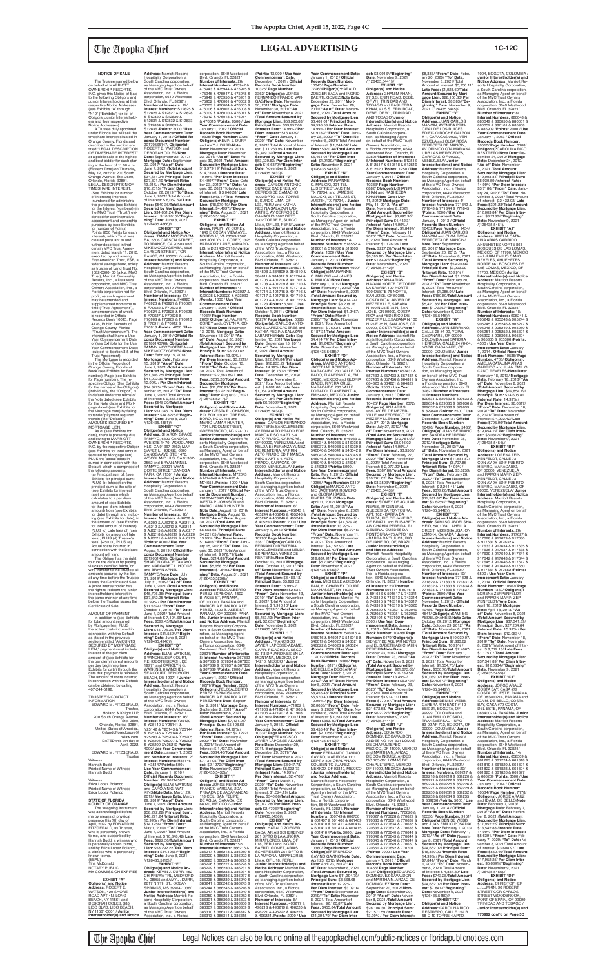### **NOTICE OF SALE**

 The Trustee named below on behalf of MARRIOTT OWNERSHIP RESORTS, INC. gives this Notice of Sale to the following Obligors and Junior Interestholders at their respective Notice Addresses (see Exhibits "A" through "N10" ("Exhibits") for list of Obligors, Junior Interestholders and their respective Notice Addresses).

 A Trustee duly appointed under Florida law will sell the timeshare interest situated in Orange County, Florida and described in the section entitled "LEGAL DESCRIPTION OF TIMESHARE INTEREST" at a public sale to the highest and best bidder for cash start-ing at the hour of 11:00 a.m. (Eastern Time) on Thursday, May 12, 2022 at 200 South Orange Avenue, Ste. 2600, Orlando, Florida 32801. LEGAL DESCRIPTION OF TIMESHARE INTEREST: (See Exhibits for number of Interests) Interests (numbered for administrative purposes: (see Exhibits for the Interest Numbers)) in the MVC Trust ("Trust") evidenced for administrative, assessment and ownership purposes by (see Exhibits<br>for number of Points) for number of Points) Points (250 Points for each Interest), which Trust was created pursuant to and further described in that certain MVC Trust Agreement dated March 11, 2010,<br>executed by and among<br>First American Trust, FSB, a<br>federal savings bank, solely as trustee of Land Trust No. 1082-0300- 00 (a.k.a. MVC Trust), Marriott Ownership Resorts, Inc., a Delaware corporation, and MVC Trust Owners Association, Inc., a Florida corporation not-forprofit, as such agreement may be amended and supplemented from time to time ("Trust Agreement"), a memorandum of which is recorded in Official<br>Records Book 10015, Page 4176, Public Records of Orange County, Florida ("Trust Memorandum"). The Interests shall have a Use Year Commencement Date of (see Exhibits for the Use Year Commencement Date) (subject to Section 3.5 of the Trust Agreement). The Mortgage is recorded in the Offi cial Records of

AMOUNT OF PAYMENT In addition to (see Exhibits for total amount secured by Mortgage lien) PLUS the actual costs incurred in<br>connection with the Default connection with the Default as stated in the previous section entitled "AMOUNTS SECURED BY MORTGAGE LIEN," payment must include interest at the per diem amount of (see Exhibits for the per diem interest amount) per day beginning (see Exhibits for date) through the date that payment is received. The amount of costs incurred in connection with the Default can be obtained by calling 407-244-5198. TRUSTEE'S CONTACT INFORMATION:

Orange County, Florida at Book (see Exhibits for Book number), Page (see Exhibits for Page number). The respective Obligor (See Exhibits for the names of the Obligors) (individually, the "Obligor") is in default under the terms of the Note dated (see Exhibits for the Note date) and Mortgage dated (see Exhibits for the Mortgage date) by failing to tender payment required therein (the "Default"). AMOUNTS SECURED BY MORTGAGE LIEN:

is personally known to me,<br>and by Erica Lopez Polanco, a witness who is personally known to me. (SEAL) Tina McDonald NOTARY PUBLIC MY COMMISSION EXPIRES

 As of (see Exhibits for date), there is presently due and owing to MARRIOTT OWNERSHIP RESORTS, INC. by the respective Obligor (see Exhibits for total amount secured by Mortgage lien) PLUS the actual costs incurred in connection with the Default, which is comprised of the following amounts: (a) Principal sum of: (see Exhibits for principal sum), PLUS (b) Interest on the principal sum at the rate of (see Exhibits for interest rate) per annum which calculates to a per diem amount of (see Exhibits for the per diem interest amount) from (see Exhibits for date) through and includ-ing (see Exhibits for date), in the amount of: (see Exhibits for total amount of interest), PLUS (c) Late fees of: (see Exhibits for amount of late fees), PLUS (d) Trustee's fees: \$250.00, PLUS (e) Actual costs incurred in

connection with the Default: amount will vary.

The Obligor has the right<br>to cure the default by paying<br>via <u>cash, certified funds,</u> or<br><u>wire transfer</u> to the Trustee all amounts secured by the lien at any time before the Trustee issues the Certificate of Sale. A junior interestholder has the right to redeem the junior interestholder's interest in the same manner at any time before the Trustee issues the Certificate of Sale

EDWARD M. FITZGERALD, Trustee, Holland & Knight LLP, 200 South Orange Avenue, Ste. 2600, Orlando, Florida 32801, United States of America., OrlandoForeclosure@ hklaw.com. DATED this 7th day of April, 2022. EDWARD M. FITZGERALD, Trustee **Witness** Hannah Budd Printed Name of Witness Hannah Budd Witness Erica Lopez Polanco Printed Name of Witness Erica Lopez Polanco **STATE OF FLORIDA COUNTY OF ORANGE** The foregoing instrument was acknowledged before me by means of physical presence this 7th day of April, 2022 by EDWARD M. FITZGERALD, as Trustee who is personally known to me, and subscribed by Hannah Budd, a witness who

### **EXHIBIT "A" Obligor(s) and Notice Address:** ROBERT E. WATSON, 420 SHORE ROAD APT 4N, LONG BEACH, NY 11561 and DEBORAH COLES, 385 LIDO BLVD, LIDO BEACH, NY 11561-5001 / **Junior Interestholder(s) and Notice**

**Address:** Marriott Resorts Hospitality Corporation, a South Carolina corporation, as Managing Agent on behalf<br>of the MVC Trust Owners of the MVC Trust Owners Association, Inc., a Florida corporation, 6649 Westwood Blvd. Orlando, FL 32821/ **Number of Interests:** 12/ **Interest Numbers:** S12825 & S12826 & S12827 & S12828 & S12829 & S12830 & S12831 & S12832 & S12833 & S12834 & S12835 & S12836 /**Points:** 3000 / **Use Year Commencement Date:** January 1, 2018 / **Offi cial Re-cords Document Number:** 20170565147/ **Obligor(s):** ROBERT E. WATSON and DEBORAH COLES/**Note Date:** September 22, 2017/ **Mortgage Date:** September 22, 2017/ **"As of" Date:** June 7, 2021 /**Total Amount Secured by Mortgage Lien:** \$34,651.24/ **Principal Sum:** \$27,801.19 /**Interest Rate:** 13.21% / **Per Diem Interest:** \$10.2015/ **"From" Date:** October 22, 2019/ **"To" Date:** June 7, 2021/ Total Amount of Interest: \$ 6,059.69/ **Late Fees:** \$540.36/**Total Amount Secured by Mortgage Lien:** \$34,651.24/ **Per Diem Interest:** \$ 10.2015//**"Begin-ning" Date:** June 8, 2021 /(126435.4866)// **EXHIBIT "B" Obligor(s) and Notice Ad-<br><b>dress:** TAMMY MOCZYGEM-<br>BA, 5606 CARSON STREET,<br>TORRANCE, CA 90503 and MIKE MOCZYGEMBA, 5606 CARSON STREET, TOR-RANCE, CA 905031 / **Junior Interestholder(s) and Notice Address:** Marriott Resorts Hospitality Corporation, a South Carolina corporation,

as Managing Agent on behalf<br>of the MVC Trust Owners<br>Association, Inc., a Florida<br>corporation, 6649 Westwood Blvd. Orlando, FL 32821/ **Number of Interests:** 17/ **Interest Numbers:** F46925 & F46926 & F46927 & F70621 & F70622 & F70623 & F70624 & F70625 & F70626 & F70627 & F70628 & F70908 & F70909 & F70910 & F70911 & F70912 & F70913 /**Points:** 4250 / **Use Year Commencement Date:<br>January 1, 2019 / <mark>Official Re-</mark> cords Document Number:** 20180140768/ **Obligor(s):** TAMMY MOCZYGEMBA and MIKE MOCZYGEMBA/**Note Date:** February 15, 2018/ **Mortgage Date:** February 15, 2018/ **"As of" Date:** June 7, 2021 /**Total Amount Secured by Mortgage Lien:** \$51,346.75/ **Principal Sum:** \$41,092.39 /**Interest Rate:** 12.99% / **Per Diem Interest:** \$14.8275/ **"From" Date:** Sep-tember 15, 2019/ **"To" Date:** June 7, 2021/ Total Amount of Interest: \$ 9,356.16/ **Late Fees:** \$648.20/**Total Amount Secured by Mortgage Lien:** \$51,346.75/ **Per Diem Interest:** \$14.8275//**"Begin**as Managing Agent on behalf of the MVC Trust Owners Association, Inc., a Florida corporation, 6649 Westwood Blvd. Orlando, FL 32821/ **Number of Interests:** 4/ **Interest Numbers:** K23027 & K23028 & K23029 & K23030 /**Points:** 1000 / **Use Year Commencement Date:** January 1, 2016 / **Offi cial Records Book Number:** 11031/ **Page Number:** 2626/ **Obligor(s):**RALPH W. COREY and JOYLYN A. CO-REY/**Note Date:** November 13, 2015/ **Mortgage Date:** November 13, 2015/ **"As of" Date:** August 30, 2021 /**Total Amount Secured by Mortgage Lien:** \$11,776.91/ **Principal Sum:** \$8,290.82 /**Interest Rate:** 13.99% / **Per Diem Interest:** \$3.2219/ **"From" Date:** October 13, 2019/ **"To" Date:** August 30, 2021/ Total Amount of /(126435.5217)//

**ning" Date:** June 8, 2021<br>/(126435.4881)// **EXHIBIT "C" Obligor(s) and Notice Address:** SHARON GRACE TAMAYO, 6320 CANOGA AVE STE 1470, WOODLAND HLS, CA 91367-2562; MAR-<br>GARET L. HODGE 6320 GARET L. HODGE, 6320 CANOGA AVE STE 1470, WOODLAND HLS, CA 91367- 2562 and BRYAN ARNEL TAMAYO, 22201 WYAN-DOTTE STREET,CANOGA PARK, CA 91301 / **Junior Interestholder(s) and Notice Address:** Marriott Resorts Hospitality Corporation, a South Carolina corporation, as Managing Agent on behalf<br>of the MVC Trust Owners<br>Association, Inc., a Florida<br>corporation, 6649 Westwood Blvd. Orlando, FL 32821/ **Number of Interests:** 16/ **Interest Numbers:** AJ6208 & AJ6209 & AJ6210 & AJ6211 & AJ6212 & AJ6213 & AJ6214 & AJ6215 & AJ6216 & AJ6217 & AJ6218 & AJ6219 & AJ6220 & AJ6221 & AJ6222 & AJ6223 /**Points:** 4000 / **Use Year Commencement Date:** August 1, 2019 / **Official Re cords Document Number:** 20190514605/ **Obligor(s):** SHARON GRACE TAMAYO and MARGARET L. HODGE and BRYAN ARNEL TAMAYO/**Note Date:** July 31, 2019/ **Mortgage Date:** July 31, 2019/ **"As of" Date:** June 7, 2021 /**Total Amount Secured by Mortgage Lien:** \$45,796.36/ **Principal Sum:** \$37,842.25 /**Interest Rate:** 10.99% / **Per Diem Interest:** \$11.5524/ **"From" Date:** October 1, 2019/ **"To" Date:** June 7, 2021/ Total Amount of Interest: \$ 7,104.66/ **Late Fees:** \$599.45/**Total Amount Secured by Mortgage Lien:** \$45,796.36/ **Per Diem Interest:** \$11.5524//**"Beginning" Date:** June 8, 2021 /(126435.4946)// **EXHIBIT "D" Obligor(s) and Notice Address:** ELIAS WATKINS, 6 WINCHELSEA COURT REHOBOTH BEACH, DE 19971 and CAROLYN G. WATKINS, 6 WINCHEL-SEA COURT, REHOBOTH BEACH, DE 19971 / **Junior Interestholder(s) and Notice<br><b>Address:** Marriott Resorts<br>Hospitality Corporation, a<br>South Carolina corporation, as Managing Agent on behalf of the MVC Trust Owners Association, Inc., a Florida corporation, 6649 Westwood Blvd. Orlando, FL 32821/ **Number of Interests:** 16/ **Interest Numbers:** Y25139 & Y25140 & Y25141 & Y25142 & Y25143 & Y25144 & Y25145 & Y25146 & Y25203 & Y25204 & Y25205 & Y25206,Y25207 & Y25208 & Y25209 &Y25210 **Points:** 4000/ **Use Year Commencement Date:** January 1, 2020 and **Number of Interests:** 2/ **Interest Numbers:** H35146 & H35147/**Points:** 500 / **Use Year Commencement Date:** January 1, 2016 / **Offi cial Records Document Number:** 20190214587/ **Obligor(s):**ELIAS WATKINS and CAROLYN G. WAT-KINS/**Note Date:** March 29, 2019/ **Mortgage Date:** March 29, 2019/ **"As of" Date:** June 7, 2021 /**Total Amount Secured by Mortgage Lien:** \$58,292.22/ **Principal Sum:** \$46,271.24 /**Interest Rate:** 10.99% / **Per Diem Interest:** \$14.1256/ **"From" Date:** May 1, 2019/ **"To" Date:** June 7, 2021/ Total Amount of Interest: \$ 10,848.42/ **Late Fees:** \$922.56/**Total Amount Secured by Mortgage Lien:** \$58,292.22/ **Per Diem Interest:** \$14.1256//**"Beginning" Date:** June 8, 2021 /(126435.5110)// **EXHIBIT "E" Obligor(s) and Notice Address:** KEVIN J. DURR, 152 CHIPPEWA TRL, MEDFORD, NJ 08055 and AMY J. DURR, 2617 N 7TH ST., OCEAN<br>SPRINGS, MS 39564-1036/ **Junior Interestholder(s) and Notice Address:** Marriott Re-sorts Hospitality Corporation, a South Carolina corporation, as Managing Agent on behalf of the MVC Trust Owners \$4,221.05 /**Interest Rate:** 13.99% / **Per Diem Interest:** \$1.6403/ **"From" Date:** Janu-ary 15, 2020/ **"To" Date:** Auust 30, 2021/ Total Amount **Secured by Mortgage Lien:** \$5,658.65/ **Per Diem Interest:** \$1.6403//**"Beginning" Date:** August 31, 2021 /(126435.5236)// **EXHIBIT "H" Obligor(s) and Notice<br><b>Address:** FELIX ALBERTO<br>PEREZ ESPINOSA, 1502<br>B. AKEE ST, PANAMA, OF 000000, PANAMA and MARICELA FUMAROLA DE **Junior Interesth and Notice Address:** Marriott Resorts Hospitality Corpora-tion, a South Carolina corporation, as Managing Agent<br>on behalf of the MVC Trust<br>Owners Association, Inc.,<br>a Florida corporation, 6649 Westwood Blvd. Orlando, FL 32821/ **Number of Interests:** & 367839 /**Points:** 2000 / **Use Year Commencement Date:**<br>January 1, 2012 / **Official Records Book Number:** 10271/ **Page Number:** 0828/ **Obligor(s):**FELIX ALBERTO PEREZ ESPINOSA and MARICELA FUMAROLA DE<br>PEREZ/**Note Date:** Septem-PEREZ/**Note Date:** Septem-ber 2, 2011/ **Mortgage Date:** September 2, 2011/ **"As of" Date:** November 8, 2021 /**Total Amount Secured by Mortgage Lien:** \$7,131.05/ **Principal Sum:** \$5,108.68 /**Interest Rate:** 14.99% / **Per Diem Interest:** \$2.1272/ **"From" Date:** January 2, 2020/ **"To" Date:** November 8, 2021/ Total Amount of Interest: \$ 1,437.97/ **Late Fees: \$334.40/Total Amount Secured by Mortgage Lien:** \$7,131.05/ **Per Diem Interest:** \$2.1272//**"Beginning" Date:** November 9, 2021<br>/(126435.5432)// **EXHIBIT "I"** 118 COL. SAN FELIPE DE AGUA, OAXACA, OX 68020, MEXICO / **Junior Interestholder(s) and Notice Address:** Marriott Resorts Hospitality Corporation, a<br>South Carolina corporation **Number of Interests:** 52/ 386220 & 386221 & 386222 & 386223 & 386224 & 386225 & 386226 & 386227 & 386228 & 386229 & 386230 & 386231 & 386232 & 386233 & 386234 & 386235 & 386236 & 386237 & 386238 & 386239 & 386240 & 386247 & 386248 & 386249 & 386304 & 386305 & 386306 &

**Year Commencement Date:**<br>January 1, 2017 / **Official Records Document Number:<br>20160447347/ <b>Obligor(s):**<br>IVESTA P. JOHNSON and<br>MARIO LAMAR HUNTER/ **Note Date:** August 15, 2016/ **Mortgage Date:** August 15, 2016/ **"As of" Date:** August 30, 2021 /**Total Amount Secured by Mortgage Lien:** \$5,658.65/ **Principal Sum:** as Managing Agent on behalf of the MVC Trust Owners Association, Inc., a Florida<br>corporation, 6649 Westwood<br>Blvd. Orlando, FL 32821/<br>**Number of Interests:** 8/ **Interest Numbers:** 405243 & 405244 & 405245 & 405246 & 405247 & 405248 & 405249 & 405250 /**Points:** 2000 / **Use Year Commencement Date:** January 1, 2012/ **Offi cial Records Book Number:** 10296/ **Page Number:**

Association, Inc., a Florida

**est:** \$3.0916//**"Beginning" Date:** November 9, 2021<br>/(126435.5441)// **EXHIBIT "R" Obligor(s) and Notice<br><b>Address:** GHANIM KHAN,<br>97 S.S. ERIN ROAD, DEBE, OF W1, TRINIDAD AND<br>TOBAGO and RASHEEDA TOBAGO and RASHEEDA KHAN, 97 S.S. ERIN ROAD, DEBE, OF W1, TRINIDAD AND TOBAGO/ **Junior Interestholder(s) and Notice Address:** Marriott Resorts Hospitality Corporation, a South Carolina corpora-tion, as Managing Agent on behalf of the MVC Trust Owners Association, Inc., a Florida corporation, 6649 Westwood Blvd. Orlando, FL 32821/**Number of Interests:** 5/ **Interest Numbers:** 612516 & 612517 & 612518 & 612519 & 612520 /**Points:** 1250 / **Use Year Commencement Date:** January 1, 2013 / **Offi cial Records Book Number:** 10383/ **Page Number:** 6882/ **Obligor(s):**GHANIM KHAN and RASHEEDA KHAN/**Note Date:** May 11, 2012/ **Mortgage Date:** May 11, 2012/ **"As of" Date:** November 8, 2021 /**Total Amount Secured by Mortgage Lien:** \$6,095.90/ **Principal Sum:** \$4,442.31 /**Interest Rate:** 14.99% / **Per Diem Interest:** \$1.8497/ **"From" Date:** February 11, 2020/ **"To" Date:** November 8, 2021/ Total Amount of Interest: \$1,176.39/ **Late Fees:** \$227.20/**Total Amount Secured by Mortgage Lien:** \$6,095.90/ **Per Diem Interest:** \$1.8497//**"Beginning" Date:** November 9, 2021<br>/(126435.5442)//

corporation, 6649 Westwood Blvd. Orlando, FL 32821/ **Number of Interests:** 26/ **Interest Numbers:** 475942 & 475943 & 475944 & 475945 & 475946 & 475947 & 475948 & 475949 & 475950 & 475951 & 475952 & 476001 & 476002 & 476003 & 476004 & 476005 & 476006 & 476007 & 476008 & 476009 & 476010 & 476011 & 476012 & 476013 & 476014 & 476015 /**Points:** 6500 / **Use Year Commencement Date:**<br>January 1, 2012 / **Official**<br>**Records Book Number:**<br>10325/ **Page Number:** 0729/<br>**Obligor(s):KEVIN J. DURR/<br>and AMY J. DURR/Note<br><b>Date:** November 23, 2011/ **Mortgage Date:** November 23, 2011/ **"As of" Date:** Au-gust 30, 2021 /**Total Amount Secured by Mortgage Lien:** \$18,979.19/ **Principal Sum:** \$14,739.80 /**Interest Rate:** 10.99% / **Per Diem Interest:** \$4.4997/ **"From" Date:** Octo-ber 23, 2019/ **"To" Date:** Au-gust 30, 2021/ Total Amount of Interest: \$ 3,046.28/ **Late Fees:** \$943.11/**Total Amount Secured by Mortgage Lien:** \$18,979.19/ **Per Diem Interest:** \$4.4997//**"Begin-ning" Date:** August 31, 2021 /(126435.5150)// **EXHIBIT "F" Obligor(s) and Notice Address:** RALPH W. COREY, 1846 E OCEAN VIEW AVE., NORFOLK, VA 23503-2502 and JOYLYN A. COREY, 1325 HARMONY LANE, ANNAPO-LIS, MD 21409-5718 / **Junior Interestholder(s) and Notice Address:** Marriott Resorts Hospitality Corporation, a South Carolina corporation, \$2,449.02/**Total Amount**  CERROS DE CAMACHO 1002 DPTO 1202 TORRE Hospitality Corporation, a 384811 & 384812 & 401704 & 401705 & 401706 & 401707 & 401708 & 401709 & 401710 & 401711 & 401712 & 401713 & 401714 & 401715 & 401716 & 401717 & 401718 & 401719 & 401720 & 401721 & 401722 & 401723 /**Points:** 6,500 / **Use Year Commencement Date:** October 1, 2011 / **Offi cial Records Book Number:** 10274/ **Page Number:** 0066/ **Obligor(s):** CARLOS ANTO-NIO SUAREZ CACERES and KATHIA REGINA SALAZAR LABARTHE/**Note Date:** Sep-tember 15, 2011/**Mortgage Date:** September 15, 2011/ **"As of" Date:** November 8, 2021 /**Total Amount Secured by Mortgage Lien:** \$22,241.84/ **Principal Sum:** \$16,235.27 /**Interest** 

Interest: \$ 2,683.89/ **Late Fees:** \$265.20/**Total Amount Secured by Mortgage Lien:** \$11,776.91/ **Per Diem Interest:** \$3.2219//**"Begin-ning" Date:** August 31, 2021 **EXHIBIT "G" Obligor(s) and Notice Ad-dress:** IVESTA P. JOHNSON, P.O. BOX 13082, GREENS-BORO, NC 27415 and MARIO LAMAR HUNTER,<br>1704 LINCOLN STREET,<br>GREENSBORO, NC 27410 / **Junior Interestholder(s) and Notice Address: Marriott Re-**<br>sorts Hospitality Corporation. sorts Hospitality Corporation,<br>a South Carolina corporation,<br>as Managing Agent on behalf<br>of the MVC Trust Owners<br>Association, Inc., a Florida corporation, 6649 Westwood Blvd. Orlando, FL 32821/ **Number of Interests:** 4/ **Interest Numbers:** M72043 & M74649 & M74650 & M74651 /**Points:** 1000 / **Use Rate:** 14.99% / **Per Diem Interest:** \$6.7602/ **"From" Date:** December 15, 2019/ **"To" Date:** November 8, 2021/ Total Amount of Inter-est: \$ 4,691.66/ **Late Fees:** \$1,064.91/**Total Amount Secured by Mortgage Lien:** \$22,241.84/ **Per Diem Interest:** \$6.7602//"**Beginning"**<br>**Date:** November 9, 2021<br>/(126435.5434)// **EXHIBIT "K"<br>
<b>Obligor(s) and Notice Ad-**<br> **dress:** CARLOS FERNANDO<br>
RENTERIA SANCLEMENTE,<br>
AV.PRIN ALTO PRADO EDIF<br>
MANOA PISO 5 APT 5-4. ALTO PRADO, CARACAS, OF 00000, VENEZUELA and NELDA ESPERANZA YUNEZ<br>DE RENTERIA, AV.PRIN<br>ALTO PRADO EDIF MANOA<br>PISO 5 APT 5-4. ALTO PRADO, CARACAS, OF 00000, VENEZUELA/ **Junior Interestholder(s) and Notice**<br>**Address:** Marriott Resorts<br>Hospitality Corporation, a South Carolina corporation,

**Obligor(s) and Notice Address:** JUAN SERRANO, CALLE 28 #4-90, YOPAL CASANARE, OF 00000, COLOMBIA and SANDRA HERRERA, CALLE 24 #6-64 YOPAL CASANARE, OF 00000, COLOMBIA/ **Junior Interestholder(s) and Notice Address:** Marriott Resorts Hospitality Corporation, a South Carolina corporation, as Managing Agent<br>on behalf of the MVC Trust Owners Association, Inc., a Florida corporation, 6649 Westwood Blvd. Orlando, FL 32821/**Number of Interests:** 10/**Interest Numbers:** 829631 & 829632 & 829633 & 829634 & 829635 & 829636 & 829637 & 829638 & 829639 & 829640 /**Points:** 2500 / **Use Year Commencement Date:** December 1, 2012 / **Official Records Book Number: Records Book Number:** 10496/ **Page Number:** 5485/ **Obligor(s):** JUAN SERRANO and SANDRA HERRERA/ **Note Date:** November 28, 2012/ **Mortgage Date:** November 28, 2012/ **"As of" Date:** November 8, 2021 /**Total Amount Secured by Mortgage Lien:** \$11,581.87/ **Principal Sum:** \$8,707.86 /**Interest Rate:** 14.99% / **Per Diem Interest:** \$3.6259/ **"From" Date:** February 28, 2020/ **"To" Date:** November 8, 2021/ Total Amount of Interest: \$ 2,244.41/ **Late Fees:** \$379.60/**Total Amount Secured by Mortgage Lien:** \$11,581.87/ **Per Diem Interest:** \$3.6259//"**Beginning"**<br>**Date:** November 9, 2021<br>/(126435.5448)//

**EXHIBIT "X"<br><b>Obligor(s) and Notice Ad-<br><b>dress:** SAMI SG ABDELSHA-<br>HEID, 5401 VALLAHELLA<br>CREST, MISSISSAUGA, ON L5M0K4, CANADA / **Junior Interestholder(s) and Notice<br><b>Address:** Marriott Resorts<br>Hospitality Corporation, a

of Interest: \$ 972.71/ **Late Fees:** \$214.89/**Total Amount**  PEREZ, 1502 B. AKEE ST, PANAMA, OF 000000, PANA-8/ **Interest Numbers:** 367832 & 367833 & 367834 & 367835 & 367836 & 367837 & 367838 **Obligor(s) and Notice Ad-dress:** JORGE FERNANDO FRANCO VARGAS, 2DA PRIVADA DE JACARANDAS South Carolina corporation,<br>as Managing Agent on behalf<br>of the MVC Trust Owners<br>Association, Inc., a Florida<br>corporation, 6649 Westwood<br>Blvd. Orlando, FL 32821/ **Interest Numbers:** 386216 & 386217 & 386218 & 386219 & 386241 & 386242 & 386243 & 386244 & 386245 & 386246 & 386250 & 386251 & 386252 & 386301 & 386302 & 386303 & 386307 & 386308 & 386309 & 386310 & 386311 & 386312 & 386313 & 386314 & 386315 3381/ **Obligor(s):**CARLOS FERNANDO RENTERIA SANCLEMENTE and NELDA ESPERANZA YUNEZ DE RENTERIA/**Note Date:** October 13, 2011/ **Mortgage Date:** October 13, 2011/ **"As of" Date:** November 8, 2021 /**Total Amount Secured by Mortgage Lien:** \$8,483.13/ **Principal Sum:** \$5,923.52 /**Interest Rate:** 15.99% / **Per Diem Interest:** \$2,631/ **"From" Date:** November 13, 2019/ **"To" Date:** November 8, 2021/ Total Amount of Interest: \$ 1,910.10/ **Late Fees:** \$399.51/**Total Amount Secured by Mortgage Lien:** \$8,483.13/ **Per Diem Inter-est:** \$2.63l//**"Beginning" Date:** November 9, 2021 /(126435.5435)// **EXHIBIT "L" Obligor(s) and Notice Address:** FRANCISCO JAVIER LAPOSSE-ADAME, CARR. PICACHO AJUSCO 52 T.3 DP JARDINES EN LA MONTANA, MEXICO, DF 14210, MEXICO / **Junior Interestholder(s) and Notice Address:** Marriott Resorts Hospitality Corporation, a South Carolina corporation, as Managing Agent on behalf of the MVC Trust Owners Association, Inc., a Florida corporation, 6649 Westwood Blvd. Orlando, FL 32821/ **Number of Interests:** 8/ **Interest Numbers:** 471902 & 471903 & 471904 & 471905 & 471906 & 471907 & 471908 & 471909 /**Points:** 2000 / **Use Year Commencement Date:**<br>January 1, 2013 / **Official Records Book Number:** 10337/ **Page Number:** 6571/<br>**Obligor(s):**FRANCISCO<br>JAVIER LAPOSSE-ADAME/ **Note Date:** December 29, 2011/ **Mortgage Date:** December 29, 2011/ **"As of" Date:** November 8, 2021 /**Total Amount Secured by Mortgage Lien:** \$8,047.78/ **Principal Sum:** \$5,932.73 /**Interest Rate:** 14.99% / **Per Diem Interest:** \$2.4703/ **"From" Date:** March 1, 2020/ **"To" Date:** November 8, 2021/ Total Amount of Interest: \$1,524.19/ **Late Fees:** \$340.86/**Total Amount Secured by Mortgage Lien:** \$8,047.78/ **Per Diem Inter-est:** \$2.4703//**"Beginning" Date:** November 9, 2021 /(126435.5436)// **EXHIBIT "M" Obligor(s) and Notice Ad-<br><b>dress:** HARALD ZOEGER<br>BACA, ARIAS SCHEREINER<br>261 DPTO B LA AURORA, MIRAFLORES, LIMA, OF L18, PERU and INGRID BAERTL GOMEZ, ARIAS SCHEREINER 261 DPTO B LA AURORA, MIRAFLORES, LIMA, OF LI18, PERU/ **Junior Interestholder(s) and Notice Address:** Marriott Resorts Hospitality Corporation,<br>a South Carolina corporation,<br>as Managing Agent on behalf<br>of the MVC Trust Owners Association, Inc., a Florida corporation, 6649 Westwood Blvd. Orlando, FL 32821/ **Number of Interests:** 8/ **Interest Numbers:** 496217 & 496218 & 496219 & 496220 & 496221 & 496222 & 496223 & 496224 /**Points:** 2000 / **Use** 

1004, BOGOTA, COLOMBIA / **Junior Interestholder(s) and Notice Address:** Marriott Resorts Hospitality Corporation,<br>a South Carolina corporation,<br>as Managing Agent on behalf<br>of the MVC Trust Owners Association, Inc., a Florida corporation, 6649 Westwood Blvd. Orlando, FL 32821/ **Number of Interests:** 8/ **Interest Numbers:** 880048 & 880049 & 880050 & 880051 & 880052 & 880101 & 885908 & 885909 /**Points:** 2000 / **Use Year Commencement Date:**<br>January 1, 2013 / **Official<br>Records Book Number:**<br>10510/ **Page Number:** 0108/ **Obligor(s):**CAROLINA RICO RESTREPO/**Note Date:** December 24, 2012/ **Mortgage Date:** December 24, 2012/ **"As of" Date:** November 8, 2021 /**Total Amount Secured by Mortgage Lien:** \$12,003.84/ **Principal Sum:** \$8,930.59 /**Interest Rate:** 14.99% / **Per Diem Interest:** \$3.7186/ **"From" Date:** January 24, 2020/ **"To" Date:** Noember 8, 2021/ Total Amount of Interest: \$ 2,432.02/ **Late Fees:** \$391.23/**Total Amount Secured by Mortgage Lien:** \$12,003.84/ **Per Diem Inter-est:** \$3.7186//**"Beginning" Date:** November 9, 2021<br>/(126435.5451)/

/**Points:** 13,000 / **Use Year Commencement Date:** December 1, 2011 / **Official<br><b>Records Book Number:**<br>10325/ **Page Number:**<br>3362/ **Obligor(s):** JORGE<br>FERNANDO FRANCO VAR-<br>GAS/**Note Date:** November 30, 2011/ **Mortgage Date:** November 30, 2011/ **"As of" Date:** November 8, 2021 /**Total Amount Secured by Mortgage Lien:** \$53,920.63/ **Principal Sum:** \$39,957.66 /**Interest Rate:** 14.99% / **Per Diem Interest:** \$16.6379/ **"From" Date:** January 1, 2020/ **"To" Date:** November 8, 2021/ Total Amount of Inter-est: \$ 11,263.95/ **Late Fees: Secured by Mortgage Lien:** \$53,920.63/ **Per Diem Inter-est:** \$16.6379//**"Beginning" Date:** November 9, 2021 /(126435.5433)// **EXHIBIT "J" Obligor(s) and Notice Ad-dress:** CARLOS ANTONIO SUAREZ CACERES, AV E, SURCO LIMA, OF<br>L33, PERU and KATHIA<br>REGINA SALAZAR LAB-<br>ARTHE, AV CERROS DE<br>CAMACHO 1002 DPTO<br>1202 TORRE E, SURCO<br>LIMA, OF L33, PERU/ **Junior Interestholder(s) and Notice Address:** Marriott Resorts South Carolina corporation,<br>as Managing Agent on behalf<br>of the MVC Trust Owners<br>Association, Inc., a Florida<br>corporation, 6649 Westwood<br>Blvd. Orlando, FL 32821/<br>**Number of Interests:** 26/<br>Interest Numbers: 384807 &<br>384808 **Year Commencement Date:**<br>January 1, 2012 / **Official Records Book Number:** 10345/ **Page Number:** 7726/ **Obligor(s):**HARALD ZOEGER BACA and INGRID BAERTL GOMEZ/**Note Date:** December 28, 2011/ **Mortgage Date:** December 28, 2011/ **"As of" Date:** November 8, 2021 /**Total Amount Secured by Mortgage Lien:** \$6,461.01/ **Principal Sum:** \$4,596.53 /**Interest Rate:** 14.99% / **Per Diem Interest:** \$1.9139/ **"From" Date:** Janu-ary 28, 2020/ **"To" Date:** No-vember 8, 2021/ Total Amount of Interest: \$ 1,244.04/ **Late Fees:** \$370.44/**Total Amount Secured by Mortgage Lien:** \$6,461.01/ **Per Diem Inter-est:** \$1.9139//**"Beginning" Date:** November 9, 2021 /(126435.5437)// **EXHIBIT "N" Obligor(s) and Notice Address:** MARYANNE C. MALICKI, 201 TEL-LUS STREET, AUSTIN TX 78734, and JAMES K. MALICKI, 201 TELLUS ST, AUSTIN, TX 78734, / **Junior Interestholder(s) and Notice Address:** Marriott Resorts Hospitality Corporation, a South Carolina corporation, as Managing Agent on behalf of the MVC Trust Owners Association, Inc., a Florida corporation, 6649 Westwood Blvd. Orlando, FL 32821/ **Number of Interests:** 4/

> uth Carolina corporation as Managing Agent on behalf of the MVC Trust Owners Association, Inc., a Florida corporation, 6649 Westwood Blvd. Orlando, FL 32821/ **Number of Interests:** 10/ **Interest Numbers:** 771828 & 771829 & 771830 & 771831 & 771832 & 771833 & 771834 & 771835 & 771836 & 771837 /**Points:** 2500 / **Use Year Commencement Date:** November 1, 2012 / **Official Records Book Number: Records Book Number:** 10486/ **Page Number:** 4641/ **Obligor(s):**SAMI SG ABDELSHAHEID/**Note Date:** October 29, 2012/ **Mortgage Date:** October 29, 2012/ **"As of" Date:** November 8, 2021 /**Total Amount Secured by Mortgage Lien:** \$10,039.07/ **Principal Sum:** \$7,883.62 /**Interest Rate:** 10.99% / **Per Diem Interest:** \$2.4067/ **"From" Date:** February 1, 2020/ **"To" Date:** November 8, 2021/ Total Amount of Interest: \$1,554.75/ **Late Fees:** \$350.70/**Total Amount Secured by Mortgage Lien:** \$10,039.07/ **Per Diem Inter-est:** \$2.4067//**"Beginning" Date:** November 9, 2021 /(126435.5449)// **EXHIBIT "Y" Obligor(s) and Notice Address:** DENISE WEBB, CARERA 4TH EAST #110 BES-21, BOGOTA, OF 99999, COLOMBIA and JUAN EMILIO POSADA, TRANSVERSAL 1 NRO 83-02 AP 702, BOGOTA, OF 00000, COLOMBIA/ **Junior Interestholder(s) and Notice<br><b>Address:** Marriott Resorts<br>Hospitality Corporation, a<br>South Carolina corporation, as Managing Agent on behalf of the MVC Trust Owners Association, Inc., a Florida corporation, 6649 Westwood Blvd. Orlando, FL 32821/ **Number of Interests:** 20/ **Interest Numbers:** 869217 & 869218 & 869219 & 869220 & 869221 & 869222 & 869223 & 869224 & 869225 & 869226 & 869227 & 869228 & 869229 & 869230 & 869231 & 869232 & 869233 & 869234 & 869235 & 869236 /**Points:** 5000 / **Use Year Commencement Date:** January 1, 2014 / **Official**<br>**Records Book Number:** 10530/ **Page Number:** 9151/ **Obligor(s):**DENISE WEBB and JUAN EMILIO POSADA/ **Note Date:** February 1, 2013/ **Mortgage Date:** February 1, 2013/ **"As of" Date:** November 8, 2021 /**Total Amount Secured by Mortgage Lien:** \$24,662.07/ **Principal Sum:** \$18,830.90 /**Interest Rate:** 14.99% / **Per Diem Interest:** \$7,841/ **"From" Date:** March 1, 2020/ **"To" Date:** Novem-ber 8, 2021/ Total Amount of Interest: \$ 4,837.89/ **Late Fees:** \$743.28/**Total Amount Secured by Mortgage Lien:** \$24,662.07/ **Per Diem Interest:** \$7.841//**"Beginning" Date:** November 9, 2021 /(126435.5450)// **EXHIBIT "Z" Obligor(s) and Notice Address:** CAROLINA RICO 917636 & 917637 & 917638 & 917639 & 917640 & 917641 &

917642 & 917643 & 917644 & 917645 & 917646 & 917647 & 917648 & 917649 & 917650 & 917651 & 917652 /**Points:** 6500 / **Use Year Commencement Date:** January 1, 2014 / Official Records **Book Number:** 10567/ **Page Number:** 1369/ **Obligor(s):** LORENA ZEPPENFELDT and RAMON MARIN ZEP-PENFELDT/**Note Date:** April 18, 2013/ **Mortgage Date:** April 18, 2013/ **"As of" Date:** November 8, 2021 /**Total Amount Secured by Mortgage Lien:** \$37,341.89/ **Principal Sum:** \$27,204.64 /**Interest Rate:** 15.99% / **Per Diem Interest:** \$12.0834/ **"From" Date:** November 18, 2019/ **"To" Date:** November 8, 2021/ Total Amount of Inter-est: \$ 8,712.18/ **Late Fees:** \$1,175.07/**Total Amount Secured by Mortgage Lien:** \$37,341.89/ **Per Diem Inter-est:** \$12.0834//**"Beginning" Date:** November 9, 2021 /(126435.5455)// **EXHIBIT "C1" Obligor(s) and Notice Address:** JORGE ARAUZ,<br>COSTA BAY, CASA #79<br>COSTA DEL ESTE, PANAMA, OF 083400214, PANAMA and IDA M. DE BELLO, COSTA BAY, CASA #79 COSTA DEL ESTE, PANAMA, OF 083400214, PANAMA/ **Junior Interestholder(s) and Notice Address:** Marriott Resorts Hospitality Corporation, a South Carolina corporation, as Managing Agent on behalf of the MVC Trust Owners Association, Inc., a Florida corporation, 6649 Westwood Blvd. Orlando, FL 32821/ **Number of Interests:** 14/ **Interest Numbers:** 658509 & 661223 & 661224 & 661818 & 661819 & 661820 & 661821 & 661822 & 661823 & 661824 & 661825 & 661826 & 661827 & 666209 /**Points:** 3500 / **Use Year Commencement Date:<br>January 1, 2014 / <mark>Official</mark><br>Records Book Number:** 10534/ **Page Number:** 7178/ **Obligor(s):** JORGE ARAUZ and IDA M. DE BELLO/**Note Date:** February 7, 2013/ **Mortgage Date:** February 7, 2013/ **"As of" Date:** Novem-ber 8, 2021 /**Total Amount Secured by Mortgage Lien:** \$17,952.25/ **Principal Sum:** \$13,542.88 /**Interest Rate:** 14.99% / **Per Diem Interest:** \$5.6391/ **"From" Date:** Feb-ruary 7, 2020/ **"To" Date:** November 8, 2021/Total Amount of Interest: \$ 3,608.97/ **Late Fees:** \$550.40/**Total Amount Secured by Mortgage Lien:** \$17,952.25/ **Per Diem Interest:** \$5.6391//**"Beginning" Date:** November 9, 2021<br>/(126435.5456)// **EXHIBIT "D1" Obligor(s) and Notice Address:** CHRISTOPHER J. LUMKIN, 90 ROBERT STREET COR CARLOS STREET WOODBROOK

**Interest Numbers:** 518552 & 518601 & 518602 & 518603 /**Points:** 1000 / **Use Year Commencement Date:** January 1, 2013 / **Offi cial Records Book Number:** 10356/ **Page Number:** 4600/ **Obligor(s):**MARYANNE C. MALICKI and JAMES K. MALICKI/**Note Date:** February 1, 2012/ **Mortgage Date:** February 1, 2012/ **"As of" Date:** November 8, 2021 /**Total Amount Secured by Mortgage Lien:** \$4,414.74/ **Principal Sum:** \$3,208.16 /**Interest Rate:** 13.99% / **Per Diem Interest:** \$1.2467/ **"From" Date:** March 1, 2020/ **"To" Date:** November 8, 2021/ Total Amount of Interest: \$ 769.24/ **Late Fees:** \$ 187.34/**Total Amount Secured by Mortgage Lien:** \$4,414.74/ **Per Diem Interest:** \$1.2467//**"Beginning" Date:** November 9, 2021 /(126435.5438)// **EXHIBIT "O" Obligor(s) and Notice Ad-dress:** MARCO ANTONIO JACTTHAR ROMERO,<br>MARACAIBO 230 VALLE DO-<br>FADO, TLANEPANTLA, EM<br>54020, MEXICO and GLORIA<br>ISABEL RIVERA CRUZ,<br>MARACAIBO 230 VALLE DORADO, TLANEPANTLA,<br>EM 54020, MEXICO/Junio EM 54020, MEXICO/ **Junior Interestholder(s) and Notice Address:** Marriott Resorts Hospitality Corporation, a South Carolina corporation, as Managing Agent on behalf of the MVC Trust Owners Association, Inc., a Florida corporation, 6649 Westwood Blvd. Orlando, FL 32821/ **Number of Interests:** 20/ **Interest Numbers:** 546033 & 546034 & 546035 & 546036 & 546037 & 546038 & 546039 & 546040 & 546041 & 546042 & 546043 & 546044 & 546045 & 546046 & 546047 & 546048 & 546049 & 546050 & 546051 & 546052 /**Points:** 5000 / **Use Year Commencement<br><b>Date:** May 1, 2012 / **Official<br>Records Book Number:<br>10366/ <mark>Page Number:</mark> 9319/ Obligor(s):**MARCO ANTO-NIO JACTTHAR ROMERO

and GLORIA ISABEL RIVERA CRUZ/**Note Date:** April 11, 2012/ **Mortgage Date:** April 11, 2012/ **"As of" Date:** November 8, 2021 /**Total Amount Secured by Mortgage Lien:** \$19,884.91/ **Principal Sum:** \$14,679.28 /**Interest Rate:** 13.99% / **Per Diem Interest:** \$5.7045/ **"From" Date:** November 11, 2019/ **"To" Date:** November 8, 2021/ Total Amount of Interest: \$ 4,152.93/ **Late Fees:** \$802.70/**Total Amount Secured by Mortgage Lien:** \$19,884.91/ **Per Diem Inter-est:** \$5.7045//**"Beginning" Date:** November 9, 2021 /(126435.5439)// **EXHIBIT "P" Obligor(s) and Notice Address:** MICHELLE A DEOSA-RAN, 61 CHARNEY COURT, MANHASSET, NY 11030/ **Junior Interestholder(s) and Notice Address:** Marriott Resorts Hospitality Corporation, a South Carolina corporation, as Managing Agent on behalf of the MVC Trust Owners Association, Inc., a Florida corporation, 6649 Westwood Blvd. Orlando, FL 32821/ **Number of Interests:** 10/ **Interest Numbers: 546015 &<br>546016 & 546017 & 546018 &** 546016 & 546017 & 546018 & 546019 & 546020 & 546021 & 546022 & 546023 & 546024 /**Points:** 2500 / **Use Year Commencement Date:** April<br>1, 2012 / **Official Records Book Number:** 10355/ **Page Number:** 8171/ **Obligor(s):** MICHELLE A DEOSARAN/ **Note Date:** March 8, 2012/ **Mortgage Date:** March 8, 2012/ **"As of" Date:** November 8, 2021 /**Total Amount Secured by Mortgage Lien:** \$8,455.48/ **Principal Sum:** \$6,570.40 /**Interest Rate:** 10.99% / **Per Diem Interest:** \$2.0058/ **"From" Date:** Feb-ruary 8, 2020/ **"To" Date:** No-vember 8, 2021/ Total Amount of Interest: \$ 1,281.68/ **Late Fees:** \$353.40/**Total Amount Secured by Mortgage Lien:** \$8,455.48/ **Per Diem Interest:** \$2.0058//"**Beginning"**<br>**Date:** November 9, 2021<br>/(126435.5440)// **EXHIBIT "Q" Obligor(s) and Notice Ad-dress:** FERNANDO GAVINO GAVINO, MARIPOSA 1111 DEPT A-301 ORAL ANAYA COL BENITO JUAREZ, MEXICO, DF 03340, MEXICO / **Junior Interestholder(s) and Notice Address:** Marriott Resorts Hospitality Corporation, a South Carolina corporation, as Managing Agent on behalf of the MVC Trust Owners Association, Inc., a Florida corpora-tion, 6649 Westwood Blvd. Orlando, FL 32821/ **Number of Interests:** 12/ **Interest Numbers:** 600749 & 600750 & 601407 & 601408 & 601409<br>& 601410 & 601411 & 601412 & 601410 & 601411 & 601412 & 601413 & 601414 & 601415 & 601416 /**Points:** 3000 / **Use Year Commencement Date:** January 1, 2013 / Official Records Book Number: **Records Book Number:** 10380/ **Page Number:** 1486/ **Obligor(s):**FERNANDO GAVINO GAVINO/**Note Date:** April 23, 2012/ **Mortgage Date:** April 23, 2012/ **"As of" Date:** November 8, 2021 /**Total Amount Secured by Mortgage Lien:** \$11,394.79/ **Principal Sum:** \$8,568.08 /**Interest Rate:** 12.99% / **Per Diem Interest:** \$3.0916/ **"From" Date:** December 23, 2019/ "To" Date: Novemb 8, 2021/ Total Amount of Interest: \$2,120.87/ **Late Fees:** \$455.84/**Total Amount Secured by Mortgage Lien:** \$11,394.79/ **Per Diem Inter-**

**EXHIBIT "S" Obligor(s) and Notice Address:** ANA ARIAS, HAVANA NORTE DE TORRE LA SAVANA 100 NORTE 100 OESTE 75 NORTE, SAN JOSE, OF 50308,<br>COSTA RICA; JAVIER DE<br>MEZERVILLE, SABANA<br>N 100 N 25 E 75 N, SAN<br>JOSE, CR 00000, COSTA<br>RICA and FEDERICO DE MEZERVILLE,SABANA N 100 N 25 E 75 N, SAN JOSE, CR<br>00000. COSTA RICA / Note / 00000, COSTA RICA /**Note** / **Junior Interestholder(s) and Notice Address:** Marriott Resorts Hospitality Corporation<br>a South Carolina corporation a South Carolina corporation, as Managing Agent on behalf of the MVC Trust Owners Association, Inc., a Florida corporation, 6649 Westwood Blvd. Orlando, FL 32821/ **Number of Interests:** 10/ **Interest Numbers:** 657431 & 657432 & 657433 & 657434 & 657435 & 657436 & 664819 &

664820 & 664821 & 664822 /**Points:** 2500 / **Use Year Commencement Date:** January 1, 2013 / **Official**<br>**Records Book Number: Records Book Number:** 10425/ **Page Number:** 2072/ **Obligor(s):**ANA ARIAS and JAVIER DE MEZER-VILLE and FEDERICO DE MEZERVILLE/**Note Date:** July 27, 2012/ **Mortgage Date:** July 27, 2012/ **"As of" Date:** November 8, 2021 /**Total Amount Secured by Mortgage Lien:** \$10,761.02/ **Principal Sum:** \$8,046.02 /**Interest Rate:** 14.99% /

**Per Diem Interest:** \$3.3503/ **"From" Date:** February 27, 2020/ **"To" Date:** November 8, 2021/ Total Amount of Interest: \$ 2,077.20/ **Late Fees:** \$387.80/**Total Amount Secured by Mortgage Lien:** \$10,761.02/ **Per Diem Inter-est:** \$3.3503//**"Beginning" Date:** November 9, 2021 /(126435.5443)// **EXHIBIT "T"**

**Obligor(s) and Notice Ad-dress:** SIDNEY DE AGUIAR NEVES, R/ GENERAL GUEDES DA FONTOURA, APT. 102 - BARRA DA TIJUCA, RIO DE JANEIRO, OF, BRAZIL and ELISABETH ABI CHAHIN PEREIRA, R/ GENERAL GUEDES DA FONTOURA 475 APTO 102 - BARRA DA TI JUCA, RIO DE JANEIRO, OF, BRAZIL/ **Junior Interestholder(s)** 

**and Notice Address:** Marriott Resorts Hospitality Corporation, a South Carolina corporation, as Managing Agent on behalf of the MVC Trust Owners Association, Inc., a Florida corporation, 6649 Westwood Blvd. Orlando, FL 32821/ **Number of Interests:** 22/ **Interest Numbers:** 591614 & 591615 & 591616 & 591617 & 743311 & 743312 & 743313 & 743314 & 743315 & 743316 & 743317 & 743318 & 743319 & 743320 & 759820 & 759821 & 762049 & 762050 & 762051 & 762052 & 762101 & 762102 /**Points:** 5500 / **Use Year Commencement Date:** January 1, 2013 / **Offi cial Records Book Number:** 10498/ **Page Number:** 6479/ **Obligor(s):** SIDNEY DE AGUIAR NEVES and ELISABETH ABI CHAHIN PEREIRA/**Note Date:** October 23, 2012/ **Mortgage Date:** October 23, 2012/ **"As of" Date:** November 8, 2021 /**Total Amount Secured by Mortgage Lien:** \$21,673.68/ **Principal Sum:** \$16,739.50 /**Interest Rate:** 13.49% / **Per Diem Interest:** \$6.2727/ **"From" Date:** February 23, 2020/ **"To" Date:** November 8, 2021/ Total Amount of Interest: \$3,914.11/ **Late Fees:** \$770.07/**Total Amount Secured by Mortgage Lien:** \$21,673.68/ **Per Diem Interest:** \$6.2727//**"Beginning"**<br>**Date:** November 9, 2021<br>/(126435.5444)// **EXHIBIT "U" Obligor(s) and Notice Address:** EDUARDO DOMINGUEZ GAVALDON,<br>ANDES NO 105-301 LOMAS<br>DE CHAPULTEPEC, MEXICO, DF 11000, MEXICO and MARTHA M. ARZAC DE DOMINGUEZ, ANDES NO 105-301 LOMAS DE CHAPULTEPEC, MEXICO, DF 11000, MEXICO/ **Junior Interestholder(s) and Notice Address:** Marriott Resorts<br>Hospitality Corporation, a<br>South Carolina corporation, as Managing Agent on behalf of the MVC Trust Owners Association, Inc., a Florida corporation, 6649 Westwood Blvd. Orlando, FL 32821/ **Number of Interests:** 28/ **Interest Numbers:** 770626 & 770627 & 770628 & 770629 & 770630 & 770631 & 770632 & 770633 & 770634 & 770635 & 770636 & 770637 & 770638 & 770639 & 770640 & 770641 & 770642 & 770643 & 770644 & 770645 & 770646 & 770647 & 770648 & 770649 & 770650 & 770651 & 770652 & 770701 /**Points:** 7000 / **Use Year Commencement Date:** January 1, 2013 / **Offi cial Records Book Number:** 10456/ **Page Number:** 6734/ **Obligor(s):**EDUARDO DOMINGUEZ GAVALDON and MARTHA M. ARZAC DE DOMINGUEZ/**Note Date:** September 20, 2012/ **Mort-**<br>**gage Date:** September 20,<br>2012/ "**As of " Date:** Novem-<br>ber 8, 2021 /**Total Amount<br>Secured by Mortgage Lien:<br>\$28,106.30/ <b>Principal Sum:** \$21,571.59 /**Interest Rate:** 13.99% / **Per Diem Interest:**

\$8,383/ **"From" Date:** February 20, 2020/ **"To" Date:** November 8, 2021/ Total Amount of Interest: \$5,256.11/ **Late Fees:** \$1,028.60/**Total Amount Secured by Mortgage Lien:** \$28,106.30/ **Per Diem Interest:** \$8.383//**"Beginning" Date:** November 9,<br>2021 /(126435.5445)*//* **EXHIBIT "V" Obligor(s) and Notice Address:** JUAN CARLOS MANCIN, AVENIDA PRIN-CIPAL DE LOS RUICES EDIFICIO ROCHE GALPON # 1, CARACAS 0000, VEN-EZUELA and OLGA ROSA BERROETA DE MANCIN, AV ORINICO QTA MARIANA URB LAS MERECEDES, CARACAS, OF 00000, VENEZUELA/ **Junior Interestholder(s) and Notice Address:** Marriott Resorts Hospitality Corporation, a South Carolina corporation, as Managing Agent on behalf of the MVC Trust Owners Association, Inc., a Florida corporation, 6649 Westwood Blvd. Orlando, FL 32821/ **Number of Interests:** 4/ **Interest Numbers:** 771842 & 771843 & 771844 & 771845 /**Points:** 1000 / **Use Year Commencement Date:** January 1, 2013 / **Offi cial Records Book Number:** 10452/**Page Number:** 1454/ **Obligor(s):**JUAN CARLOS MANCIN and OLGA ROSA BERROETA DE MANCIN/ **Note Date: September** 20, 2012/ **Mortgage Date:** September 20, 2012/ **"As of" Date:** November 8, 2021 /**Total Amount Secured by Mortgage Lien:** \$5,420.86/ **Principal Sum:** \$3,903.09 /**Interest Rate:** 15.99% / **Per Diem Interest:** \$1.7336/ **"From" Date:** February 20, 2020/ **"To" Date:** November 8, 2021/ Total Amount of Interest: \$1,086.97/ **Late Fees:** \$180.80/**Total Amount Secured by Mortgage Lien:** \$5,420.86/ **Per Diem Inter-est:** \$1.7336//**"Beginning" Date:** November 9, 2021 /(126435.5446)// **EXHIBIT "W"**

RESTREPO, CALLE 152 B 58-C 49 TORRE 4 APTO.

**EXHIBIT "A1"**

**Obligor(s) and Notice Address:** AMELIA CATA-<br>LINA ARIAS GARRIDO,<br>AHUEHETES NORTE 861 BOSQUES DE LAS LOMAS,<br>MEXICO, DF 11700, MEXICO<br>and JUAN EMILIO CANO<br>REVELES, AHUEHETES<br>NORTE 861 BOSQUES DE<br>LAS LOMAS, MEXICO, DF 11700, MEXICO/ **Junior Interestholder(s) and Notice Address:** Marriott Resorts Hospitality Corporation, a South Carolina corporation, as Managing Agent on behalf of the MVC Trust Owners<br>Association, Inc., a Florida<br>Corporation, 6649 Westwood<br>Blvd. Orlando, FL 32821/<br>**Number of Interests**: 18/<br>**Interest Numbers**: 905244 &<br>905242 & 905243 & 905244 & 905245 & 905246 & 905247 & 905248 & 905249 & 905250 & 905251 & 905252 & 905301 & 905302 & 905303 & 905304 & 905305 & 905306 /**Points:** 4500 / **Use Year Commencement Date:** January 1, 2014 / **Offi cial Records Book Number:** 10536/ **Page Number:** 4703/ **Obligor(s):** AMELIA CATALINA ARIAS GARRIDO and JUAN EMILIO CANO REVELES/**Note Date:** February 18, 2013/ **Mortgage Date:** February 18, 2013/ **"As of" Date:** November 8, 2021 /**Total Amount Secured by Mortgage Lien:** \$19,854.19/ **Principal Sum:** \$14,605.81 /**Interest Rate:** 14.99% / **Per Diem Interest:** \$6.0817/ **"From" Date:** December 18, 2019/ **"To" Date:** November 8, 2021/ Total Amount of Interest: \$ 4,202.42/ **Late Fees:** \$795.96/**Total Amount Secured by Mortgage Lien:** \$19,854.19/ **Per Diem Inter-est:** \$6.0817//**"Beginning" Date:** November 9, 2021 /(126435.5454)//

**EXHIBIT "B1" Obligor(s) and Notice Address:** LORENA ZEP-PENFELDT, CALLE 73 CON AV 9Y EDIF PUERTO HIERRO, MARACAIBO,<br>OF 00000, VENEZUELA<br>and RAMON MARIN ZEP-PENFELDT, CALLE 73 CON AV 9Y EDIF PUERTO HIERRO, MARACAIBO, OF 00000, VENEZUELA/ **Junior Interestholder(s) and Notice Address:** Marriott Resorts Hospitality Corporation, a South Carolina corporation, as Managing Agent on behalf<br>of the MVC Trust Owners<br>Association, Inc., a Florida corporation, 6649 Westwood Blvd. Orlando, FL 32821/ **Number of Interests:** 26/ **Interest Numbers:** 917627 & 917628 & 917629 & 917630 & 917631 & 917632 & 917633 & 917634 & 917635 &

PORT OF SPAIN, OF 99999, TRINIDAD AND TOBAGO / **Junior Interestholder(s) and 170992 cont'd on Page 5C**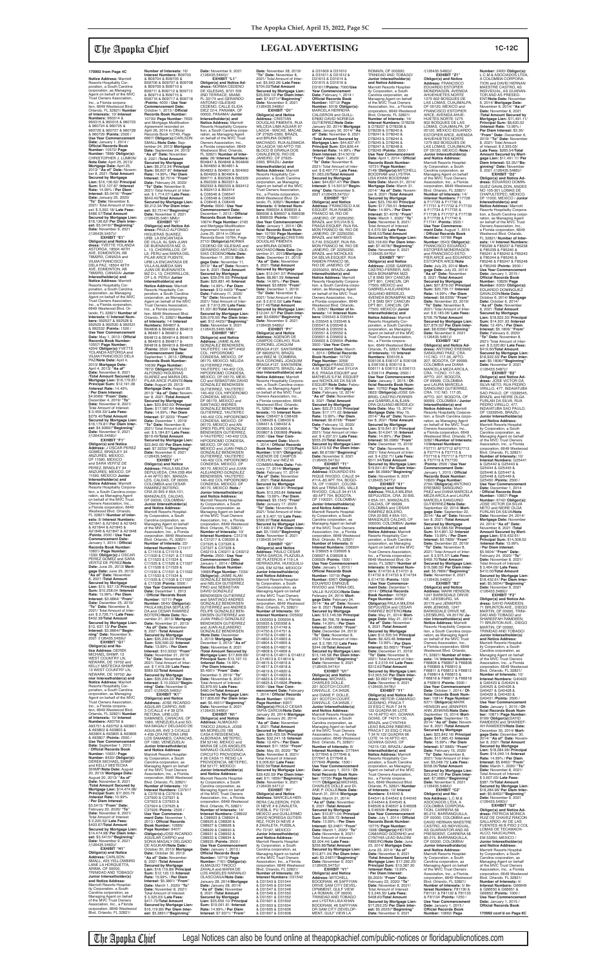**Notice Address:** Marriott<br>Resorts Hospitality Cor-<br>poration, a South Carolina corporation, as Managing Agent on behalf of the MVC Trust Owners Association,<br>Inc., a Florida corpora-<br>tion, 6649 Westwood Blvd.<br>Orlando, FL 32821/ **Number of Interests:** 10/ **Interest Numbers:** 960314 & 960315 & 960316 & 960723 & 960724 & 960725 & 960726 & 960727 & 960728 & 960729 /**Points:** 2500 / **Use Year Commencement Date:** January 1, 2014 / **Official Records Book<br><b>Number:** 10572/ **Page<br><b>Number:** 7888/ **Obligor(s):**<br>CHRISTOPHER J. LUMKIN/ **Note Date:** April 25, 2013/ **Mortgage Date:** April 25, 2013/ **"As of" Date:** Novem-ber 8, 2021 /**Total Amount Secured by Mortgage Lien:** \$16,136.62/ **Principal Sum:** \$12,107.87 /**Interest Rate:** 14.99% / **Per Diem Interest:** \$5.0416/ **"From" Date:** January 25, 2020/ **"To" Date:** November 8, 2021/ Total Amount of Interest: \$ 3,292.18/ **Late Fees:** \$486.57/**Total Amount Secured by Mortgage Lien:** \$16,136.62/ **Per Diem Inter-est:** \$5.0416//**"Beginning" Date:** November 9, 2021 /(126435.5457)// **EXHIBIT "E1" Obligor(s) and Notice Ad-<br><b>dress:** YVETTE YOLANDA<br>ASTORGA, 18504 49TH<br>AVE, EDMONTON, AB T6M2R3, CANADA and VILMA FRANCISCO DELA PAZ, 18504 49TH AVE, EDMONTON, AB T6M2R3, CANADA/ **Junior Interestholder(s) and Notice Address:** Marriott Resorts Hospitality Corporation, a South Carolina corporation, as Managing Agent on behalf of the MVC Trust Owners Association, Inc., a Florida corporation, 6649 Westwood Blvd. Orlando, FL 32821/ **Number of Interests:** 6/ **Interest Num-bers:** 992527 & 992528 & 992529 & 992530 & 992531 & 992532 /**Points:** 1500 / **Use Year Commencement<br>
<b>Records Book Number:**<br> **Records Book Number:**<br>
10557/ **Page Number:**<br>
4204/ **Obligor(s):**YVETTE<br>
YOLANDA ASTORGA and VILMA FRANCISCO DELA PAZ/**Note Date:** April 4, 2013/ **Mortgage Date:** April 4, 2013/ **"As of" Date:** November 8, 2021 /**Total Amount Secured by Mortgage Lien:** \$16,179.81/ **Principal Sum:** \$12,191.08 /**Interest Rate:** 14.49% / **Per Diem Interest:** \$4.9069/ **"From" Date:** December 4, 2019/ **"To" Date:** November 8, 2021/ Total Amount of Interest: \$ 3,459.33/ **Late Fees:** \$279.40/**Total Amount Secured by Mortgage Lien:** \$16,179.81/ **Per Diem Interest:** \$4.9069//**"Beginning" Date:** November 9, 2021<br>/(126435.5458)// **EXHIBIT "F1" Obligor(s) and Notice Address:** J OSCAR PEREZ GOMEZ, BRADLEY 34 ANZURÉS, MEXICO,<br>DE 11590, MEXICO DF 11590, MEXICO and SARA VERTIZ DE PEREZ, BRADLEY 34 ANZURES, MEXICO, DF 11590, MEXICO/ **Junior**<br> **Interestholder(s) and<br>
Rotice Address:** Marriott<br>
Resorts Hospitality Corpora-<br>
tration, a South Carolina corpo-<br>
cration, as Managing Agent<br>
on behalf of the MVC Trust **Number of Interests:** 16/

Owners Association, Inc., a Florida corporation, 6649 Westwood Blvd. Orlando, FL 32821/ **Number of Inter ests:** 8/ **Interest Numbers:** A21841 & A21842 & A21843 & A21844 & A21845 & A21846 & A21847 & A21848 /**Points:** 2000 / **Use Year Commencement Date:** January 1, 2014 / **Offi cial Records Book Number:**

10601/ **Page Number:** 1330/ **Obligor(s):**J OSCAR PEREZ GOMEZ and SARA VERTIZ DE PEREZ/**Note Date:** June 25, 2013/ **Mortgage Date:** June 25, 2013/ **"As of" Date:** November 8, 2021 /**Total Amount Secured by Mortgage Lien:** \$13, 637.13/ **Principal Sum:** \$10,258.04 /**Interest Rate:** 13.99% / **Per Diem Interest:** \$3.9864/ **"From" Date:** December 25, 2019/ **"To" Date:** November 8, 2021/ Total Amount of Inter-est: \$ 2,726.71/ **Late Fees:** \$402.38/**Total Amount**  Secured by Mortgage Lien<br>\$13, 637, 13/ Per Diem \$13, 637.13/ **Per Diem Interest:** \$3.9864//**"Begin-ning" Date:** November 9, 2021 /(126435.5459)// **EXHIBIT "G1" Obligor(s) and No-tice Address:** DEREK MICHAEL SHIMP WEST COUNTRY LN, NEWARK, DE 19702 and KELLY MISTECKA SHIMP, 13 WEST COUNTRY LN, NEWARK, DE 19702/ **Junior Interestholder(s) and Notice Address:** Marriott Resorts Hospitality Corporation, a South Carolina corporation, as Managing Agent on behalf of the MVC Trust Owners Association, Inc., a Florida corpora-tion, 6649 Westwood Blvd. Orlando, FL 32821/ **Number of Interests:** 10/ **Interest Numbers:** A93750 & A93751 & A93752 & A93801 & A93802 & A93803 & A93804 & A93805 & A93806 & A93807 /**Points:** 2500 / **Use Year Commencement Date:** September 1, 2013 / **Offi cial Records Book Number:** 10631/ **Page Number:** 8430/ **Obligor(s):** DEREK MICHAEL SHIMP and KELLY MISTECKA SHIMP/**Note Date:** August 20, 2013/ **Mortgage Date:** August 20, 2013/ **"As of" Date:** November 8, 2021 /**Total Amount Secured by Mortgage Lien:** \$14,474.98/ **Principal Sum:** \$11,600.79 /**Interest Rate:** 10.99% / **Per Diem Interest:** \$3.5415/ **"From" Date:** February 20, 2020/ **"To" Date:** November 8, 2021/ Total Amount of Interest: \$ 2,220.52/ **Late Fees:** \$403.67/**Total Amount Secured by Mortgage Lien:** \$14,474.98/ **Per Diem Interest:** \$3.5415//**"Beginning" Date:** November 9, 2021 /(126435.5460)// **EXHIBIT "H1" Obligor(s) and Notice Address:** CARLSON SMALL, #23 YELLOWBIRD LANE LA HORQUETTA, ARIMA, OF 00000,<br>TRINIDAD AND TOBAGO/ **Junior Interestholder(s) and Notice Address:** Marriott Resorts Hospitality Corporation, a South Carolina corporation, as Managing Agent on behalf of the MVC Trust Owners

Association, Inc., a Florida corporation, 6649 Westwood Blvd. Orlando, FL 32821/

**Interest Numbers:** B09703 & B09704 & B09705 & B09706 & B09707 & B09708 & B09709 & B09710 & B09711 & B09712 & B09713 & B09714 & B09715 & B09716 & B09717 & B09718 /**Points:** 4000 / **Use Year Commencement Date:** October 1, 2013 / **Official**<br>**Records Book Number:** 10700/ **Page Number:** 7693<br>and Mortgage Modification Agreement recorded on<br>April 26, 2014 in Official Records Book 10740, Page 6967/ **Obligor(s):**CARLSON SMALL/**Note Date:** Sep-tember 24, 2013/ **Mortgage Date:** September 24, 2013/ **"As of" Date:** November 8, 2021 /**Total Amount Secured by Mortgage Lien:** \$9,212.34/ **Principal Sum:** \$6,607.87 /**Interest Rate:** 14.99% / **Per Diem Interest:** \$2.7514/ **"From" Date:** February 24, 2020/ **"To" Date:** November 8, 2021/ Total Amount of Inter-est: \$ 1,714.07/ **Late Fees:** \$640.40/**Total Amount Secured by Mortgage Lien:** \$9,212.34/ **Per Diem Interest:** \$2.7514//**"Beginning"<br><b>Date:** November 9, 2021<br>/(126435.5461 MM)// **EXHIBIT "I1" Obligor(s) and Notice Ad-dress:** PAULO ALFONSO HIGUERAS SUAREZ,<br>URB. LA ENCANTADA<br>DE VILLA, AL SAN JUAN<br>DE BUENAVISTA MZ. D, L. 13, CHORRILLOS, OF L9, PERU and MARIA DEL PILAR ARCE PUENTE,<br>URB LA ENCANTADA DE<br>VILLA ALAMEDA SAN<br>JUAN DE BUENAVISTA MZ D L 13, CHORRILLOS, OF L-9, PERU/ **Junior Interestholder(s) and<br><b>Notice Address:** Marriott<br>Resorts Hospitality Cor-<br>poration, a South Carolina corporation, as Managing Agent on behalf of the MVC Trust Owners Association,<br>Inc., a Florida corpora-<br>tion, 6649 Westwood Blvd.<br>Orlando, FL 32821/ **Number of Interests:** 14/ **Interest Numbers:** B64807 & B64808 & B64809 & B64810 & B64811 & B64812 & B64813 & B64814 & B64815 & B64816 & B64817 & B64818 & B64819 & B64820 /**Points:** 3500 / **Use Year Commencement Date:** September 1, 2013 / **Offi cial Records Book Number:** 10639/ **Page Number:** 7872/ **Obligor(s):**PAULO ALFONSO HIGUERAS SUAREZ and MARIA DEL PILAR ARCE PUENTE/**Note Date:** August 29, 2013/ **Mortgage Date:** August 29, 2013/ **"As of" Date:** November 8, 2021 /**Total Amount Secured by Mortgage Lien:** \$23,842.00/ **Principal Sum:** \$17,587.64 /**Interest Rate:** 14.99% / **Per Diem Interest:** \$7.3233/ **"From" Date:** December 1, 2019/ **"To" Date:** November 8, 2021/ Total Amount of Inter-est: \$ 5,184.87/ **Late Fees:** \$819.49/**Total Amount Secured by Mortgage Lien:** \$23,842.00/ **Per Diem Interest:** \$7.3233//"**Beginning"**<br>**Date:** November 9, 2021<br>/(126435.5462)// **EXHIBIT "J1" Obligor(s) and Notice Address:** PAULA MILENA SEPULVEDA, CRA 23B #64<br>A 44 APTO 801, MANIZA-A 44 APTO 801, MANIZA-LES, CALDAS, OF 00000, COLOMBIA and CESAR RAMIREZ BOTERO, CRA 20 BIS # 65A-101, MANIZALES, CALDAS, OF 00000, COLOMBIA/ **Junior Interestholder(s) and Notice Address:** Marriott Resorts Hospitality Corporation, a South Carolina corporation, as Managing Agent on behalf of the MVC Trust Owners Association, Inc., a Florida corporation, 6649 Westwood Blvd. Orlando, FL 32821/ **Number of Interests:** 22/<br>**Interest Numbers:** C11517<br>& C11518 & C11519 & C11520 & C11521 & C11522 & C11523 & C11524 & C11525 & C11526 & C11527 & C11528 & C11529 & C11530 & C11531 & C11532 & C11533 & C11534 & C11535 & C11536 & C11537 & C11538 /**Points:** 5500 / **Use Year Commencement Date:** December 1, 2013 / **Offi cial Records Book Number:** 10711/ **Page Number:** 5640/ **Obligor(s):** PAULA MILENA SEPULVE-DA and CESAR RAMIREZ BOTERO/**Note Date:** No-vember 21, 2013/ **Mortgage Date:** November 21, 2013/ **"As of" Date:** November 8, 2021 /**Total Amount Secured by Mortgage Lien:** \$35,249.22/ **Principal Sum:** \$26,590.02 /**Interest Rate:** 13.99% / **Per Diem Interest:** \$10.3332/ **"From" Date:** November 21, 2019/ **"To" Date:** November 8, 2021/ Total Amount of Inter-est: \$ 7,419.28/ **Late Fees:** \$989.92/**Total Amount Secured by Mortgage Lien:** \$35,249.22/ **Per Diem Interest:** \$ 10.3332//**"Beginning" Date:** November 9, 2021 /(126435.5463)// **EXHIBIT "K1" Obligor(s) and Notice Address:** JOSE RICARDO AGUILAR CARPIO, AVE 3 C/CALLE 4 # 39 QTA RETONA, URB LOS SAMANES, CARACAS, OF 1080, VENEZUELA and SO-NIA MAGALY DELGADO DE AGUILAR, AVE 3 C/CALLE 4 #39 QTA RETONA URB<br>LOS SAMANES, CARACAS, OF 1080, VENEZUELA/ **Junior Interestholder(s) and Notice Address:** Marriott Resorts Hospitality Corporation, a South Carolina corporation, as Managing Agent on behalf of the MVC Trust Owners Association, Inc., a Florida corporation, 6649 Westwood Blvd. Orlando, FL 32821/ **Number of Interests:** 10/ **Interest Numbers:** C37917 & C37918 & C37919 & C37920 & C37921 & C37922 & C37923 & C37924 & C37925 & C37926 /**Points:** 2500 / **Use Year Commence-ment Date:** November 1, 2013 / Official Records **Book Number:** 10665/ **Page Number:** 9407/ **Obligor(s):**JOSE RICARDO<br>AGUILAR CARPIO and<br>SONIA MAGALY DELGADO DE AGUKAR/**Note Date:** October 30, 2013/ **Mortgage Date:** October 30, 2013/ **"As of" Date:** November 8, 2021 /**Total Amount Secured by Mortgage Lien:** \$16,119.89/ **Principal Sum:** \$12,133.13 /**Interest Rate:** 15.99% / **Per Diem Interest:** \$5.3891/ **"From" Date:** March 1, 2020/ **"To" Date:** November 8, 2021/ Total Amount of Interest: \$ 3,325.03/ **Late Fees:**  $$411.73/T$ otal Amount **Secured by Mortgage Lien:** \$16,119.89/ **Per Diem Inter-est:** \$5.3891//**"Beginning"**  & C31217 & C36305 & C37325 & C37326 &<br>C37327 & C37328 & PINO and SEBASTIAN /**Note Date:** December /**Interest Rate:** 14.99% / **Per Diem Interest:** \$5.4951/ **"From" Date:** Total Amount of Interest: \$3,879.55/ **Late Fees:** \$480.04/**Total Amount**  /(126435.5466)// MA MORELOS 168 EM 52177, MEXICO/ C98927 & C98928 & C98929 & C98930 & C98931 & C98932 & C98933 & C98934 & C98935 /**Points:** 3500 / **Use Year Commencem<br>Date: January 1, 2015 / Interest:** \$7.9371/ **"From"** 

**Date:** November 9, 2021 /(126435.5464)// **EXHIBIT "L1" Obligor(s) and Notice Ad**dress: NORMA CEDENO<br>DE IGLESIAS, 8721 SW DE IGLESIAS, 8721 SW<br>2ND TERRACE, MIAMI,<br>FL 33174 and GERARDO<br>ANTONIO IGLESIAS<br>OEDENO, CALLE ELIDA<br>DIEZ G14, PANAMA/ **Junior**<br>00000, PANAMA/ **Junior Interestholder(s) and<br><b>Notice Address:** Marriott<br>Resorts Hospitality Corporation, a South Carolina corporation, as Managing Agent on behalf of the MVC Trust Owners Association, Inc.,<br>a Florida corporation, 6649<br>Westwood Blvd. Orlando,<br>FL 32821/ **Number of Interests:** 26/ **Interest Numbers:** B04847 & B04848 & B04849 & B04850 & B04851 & B04852 & B04901 & B04902 & B04903 & B04904 & B90711 & B92328 & B92329 & B92330 & B92331 & B92332 & B92333 & B92412 & B92413 & B92414 & C06546 & C06547 & C06548 & C06549 & C08445 & C08446 /**Points:** 6500 / **Use Year Commencement Date:** December 1, 2013 / **Official<br><b>Records Book Number:**<br>10674/ **Page Number:** 2165<br>and Mortgage Modification Agreement recorded on<br>June 25, 2014 in Official Records Book 10764, Page<br>2710/ **Obligor(s):**NORMA<br>CEDENO DE IGLESIAS and<br>GERARDO ANTONIO IGLE-SIAS CEDENO/**Note Date:** November 11, 2013/ **Mortgage Date:** November 11, 2013/ **"As of" Date:** Novem-ber 8, 2021 /**Total Amount Secured by Mortgage Lien:** \$39,076.55/ **Principal Sum:** \$29,881.46 /**Interest Rate:** 14.99% / **Per Diem Interest:** \$12.4423/ **"From" Date:** February 11, 2020/ **"To" Date:** November 8, 2021/ Total Amount of Interest: \$ 7,913.29/ **Late Fees:** \$1,031.80/**Total Amount Secured by Mortgage Lien:** \$39,076.55/ **Per Diem Interest:** \$12.4423//**"Beginning" Date:** November 9, 2021 /(126435.5465 MM)/ **EXHIBIT "M1" Obligor(s) and Notice Address:** JAIME ALAN GONZALEZ BENDIKSEN, YAUTEPEC 140 APT.#402 COL. HIPODROMO<br>CONDESA, MEXICO, DF<br>06170, MEXICO; NELIDA<br>GUTIERREZ PINO, YAUTEPEC 140-402 COL HIPODROMO CONDESA, MEXICO, DF 06170, MEXI-CO and SEBASTIAN DAVID GONZALEZ BENDIKSEN GUTIERREZ, YAUTEPEC 140-402 COL HIPODROMO CONDESA, MEXICO, DF 06170, MEXICO and SANTIAGO ANDRES GONZALEZ BENDIKSEN GUTIERREZ, YAUTEPEC 140-402 COL HIPODROMO CONDESA, MEXICO, DF 06170, MEXICO and AN-DRES FELIPE GONZALEZ BENDIKSEN GUTIERREZ, V-YAUTEPEC 140-402 COL HIPODROMO CONDESA, MEXICO, DF 06170, MEXICO and JUAN PABLO<br>GONZALEZ BENDIKSEN<br>GUTIERREZ, YAUTEPEC<br>140-402 COL HIPODROMO CONDESA, MEXICO, DF 06170, MEXICO and JUAN ALEJANDRO GONZALEZ BENDIKSEN, YAUTEPEC 140-402 COL HIPODROMO CONDESA, MEXICO, DF 06170, MEXICO /**Note** / **Junior Interestholder(s) and Notice Address:** Marriott Resorts Hospital-ity Corporation, a South Carolina corporation, as Managing Agent on behalf of the MVC Trust Owners Association, Inc., a Florida corporation, 6649 Westwood Blvd. Orlando, FL 32821/ **Number of Interests:** 10/ **Interest Numbers:** C31216 \$704.03/**Total Amount**  OF 27925-0393, BRAZIL and BRUNA GOMES JANEIRO, OF 27925- 0393, BRAZIL/ **Junior Interestholder(s) and<br><b>Notice Address:** Marriott<br>Resorts Hospitality Cor-<br>poration, a South Carolina **Sum:** \$8,861.59 /**Interest Rate:** 14.99% / **Per Diem**  2021/ Total Amount of Inter-/(126435.5469)// **EXHIBIT "P1" Obligor(s) and Notice<br><b>Address:** AGENOR DE<br>CAMPOS COELHO, RUA<br>CORONEL JOAQUIM **nior Interestholder(s) and**  Westwood Blvd. Orlando, & C98429 & C98430 & C98431 & C98432 & D00805 & D00806 & D00807 & D00808 /**Points:** 2500 / **Use Year Com-**COELHO and INEZ M.

C37327 & C37328 & C40210 & C40211 & C40212 /**Points:** 2500 / **Use Year Commencement Date:**<br>January 1, 2014 / Official January 1, 2014 / **Official<br><b>Records Book Number:**<br>10685/**Page Number**: 7233/<br>**Obligor(s):** JAIME ALAN<br>GONZALEZ BENDIKSEN<br>and NELIDA GUTIERREZ DAVID GONZALEZ<br>BENDIKSEN GUTIERREZ and SANTIAGO ANDRES GONZALEZ BENDIKSEN GUTIERREZ and ANDRES FELIPE GONZALEZ BEN-DIKSEN GUTIERREZ and JUAN PABLO GONZALEZ BENDIKSEN GUTIERREZ and JUAN ALEJANDRO GONZALEZ BENDIKSEN 3, 2013/ **Mortgage Date:** December 3, 2013/ **"As of" Date:** November 8, 2021 /**Total Amount Secured by Mortgage Lien:** \$17,806.69/ **Principal Sum:** \$13,197.10 December 3, 2019/ **"To" Date:** November 8, 2021/ **Secured by Mortgage Lien:** \$17,806.69/ **Per Diem Inter-est:** \$5.4951//**"Beginning" Date:** November 9, 2021 **EXHIBIT "N1" Obligor(s) and Notice Address:** ALMAQUIO TINOCO ZAVALA, JOSE CASA 6 RESIDENCIAL ALBORADA, METEPEC, EM 52140, MEXICO and MARIA DE LOS ANGELES NARANJO OLASCOAGA, CIRCUITO PROVIDENCIA # 26 CASA 11 RESID LA PROVIDENCIA, METEPEC, **Junior Interestholder(s) and Notice Address:** Marriott Resorts Hospitality Corporation, a South Carolina corporation, as Managing Agent on behalf of the MVC Trust Owners Association, Inc., a Florida corporation, 6649 Westwood Blvd. Orlando, FL 32821/ **Number of Interests:** 14/ **Interest Numbers:** C98922 & C98923 & C98924 & C98925 & C98926 & **Date:** January 1, 2015 / **Offi cial Records Book Number:** 10719/ **Page Number:** 7161/ **Obligor(s):** ALMAQUIO TINOCO ZAVALA and MARIA DE LOS ANGELES NARANJO OLASCOAGA/**Note Date:** January 28, 2014/**Mortgage Date:** January 28, 2014/ **"As of" Date:** November 8, 2021 /**Total Amount Secured by Mortgage Lien:** \$25,659.10/ **Principal Sum:** \$19,061.81 /**Interest Rate:** 14.99% / **Per Diem EXHIBIT "Q1" Obligor(s) and Notice Address:** PAULO CESAR TAPIA GARCIA, PLAZUELA DE PLATEROS # 119 LA HERRADURA, HUIXQUILU-<br>CAN. EM 52784. MEXICO/ CAN, EM 52784, MEXICO/ **Junior Interestholder(s) and Notice Address:** Marriott Resorts Hospitality Corporation, a South Carolina corporation, as Managing Agent on behalf of the MVC Trust Owners Association, Inc., a Florida corporation, 6649 Westwood Blvd. Orlando, FL 32821/<br>Number of Interests: 36/ **Number of Interests:** 36/<br>**Interest Numbers:** D05932<br>& D05933 & D05934 &<br>D05935 & D05936 & D05937 & D14749 & D14750 & D14751 & D14752 & D14801 & D14802 & D14803 & D14804 & D14805 & D14806 & D14807 & D14808 & D14809 & D14810 & D14811 & D14812 & D14813 & D14814 & D14815 & D14816 & D14817 & D14818 & D14819 & D14820 & D14821 & D14822 & D14823 & D14824 & D14825 & D14826 /**Points:** 9000 / **Use Year Com-mencement Date:** February 1, 2014 / **Offi cial Records Book Number:** 10709/ **Page Number:** 6307/ **Obligor(s):PAULO CESAR**<br>TAPIA GARCIA/**Note Date:** TAPIA GARCIA/**Note Date:** January 20, 2014/ **Mortgage Date:** January 20, 2014/ **"As of" Date:** November 8, 2021 /**Total Amount Secured by Mortgage Lien:** \$39,420.59/ **Principal Sum:** \$32,241.18 /**Interest Rate:** 12.49% / **Per Diem Interest:** \$11.1859/ **"From" Date:** May 20, 2020/ **"To" Date:** November 8, 2021/ Total Amount of Interest<br>\$6,006,82/Late Fees: \$ 6,006.82/ **Late Fees:** \$922.59/**Total Amount Secured by Mortgage Lien:** \$39,420.59/ **Per Diem Interest:** \$11.1859//**"Beginning" Date:** November 9, 2021<br>/(126435.5471)// **EXHIBIT "R1" Obligor(s) and Notice Address:** MARCELA HER-RERA CALDERON, FIOR DI NEVE # 8 ZAVALETA, PUEBLA, PU 72197, MEXICO and GUILLERMO DAVID NORIEGA GUTIER-REZ, FIOR DI NEVE # 8 ZAVALETA, PUEBLA, PU 72197, MEXICO/ **Junior Interestholder(s) and Notice Address:** Marriott Resorts Hospitality Corporation, a South Carolina corporation, as Managing Agent on behalf of the MVC Trust Owners Association, Inc., a Florida corporation, 6649 Westwood Blvd. Orlando, FL 32821. **Number of Interests:** 28/ **Interest Numbers:** D31542 & D31543 & D31544 & D31545 & D31546 & D31547 & D31548 & D31549 & D31550 & D31551 & D31552 & D31601 & D31602 & D31603 & D31604 & D31605 & D31606 & D31607 & D31608

**Number:** 2400/ **Obligor(s):**<br>L.C.M.& ASOCIADOS LTDA,<br>A COLOMBIA CORPORA-TION and DAVID HERNAN MAESTRE CASTRO, AS INDIVIDUAL, AS GUARAN-TOR AND AS PRESED-ENT/**Note Date:** November 6, 2014/ **Mortgage Date:** November 6, 2014/ **"As of" Date:** November 8, 2021 /**Total Amount Secured by Mortgage Lien:** \$11,491.11/ **Principal Sum:** \$8,620.52 /**Interest Rate:** 13.99% / **Per Diem Interest:** \$3.35/ **"From" Date:** December 6, 2019/ **"To" Date:** November 8, 2021/ Total Amount of Interest: \$ 2,355.05/ **Late Fees:** \$265.54/**Total Amount Secured by Mort-gage Lien:** \$11,491.11/ **Per Diem Interest:** \$3.35//**"Be-ginning" Date:** November 9, 2021 /(126435.5486)// **EXHIBIT "D2" Obligor(s) and Notice Ad-dress:** EDUARDO DOMIN-GUEZ GAVALDON, ANDES NO 105-301 LOMAS DE CHAPULTEPEC, MEXICO, DF 11000, MEXICO / **Junior Interestholder(s) and Notice Address:** Marriott<br>Resorts Hospitality Corpora-<br>tion, a South Carolina corpo-<br>ration, as Managing Agent<br>on behalf of the MVC Trust<br>Owners Association, Inc., a Florida corporation, 6649 Westwood Blvd. Orlando, FL 32821/ **Number of Interests:** 14/ **Interest Numbers:** F85236 & F85237 & F85238 & F85239 & F85240 & F85241 & F85242 & F85243 & F85244 & F85245 & F85246 & F85247 & F85248 & F85249 /**Points:** 3500 / **Use Year Commencement Date:** January 1, 2015 / **Offi cial Records Book Number:** 10829/ **Page Number:** 6355/ **Obligor(s):** EDUARDO DOMINGUEZ GAVALDON/**Note Date:** October 6, 2014/ **Mortgage Date:** October 6, 2014/ **"As of" Date:** November 8, 2021 /**Total Amount Secured by Mortgage Lien:** \$18,922.33/ **Principal Sum:** \$14,931.93 /**Interest Rate:** 12.49% / **Per Diem Interest:** \$5.1806/ **"From" Date:** February 6, 2020/ **"To" Date:** November 8, **EXHIBIT "E2"**

\$5.5604/ **"From" Date:** February 24, 2020/ **"To" Date:** November 8, 2021/ Total Amount of Interest: \$ 3,464.09/ **Late Fees:** \$410.00/**Total Amount Secured by Mortgage Lien:** \$18,432.61/ **Per Diem Inter-est:** \$5.5604//**"Beginning" Date:** November 9, 2021<br>/(126435.5489)// **EXHIBIT "F2" Obligor(s) and Notice Ad-dress:** SAYID RAMDEEN, 71 BRUNTON AVE., DIEGO MARTIN, OF 00000, TRINI-DAD AND TOBAGO and SHAREEFAH RAMDEEN,<br>71 BRUNTON AVE., DIEGO<br>MARTIN, OF 00000, TRINIDAD AND TOBAGO/ **Junior Interestholder(s) and Notice Address:** Marriott Resorts Hospital-ity Corporation, a South Carolina corporation, as Managing Agent on behalf of the MVC Trust Owners Association, Inc., a Florida corporation, 6649 Westwood Blvd. Orlando, FL 32821/ **Number of Interests:** 10/ **Interest Numbers:** G40422 & G40423 & G40424 & G40425 & G40426 & G40427 & G40428 & G40429 & G40430 & G40431 /**Points:** 2500 / **Use Year Commencem Date:** January 1, 2015 / **Of-fi cial Records Book Number:** 10871/ **Page Number:** 9199/ **Obligor(s):**SAYID RAMDEEN and SHAREEF-AH RAMDEEN/**Note Date:** December 30, 2014/ **Mortgage Date:** December 30,<br>2014/ **"As of" Date:** Novem-<br>ber 8, 2021 /**Total Amount<br>Secured by Mortgage Lien:** \$18,284.96/ **Principal Sum:** \$14,040.14 /**Interest Rate:** 14.99% / **Per Diem Interest:** \$5.8462/ **"From" Date:** March 1, 2020/ **"To" Date:** November 8, 2021/ Total Amount of Interest: \$ 3,607.03/ **Late Fees:** \$387.79/**Total Amount Secured by Mortgage Lien:** \$18,284.96/ **Per Diem Inter-est:** \$5.8462//**"Beginning" Date:** November 9, 2021 /(126435.5490)// **EXHIBIT "G2" Obligor(s) and Notice Ad-dress:** PATRICIA MONICA RUIZ DE CHAVEZ RINCON GALLARDO, AV DE LAS FUENTES 49 B PISO 2 COL LOMAS DE TECAMACH<br>ALCO NAUCALPAN ALCO, NAUCALPAN,<br>EM 53950, MEXICO /<br>**Junior Interestholder(s) and Notice Address:** Marriott Resorts Hospitality Corporation, a South Carolina corporation, as Managing Agent on behalf of the MVC Trust Owners Association, Inc., a Florida corporation, 6649 Westwood Blvd. Orlando, FL 32821/ **Number of Interests:** 4/ **Interest Numbers:** G66649 & G66650 & G66651 & G66652 /**Points:** 1000 / **Use Year Commencer Date:** January 1, 2015 / **Official Records Book** 

**Date:** November 28, 2019/ **"To" Date:** November 8, 2021/ Total Amount of Inter-est: \$5,643.26/ **Late Fees: Secured by Mortgage Lien:** \$25,659.10/ **Per Diem Inter-est:** \$7.9371//**"Beginning" Date:** November 9, 2021 /(126435.5468)// **EXHIBIT "O1" Obligor(s) and Notice Address:** CRISTIAN DOUGLAS PIMENTA, RUA WILCEIA LIMA AGUIAR 97 LAGOA - MACAE, MACAE, MACHADO, RUA ALEMADA DA LAGOA 160 APTO 705 BLOCO B GRANJA DOS CAVALEIROS, RIO DE corporation, as Managing Agent on behalf of the MVC Trust Owners Association,<br>Inc., a Florida corporation,<br>6649 Westwood Blvd. Or-<br>lando, FL 32821/ **Number of Interests:** 6/ **Interest Num-bers:** B96934 & B96935 & B96936 & B96937 & B96938 & B96939 /**Points:** 1500 / **Use Year Commencement Date:** January 1, 2014 / **Offi cial Records Book Num-ber:** 10700/ **Page Number:** 7072/ **Obligor(s):**CRISTIAN DOUGLAS PIMENTA and BRUNA GOMES MACHADO/**Note Date:** December 31, 2013/**Mortgage Date:** December 31, 2013/ **"As of" Date:** November 8, 2021 /**Total Amount Secured by Mortgage Lien:** \$12,041.57/ **Principal Interest:** \$3.6899/ **"From" Date:** December 1, 2019/ **"To" Date:** November 8, est: \$ 2,612.52/ **Late Fees:** \$317.46/**Total Amount Secured by Mortgage Lien:** \$12,041.57/ **Per Diem Inter-est:** \$3.6899//**"Beginning" Date:** November 9, 2021 BRAGA #127, SANTAREM, OF 68005270, BRAZIL and INEZ M. COIMBRA,<br>RUA CORONEL JOAQUIM<br>BRAGA #127, SANTAREM,<br>OF 68005270, BRAZIL/ **Ju-Notice Address:** Marriott<br>Resorts Hospitality Corpora-<br>tion, a South Carolina corpo-<br>ration, as Managing Agent<br>on behalf of the MVC Trust Owners Association, Inc., a Florida corporation, 6649 FL 32821/ **Number of In-terests:** 10/ **Interest Num-bers:** C98427 & C98428 **mencement Date:** March 1, 2014 / **Offi cial Records Book Number:** 10728/**Page Number:** 5187/ **Obligor(s):** AGENOR DE CAMPOS COIMBRA/**Note Date:** Feb-ruary 17, 2014/ **Mortgage Date:** February 17, 2014/ **"As of" Date:** November 8, 2021 /**Total Amount Secured by Mortgage Lien:** \$17,490.91/ **Principal Sum:** \$13,263.84 /**Interest Rate:** 13.99% / **Per Diem Interest:** \$5.1545/ **"From" Date:** January 17, 2020/ **"To" Date:** November 8, 2021/ Total Amount of Inter-est: \$ 3,407.10/ **Late Fees:** \$569.97/**Total Amount Secured by Mortgage Lien:** \$17,490.91/ **Per Diem Inter-est:** \$5.1545//**"Beginning" Date:** November 9, 2021<br>/(126435.5470)// & D31609 & D31610 & D31611 & D31612 & D31613 & D31614 & D31615 & D31616 & D31617/**Points:** 7000/**Use Year Commencement<br><b>Date:** February 1, 2014 /<br><mark>Official Records Book</mark> **Number:** 10712/ **Page Number:** 5018/ **Obligor(s):** MARCELA HERRERA CALDERON and GUILL-ERMO DAVID NORIEGA GUTIERREZ/**Note Date:** January 30, 2014/ **Mortgage Date:** January 30, 2014/ **"As**  of" Date: November 8, 2021<br>Total Amount Secured by<br>Mortgage Lien: \$44,637.47/<br>Principal Sum: \$34,826.44<br>/Interest Rate: 14.99% / Per<br>Diem Interest: \$14.5013/<br>"From" Date: April 1, 2020/ **"To" Date:** November 8, 2021/ Total Amount of Inter-est: \$ 8,497.77/ **Late Fees:** \$1,063.26/**Total Amount Secured by Mortgage Lien:** \$44,637.47/ **Per Diem Interest:** \$ 14.5013//**"Begin-ning" Date:** November 9, 2021 /(126435.5472)// **EXHIBIT "S1" Obligor(s) and Notice Address:** FRANCISCO A.M. ESQUEF, RUA RAMON FRANCO 56, RIO DE JANEIRO, OF 22250250, BRAZIL and SYLVIA B.S. FRAGA ESQUEF, RUA RA-MON FRANCO 56, RIO DE<br>JANEIRO, OF 22250250,<br>BRAZIL and MATHEUS<br>S.F.M. ESQUEF, RUA RA-<br>MON FRANCO 56, RIO DE<br>JANEIRO, OF 22250250, BRAZIL and NICHOLAS DA SELVA ESQUEF, RUA RAMON FRANCO 56, RIO DE JANEIRO, OF 22250250, BRAZIL/ **Junior Interestholder(s) and Notice Address:** Marriott Resorts Hospitality Corporation, a South Carolina corpo ration, as Managing Agent<br>on behalf of the MVC Trust Owners Association, Inc., a Florida corporation, 6649 Westwood Blvd. Orlando, FL 32821/ **Number of In-terests:** 14/ **Interest Num-bers:** D35543 & D35544 & D35545 & D35546 & D35547 & D35548 & D35549 & D35550 & D35551 & D35552 & D35601 & D35602 & D35603 & D35604 /**Points:** 3500 / **Use Year Com-mencement Date:** March 1, 2014 / **Offi cial Records Book Number:** 10723/ **Page Number:** 3059/ **Obligor(s):**FRANCISCO A.M. ESQUEF and SYLVIA B.S. FRAGA ESQUEF and MATHEUS S.F.M. ESQUEF and NICHOLAS DA SILVA ESQUEF/**Note Date:** Febru-ary 12, 2014/ **Mortgage Date:** February 12, 2014/ **"As of" Date:** November 8, 2021 /**Total Amount Secured by Mortgage Lien:** \$22,213.53/ **Principal Sum:** \$17,171.02 /**Interest Rate:** 13.99% / **Per Diem Interest:** \$6.6728/ **"From" Date:** February 12, 2020/ **"To" Date:** November 8, 2021/ Total Amount of Inter-est: \$ 4,237.31/ **Late Fees:** \$555.20/**Total Amount Secured by Mortgage Lien:** \$22,213.53/ **Per Diem Interest:** \$6.6728//"**Beginning"**<br>**Date:** November 9, 2021<br>/(126435.5473)// **EXHIBIT "T1" Obligor(s) and Notice Address:** EDUARDO EN-RIQUE RIVODO, CALLE 94 #11A -83 APT 704, BOGO-TA, OF 1100221, COLOM-BIA and TRINA DEL VALLE RIVODO, CALLE 94 #11A -83 APT 704, BOGOTA, OF 1100221, COLOMBIA/ **Junior Interestholder(s) and Notice Address:** Marriott Resorts Hospitality Corporation, a South Carolina corporation, as Managing Agent on behalf of the MVC Trust Owners Association, Inc., a Florida corporation, 6649 Westwood Blvd. Orlando, FL 32821/<br>Number of Interests: 6/ **Number of Interests:** 6/<br>**Interest Numbers:** D36924<br>& D36925 & D36926 &<br>D36927 & D36928 & D36929 /**Points:** 1500 / **Use Year Commencement Date:** January 1, 2015 / **Official Records Book Number:** 10719/ **Page Number:** 6067/ **Obligor(s):** EDUARDO ENRIQUE RIVODO and TRINA DEL VALLE RJVODO/**Note Date:** February 24, 2014/ **Mort-gage Date:** February 24, 2014/ **"As of" Date:** November 8, 2021 /**Total Amount Secured by Mortgage Lien:** \$13,146.58/ **Principal Sum:** \$9,766.78 /**Interest Rate:** 14.99% / **Per Diem Interest:** \$4.0668/ **"From" Date:** December 24, 2019/ **"To" Date:** November 8, 2021/ Total Amount of Inter-est: \$ 2,785.72/ **Late Fees:** \$344.08/**Total Amount Secured by Mortgage Lien:** \$13,146.58/ **Per Diem Interest:** \$4.0668//**"Beginning" Date:** November 9, 2021 /(126435.5474)// **EXHIBIT "U1" Obligor(s) and Notice Address:** MICHAEL CHARLES DOLLE, 221 SCOTCH COURT, DANVILLE, CA 94526, and DIANE P. DOLLE, 221 SCOTCH COURT DANVILLE, CA 94526 **Junior Interestholder(s) and Notice Address:** Marriott Resorts Hospital-ity Corporation, a South Carolina corporation, as Managing Agent on behalf of the MVC Trust Owners Association, Inc., a Florida corporation, 6649 Westwood Blvd. Orlando, FL 32821/ **Number of Interests:** 6/ **Interest Numbers:** D77644 & D77645 & D77646 & D77647 & D77648 & D77649 /**Points:** 1500 / **Use Year Commencement Date:** January 1, 2015 / **Offi cial Records Book Number:** 10735/ **Page Number:** 1117/ **Obligor(s):**MICHAEL CHARLES DOLLE and DI-ANE P. DOLLE/**Note Date:** March 31, 2014/ **Mortgage Date:** March 31, 2014/ **"As of" Date:** November 8, 2021 /**Total Amount Secured by Mortgage Lien:** \$10,871.04/ **Principal Sum:** \$8,359.72 /**Interest Rate:** 13.99% / **Per Diem Interest:** \$3.2487/ **"From" Date:** March 1, 2020/ **"To" Date:** November 8, 2021/ Total Amount of Interest: \$2,004.44/ **Late Fees:** \$256.88/**Total Amount Secured by Mortgage Lien:**<br>\*\*\* 0.971.04/ Per Diem Inter-\$10,871.04/ **Per Diem Inter-est:** \$3.2487//**"Beginning" Date:** November 9, 2021 /(126435.5475)// **EXHIBIT "V1" Obligor(s) and Notice Address:** MITCHELL BOODRAM, #6 SAFFIYAN DRIVE SAM CITY DEVEL-OPMMENT, GULF VIEW LA ROMAIN, OF 00000, TRINIDAD AND TOBAGO and LYSTRA LISA KHAN BOODRAM, #6 SAFFIYAN Resorts Hospitality Corporation, a South Carolina

ROMAIN, OF 000000, TRINIDAD AND TOBAGO/ **Junior Interestholder(s) and Notice Address:** Marriott Resorts Hospital-ity Corporation, a South Carolina corporation, as Managing Agent on behalf of the MVC Trust Owners Association, Inc., a Florida corporation, 6649 Westwood Blvd. Orlando, FL 32821/ **Number of Interests:** 14/ **Interest Numbers:** D78236<br>& D78237 & D78238 &<br>D78239 & D78240 & D78241 & D78242 & D78243 & D78244 & D78245 & D78246 & D78247 & D78248 & D78249 /**Points:** 3500 / **Use Year Commencement Date:** April 1, 2014 / **Official<br><b>Records Book Number:**<br>10731/ **Page Number:**<br>2149/ **Obligor(s):**MITCHELL<br>BOODRAM and LYSTRA<br>LISA KHAN BOODRAM/ **Note Date:** March 31, 2014/ **Mortgage Date:** March 31, 2014/ **"As of" Date:** November 8, 2021 /**Total Amount Secured by Mortgage Lien:** \$23,159.60/ **Principal Sum:** \$17,790.51 /**Interest Rate:** 14.99% / **Per Diem Interest:** \$7.4078/ **"From" Date:** March 1, 2020/ **"To" Date:** November 8, 2021/ Total Amount of Interest: \$ 4,570.56/ **Late Fees:** \$548.53/**Total Amount Secured by Mortgage Lien:** \$23,159.60/ **Per Diem Interest:** \$7.4078//"**Beginning"**<br>**Date:** November 9, 2021<br>/(126435.5476)// **EXHIBIT "W1" Obligor(s) and Notice Address:** JOSE GABRIEL CASTRO-FERRER, AVE-NIDA BONAMPAK MZ3 LT 8 SM3 SKY CANCUN DPT 801, CANCUN, QR<br>77500 MEXICO and 77500, MEXICO and GABRIELA ALEJANDRA QUIJANO-BERDEJO, AVENIDA BONAMPAK MZ3 LT 8 SM3 SKY CANCUN DPT 801, CANCUN, QR 77500, MEXICO/ **Junior Interestholder(s) and Notice Address:** Marriott Resorts Hospitality Corporation, a South Carolina corporation, as Managing Agent on behalf of the MVC Trust Owners Association, Inc., a Florida corpora-tion, 6649 Westwood Blvd. Orlando, FL 32821/ **Number of Interests:** 10/ **Interest Numbers:** E06105 & E06106 & E06107 & E06108 & E06109 & E06110 & E06111 & E06112 & E06113 & E06114 /Points: 2500 /<br>Use Year Commencement<br>Date: January 1, 2015 / Of-<br>ficial Records Book Num-<br>ber: 10763/ Page Number:<br>0822/ Obligor(s):JOSE GA-<br>BRIEL CASTRO-FERRERER<br>and GABRIELA ALEJAN-DRA QUIJANO-BERDEJO/ **Note Date:** May 15, 2014/ **Mortgage Date:** May 15, 2014/ **"As of" Date:** November 8, 2021 /Total Amount<br>Secured by Mortgage<br>Lien: \$19,641.81/ Principal<br>Sum: \$14,647.16 /Interest<br>Rate: 14.99% / Per Diem<br>Interest: \$6.0989/ "From" **Date:** December 15, 2019/ **"To" Date:** November 8, 2021/ Total Amount of Inter-est: \$ 4,232.71/ **Late Fees:** \$511.94/**Total Amount Secured by Mortgage Lien:** \$19,641.81/ **Per Diem Inter-est:** \$6.0989//**"Beginning" Date:** November 9, 2021 /(126435.5477)// **EXHIBIT "X1" Obligor(s) and Notice Address:** PAULA MILENA SEPULVEDA, CRA. 20 BIS. # 65A-101, MANIZALES,<br>CALDAS, OF 99999,<br>COLOMBIA and CESAR<br>RAMIREZ BOLERO, CRA 20 BIS # 65A-101, MANIZALES CALDAS, OF 000000, COLOMBIA/ **Junior** 

DR SAM CITY DEVELOP-MENT, GULF VIEW LA corporation, as Managing<br>Agent on behalf of the MVC<br>Trust Owners Association,<br>Inc., a Florida corporation, 6649 Westwood Blvd. Orlando, FL 32821/ **Number of Interests:** 6/ **Interest Numbers:** E14730 & E14731 & E14732 & E14733 & E14734 & E14735 /**Points:** 1500 / **Use Year Commencement Date:** December 1,<br>2014 / **Official Records Book Number:** 10762/ **Page Number:** 9456/ **Obligor(s):**PAULA MILENA SEPULVEDA and CESAR RAMIREZ BOTERO/**Note Date:** May 21, 2014/ **Mortgage Date:** May 21, 2014/ **"As of" Date:** November 8, 2021 /**Total Amount Secured by Mortgage Lien:** \$12,505.54/ **Principal Sum:** \$9,423.48 /**Interest Rate:** 13.99% / **Per Diem Interest:** \$3.6621/ **"From" Date:** December 21, 2019/ **"To" Date:** November 8, 2021/ Total Amount of Interest: \$ 2,519.44/ **Late Fees:** \$312.62/**Total Amount Secured by Mortgage Lien:** \$12,505.54/ **Per Diem Interest:** \$3.6621//**"Beginning" Date:** November 9, 2021 /(126435.5478)// **EXHIBIT "Y1" Obligor(s) and Notice Ad-dress:** HEITOR CAMARGO GODINHO, PRACA T 23 ESQ C RUA T 34 N 122 QUADRA 96 LOTE 14-16 APTO 401, GOIANIA GOIAS, OF 74215-130, BRAZIL and CYNTHIA LEAO BALDINI RIBEIRO,<br>PRACA T 23 ESQ C RUA T 34 N 122 QUADRA 96 LOTE 14-16 APTO 401, GOIANIA GOIAS, OF 74215-130, BRAZIL/ **Junior Interestholder(s) and Notice Address:** Marriott Resorts Hospitality Cor-poration, a South Carolina corporation, as Managing Agent on behalf of the MVC Trust Owners Association, Inc., a Florida corporation, 6649 Westwood Blvd. Orlando, FL 32821/ **Number of Interests:** 10/ **Interest Numbers:** E44540 & E44541 & E44542 & E44543 & E44544 & E44545 & E46506 & E46507 & E46508 & E46509 /**Points:** 2500 / **Use Year Commencement Date:** July 1, 2014 / **Official Records Book Number:<br>10775/ <b>Page Number:**<br>1928/ **Obligor(s):**HEITOR<br>CAMARGO GODINHO and<br>CYNTHIA LEAO BALDINI RIBEIRO/**Note Date:** June 23, 2014/ **Mortgage Date:** June 23, 2014/ **"As of" Date:** November 8, 2021 /**Total Amount Secured by Mortgage Lien:** \$17,292.25/ **Principal Sum:** \$13,387.30 /**Interest Rate:** 13.99% / **Per Diem Interest:** \$5.2025/ **"From" Date:** February 23, 2020/ **"To" Date:** November 8, 2021/ Total Amount of Interest: \$ 3,246.35/ **Late Fees:** \$408.60/**Total Amount Secured by Mortgage Lien:** \$17,292.25/ **Per Diem Interest:** \$5.2025//**"Beginning" Date:** November 9, 2021

**Interestholder(s) and Notice Address:** Marriott

**Number:** 10862/ **Page** 

/(126435.5480)// **EXHIBIT "Z1" Obligor(s) and Notice Address:** FRANCISCO EDUARDO ESTOPIER MONDRAGON, AVENIDA AHUEHUETES NORTE 1275 602 BOSQUES LAS LOMAS, CUAJIMALPA,<br>DF 05120, MEXICO and FRANCISCO ESTOPIER ARCE, AVENIDA AHUE-<br>HUETES NORTE 1275 HUETES NORTE 1275 602 BOSQUES DE LAS LOMAS, CUAJIMALPA, DF 05120, MEXICO EDUARDO ESTOPIER ARCE, AVENIDA<br>AHUEHUETES NORTE AHUEHUETES NORTE<br>1275 602 BOSQUES DE<br>LAS LOMAS, CUAJIMALPA,<br>DF 05120, MEXICO /**Note** / **Junior Interestholder(s) and Notice Address:** Marriott Resorts Hospital-ity Corporation, a South Carolina corporation, as Managing Agent on behalf of the MVC Trust Owners Association, Inc., a Florida corporation, 6649 Westwood Blvd. Orlando, FL 32821/ **Number of Interests:** 14/ **Interest Numbers:** F17728 & F17729 & F17730 & F17731 & F17732 & F17733 & F17734 & F17735 & F17736 & F17737 & F17738 & F17739 & F17740 & F17741 /**Points:** 3500 / **Use Year Commence**ment Date: August 1, 2014<br>**/ Official Records Book<br><b>Number:** 10789/ **Page<br><b>Number:** 0543/ **Obligor(s):**<br>FRANCISCO EDUARDO<br>ESTOPIER MONDRAGON and FRANCISCO ESTO-PIER ARCE and EDUARDO ESTOPIER ARCE/**Note Date:** July 23, 2014/ **Mortgage Date:** July 23, 2014/ **"As of" Date:** November 8, 2021 /**Total Amount Secured by Mortgage Lien:** \$27,879.02/ **Principal Sum:** \$20,739.17 /**Interest Rate:** 14.99% / **Per Diem Interest:** \$8.6356/ **"From" Date:** November 23, 2019/ **"To" Date:** November 8, 2021/ Total Amount of Inter-est: \$ 6,183.06/ **Late Fees:** \$706.79/**Total Amount Secured by Mortgage Lien:** \$27,879.02/ **Per Diem Inter-est:** \$8.6356//**"Beginning" Date:** November 9, 2021 /(126435.5481)// **EXHIBIT "A2" Obligor(s) and Notice Ad-dress:** ANTONIO ERESMID SANGUINO PAEZ, CRA. 11C NO. 117-35, APTO. 207, BOGOTA, OF 99999, COLOMBIA and DIANA MARCELA MEZA ARCILA, CRA. 11CNO. 117-35, APTO. 207, BOGOTA, OF 99999, COLOMBIA and LAURA MARCELA SANGUINO GUTIERREZ,<br>CRA. 11C NO. 117-35,<br>APTO. 207, BOGOTA, OF 99999, COLOMBIA / **Junior Interestholder(s) and Notice Address:** Marriott Resorts Hospitality Corpora-tion, a South Carolina corporation, as Managing Agent on behalf of the MVC Trust Owners Association, Inc., a Florida corporation, 6649 Westwood Blvd. Orlando, FL 32821/**Number of Interests:** 10/**Interest Numbers:** F57711 &F57712 &F57713 & F57714 & F57715 & F57716 & F57717 & F57718 & F57719 & F57720 /**Points:** 2500 / **Use Year Commencement Date:** January 1, 2015 / **Offi cial Records Book Number:<br>10820/ <b>Page Number:**<br>2794/ **Obligor(s):**ANTONIO<br>ERESMID SANGUINO PAEZ and DIANA MARCELA MEZA ARCILA and LAURA MARCELA SANGUINO<br>GUTIERREZ**/Note Date:**<br>September 22, 2014/ **Mort-**<br>2014/ **"As of" Date:** Novem-<br>2014/ **"As of" Date:** Novem-<br>ber 8, 2021 /**Total Amount Secured by Mortgage Lien:** \$19,586.59/ **Principal Sum:** \$14,891.32 /**Interest Rate:** 13.99% / **Per Diem Interest:** \$5.7869/ **"From" Date:** December 22, 2019/ **"To" Date:** November 8, 2021/ Total Amount of Inter-est: \$ 3,975.57/ **Late Fees:** \$469.70/**Total Amount Secured by Mortgage Lien:** \$19,586.59/ **Per Diem Interest:** \$5.7869//**"Beginning"<br><b>Date:** November 9, 2021<br>/(126435.5482)// **EXHIBIT "B2" Obligor(s) and Notice Address:** MARK HENSON, 1247 BARKSDALE DRIVE NE, LEESBURG, VA 20176 and JENNIFER ANN JENKINS, 1247 BARKSDALE DRIVE NE,<br>LEESBURG VA 20176/Ju LEESBURG, VA 20176/ **Ju-nior Interestholder(s) and Notice Address:** Marriott Resorts Hospitality Corpora-tion, a South Carolina corporation, as Managing Agent on behalf of the MVC Trust Owners Association, Inc., a Florida corporation, 6649 Westwood Blvd. Orlando, FL 32821/ **Number of Interests:** 14/ **Interest Numbers:** F66806 & F66807 & F66808 & F66809 & F66810 & F66811 & F66812 & F66813 & F66814 & F66815 & F66816 & F66817 & F66818 & F66819 /**Points:** 3500 / **Use Year Commencement Date:** October 1, 2014 / **Of-fi cial Records Book Num-ber:** 10814/ **Page Number:** 6371/ **Obligor(s):**MARK HENSON and JENNIFER ANN JENKINS/**Note Date:** September 15, 2014/ **Mort-gage Date:** September 15, 2014/ **"As of" Date:** Novem-ber 8, 2021 /**Total Amount Secured by Mortgage Lien:** \$23,842.16/ **Principal Sum:** \$17,985.43 /**Interest Rate:** 15.99% / **Per Diem Interest:** \$7.9885/ **"From" Date:** February 15, 2020/ **"To" Date:** November 8, 2021/ Total Amount of Inter-est: \$5,048.73/ **Late Fees:** \$558.00/**Total Amount Secured by Mortgage Lien:** \$23,842.16/ **Per Diem Interest:** \$7.9885//**"Beginning" Date:** November 9, 2021 /(126435.5484)// **EXHIBIT "C2" Obligor(s) and Notice Address:** L.C.M.& ASOCIADOS LTDA, A COLOMBIA CORPORA-TION, CARRERA 58 85-215, BARRANQUILLA, OF 00000, COLOMBIA and DAVID HERNAN MAESTRE CASTRO, AS INDIVIDUAL, AS GUARANTOR AND AS PRESIDENT, CARRERA 58 85-215, BARRANQUILLA, OF 00000, COLOMBIA/ **Junior Interestholder(s) and Notice Address:** Marriott Resorts Hospital-ity Corporation, a South Carolina corporation, as Managing Agent on behalf of the MVC Trust Owners Association, Inc., a Florida corporation, 6649 Westwood Blvd. Orlando, FL 32821/ **Number of Interests:** 5/ **Interest Numbers:** F81130 & F81131 & F81132 & F81133 & F81134 /**Points:** 1250 / **Use Year Comme Date:** January 1, 2015 / **Offi cial Records Book**  /**Interest Rate:** 13.99% / **Per Diem Interest: 170992 cont'd on Page 6C**

2021/ Total Amount of Inter-est: \$ 3,320.80/ **Late Fees:** \$419.60/**Total Amount Secured by Mortgage Lien:** \$18,922.33/ **Per Diem Inter-est:** \$5.1806//**"Beginning" Date:** November 9, 2021 /(126435.5487)// **Obligor(s) and Notice Ad-dress:** JOSE VICTOR DA SILVA NETO, RUA PEDRO VIRILLO, 477, INDAIATUBA SAO PAULO, OF 13339545, BRAZIL and NEIRE OLGA FURLAN DA SILVA, RUA PEDRO VIRILLO, 477,<br>INDAIATUBA SAO PAULO,<br>OF 13339545, BRAZIL/ **Junior Interestholder(s) and Notice Address:** Marriott Resorts Hospitality Corporation, a South Carolina corporation, as Managing Agent on behalf of the MVC Trust Owners Association, Inc., a Florida corporation, 6649 Westwood Blvd. Orlando, FL 32821/ **Number of Interests:** 10/ **Interest Numbers:** G25441 & G25442 & G25443 & G25444 & G25445 & G25446 & G25447 &<br>G25448 & G25449 & G25448 & G25449 & G25450 /**Points:** 2500 / **Use Year Commencement Date:** December 1, 2014 / **Offi cial Records Book Number:** 10857/ **Page Number:** 6742/ **Obligor(s):** JOSE VICTOR DA SILVA NETO and NEIRE OLGA FURLAN DA SILVA/**Note Date:** November 24, 2014/ **Mortgage Date:** November 24, 2014/ **"As of" Date:** November 8, 2021 /**Total Amount Secured by Mortgage Lien:** \$18,432.61/ **Principal Sum:** \$14,308.52

### **170992 from Page 4C**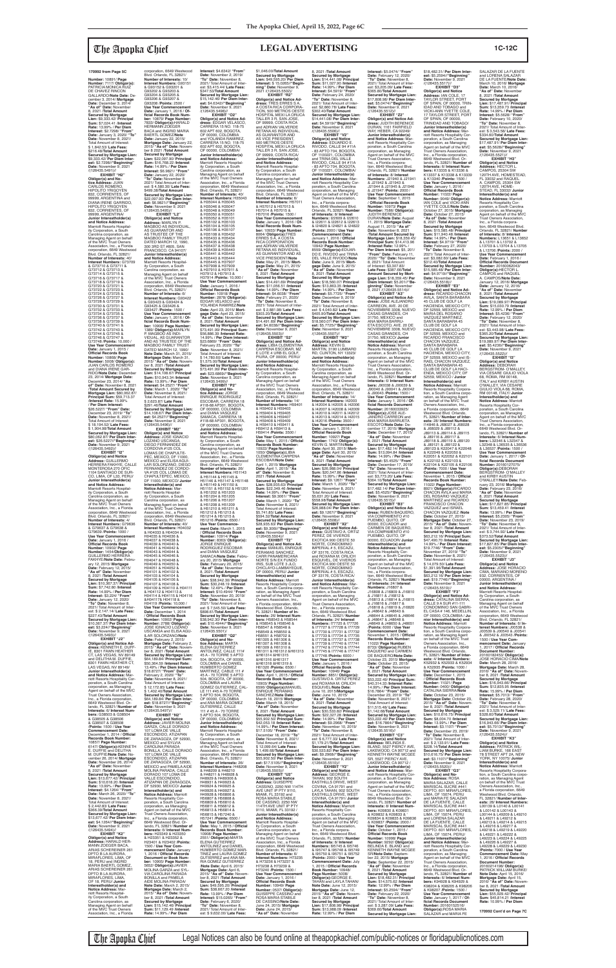**Number:** 10891/ **Page Number:** 7117/ **Obligor(s):** PATRICIA MONICA RUIZ DE CHAVEZ RINCON GALLARDO/**Note Date:** December 3, 2014/ **Mortgage Date:** December 3, 2014/ **"As of" Date:** November 8, 2021 /**Total Amount Secured by Mortgage Lien:** \$9,333.42/ **Principal Sum:** \$7,024.41 /**Interest Rate:** 13.99% / **Per Diem Interest:** \$2.7298/ **"From" Date:** January 3, 2020/ **"To" Date:** November 8, 2021/ Total Amount of Interest: \$ 1,842.53/ **Late Fees:** \$216.48/**Total Amount Secured by Mortgage Lien:** \$9,333.42/ **Per Diem Inter-est:** \$2.7298//**"Beginning" Date:** November 9, 2021

/(126435.5491)// **EXHIBIT "H2" Obligor(s) and No-tice Address:** JUAN CARLOS ROMERO, HIPOLITO YRIGOYEN 832, CORRIENTES, OF 99999, ARGENTINA and DIANA IRENE GARRIDO, HIPOLITO YRIGOYEN 832, CORRIENTES, OF 99999, ARGENTINA/ **Junior Interestholder(s) and Notice Address:** Marriott Resorts Hospital-<br>ity Corporation, a South<br>Carolina corporation, as<br>Managing Agent on behalf<br>of the MVC Trust Owners<br>Association, Inc., a Florida corporation, 6649 Westwood Blvd. Orlando, FL 32821/ **Number of Interests:** 40/ **Interest Numbers:** G73709 & G73710 & G73711 & G73712 & G73713 & G73714 & G73715 & G73716 & G73717 & G73718 & G73719 & G73720 & G73721 & G73722 & G73723 & G73724 & G73725 & G73726 & G73727 & G73728 & G73729 & G73730 & G73731 & G73732 & G73733 & G73734 & G73735 & G73736 & G73737 & G73738 & G73739 & G73740 & G73741 & G73742 & G73743 & G73744 & G73745 & G73746 & G73747 & G73748 /**Points:** 10,000 / **Use Year Commencement Date:** January 1, 2015 / **Offi cial Records Book Number:** 10868/ **Page Number:** 5008/ **Obligor(s):** JUAN CARLOS ROMERO and DIANA IRENE GAR-<br>RIDO/Note Date: Decembe RIDO/**Note Date:** December 23, 2014/ **Mortgage Date:** December 23, 2014/ **"As of" Date:** November 8, 2021 /**Total Amount Secured by Mortgage Lien:** \$80,062.87/ **Principal Sum:** \$59,713.37 /**Interest Rate:** 15.99% / **Per Diem Interest:** \$26.5227/ **"From" Date:** December 23, 2019/ **"To" Date:** November 8, 2021/ Total Amount of Interest:<br>\$18.194.52/Late Fees: \$ 18,194.52/ **Late Fees:** \$ 1,904.98/**Total Amount Secured by Mortgage Lien:** \$80,062.87/ **Per Diem Interest:** \$26.5227//**"Beginning" Date:** November 9, 2021<br>/(126435.5492)// **EXHIBIT "I2"**

**Obligor(s) and Notice Address:** GUILLERMO HERRERA FAKHYE, CALLE MONTEROSA 270 OFIC 1104 SANTIAGO DE SUR-CO, LIMA, OF L33, PERU/ **Junior Interestholder(s) and Notice Address:** Marriott Resorts Hospitality Corporation, a South Carolina corporation, as Managing Agent on behalf of the MVC Trust Owners Association, Inc., a Florida corporation, 6649 Westwood Blvd. Orlando, FL 32821/ **Number of Interests:** 4/ **Interest Numbers:** G79636 & G79637 & G79638 & G79639 /**Points:** 1000 / **Use Year Commencement Date:** January 1, 2016 / **Offi cial Records Book Number:** 10902/ **Page** 

**Number:** 1454/**Obligor(s):** GUILLERMO HERRERA FAKHYE/**Note Date:** February 12, 2015/ **Mortgage Date:** February 12, 2015/ **"As of" Date:** November 8, 2021 /**Total Amount Secured by Mortgage Lien:** \$10,367.37/ **Principal Sum:** \$7,742.80 /**Interest Rate:** 14.99% / **Per Diem Interest:** \$3,224/ **"From" Date:** January 12, 2020/ **"To" Date:** November 8, 2021/ Total Amount of Inter est: \$ 2,147.14/ **Late Fees:** \$227.43/**Total Amount Secured by Mortgage Lien:** \$10,367.37/ **Per Diem Inter-est:** \$3.224//**"Beginning" Date:** November 9, 2021<br>/(126435.5493)// **EXHIBIT "J2" Obligor(s) and Notice Ad-dress:** KENNETH E. DUFF-IE, 8301 FAWN HEATHER CT, LAS VEGAS, NV 89149 and DELITHA M. DUFFIE, 8301 FAWN HEATHER CT LAS VEGAS, NV 89149/ **Junior Interestholder(s) and Notice Address:** Marriott Resorts Hospitality Cor-poration, a South Carolina corporation, as Managing<br>Agent on behalf of the MVC<br>Trust Owners Association,<br>Inc., a Florida corporation, 6649 Westwood Blvd. Or-lando, FL 32821/ **Number of Interests:** 6/ **Interest Numbers:** G38503 & G38504 & G38505 & G38506 & G38507 & G38508 /**Points:** 1500 / **Use Year Commencement Date:** December 1, 2014 / **Official Records Book Number:** 10857/ **Page Number:** 6147/ **Obligor(s):**KENNETH E. DUFFIE and DELITHA M. DUFFIE/**Note Date:** November 26, 2014/ **Mortgage Date:** November 26, 2014/ **"As of" Date:** November 8, 2021 /**Total Amount Secured by Mortgage Lien:** \$13,677.42/ **Principal Sum:** \$10,618.20 /**Interest Rate:** 13.99% / **Per Diem Interest:** \$4.1264/ **"From" Date:** March 26, 2020/ **"To" Date:** November 8, 2021/ Total Amount of Interest: \$ 2,442.83/ **Late Fees:** \$366.39/**Total Amount Secured by Mortgage Lien:** \$13,677.42/ **Per Diem Interest:** \$4.1264//**"Beginning" Date:** November 9, 2021 /(126435.5494)// **EXHIBIT "K2" Obligor(s) and Notice Address:** HARALD HER-MANN ZOEGER BACA,<br>ARIAS SCHEREINER 261 DPTO B LA AURORA MIRAFLORES, LIMA, OF 18, PERU and INGRID MARIA BAERTL GOMEZ, ARIAS SCHEREINER 261 DPTO B LA AURORA, MIRAFLORES, LIMA OF 18, PERU/ **Junio Interestholder(s) and Notice Address:** Marriott Resorts Hospitality Corporation, a South Carolina corporation, as Managing Agent on behalf of the MVC Trust Owners Association, Inc., a Florida

corporation, 6649 Westwood Blvd. Orlando, FL 32821/ **Number of Interests:** 10/ **Interest Numbers:** G93151 & G93152 & G93201 & G93202 & G93203 & G93204 & G93205 & G93206 & G93207 & G93208 /**Points:** 2500 / **Use Year Commencement<br>Date:** January 1, 2016 / Of-<br>ficial Records Book Num**ber:** 10879/ **Page Number:** 7833/ **Obligor(s):**HARALD HERMANN ZOEGER BACA and INGRID MARIA BAERTL GOMEZ/**Note Date:** January 22, 2015/ **Mortgage Date:** January 22, 2015/ **"As of" Date:** Novem-ber 8 2021 /**Total Amount Secured by Mortgage Lien:** \$22,097.90/ **Principal Sum:** \$16,768.22 /**Interest Rate:** 14.99% / **Per Diem Interest:** \$6.9821/ **"From" Date:** January 22, 2020/ **"To" Date:** November 8 2021/ Total Amount of Inter-est: \$ 4,580.30/ **Late Fees:** \$499.38/**Total Amount Secured by Mortgage Lien:** \$22,097.90/ **Per Diem Inter-est:** \$6.9821//**"Beginning" Date:** November 9, 2021 /(126435.5495)// **EXHIBIT "L2" Obligor(s) and Notice Address:** MARLYN P. MAGBOO AS INDIVIDUAL, AS GUARANTOR AND AS TRUSTEE OF THE MAGBOO FAMILY TRUST DATED MARCH 12, 1990, 300 3RD ST #805, SAN FRANCISCO, CA 94107/ **Junior Interestholder(s) and Notice Address:** Marriott Resorts Hospital-ity Corporation, a South Carolina corporation, as Managing Agent on behalf of the MVC Trust Owners Association, Inc., a Florida corporation, 6649 Westwood Blvd. Orlando, FL 32821/ **Number of Interests:** 6/ **Interest Numbers:** G93422 & G93423 & G93424 & G93425 & G93426 & G93427 /**Points:** 1500 / **Use Year Commencement Date:** January 1, 2016 / **Of-fi cial Records Book Number:** 10908/ **Page Number:**<br>1389/ **Obligor(s):**MARLYN<br>P. MAGBOO AS INDI-<br>VIDUAL, AS GUARANTOR AND AS TRUSTEE OF THE MAGBOO FAMILY TRUST DATED MARCH 12, 1990/ **Note Date:** March 31, 2015/ **Mortgage Date:** March 31, 2015/ **"As of" Date:** November 8, 2021 /Total Amount<br>Secured by Mortgage<br>Lien: \$14,108.67/ Principal<br>Sum: \$10,943.34 /Interest<br>Rate: 13.99% / Per Diem<br>Interest: \$4.2527/ "From" **Date:** March 1, 2020/ **"To" Date:** November 8, 2021/ Total Amount of Interest: \$ 2,623.87/ **Late Fees:** \$291.46/**Total Amount Secured by Mortgage Lien:** \$14,108.67/ **Per Diem Inter-est:** \$4.2527//**"Beginning" Date:** November 9, 2021 /(126435.5496)// **EXHIBIT "M2" Obligor(s) and Notice Address:** JOSE IGNACIO<br>LOZANO USCANGA, DIEGO FERNANDEZ DE CORDOVA #125 COL LOMAS DE CHAPULTE-PEC, MEXICO, DF 11000, MEXICO and ELISA AGUI-LAR SOLORZANO, DIEGO FERNANDEZ DE CORDO-VA #125 COL LOMAS DE CHAPULTEPEC, MEXICO, DF 11000, MEXICO/ **Junior Interestholder(s) and Notice Address:** Marriott Resorts Hospital-ity Corporation, a South Carolina corporation, as Managing Agent on behalf of the MVC Trust Owners Association, Inc., a Florida corporation, 6649 Westwood Blvd. Orlando, FL 32821/ **Number of Interests:** 40/ **Interest Numbers:** H04032

& H04033 & H04034 & H04035 & H04036 & H04037 & H04038 &

H04039 & H04040 & H04041 & H04042 & H04043 & H04044 & H04045 & H04046 & H04047 & H04048 & HOTOTO & HOTOJO H04051 & H04052 & H04101 & H04102 & H04103 & H04104 & H04105 & H04106 & H04107 & H04108 & H04109 & H04110 & H04111 & H04112 & H04113 & H04114 & H04115 & H04116 &H04117& H04118 & H04119 /**Points:** 10,000 / **Use Year Commencement Date:** December 1, 2014 / **Offi cial Records Book Number:** 10902/ **Page Number:** 2788/ **Obligor(s):** JOSE IGNACIO LOZANO USCANGA and ELISA AGU-ILAR SOLORZANO/**Note Date:** February 2, 2015/ **Mortgage Date:** February 2, 2015/ **"As of" Date:** Novem-ber 8, 2021 /**Total Amount Secured by Mortgage Lien:** \$64,189.84/ **Principal Sum:** \$50,364.59 /**Interest Rate:** 13.49% / **Per Diem Interest:** \$18.8727/ **"From" Date:** February 2, 2020/ **"To" Date:** November 8, 2021/ Total Amount of Interest: \$ 12,172.85/ **Late Fees:** \$ 1,402.40/**Total Amount Secured by Mortgage Lien:** \$64,189.84/ **Per Diem Interest:** \$18.8727//**"Beginning"<br><b>Date:** November 9, 2021<br>/(126435.5497)// **EXHIBIT "N2" Obligor(s) and Notice Address:** JAVIER MOLINA GARZA, CALLE DORADO 107 LOMA DE VALLE ESCONDIDO, ATIZAPAN DE ZARAGOZA, DF 52930 MEXICO and SYLVIA CAROLINA PARADA BONILLA, CALLE DORADO 107 LOMÁ DE VALLE<br>ESCONDIDO, ATIZAPAN ESCONDIDO, ATIZAPAN DE ZARAGOZA, DF 52930, MEXICO and PAMELA AIDE MOLINA PARADA, CALLE DORADO 107 LOMA DE VALLE ESCONDIDO,<br>ATIZAPAN DE ZARAGOZA, DF 52930, MEXICO/ **Junior Interestholder(s) and Notice Address:** Marriott Resorts Hospitality Corporation, a South Carolina corporation, as Managing Agent on behalf of the MVC Trust Owners Association, Inc., a Florida corporation, 6649 Westwood Blvd. Orlando, FL 32821/ **Number of Interests:** 6/ **Interest Numbers:** H23349 & H23350 & H23351 & H23352 & H23401 & H23402 /**Points:** 1500 / **Use Year Commencement Date: January 1, 2016 / Official Records Document or Book Number:** 10905/ **Page Number:** 5652/ **Obligor(s):**JAVIER MOLINA GARZA and SYL-VIA CAROLINA PARADA BONILLA and PAMELA AIDE MOLINA PARADA/ **Note Date:** March 2, 2015/ **Mortgage Date:** March 2, 2015/ **"As of" Date:** November 8, 2021 /**Total Amount Secured by Mortgage Lien:** \$15,142.46/ **Principal Sum:** \$11,129.49 /**Interest Rate:** 14.99% / **Per Diem** 

**Interest:** \$4.6342/ **"From" Date:** November 2, 2019/ **"To" Date:** November 8, 2021/ Total Amount of Interest: \$3,415.44/ **Late Fees:** \$347.53/**Total Amount Secured by Mortgage Lien:** \$15,142.46/ **Per Diem Inter-est:** \$4.6342//**"Beginning" Date:** November 9, 2021 /(126435.5498)// **EXHIBIT "O2" Obligor(s) and Notice Ad-dress:** EDGAR VELASCO, CARRERA 15 NO. 118-75 602 APT 602, BOGOTA, OF 00000, COLOMBIA and YOLANDA RAMIREZ,<br>CARRERA 15 NO. 118-75<br>602 APT 602, BOGOTA,<br>OF 00000, COLOMBIA/ **Junior Interestholder(s) and Notice Address:** Marriott Resorts Hospital-ity Corporation, a South Carolina corporation, as Managing Agent on behalf of the MVC Trust Owners Association, Inc., a Florida corporation, 6649 Westwood Blvd. Orlando, FL 32821/ **Number of Interests:** 40/ **Interest Numbers:** H35043 & H35044 & H35045 & H35046 & H35047 & H35048 & H35049 & H35050 & H35051 & H35052 & H35101 & H35102 & H35103 & H35104 & H35105 & H35106 & H35107 & H35108 & H35432 & H35433 & H35434 & H35435 & H35436 & H35437 & H35438 & H35439 & H35440 & H35441 & H35442 & H35443 & H35444 & H35445 & H37907 & H37908 & H37909 & H37910 & H37911 & H37912 & H37913 & H37914 /**Points:** 10,000 / **Use Year Commencement<br><b>Date:** January 1, 2016 /<br>**Official Records Book Number:** 10918/ **Page Number:** 2878/ **Obligor(s):** EDGAR VELASCO and YOLANDA RAMIREZ/**Note Date:** April 23, 2015/ **Mort-gage Date:** April 23, 2015/ **"As of" Date:** November 8, 2021 /**Total Amount Secured by Mortgage Lien:** \$73,491.99/ **Principal Sum:** \$56,886.39 /**Interest Rate:** 14.99% / **Per Diem Interest:** \$23.6869/ **"From" Date:** February 23, 2020/ **"To" Date:** November 8, 2021/ Total Amount of Interest: \$ 14,780.60/ **Late Fees:** \$1,575.00/**Total Amount Secured by Mortgage Lien:** \$73,491.99/ **Per Diem Interest:** \$23.6869//**"Beginning"<br><b>Date:** November 9, 2021<br>/(126435.5499)//<br>**EXHIBIT "P2" Obligor(s) and No-tice Address:** JORGE ENRIQUE RODRIGUEZ ESCOBAR, CARRERA 18 #118-68 AP301, BOGOTA, OF 000000, COLOMBIA and DIANA VASQUEZ SAMACA, CARRERA 18 #118-68 AP301, BOGOTA, OF 000000, COLOMBIA/ **Junior Interestholder(s) and Notice Address:** Marriott Resorts Hospitality Corporation, a South Carolina corporation, as Managing Agent on behalf of the MVC Trust Owners Association, Inc., a Florida corporation, 6649 Westwood Blvd. Orlando, FL 32821/ **Number of Interests:** 26/<br>**Interest Numbers:** H51143<br>& H51144 & H51145 &<br>H51146 & H51147 & H51148 & H51149 & H51150 & H51151 & H51152 & H51201 & H51202 & H51203 & H51204 & H51205 & H51206 & H51207 & H51208 & H51209 & H51210 & H51211 & H51212 & H51213 & H51214 & H51215 & H51216 /**Points:** 6500 / **Use Year Commence-ment Date:** March 1, 2015 / **Offi cial Records Book Number:** 10914/ **Page Number:** 8363/ **Obligor(s):** JORGE ENRIQUE RODRIGUEZ ESCOBAR and DIANA VASQUEZ SAMACA/**Note Date:** February 20, 2015/ **Mortgage Date:** February 20, 2015/ **"As of" Date:** November 8, 2021 /**Total Amount Secured by Mortgage Lien:** \$38,942.30/ **Principal Sum:** \$30,248.19 /**Interest Rate:** 12.49% / **Per Diem Interest:** \$10.4944/ **"From" Date:** November 20, 2019/ **"To" Date:** November 8, 2021/ Total Amount of Inter-est: \$ 7,545.50/ **Late Fees:** \$898.61/**Total Amount Secured by Mortgage Lien:** \$38,942.30/ **Per Diem Inter-est:** \$10.4944//**"Beginning" Date:** November 9, 2021<br>/(126435.5501)/ **EXHIBIT "Q2" Obligor(s) and No-tice Address:** MARTA ELENA GUTIERREZ ANTOLINEZ, CALLE 111# 45 A - 70 TORRE 5 APTO 504, BOGOTA, OF 00000,<br>COLOMBIA and DANIEL<br>HUMBERTO GOMEZ<br>MARTINEZ, CABLE 111 # 45 A - 70 TORRE 5 APTO<br>504, BOGOTA, OF 00000, COLOMBIA and LAURA GOMEZ GUTIERREZ, CAL-LE 111 #45 A-70 TORRE 5 APTO 504, BOGOTA, OF 00000, COLOMBIA and ANA MARIA GOMEZ GUTIERREZ, CALLE 111 # 45 A - 70 TORRE 5 APTO 504, BOGOTA, OF 00000, COLOMBIA/ **Junior Interestholder(s) and Notice Address:** Marriott Resorts Hospital-ity Corporation, a South Carolina corporation, as Managing Agent on behalf of the MVC Trust Owners Association, Inc., a Florida corporation, 6649 Westwood Blvd. Orlando, FL 32821/ **Number of Interests: Interest Numbers:** H48208 & H48209 & H48210 & H48211 & H48928 & H48929 & H489306 & H48931 & H49923 & H49924 & H49925 & H49926 & H49927 & H49928 & H56806 & H56807 & H56808 & H56809 & H56810 & H56811 & H56812 & H56813 & H56814 & H56815 & H57240 & H57241 /**Points:** 6500 / **Use Year Commencement Date:** May 1, 2015 / **Official**<br>**Records Book Number:** 10908/ **Page Number:** 2551/ **Obligor(s):**MARTA ELENA GUTIERREZ ANTOLINEZ and DANIEL HUMBERTO GOMEZ MAR-TINEZ and LAURA GOMEZ GUTIERREZ and ANA MA-RIA GOMEZ GUTIERREZ /**Note Date:** April 6, 2015/ **Mortgage Date:** April 6, 2015/ **"As of" Date:** Novem-ber 8, 2021 /**Total Amount Secured by Mortgage Lien:** \$49,595.20/ **Principal Sum:** \$38,667.20 /**Interest Rate:** 13.99% / **Per Diem Interest:** \$15.0265/ **"From" Date:** February 6, 2020/ **"To" Date:** November 8, 2021/ Total Amount of Inter-est: \$ 9,632.00/ **Late Fees:** \$1,046.00/**Total Amoun Secured by Mortgage Lien:** \$49,595.20/ **Per Diem Interest:** \$ 15.0265//**"Beginning" Date:** November 9, 2021 /(126435.5502)/ **EXHIBIT "R2" Obligor(s) and Notice Ad-dress:** TRES ERRES S A, A COSTA RICA CORPORA-TION, 500 METROS OESTE HOSPITAL MEXI LA ORUCA TALLER 3 R, SAN JOSE, OF 99999, COSTA RICA and ADRIAN VALVERDE RETANA AS INDIVIDUAL, AS GUARANTOR AND AS VICE PRESIDENT, 500 METROS OESTE HOSPITAL MEXI LA ORUCA TALLER 3 R, SAN JOSE, OF 99999, COSTA RICA/ **Junior Interestholder(s) and Notice Address:** and Notice Address.<br>Marriott Resorts Hospital ity Corporation, a South Carolina corporation, as Managing Agent on behalf<br>of the MVC Trust Owners<br>Association, Inc., a Florida<br>corporation, 6649 Westwood Blvd. Orlando, FL 32821/ **Number of Interests:** 6/ **Interest Numbers:** H57011 & H57012 & H57013 & H57014 & H57015 & H57016 /**Points:** 1500 / **Use Year Commencement Date:** January 1, 2016 / **Official Records Book Num-<br><b>ber:** 10933/ **Page Number:**<br>8064/ **Obligor(s):**TRES<br>ERRES S A, A COSTA<br>RICA CORPORATION<br>and ADRIAN VALVERDE RETANA AS INDIVIDUAL, AS GUARANTOR AND AS VICE PRESIDENT/**Note Date:** May 21, 2015/ **Mortgage Date:** May 21, 2015/ **"As of" Date:** November 8, 2021 /**Total Amount Secured by Mortgage Lien:** \$14,491.69/ **Principal Sum:** \$11,056.51 /**Interest Rate:** 14.99% / **Per Diem Interest:** \$4.6038/ **"From" Date:** February 21, 2020/ **"To" Date:** November 8, 2021/ Total Amount of Inter-est: \$ 2,881.98/ **Late Fees:** \$303.20/**Total Amount Secured by Mortgage Lien:** \$14,491.69/ **Per Diem Interest:** \$4.6038//**"Beginning" Date:** November 9, 2021 /(126435.5503)// **EXHIBIT "S2" Obligor(s) and Notice Ad-dress:** LIBIA CLEMENTINA CARPENA ESCOBAR, MZ E LOTE 4 URB EL GOLF, PIURA, OF 00000, PERU/ **Junior Interestholder(s) and Notice Address:** Marriott Resorts Hospitality Corporation, a South Carolina corporation, as Managing Agent on behalf of the MVC Trust Owners Association, Inc., a Florida corporation, 6649 Westwood Blvd. Orlando, FL 32821/ **Number of Interests:** 14/<br>**Interest Numbers:** H59401<br>& H59402 & H59403<br>& H59404 & H59405 & H59406 & H59407 & H59408 & H59409 & H59410 & H59411 & H59412 & H59413 & H59414 /**Points:** 3500 / **Use Year Commencement Date:** May 1, 2015 / **Official**<br>**Records Book Number:** 10922/ **Page Number:** 1050/ **Obligor(s):**LIBIA CLEMENTINA CARPENA ESCOBAR/**Note Date:** April 1, 2015/ **Mortgage Date:** April 1, 2015/ **"As of" Date:** November 8, 2021 /**Total Amount Secured by Mortgage Lien:** \$28,935.63/ **Principal Sum:** \$22,349.46 /**Interest Rate:** 14.99% / **Per Diem Interest:** \$9.3061/ **"From" Date:** March 1, 2020/ **"To" Date:** November 8, 2021/ Total Amount of Interest: \$5,741.85/ **Late Fees:** \$594.32/**Total Amount Secured by Mortgage Lien:** \$28,935.63/ **Per Diem Inter-est:** \$9.306l//**"Beginning" Date:** November 9, 2021<br>/(126435.5504)// **EXHIBIT "T2" Obligor(s) and Notice Ad-dress:** MANUEL ENRIQUE PERAMAS SANCHEZ, CARR PANAMERICANA NORTE S/N EX FUNDO IRIS, SUB LOTE 3 JLO,<br>CHICLAYO-LAMBAYEQUE,<br>OF 00000, PERU/ **Junior Interestholder(s) and Notice Address:** Marriott Resorts Hospitality Corporation, a South Carolina corpo ration, as Managing Agent on behalf of the MVC Trust Owners Association, Inc., a Florida corporation, 6649 Westwood Blvd. Orlando<br>FL 32821/Number of In FL 32821/ **Number of In-terests:** 26/ **Interest Num-bers:** H58543 & H58544 & H58545 & H58546 & H58547 & H58548 & H58549 & H58550 & H58551 & H58702 & H61305 & H61306 & H61307 & H61308 & H61309 & H61310 & H61311 & H61312 &H61313 &H61314 &H61315 &H61316 &H61317 &H61318 &H61319 & H61320 /**Points:** 6500 / **Use Year Commencement Date:** April 1, 2015 / **Official**<br>**Records Book Number:** 10903/ **Page Number:** 6596/ **Obligor(s):**MANUEL ENRIQUE PERAMAS SANCHEZ/**Note Date:** March 18, 2015/ **Mortgage Date:** March 18, 2015/ **"As of" Date:** November 8, 2021 /**Total Amount Secured by Mortgage Lien:** \$55,902.50/ **Principal Sum:** \$42,053.18 /**Interest Rate:** 14.99% / **Per Diem Interest:** \$17.5105/ **"From" Date:** December 18, 2019/ **"To" Date:** November 8, 2021/ Total Amount of Interest: \$ 12,099.64/ **Late Fees:**  $$ 1,499.68$ /**Total Amoun Secured by Mortgage Lien:** \$55,902.50/ **Per Diem Inter-est:** \$17.5105//**"Beginning" Date:** November 9, 2021 /(126435.5505)// **EXHIBIT "U2" Obligor(s) and Notice<br><b>Address:** GUISEPPE<br>CASSINO, 2250 NW 114TH<br>AVE UNIT IP PTY 9110, MIAMI, FL 33192 and ROSA MARIA STABILE DE CASSINO, 2250 NW 114TH AVE UNIT IP PTY 9110, MIAMI, FL 33192 / **Junior Interestholder(s) and Notice Address:** Marriott Resorts Hospitality Corporation, a South Carolina corporation, as Managing Agent on behalf of the MVC Trust Owners Association, Inc., a Florida corporation, 6649 Westwood Blvd. Orlando, FL 32821/ **Number of Interests:** 6/ **Interest Numbers:** H73235 & H73236 & H73237 & H73238 & H73239 & H73240 /**Points:** 1500 / **Use Year Commencement<br><b>Date:** January 1, 2016 /<br>**Official Records Book Number:** 10949/ **Page Number:** 0537/ **Obligor(s):** GUISEPPE CASSINO and ROSA MARIA STABILE DE CASSINO/**Note Date:** June 24, 2015/ **Mortgage Date:** June 24, 2015/ **"As of" Date:** November

\$18,482.31/ **Per Diem Interest:** \$5.2594//**"Beginning" Date:** November 9, 2021<br>/(126435.5517)// **EXHIBIT "D3" Obligor(s) and Notice Address:** IAN COLE, 17 TAYLOR STREET, PORT OF SPAIN, OF 00000, TRIN-IDAD AND TOBAGO and VICKI-ANN YVETTE COLE,<br>17 TAYLOR STREET, PORT<br>OF SPAIN, OF 00000,<br>TRINIDAD AND TOBAGO/ **Junior Interestholder(s) and Notice Address:** Marriott Resorts Hospitality Cor-poration, a South Carolina corporation, as Managing Agent on behalf of the MVC Trust Owners Association, Inc., a Florida corporation, 6649 Westwood Blvd. Or-lando, FL 32821/ **Number of Interests:** 6/ **Interest Numbers:** K13335 & K13336 & K13337 & K13338 & K13339 & K13340 /**Points:** 1500 / **Use Year Commencement Date:** January 1, 2016 / **Offi cial Records Book Number:** 11022/ **Page Number:** 9049/ **Obligor(s):** IAN COLE and VICKI-ANN YVETTE COLE/**Note Date:** October 27, 2015/ **Mortgage Date:** October 27, 2015/ **"As of" Date:** November 8, 2021 /**Total Amount Secured by Mortgage Lien:** \$15,585.48/ **Principal Sum:** \$11,940.48 /**Interest Rate:** 14.99% / **Per Diem Interest:** \$4.9719/ **"From" Date:** February 27, 2020/ **"To" Date:** November 8, 2021/ Total Amount of Inter-est: \$3,082.60/ **Late Fees:** \$312.40/**Total Amount Secured by Mortgage Lien:** \$15,585.48/ **Per Diem Interest:** \$4.9719//"**Beginning"**<br>**Date:** November 9, 2021<br>/(126435.5518)// EXHIBIT "E3" **Obligor(s) and Notice Ad-dress:** RICARDO CHACON AVILA, SANTA BARABARA 45 CLUB DE GOLF LA HACIENDA, MEXICO CITY, DF 52559, MEXICO and MARIA DEL ROSARIO<br>VAZQUEZ MARTINEZ, SANTA BARABARA 45<br>CLUB DE GOLF LA<br>HACIENDA, MEXICO CITY,<br>DF 52559, MEXICO and<br>RICARDO FRANCISCO<br>CHACON VAZQUEZ,

SANTA BARABARA 45 CLUB DE GOLF LA HACIENDA, MEXICO CITY, DF 52559, MEXICO and IS-RAEL CHACON VAZQUEZ, SANTA BARABARA 45 CLUB DE GOLF LA HACI-ENDA, MEXICO CITY, DF<br>52559, MEXICO / **Junior** 52559, MEXICO / **Junior Interestholder(s) and Notice Address:** Marriott Resorts Hospitality Corporation, a South Carolina corporation, as Managing Agent on behalf of the MVC Trust Owners Association, Inc., a Florida corporation, 6649 Westwood Blvd. Orlando, FL 32821/ **Number of Inter ests:** 28/ **Interest Numbers:** I14846 & J68027 & J68028 & J68029 & J89112 & J89113 & J89114 & J89115 & J89116 & J89117 & J89118 & J89119 & J89120 & J89121 & J89122 & J89123 & K22047 & K22048 & K22049 & K22050 & K22051 & K22052 & K22101 & K22102 & K22103 & K22104 & K22105 & K22106 /**Points:** 7000 / **Use Year Commencement Date:** November 1, 2015 / **Offi cial Records Book Number:** 11022/ **Page Number:** 8921/ **Obligor(s):**RICARDO CHACON AVILA and MARIA DEL ROSARIO VAZQUEZ MARTINEZ and RICARDO FRANCISCO CHACON VAZQUEZ and ISRAEL<br>CHACON VAZQUEZ /Note CHACON VAZQUEZ /Note<br>Date: October 27, 2015/<br>Mortgage Date: October 27,<br>2015/ "As of" Date: Novem-<br>ber 8, 2021 /Total Amount<br>Secured by Mortgage Lien:<br>\$63,212.16/ Principal Sum: \$47,490.70 /**Interest Rate:** 14.99% / **Per Diem Interest:** \$19.7746/ **"From" Date:** November 27, 2019/ **"To" Date:** November 8, 2021/ Total Amount of Interest: \$ 14,079.50/ **Late Fees:** \$1,391.96/**Total Amount Secured by Mortgage Lien:** \$63,212.16/ **Per Diem Inter-est:** \$19.7746//**"Beginning" Date:** November 9, 2021 /(126435.5519)// **EXHIBIT "F3" Obligor(s) and Notice Ad-dress:** CATALINA SIERRA, CALLE 9 A SUR #11-111 CONDOMINIO SAN GABRI-EL CASA # 146, MEDELLIN, OF 00000, COLOMBIA / **Ju-nior Interestholder(s) and Notice Address:** Marriott Resorts Hospitality Corporation, a South Carolina corporation, as Managing Agent on behalf of the MVC Trust Owners Association, Inc., a Florida corporation, 6649 Westwood Blvd. Orlando, FL 32821/ **Number of Inter ests:** 4/ **Interest Numbers:** K52932 & K52933 & K52934 & K52935 /**Points:** 1000 / **Use Year Commencement Date:** December 1, 2015 / **Offi cial Records Book Number:** 11021/ **Page Number:** 0400/ **Obligor(s):** CATALINA SIERRA/**Note Date:** October 23, 2015/ **Mortgage Date:** October 23, 2015/ **"As of" Date:** Novem-ber 8, 2021 /**Total Amount Secured by Mortgage Lien:** \$10,616.75/ **Principal Sum:** \$8,004.70 /**Interest Rate:** 13.99% / **Per Diem Interest:** \$3.1107/ **"From" Date:** December 23, 2019/ **"To" Date:** November 8, 2021/ Total Amount of Inter-est: \$ 2,133.91/ **Late Fees:** \$228.14/**Total Amount Secured by Mortgage Lien:** \$10,616.75/ **Per Diem Interest:** \$3.1107//"**Beginning"**<br>**Date:** November 9, 2021<br>/(126435.5520)// **EXHIBIT "G3"<br><b>Obligor(s) and No-**<br>**tice Address:** ROSA<br>MARIA SALAZAR, CALLE<br>MARISCAL SUCRE #441<br>DEPTO. 601 MIRAFLORES, LIMA, OF 15074, PERU<br>and MARIA FE SALAZAR DE LA FUENTE, CALLE MARISCAL SUCRE #441 DEPTO. 601 MIRAFLORES, LIMA, OF 15074, PERU and LORENA SALAZAR DE LA FUENTE, CALLE MARISCAL SUCRE #441 DEPTO. 601 MIRAFLORES, LIMA, OF 15074, PERU/ **Junior Interestholder(s) and Notice Address:** Marriott Resorts Hospitality Corporation, a South Carolina corporation, as Managing Agent on behalf of the MVC Trust Owners Association, Inc., a Florida corporation, 6649 Westwood Blvd. Orlando, FL 32821/ **Number of Interests:** 6/ **Interest Num-bers:** K94928 & K94929 & K98204 & K98205 & K98206 & K98207 /**Points:** 1500 / Use Year Commencement<br> **Date:** January 1, 2017 / Of-<br> **ficial Records Document<br>
Number: 20160152516/<br>
Obligor(s):ROSA MARIA<br>
SALAZAR and MARIA FE** 

8, 2021 /**Total Amount Secured by Mortgage Lien:** \$14,441.08/ **Principal Sum:** \$11,027.90 /**Interest Rate:** 14.99% / **Per Diem Interest:** \$4.5919/ **"From" Date:** February 24, 2020/ **"To" Date:** November 8, 2021/ Total Amount of Inter-est: \$2,860.78/ **Late Fees:** \$302.40/**Total Amount Secured by Mortgage Lien:** \$14,441.08/ **Per Diem Inter-est:** \$4.5919//**"Beginning" Date:** November 9, 2021 /(126435.5506)//<br>"EXHIBIT "V2 **EXHIBIT "V2" Obligor(s) and Notice Address:** EDUARDO E. RIVODO, CALLE 94 #11A - 83 APTO 704, BOGOTA, OF 1100221, COLOMBIA and TRINA DEL VALLE RIVODO, CALLE 94 #11A - 83 APTO 704, BOGOTA, OF 1100221, COLOMBIA/ **Junior Interestholder(s) and Notice Address:** Mar-<br>riott Resorts Hospitality Cor-<br>poration, a South Carolina<br>corporation, as Managing<br>Agent on behalf of the MVC<br>Trust Owners Association, Inc., a Florida corporation, 6649 Westwood Blvd. Orlando, FL 32821/ **Number of Interests:** 8/ **Interest Numbers:** I22609 & I22610 & I22611 & I22612 & I22613 & I24820 & I24821 & I24822 /**Points:** 2000 / **Use Year Commencement Date:** January 1, 2016 / **Offi cial Records Book Number:** 10942/ **Page Number:** 8559/ **Obligor(s):**EDUAR-DO E. RIVODO and TRINA DEL VALLE RIVODO/**Note Date:** June 9, 2015/ **Mortgage Date:** June 9, 2015/ **"As of" Date:** November 8, 2021 /**Total Amount Secured by Mortgage Lien:** \$18,560.07/ **Principal Sum:** \$13,863.35 /**Interest Rate:** 14.99% / **Per Diem Interest:** \$5.7725/ **"From" Date:** December 9, 2019/ **"To" Date:** November 8, 2021/ Total Amount of Interest: \$ 4,040.82/ **Late Fees:** \$405.90/**Total Amount Secured by Mortgage Lien:** \$18,560.07/ **Per Diem Interest:** \$5.7725//**"Beginning" Date:** November 9, 2021 /(126435.5507)// **EXHIBIT "W2" Obligor(s) and Notice Address:** KEVIN G. MARTIN, 3190 LUMBARD RD, CLINTON, NY 13323/ **Junior Interestholder(s) and Notice Address:** Marriott Resorts Hospitality Corporation, a South Carolina corporation, as Managing Agent on behalf of the MVC Trust Owners Association, Inc., a Florida corporation, 6649 Westwood Blvd. Orlando, FL 32821/ **Number of Interests:** 14/ **Interest Numbers:** I42003 & I42004 & I42005 & I42006 & I42007 & I42008 & I42009 & I42010 & I42011 & I42012 & I42013 & I42014 & I42015 & I42016 /**Points:** 3500 / **Use Year Commencement Date:** January 1, 2016 / **Offi cial Records Book Number:** 10927/ **Page Number:** 1743/ **Obligor(s):** KEVIN G. MARTIN/**Note Date:** April 30, 2015/ **Mort-gage Date:** April 30, 2015/ **"As of" Date:** November 8, 2021 /**Total Amount Secured by Mortgage Lien:** \$26,988.04/ **Principal Sum:** \$20,547.86 /**Interest Rate:** 15.99% / **Per Diem Interest:** \$9.1267/ **"From" Date:** March 1, 2020/ **"To" Date:** November 8, 2021/ Total Amount of Interest: \$5,631.20/ **Late Fees:** \$558.98/**Total Amount Secured by Mortgage Lien:** \$26,988.04/ **Per Diem Interest:** \$9.1267//**"Beginning" Date:** November 9, 2021 /(126435.5508)// **EXHIBIT "X2" Obligor(s) and Notice Ad-dress:** GUSTAVO A. ORTIZ PEREZ, DE VIVEROS<br>EXOTICA 900 OESTE 50 EXOTICA 900 OESTE 50 NORTE, CONDOMINIO IMPERIAL # 5, ESCAZU, OF 33176, COSTA RICA and ROXANA M. ORLICH ESQUIVEL, DE VIVEROS EXOTICA 900 OESTE 50 NORTE, CONDOMINIO<br>IMPERIAL # 5, ESCAZU,<br>OF 33176, COSTA RICA/ **Junior Interestholder(s) and Notice Address:** Marriott Resorts Hospitality Corporation, a South Carolina corporation, as Managing Agent on behalf of the MVC Trust Owners Association, Inc., a Florida corpora-<br>tion 6649 Westwood Blyd tion, 6649 Westwood Blvd. Orlando, FL 32821/ **Number of Interests:** 24/ **Interest Numbers:** I77725 & I77726 & I77727 & I77728 & I77729 & I77730 & I77731 & I77732 & I77733 & I77734 & I77735 & I77736 & I77737 & I77738 & I77739 & I77740 & I77741 & I77742 & I77743 & I77744 & I77745 & I77746 & I77747 & I77748 /**Points:** 6000 / **Use Year Commencement Date:** January 1, 2016 / **Offi cial Records Book Number:** 10946/ **Page Number:** 8851/ **Obligor(s):** GUSTAVO A. ORTIZ PEREZ and ROXANA M. ORLICH ESQUIVEL/**Note Date:** June 10, 2015/**Mortgage Date:** June 10, 2015/ **"As of" Date:** November 8, 2021 /**Total Amount Secured by Mortgage Lien:** \$30,533.82/ **Principal Sum:** \$22,327.28 /**Interest Rate:** 14.99% / **Per Diem Interest:** \$9.2968/ **"From" Date:** November 10, 2019/ **"To" Date:** November 8, 2021/ Total Amount of Inter-est: \$ 6,777.33/ **Late Fees:** \$1,179.21/**Total Amount Secured by Mortgage Lien:** \$30,533.82/ **Per Diem Interest:** \$9.2968//"**Beginning"**<br>**Date:** November 9, 2021<br>/(126435.5510)// **EXHIBIT "Y2" Obligor(s) and Notice Address:** GEORGE E. TAHAN, 902 SOUTH<br>EASTHILLS DRIVE, WEST<br>COVINA, CA 91791 and<br>LAYLA TAHAN, 902 SOUTH EASTHILLS DRIVE, WEST COVINA, CA 91791/ **Junior Interestholder(s) and Notice Address:** Marriott<br>Resorts Hospitality Cor-<br>poration, a South Carolina corporation, as Managing Agent on behalf of the MVC Trust Owners Association, Inc., a Florida corpora-tion, 6649 Westwood Blvd. Orlando, FL 32821/ **Number of Interests:** 8/ **Interest Numbers:** I95745 & I95746 & I95747 & I95748 & I95749 & I95750 & I95751 & I95752 /**Points:** 2000 / **Use Year Commencement Date:** July<br>1, 2015 / **Official Records Book Number:** 10948/ **Page Number:** 5008/ **Obligor(s):**GEORGE E. TAHAN and LAYLA TAHAN/ **Note Date:** June 12, 2015/ **Mortgage Date:** June 12, 2015/ **"As of" Date:** November 8, 2021 /**Total Amount Secured by Mortgage Lien:** \$17,808.98/ **Principal Sum:** \$13,988.09 /**Interest** 

**Interest:** \$5.0474/ **"From" Date:** February 12, 2020/ **"To" Date:** November 8, 2021/ Total Amount of Inter est: \$3,205.09/ **Late Fees:** \$365.80/**Total Amount Secured by Mortgage Lien:** \$17,808.98/ **Per Diem Inter-est:** \$5.0474//**"Beginning" Date:** November 9, 2021 /(126435.5512)// **EXHIBIT "Z2" Obligor(s) and Notice Ad-dress:** JUDITH BERENICE DURAN, 1161 FAIRFIELD WAY, HEBER, CA 92249/ **Junior Interestholder(s) and Notice Address:** Marand Notice Address. Marriott Resorts Hospitality Cor poration, a South Carolina corporation, as Managing Agent on behalf of the MVC Trust Owners Association,<br>Inc., a Florida corpora-<br>tion, 6649 Westwood Blvd.<br>Orlando, FL 32821/ **Number of Interests:** 8/ **Interest Numbers:** J21940 & J21941 & J21942 & J21943 & J21944 & J21945 & J21946 & J21947 /**Points:** 2000 / **Use Year Commencement** Date: September 1, 2015<br>/ Official Records Book / Official Records Book<br>Number: 10973/ Page<br>Number: 7586/ Obligor(s): JUDITH BERENICE DURAN/**Note Date:** August 11, 2015/ **Mortgage Date:** August 11, 2015/ **"As of" Date:** November 8, 2021 /**Total Amount Secured by Mortgage Lien:** \$18,359.45/ **Principal Sum:** \$14,413.96 /**Interest Rate:** 12.99% / **Per Diem Interest:** \$5, 201/ **"From" Date:** February 11, 2020/ **"To" Date:** November 8, 2021/ Total Amount of Interest: \$3,307.83/ **Late Fees:** \$387.66/**Total Amount Secured by Mortgage Lien:** \$18,359.45/ **Per Diem Interest:** \$5.201//**"Be-ginning" Date:** November 9, 2021 /(126435.5514)// **EXHIBIT "A3" Obligor(s) and Notice Ad-<br>dress: JOSE ALEJANDRO<br>CARREON, AVE. 20 DE<br>NOVIEMBRE 3308, NUEVO<br>CASAS GRANDES, CH<br>31750, MEXICO and** ANA MARIA BARRU-

**Rate:** 12.99% / **Per Diem**  ETA ESCOTO, AVE. 20 DE NOVIEMBRE 3308, NUEVO CASAS GRANDES, CH 31750, MEXICO/ **Junior Interestholder(s) and Notice Address:** Marriott<br>Resorts Hospitality Cor-<br>poration, a South Carolina<br>corporation, as Managing<br>Agent on behalf of the MVC<br>Trust Owners Association, Inc., a Florida corporation, 6649 Westwood Blvd. Or-lando, FL 32821/ **Number of Interests:** 6/ **Interest Numbers:** J90038 & J90039 & J90040 & J90041 & J90042 & J90043 /**Points:** 1500 / **Use Year Commencement<br><b>Date:** January 1, 2016 / **Of-**<br>ficial Records Document **Number:** 20160033925/<br>**Obligor(s):**JOSE ALE-<br>JANDRO CARREON and ANA MARIA BARRUETA ESCOTO/**Note Date:** De-cember 17, 2015/ **Mortgage Date:** December 17, 2015/ **"As of" Date:** November 8, 2021 /**Total Amount Secured by Mortgage Lien:** \$17,482.14/ **Principal Sum:** \$13,094.84 /**Interest Rate:** 14.99% / **Per Diem Interest:** \$5.4525/ **"From" Date:** December 17, 2019/ **"To" Date:** November 8, 2021/ Total Amount of Inter-est: \$3,773.20/ **Late Fees:** \$364.10/**Total Amount Secured by Mortgage Lien:** \$17,482.14/**Per Diem Inter-**<br>est: \$5.4525//"**Beginning"**<br>Date: November 9, 2021<br>/(126435.515)//<br>**EXHIBIT "B3"**<br>Obligor(s) and Notice Adress: RUBENO<br>VIA COMPAMENTO #10 PUEMBO, QUITO, OF 00000, ECUADOR and CARMEN DE BAQUERO, VIA COMPAMENTO #10 PUEMBO, QUITO, OF 00000, ECUADOR/ **Junior Interestholder(s) and Notice Address:** Marriott Resorts Hospitality Corporation, a South Carolina corporation, as Managing Agent on behalf of the MVC Trust Owners Association,<br>Inc., a Florida corpora-<br>tion, 6649 Westwood Blvd.<br>Orlando, FL 32821/ **Number of Interests:** 24/ **Interest Numbers:** J16807 & J16808 & J16809 & J16810 & J16811 & J16812 & J16813 & J16814 & J16815 & J16816 & J16817 & J16818 & J16819 & J16820 & J48642 & J48643 & J48644 & J48645 & J48646 & J48647 & J48648 & J48649 & J48650 & J48651 /**Points:** 6000 / **Use Year Commencement Date:**<br>November 1, 2015 / **Official Records Book Number:** 11022/ **Page Number:** 8733/ **Obligor(s):**RUBEN BAQUERO and CARMEN DE BAQUERO/**Note Date:** October 23, 2015/ **Mortgage Date:** October 23, 2015/ **"As of" Date:** November 8, 2021 /**Total Amount Secured by Mortgage Lien:** \$53,222.49/ **Principal Sum:** \$40,314.33 /**Interest Rate:** 14.99% / **Per Diem Interest:** \$16.7864/ **"From" Date:** December 23, 2019/ **"To" Date:** November 8, 2021/ Total Amount of Interest: \$11,515.48/ **Late Fees:** \$1,142.68/**Total Amount Secured by Mortgage Lien:** \$53,222.49/ **Per Diem Interest:** \$16.7864//**"Beginning" Date:** November 9, 2021 /(126435.5516)// **EXHIBIT "C3" Obligor(s) and Notice Address:** BELINDA E. BLAND, 5527 PIERCY AVE,<br>LAKEWOOD, CA 90712 and KENNETH WAYNE MCGEE SR, 5527 PIERCY AVE, LAKEWOOD, CA 90712 / **Junior Interestholder(s) and Notice Address:** Marriott Resorts Hospitality Corporation, a South Carolina corporation, as Managing Agent on behalf of the MVC Trust Owners Association, Inc., a Florida corporation, 6649 Westwood Blvd. Orlando, FL 32821/ **Number of Interests:** 8/ **Interest Num-bers:** K09830 & K09831 & K09832 & K09833 & ' K09834 & K09835 & K09836 & K09837 /**Points:** 2000 / **Use Year Commencement<br><b>Date:** October 1, 2015 /<br>**Official Records Book Number:** 10998/ **Page Number:** 9292/ **Obligor(s):** BELINDA E. BLAND and KENNETH WAYNE MCGEE SR/**Note Date:** Septem-ber 22, 2015/ **Mortgage Date:** September 22, 2015/ **"As of" Date:** November 8, 2021 /**Total Amount Secured by Mortgage Lien:** \$18,482.31/ **Principal Sum:** \$14,575.62 /**Interest Rate:** 12.99% / **Per Diem Interest:** \$5.2594/ "**From"**<br> **Date:** February 22, 2020/<br>"**To" Date:** November 8,<br>
2021/ Total Amount of Inter-<br>
est: \$ 3,287.09/ **Late Fees:** \$369.60/**Total Amount Secured by Mortgage Lien:**

SALAZAR DE LA FUENTE and LORENA SALAZAR DE LA FUENTE/**Note Date:** March 10, 2016/ **Mortgage Date:** March 10, 2016/ **"As of" Date:** November 8, 2021 /**Total Amount Secured by Mortgage Lien:** \$17,487.91/ **Principal Sum:** \$13,359.73 /**Interest Rate:** 14.99% / **Per Diem Interest:** \$5.5628/ **"From" Date:** Febraary 10, 2020/ **"To" Date:** November 8, 2021/ Total Amount of Inter-est: \$ 3,543.58/ **Late Fees:** \$334.60/**Total Amount Secured by Mortgage Lien:** \$17,487.91/ **Per Diem Inter-est:** \$5.5628//**"Beginning" Date:** November 9, 2021<br>/(126435.5521)// **EXHIBIT "H3" Obligor(s) and Notice Address:** HECTOR L. CAMPOS, 25304 SW

120TH AVE, HOMESTEAD, FL 33032 and RAQUEL A. CAMPOS, 25304 SW 120TH AVE, HOME-STEAD, FL 33032/ **Junior Interestholder(s) and Notice Address:** Marriott Resorts Hospitality Cor-poration, a South Carolina corporation, as Managing Agent on behalf of the MVC Trust Owners Association, Inc., a Florida corpora-tion, 6649 Westwood Blvd. Orlando, FL 32821/ **Number of Interests:** 8/ **Interest Numbers:** L13651 & L13652 & L13701 & L13702 & L13703 & L13704 & L13705 & L13706 /**Points:** 2000 / **Use Year Commencement<br><b>Date:** February 1, 2016 /<br>**Official Records Document Number:** 20160062043/ **Obligor(s):**HECTOR L. CAMPOS and RAQUEL A. CAMPOS/**Note Date:** January 12, 2016/ **Mortgage Date:** January 12, 2016/ **"As of" Date:** November 8, 2021 /**Total Amount Secured by Mortgage Lien:** \$19,089.97/ **Principal Sum:** \$15,030.79 /**Interest Rate:** 12.99% / **Per Diem Interest:** \$5.4236/ **"From" Date:** February 12, 2020/ **"To" Date:** November 8, 2021/ Total Amount of Inter-est: \$3,443.98/ **Late Fees:** \$365.20/**Total Amount Secured by Mortgage Lien:** \$19,089.97/ **Per Diem Interest:** \$5.4236//**"Beginning" Date:** November 9, 2021<br>/(126435.5522)// **EXHIBIT "I3"**

**Obligor(s) and Notice Address:** DEBORAH BERGSTROM- O'MALLEY VIA CESARE GIULIO VIOLA<br>68. ROMA. RM 00148. 68, ROMA, RM 00148,<br>ITALY and KIRBY AUSTIN<br>O'MALLEY, VIA CESARE<br>GIULIO VIOLA 68, ROMA, RM 00148, ITALY/ **Junior Interestholder(s) and Notice Address:** Marriott Resorts Hospitality Corporation, a South Carolina corporation, as Managing Agent on behalf of the MVC Trust Owners Association, Inc., a Florida corporation, 6649 Westwood Blvd. Or-lando, FL 32821/ **Number of Interests:** 6/ **Interest Numbers:** L32346 & L32347 & L32348 & L36535 & L36536 & L36537 /**Points:** 1500 / **Use Year Commencement<br><b>Date:** January 1, 2017 / **Of-**<br>ficial Records Document **Number:** 20160127075/<br>**Obligor(s):**DEBORAH<br>BERGSTROM- O'MALLEY and KIRBY AUSTIN O'MALLEY/**Note Date:** February 23, 2016/ **Mortgage Date:** February 23, 2016/ **As of" Date: November**<br>8, 2021 / **Total Amount** 8, 2021 /**Total Amount Secured by Mortgage Lien:** \$17,827.85/ **Principal Sum:** \$13,459.41 /**Interest Rate:** 13.99% / **Per Diem Interest:** \$5.2305/ **"From" Date:** November 23, 2019/ **"To" Date:** November 8, 2021/ Total Amount of Inter-est: \$ 3,744.92/ **Late Fees:** \$373.52/**Total Amount Secured by Mortgage Lien:** \$17,827.85/ **Per Diem Inter-est:** \$5.2305//**"Beginning" Date:** November 9, 2021 /(126435.5523)// **EXHIBIT "J3" Obligor(s) and Notice Address:** JOSE HORACIO CIMA, MARIANO MORENO 932, CORRIENTES, OF 00000, ARGENTINA / **Junior Interestholder(s) and Notice Address:** Marriott Resorts Hospitality Corporation, a South Carolina corporation, as Managing Agent on behalf of the MVC Trust Owners Association, Inc., a Florida corporation, 6649 Westwood Blvd. Orlando, FL 32821/ **Number of Interests:** 6/ **Interest Numbers:** J00538 & J00539 & J00540 & J00541 & J00542 & J00543 /**Points:** 1500 / **Use Year Commencement Date: January 1, 2017 / Official Records Document Number:** 20160182453/ **Obligor(s):** JOSE HORACIO CIMA/**Note Date:** March 28, 2016/ **Mortgage Date:** March 28, 2016/ **"As of" Date:** Novem-ber 8, 2021 /**Total Amount Secured by Mortgage Lien:** \$16,943.66/ **Principal Sum:** \$12,835.95 /**Interest Rate:** 15.99% / **Per Diem Interest:** \$5.7013/ **"From" Date:** February 28, 2020/ **"To" Date:** November 8, 2021/ Total Amount of Inte est: \$ 3,529.11/ **Late Fees:** \$328.60/**Total Amount Secured by Mortgage Lien:** \$16,943.66/ **Per Diem Interest:** \$5.7013//**"Beginning" Date:** November 9, 2021 /(126435.5524)// **EXHIBIT "K3" Obligor(s) and Notice Address:** PATRICK WIL-LIAM BURKE, 166 EAST 78 STREET APT 2A, NEW YORK, NY 10075/ **Junior Interestholder(s) and Notice Address:** Marriott Resorts Hospitality Corporation, a South Carolina corporation, as Managing Agent on behalf of the MVC Trust Owners Association, Inc., a Florida corporation, 6649 Westwood Blvd. Orlando, FL 32821/ **Number of Interests:** 28/ **Interest Numbers:** L00139 & L0140 & L00141 & L00142 & L00143 & L00144 & L49209 & L49210 & L49211 & L49212 & L49213 & L49214 & L49215 & L49216 & L49217 & L49218 & L49219 & L49220 & L49221 & L49222 & L49223 & L49224 & L49225 & L49226 & L49227 & L49228 & L49229 & L49230 /**Points:** 7000 / **Use Year Commencement Date: May 1, 2016 / Official Records Document Number:** 20160214198/ **Obligor(s):** PATRICK WILLIAM BURKE/ **Note Date:** April 15, 2016/ **Mortgage Date:** April 15, 2016/ **"As of" Date:** November 8, 2021 /**Total Amount Secured by Mortgage Lien:** \$55,929.42/ **Principal Sum:** \$45,814.21 /**Interest Rate:** 10.99% / **Per Diem** 

### **170992 from Page 5C**

**170992 Cont'd on Page 7C**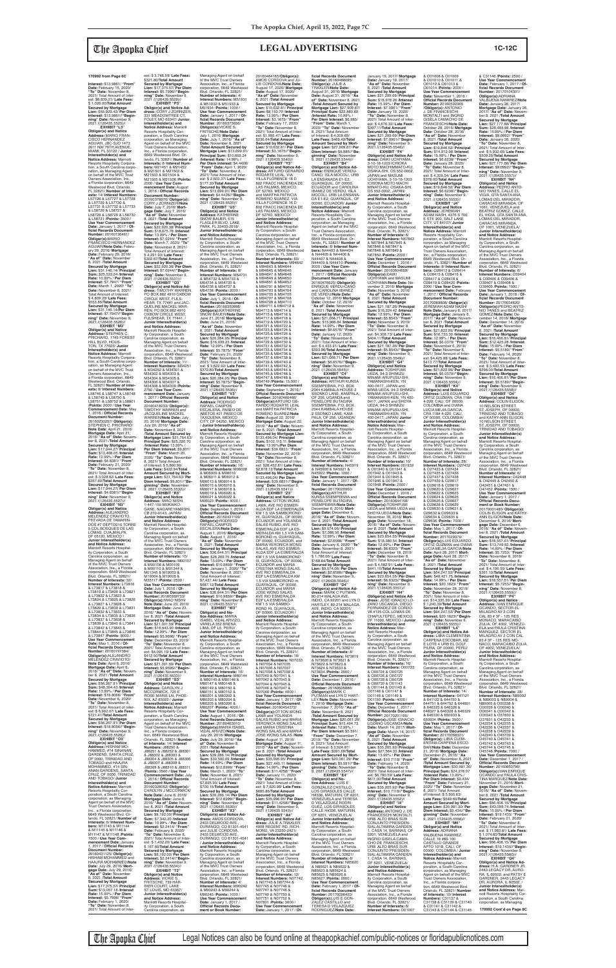**Interest:** \$13.9861/ **"From" Date:** February 15, 2020/ **"To" Date:** November 8, 2021/ Total Amount of Interest: \$8,839.21/ **Late Fees:** \$ 1,026.00/**Total Amount Secured by Mortgage Lien:** \$55,929.42/ **Per Diem Interest:** \$13.9861//**"Beginning" Date:** November 9,

2021 /(126435.5525)// **EXHIBIT "L3" Obligor(s) and Notice<br><b>Address:** MARIO FRAN-<br>CISCO HERNANDEZ<br>AGUIAR, JBC-SJO 1473 2011 NW 79TH AVENUE, MIAMI, FL 33122 / **Junior Interestholder(s) and Notice Address:** Marriott Resorts Hospitality Corporation, a South Carolina corporation, as Managing Agent<br>on behalf of the MVC Trust Owners Association, Inc.,<br>a Florida corporation, 6649<br>Westwood Blvd. Orlando,<br>FL 32821/ **Number of Interests:** 14/ **Interest Numbers:** L57726 & L57727 & L57728 & L57729 & L57730 & L57731 & L57732 & L57733 & L58726 & L58727 & L58728 & L58729 & L58730 & L58731 /**Points:** 3500 / **Use Year Commencement Date:** January 1, 2017 / **Of-**<br>ficial Records Document<br>Number: 20160136461/<br>Obligor(s):MARIO FRANCISCO HERNANDEZ AGUIAR/**Note Date:** February 29, 2016/ **Mortgage Date:** February 29, 2016/ **"As of" Date:** November 8, 2021 /**Total Amount Secured by Mortgage Lien:** \$31,146.14/ **Principal Sum:** \$25,533.04 /**Interest Rate:** 10.99% / **Per Diem Interest:** \$7.7947/ **"From" Date:** March 1, 2020/ **"To" Date:** November 8, 2021/ Total Amount of Interest: \$ 4,809.25/ **Late Fees:** \$553.85/**Total Amount Secured by Mortgage Lien:** \$31,146.14/**Per Diem Interest:** \$7.7947//**"Beginning" Date:** November 9, 2021 /(126435.5526)// **EXHIBIT "M3" Obligor(s) and Notice** 

**ning" Date:** November 9, 2021 /(126435.5527)// **EXHIBIT "N3" Obligor(s) and Notice Address:** ALEJANDRO MELENDEZ CRAVIOTO, PRTVADA DE TAMARIN-DOS #7 DEPTO210 TORRE 5 COL.BOSQUES DE LAS LOMAS, CUAJMALPA, DF 05120, MEXICO / **Junior Interestholder(s) and Notice Address:** riott Resorts Hospi ity Corporation, a South Carolina corporation, as Managing Agent on behalf of the MVC Trust Owners Association, hie., a Florida corporation, 6649 Westwood Blvd. Orlando, FL 32821/ **Number of Interests:** 32/ **Interest Numbers:** L73816<br>& L73817 & L73818 &<br>L73819 & L73820 & L73821 & L73822 & L73823 & L73824 & L73825 & L73826 & L73827 & L73828 & L73829 & L73830 & L73831 & L73832 & L73833 & L73834 & L73835 & L73836 & L73837 & L73838 & L73839 & L73840 & L73841 & L73842 & L73843 & L73844 & L73845 & L73846 & L73847 /**Points:** 8000 / **Use Year Commencement<br><mark>Date:</mark> May 1, 2016 / <mark>Of-</mark><br>ficial Records Document Number:** 20160197384/ **Obligor(s):**ALEJANDRO<br>MELENDEZ CRAVIOTO/ **Note Date:** April 6, 2016/ **Mortgage Date:** April 6, 2016/ **"As of" Date:** November 8, 2021 /**Total Amount Secured by Mortgage Lien:** \$56,267.91/ **Principal Sum:** \$48,394.43 /**Interest Rate:** 13.99% / **Per Diem Interest:** \$18.8066/ **"From" Date:** November 6, 2020/ **"To" Date:** November 8, 2021/ Total Amount of Interest: \$ 6,902.07/ **Late Fees:** \$721.41/**Total Amount Secured by Mortgage Lien:** \$56,267.91/ **Per Diem Interest:** \$18.8066//**"Beginning" Date:** November 9, 2021 /(126435.5528)// **EXHIBIT "O3" Obligor(s) and Notice Address:** HISHAM MO-HAMMED, #14 SINANAN GARDENS, SANTA CRUZ,<br>OF 0000, TRINIDAD AND<br>TOBAGO and HAAJRA MOHAMMED, #14 SIN-ANAN GARDENS, SANTA CRUZ, OF 0000, TRINIDAD AND TOBAGO/ **Junior Interestholder(s) and Notice Address:** Marriott Resorts Hospitality Corporation, a South Carolina corporation, as Managing Agent on behalf of the MVC Trust Owners Association, Inc., a Florida corporation, 6649 Westwood Blvd. Orlando, FL 32821/ **Number of Interests:** 6/ **Interest Numbers:** M11143 & M11144 & M11145 & M11146 & M11147 & M11148 /**Points:** 1500 / **Use Year Commencement Date:** January 1, 2017 / **Offi cial Records Document Number:** 20160431125/ **Obligor(s):** HlSHAM MOHAMMED and HAAJRA MOHAMMED/**Note Date:** July 29, 2016/ **Mort-gage Date:** July 29, 2016/ **"As of" Date:** November 8, 2021 /**Total Amount Secured by Mortgage Lien:** \$17,375.57/ **Principal Sum:** \$13,057.18 /**Interest Rate:** 15.99% / **Per Diem Interest:** \$5.7996/ **"From" Date:** February 1, 2020/ **"To" Date:** November 8, 2021/ Total Amount of Inter

**Address:** STEPHEN C. PRICHARD, 1745 FOREST HILL BLVD, HOUS-TON, TX 77023/ **Junior Interestholder(s) and Notice Address:** Marriott Resorts Hospitality Corpora-tion, a South Carolina corporation, as Managing Agent<br>on behalf of the MVC Trust Owners Association, Inc., a Florida corporation, 6649 Westwood Blvd. Orlando,<br>FL 32821/ **Number of Interests:** 8/ **Interest Numbers:** L58746 & L58747 & L58748 & L58749 & L58750 & L58751 & L58752 & L58801 /**Points:** 2000 / **Use Year Commencement Date:** May 1, 2016 / **Offi cial Records Document Number:** 20160230257/ **Obligor(s):** STEPHEN C. PRICHARD/ **Note Date:** April 21, 2016/ **Mortgage Date:** April 21, 2016/ **"As of" Date:** November 8, 2021 /**Total Amount Secured by Mortgage Lien:** \$17,044.27/ **Principal Sum:** \$13,408.05 /**Interest Rate:** 12.99% / **Per Diem Interest:** \$4.8381/ "**From"**<br> **Date:** February 21, 2020/<br>"To" Date: November 8,<br>
2021/ Total Amount of Inter-<br>est: \$3,028.62/ **Late Fees:**<br>\$357.60/**Total Amount Secured by Mortgage Lien:** \$17,044.27/ **Per Diem Interest:** \$4.8381//**"Begin-**

est: \$ 3,746.59/ **Late Fees:** \$321.80/**Total Amount Secured by Mortgage Lien:** \$17,375.57/ **Per Diem Interest:** \$5.7996//**"Begin-ning" Date:** November 9, 2021 /(126435.5529)// **EXHIBIT "P3" Obligor(s) and Notice Ad-dress:** CORY J ZORNIZER, 331 MEADOWTREE CT, FOLEY, MO 63347/ **Junior Interestholder(s) and<br>Notice Address: Marriott Notice Address:** Marriott<br>Resorts Hospitality Cor-<br>poration, a South Carolina<br>corporation, as Managing<br>Agent on behalf of the MVC Trust Owners Association, Inc., a Florida corporation, 6649 Westwood Blvd. Or-lando, FL 32821/ **Number of Interests:** 8/ **Interest Num-bers:** M21451 & M21452 & M21501 & M21502 & M21503 & M21504 & M21505 & M21506 /**Points:** 2000 / **Use Year Com-mencement Date:** August 1, 2016 / Official Records<br>Document Number: 20160378970/ **Obligor(s):** CORY J ZORNIZER/**Note Date:** July 7, 2016/ **Mortgage Date:** July 7, 2016/<br>**"As of" Date:** November<br>8, 2021 /**Total Amount Secured by Mortgage Lien:** \$22,920.38/ **Principal Sum:** \$18,075.78 /**Interest Rate:** 13.99% / **Per Diem Interest:** \$7.0244/ **"From" Date:** March 7, 2020/ **"To" Date:** November 8, 2021/ Total Amount of Interest: \$ 4,291.93/ **Late Fees:** \$302.67/**Total Amount Secured by Mortgage Lien:** \$22,920.38/ **Per Diem Interest:** \$7.0244//**"Begin-ning" Date:** November 9, 2021 /(126435.5531)// **EXHIBIT "Q3" Obligor(s) and Notice Ad-dress:** TIMOTHY WARREN, PO BOX 882 4910 OXBOW

CIRCLE WEST, FULS-HEAR, TX 77441 and JAC-QUELINE MACKEL WAR-REN, PO BOX 882 4910 OXBOW CIRCLE WEST, FULSHEAR, TX 77441, / **Junior Interestholder(s) and Notice Address:** Marriott Resorts Hospitality Corporation, a South Carolina corporation, as Managing Agent on behalf<br>of the MVC Trust Owners<br>Association, Inc., a Florida<br>corporation, 6649 Westwood Blvd. Orlando, FL 32821/ **Number of Interests:** 11/ **Interest Numbers:** M34251<br>& M34252 & M34301 &<br>M34302 & M34303 &<br>M34304 & M34305 & M34306 & M34307 & M34308 & M34309 /**Points:** 2750 / **Use Year Commencement Date:** January<br>1, 2017 / **Official Records Document Number:** 20160418233/ **Obligor(s):** TIMOTHY WARREN and JACQUELINE MACKEL WARREN/**Note Date:** July 20, 2016/ **Mortgage Date:** July 20, 2016/ **"As of" Date:** November 8, 2021 /**Total Amount Secured by Mortgage Lien:** \$31,754.63/ **Principal Sum:** \$25,220.70 /**Interest Rate:** 13.99% / **Per Diem Interest:** \$9,801/ **"From" Date:** March 20, 2020/ "To" Date: November 8, 2021/ Total Amount of Interest: \$ 5,860.99/ **Late Fees:** \$422.94/**Total Amount Secured by Mortgage Lien:** \$31,754.63/ **Per Diem Interest:** \$9.801//**"Beginning" Date:** November<br>9, 2021 /(126435.5532)//<br>**EXHIBIT "R3" Obligor(s) and Notice Address:** IWAO NISHI, 1-447-150 MUKAIKO-GANE, NAGAREYAMASHI, CB 270-0143, JAPAN/ **Junior Interestholder(s) and Notice Address:**

Marriott Resorts Hospital-ity Corporation, a South Carolina corporation, as

Managing Agent on behalf of the MVC Trust Owners Association, Inc., a Florida orporation, 664 Blvd. Orlando, FL 32821/ **Number of Interests:** 10/ **Interest Numbers:** M00107 & M00108 & M00109 & M00110 & M01344 & M01345 & M19003 & M19004 & M19005 & M35117 /**Points:** 2500 / **Use Year Commencement Date:** July 1, 2016 / **Offi cial Records Document Number:** 20160359733/ **Obligor(s):**IWAO NISHI/ **Note Date:** June 23, 2016/ **Mortgage Date:** June 23, 2016/ **"As of" Date:** Novem-ber 8, 2021 /**Total Amount Secured by Mortgage Lien:** \$21,301.59/ **Principal Sum:** \$16,543.90 /**Interest Rate:** 12.99% / **Per Diem Interest:** \$5.9696/ **"From" Date:** December 23, 2019/ **"To" Date:** November 8, 2021/ Total Amount of Interest: \$4,095.19/ **Late Fees:** \$412.50/**Total Amount Secured by Mortgage Lien:** \$21,301.59/ **Per Diem Interest:** \$5.9696//**"Beginning" Date:** November 9, 2021 /(126435.5533)// **EXHIBIT "S3" Obligor(s) and Notice Address:** CAROLYN J MCCORMICK, 720 E ROSE MARIE LN, PHOE-NIX, AZ 85022 / **Junior Interestholder(s) and Notice Address:** Marriott Resorts Hospitality Cor-poration, a South Carolina corporation, as Managing<br>Agent on behalf of the MVC<br>Trust Owners Association,<br>Inc., a Florida corporation, 6649 Westwood Blvd. Orlando, FL 32821/ **Number of Interests:** 14/ **Interest Numbers:** J88250 & J88251 & J88252 & J88301 & J88302 & J88303 & J88304 & J88305 & J88306 & J88307 & J88308 & J88309 & J88310 & J88311 /**Points:** 3500 / **Use Year Commencement Date:** July 2016 / **Official Records Document Number:** 20160328052/ **Obligor(s):** CAROLYN J MCCORMICK/ **Note Date:** June 8, 2016/<br>**Mortgage Date:** June 8,<br>2016/ **"As of" Date:** November 8, 2021 /**Total Amount Secured by Mortgage Lien:** \$9,192.00/ **Principal Sum:** \$7,342.20 /**Interest Rate:** 10.99% / **Per Diem Interest:** \$2.2414/ **"From" Date:** February 8, 2020/ **"To" Date:** November 8, 2021/ Total Amount of Inter est: \$ 1,432.20/ **Late Fees:** \$ 167.60/**Total Amount Secured by Mortgage Lien:** \$9,192.00/ **Per Diem Interest:** \$2.2414//**"Beginning" Date:** November 9, 2021 /(126435.5534)// **EXHIBIT "T3" Obligor(s) and Notice Address:** VICKIE S. FRITSCHE, 739 HAR-RIER COURT, LAKE ST LOUIS, MO 63367/ **Junior Interestholder(s) and Notice Address:** Marriott Resorts Hospitality Corporation, a South Carolina corporation, as

Managing Agent on behalf<br>of the MVC Trust Owners<br>Association, Inc., a Florida<br>corporation, 6649 Westwood Blvd. Orlando, FL 32821/ **Number of Interests:** 4/ **Interest Numbers:** M51931 & M51932 & M51933 & M51934 /**Points:** 1000 / **Use Year Commencement Date:** January 1, 2017 / **Of-fi cial Records Document Number:** 20160373656/ **Obligor(s):**VtCKIE S. FRITSCHE/**Note Date:** July 1, 2016/ **Mortgage Date:** July 1, 2016/ **"As of" Date:** November 8, 2021 /**Total Amount Secured by Mortgage Lien:** \$13,699.91/ **Principal Sum:** \$10,669.24 /**Interest Rate:** 14.99% / **Per Diem Interest:** \$4.4426/ **"From" Date:** April 1, 2020/ **"To" Date:** November 8, 2021/ Total Amount of Inter-est: \$ 2,603.37/ **Late Fees:** \$177.30/**Total Amount Secured by Mortgage Lien:** \$13,699.91/ **Per Diem Interest:** \$4.4426//**"Begin-ning" Date:** November 9, 2021 /(126435.5535)// **EXHIBIT "U3" Obligor(s) and Notice Address:** KATHERINE SNOW BAUER, 515 FLAGLER BLVD, LAKE<br>PARK. FL 33403-2618/ PARK, FL 33403-2618/ **Junior Interestholder(s) and Notice Address:** Marriott Resorts Hospitality Corporation, a South Carolina corporation, as Managing Agent on behalf of the MVC Trust Owners Association, Inc., a Florida corporation, 6649 Westwood Blvd. Orlando, FL 32821/<br>Number of Interests: 8/ **Number of Interests:** 8/<br>**Interest Numbers:** M54731<br>& M54732 & M54733 &<br>M54734 & M54735 & M54736 & M54737 & M54738 /**Points:** 2000 / **Use Year Commencement<br><b>Date:** July 1, 2016 / **Of-**<br>ficial Records Document **Number:** 20160350998/ **Obligor(s):**KATHERINE SNOW BAUER/**Note Date:** June 21, 2016/ **Mortgage Date:** June 21, 2016/ **"As of" Date:** November 8, 2021 /**Total Amount Secured by Mortgage Lien:** \$20,284.95/ **Principal Sum:** \$16,039.23 /**Interest Rate:** 12.99% / **Per Diem Interest:** \$5.7875/ **"From" Date:** February 21, 2020/ **"To" Date:** November 8, 2021/ Total Amount of Interest: \$ 3,622.92/ **Late Fees:** \$372.80/**Total Amount Secured by Mortgage Lien:** \$20,284.95/ **Per Diem Interest:** \$5.7875//**"Begin-ning" Date:** November 9, 2021 /(126435.5536)// **EXHIBIT "V3" Obligor(s) and Notice Address:** RODRIGO RAFAEL CAMPOS<br>ESCALERA, PASEO DE ABETOS #21 PASEO DE TAXQUENA, MEXICO CITY, DF 04250, MEXICO / **Junior Interestholder(s) and Notice Address:** Marriott Resorts Hospitality Corporation, a South Carolina corporation, as Managing Agent on behalf of the MVC Trust Owners Association, Inc., a Florida corporation, 6649 Westwood Blvd. Orlando, FL 32821/<br>**Number of Interests:** 16/<br>**Interest Numbers:** M06008<br>& M06009 & M06010 & M06011 & M06012 & M06013 & M06014 & M06015 & M06016 & M06017 & M06018 & M06019 & M06020 & M06021 & M06022 & M06023 /**Points:** 4000 / Use Year Commencement<br>Date: September 1, 2016 / **Date:** September 1, 2016 / **Offi cial Records Document Number:** 20160431199/ **Obligor(s):**RODRIGO RAFAEL CAMPOS ESCALERA/**Note Date:** August 1, 2016/ **Mortgage Date:** August 1, 2016/ **"As of" Date:** November 8, 2021 /**Total Amount Secured by Mortgage Lien:** \$36,644.31/ **Principal Sum:** \$28,269.75 /**Interest Rate:** 13.99% / **Per Diem Interest:** \$10.9859/ **"From" Date:** January 1, 2020/ "To **Date:** November 8, 2021/ Total Amount of Interest: \$7,437.44/ **Late Fees:** \$687.12/**Total Amount Secured by Mortgage Lien:** \$36,644.31/ **Per Diem Interest:** \$10.9859//**"Beginning" Date:** November 9, 2021 /(126435.5537)// **EXHIBIT "W3" Obligor(s) and No-tice Address:** MARIA ISABEL VIDAL ARVIZO, VARELA 352 BRENA, LIMA, OF L5, PERU/ **Junior Interestholder(s) and Notice Address:** Marriott Resorts Hospitality Corporation, a South Carolina corporation, as Managing Agent on behalf of the MVC Trust Owners Association, Inc., a Florida corporation, 6649 Westwood Blvd. Orlando, FL 32821/ **Number of Interests:** 16/ **Interest Numbers:** M80144 & M80145 & M80146 & M80147 & M80148 & M80149 & M80150 & M80151 & M80152 & M80201 & M80202 & M80203 & M80204 & M80205 & M80206 & M80207 /**Points:** 4000 / **Use Year Commencement Date:** August 1, 2016 / **Offi cial Records Document Number:** 20160463010/<br>**Obligor(s):**MARIA ISABEL<br>VIDAL ARVIZO/**Note Date:** July 29, 2016/ **Mortgage Date:** July 29, 2016/ **"As of" Date:** November 8, 2021 /**Total Amount Secured by Mortgage Lien:** \$39,286.14/ **Principal Sum:** \$30,500.09 /**Interest Rate:** 14.99% / **Per Diem Interest:** \$12.6999/ **"From" Date:** March 1, 2020/ **"To" Date:** November 8, 2021/ Total Amount of Interest: \$7,835.90/ **Late Fees:** \$700.15/**Total Amount Secured by Mortgage Lien:** \$39,286.14/ **Per Diem Interest:** \$12.6999//**"Begin-ning" Date:** November 9, 2021 /(126435.5539)// **EXHIBIT "X3" Obligor(s) and Notice Ad-dress:** AMOS CORDOVA, 2403 DELWOOD AVE., DURANGO, CO 81301-4541 and JULIE CORDOVA,<br>2403 DELWOOD AVE., DURANGO, CO 81301-4541 / **Junior Interestholder(s) and Notice Address:** Marriott Resorts Hospitality Corporation, a South Carolina corporation, as Managing Agent on behalf of the MVC Trust Owners Association, Inc., a Florida corporation, 6649 Westwood Blvd. Orlando, FL 32821/ **Number of Interests:** 4/ **Interest Numbers:** M90242 & M90243 & M90244 & M90245 /**Points:** 1000 / Use Year Commenceme **Date:** January 1, 2017 / **Offi cial Records Document or Book Number:** 20160464165/**Obligor(s):** AMOS CORDOVA and JU-LIE CORDOVA/**Note Date:** August 17, 2020/ **Mortgage Date:** August 17, 2020/ **"As of" Date:** November 8, 2021 /**Total Amount Secured by Mortgage Lien:** \$10,632.81/ **Principal Sum:** \$8,150.70 /**Interest Rate:** 13.99% / **Per Diem Interest:** \$3.1675/ **"From" Date:** February 17, 2020/ **"To" Date:** November 8, 2021/ Total Amount of Inter-est: \$1,995.47/ **Late Fees:** \$236.64/**Total Amount Secured by Mortgage Lien:** \$10,632.81/ **Per Diem Interest:** \$3.1675//**"Begin-ning" Date:** November 9, 2021 /(126435.5540)// **EXHIBIT "Y3" Obligor(s) and Notice Ad-dress:** ARTURO GERARDO RODARTE LEAL, VIA VILLA FLORENCE 16 D 802 FRACC HACIENDA DE LAS PALMAS, MEXICO, DF 52763, MEXICO and MARTHA PATRICIA **ROMERO SUAREZ, VIA<br>VILLA FLORENCE 16 D** VILLA FLORENCE 16 D 802 FRACC HACIENDA DE LAS PALMAS, MEXICO, DF 52763, MEXICO/ **Junior Interestholder(s) and Notice Address:** Marriott Resorts Hospital-ity Corporation, a South Carolina corporation, as Managing Agent on behalf of the MVC Trust Owners Association, Inc., a Florida corporation, 6649 Westwood Blvd. Orlando, FL 32821/ **Number of Interests:** 60/ **Interest Numbers:** M94642 & M94643 & M94644 & M94645 & M94646 & M94647 & M94648 & M94649 & M94650 & M94651 & M94652 & M94701 & M94702 & M94703 & M94704 & M94705 & M94706 & M94707 & M94708 & M94709 & M94710 & M94711 & M94712 & M94713 & M94714 & M94715 & M94716 & M94717 & M94718 & M94719 & M94720 & M94721 & M94722 & M94723 & M94724 & M94725 & M94726 & M94727 & M94728 & M94729 & M94730 & M94731 & M94732 & M94733 & M94734 & M94735 & M94736 & M94737 & M94738 & M94739 & M94740 & M94741 & M94742 & M94743 & M94744 & M94745 & M94746 & M94747 & M94748 & M94749 /**Points:** 15,000 / **Use Year Commencement Date:** September 1, 2016 / **Official Records Docu Number:** 20160460466/<br>**Obligor(s):**ARTURO GE-<br>RARDO RODARTE LEAL and MARTHA PATRICIA ROMERO SUAREZ/**Note Date:** August 22, 2016/ **Mortgage Date:** August 22, 2016/ **"As of" Date:** November 8, 2021 /**Total Amount Secured by Mortgage Lien:** \$133,496.04/ **Principal Sum:** \$102,115.11 /**Interest Rate:** 13.99%/**Per Diem Interest:** \$39.6831/ **"From" Date:** November 22, 2019/ **"To" Date:** November 8, 2021/ Total Amount of Inter-est: \$28,452.81/ **Late Fees:** \$2,678.12/**Total Amount Secured by Mortgage Lien:** \$133,496.04/ **Per Diem Interest:** \$39.6831//**"Beginning" Date:** November 9, 2021 /(126435.5541)// **EXHIBIT "Z3" Obligor(s) and Notice Address:** OTTON WONG LAMA, AVE RIO ESMER-ALDA EDF LA ESMERALDA KM 1.5 VIA SAMBOROND HI, GUAYAQUIL, OF 00000, ECUADOR and YOLANDA SALAS RUBIO, AVE RIO<br>ESMERALDA EDF LA ES-MERALDA KM 1.5 VIA SAM-BOROND m, GUAYAQUIL, OF 00000, ECUADOR, and MARIA VÉRONICA WÓNG<br>SALAS, AVE RIO ESMER-SALAS, AVE RIO ESMER-ALDA EDF LA ESMERALDA KM 1.5 VIA SAMBOROND III, GUAYAQUIL, OF 00000, ECUADOR and MARIA CRISTINA WONG SALAS, AVE RIO ESMERALDA EDF LA ESMERALDA KM 1.5 VIA SAMBOROND m, GUAYAQUIL, OF 00000, ECUADOR and MARIA JOSE WONG SALAS, AVE RIO ESMERALDA EDF LA ESMERALDA KM 1.5 VIA SAMBO-ROND HI, GUAYAQUIL, OF 00000, ECUADOR / **Junior Interestholder(s) and Notice Address:** Marriott Resorts Hospital-ity Corporation, a South Carolina corporation, as Managing Agent on behalf of the MVC Trust Owners Association, Inc., a Florida corporation, 6649 Westwood Blvd. Orlando, FL 32821/ **Number of Interests:** 16/ **Interest Numbers:** N07033 & N07034 & N07035 & N07036 & N07037 & N07038 & N07039 & N07040 & N07041 & N07042 & N07043 & N07044 & N07045 & N07046 & N07047 & N07048 /**Points:** 4000 / **Use Year Commencement Date:** January 1, 2017 / **Of-**<br>**ficial Records Document<br>Number: 20160454372/<br><b>Obligor(s):**OTTON WONG LAMA and YOLANDA SALAS RUBIO and MARIA VERONICA WONG SALAS and MARIA CRISTINA WONG SALAS and MARIA JOSE WONG SALAS /**Note Date:** August 11, 2016/ **Mortgage Date:** August 11, 2016/ **"As of" Date:** Novem-ber 8, 2021 /**Total Amount Secured by Mortgage Lien:** \$35,996.95/ **Principal Sum:** \$27,440.11 /**Interest Rate:** 14.99% / **Per Diem Interest:** \$11.4258/ **"From" Date:** January 11, 2020/<br>**"To" Date:** November 8,<br>2021/ Total Amount of Interest: \$ 7,620.98/ **Late Fees:** \$685.86/**Total Amount Secured by Mortgage Lien:** \$35,996.95/ **Per Diem Interest:** \$11.4258//**"Beginning" Date:** November 9, 2021 /(126435.5543)// **EXHIBIT "A4" Obligor(s) and Notice Ad-dress:** JULIE A TRAXLER, 4908 REGENT RD, RICH-MOND, VA 23230-2421/ **Junior Interestholder(s) and Notice Address:** Marriott Resorts Hospitality Corporation, a South Carolina corporation, as Managing Agent on behalf of the MVC Trust Owners Association, Inc., a Florida corporation, 6649 Westwood Blvd. Orlando, FL 32821/ **Number of Interests:** 12/ **Interest Numbers:** N07742 & N07743 & N07744 & N07745 & N07746 & N07747 & N07748 & N07749 & N07750 & N07751 & N07752 & N07801 /**Points:** 3000 / **Use Year Commencent Date:** January 1, 2017 / **Of-**

ORTIZ GUZMAN and DIANA<br>LUCIA MEJIA GARCIA/**Note** LUCIA MEJIA GARCIA/**Note Date:** April 28, 2017/ **Mortgage Date:** April 28, 2017/ **"As of" Date:** November 8, 2021 /**Total Amount Secured by Mortgage Lien:** \$64,247.53/ **Principal Sum:** \$48,421.75 /**Interest Rate:** 14.99% / **Per Diem Interest:** \$20.1623/ **"From" Date:** November 28, 2019/ **"To" Date:** November 8, 2021/ Total Amount of Inter est; \$14,335.39/ **Late Fees:** \$ 1,240.39/**Total Amount Secured by Mortgage Lien:** \$64,247.53/ **Per Diem Interest:** \$20.1623//**"Beginning" Date:** November 9, 2021 /(126435.5555)// **EXHIBIT "L4" Obligor(s) and Notice Ad-dress:** LIBIA CLEMENTINA CARPENA ESCOBAR, MZ E LOTE 4 URB EL GOLF, PIURA, OF 00000, PERU/ **Junior Interestholder(s) and Notice Address:** Marriott Resorts Hospitality Corporation, a South Carolina corporation, as Managing Agent on behalf<br>of the MVC Trust Owners<br>Association, Inc., a Florida<br>corporation, 6649 Westwood Blvd. Orlando, FL 32821/ **Number of Interests:** 14/ **Interest Numbers:** 641121 & 641122 & 644750 & 644751 & 644752 & 644801 & 646325 & 646326 & 646327 & 646328 & 646329 & 646330 & 650933 & 650934 /**Points:** 3500 / **Use Year Commencement Date:** May 1, 2017 / **Of-fi cial Records Document Number:** 20170068301/ **Obligor(s):** LIBIA CLEM-ENTINA CARPENA ESCO-<br>BAR/**Note Date:** Decembe BAR/Note Date: December<br>21, 2016/Mortgage Date:<br>December 21, 2016/ "As<br>of" Date: November 8, 2021<br>/Total Amount Secure by<br>Mortgage Lien: \$30,981.30/<br>Principal Sum: \$24,276.07 /**Interest Rate:** 13.99% / **Per Diem Interest:** \$9.434/ **"From" Date:** February 21, 2020/ "To" Date: Novembe 8, 2021/ Total Amount of Interest: \$ 5,905.63/ **Late Fees:** \$549.60/**Total Amount Secured by Mort-gage Lien:** \$30,981.30/ **Per Diem Interest:** \$9.434//**"Beginning" Date:** November 9, 2021 /(126435.5556)// **EXHIBIT "M4" Obligor(s) and Notice Address:** ADRIANA VALBUENA RAMIREZ, CALLE 18 #69-100 CASTILLO GRANDE APTO 101B, CALI, OF 00000, COLOMBIA / **Junior Interestholder(s) and Notice Address:** Marriott Resorts Hospitality Corporation, a South Carolina corporation, as Managing Agent on behalf of the MVC Trust Owners Association, Inc., a Florida corpora-tion, 6649 Westwood Blvd. Orlando, FL 32821/ **Number of Interests:** 10/ **Interest Numbers:** C31137 & C31138 & C31139 & C31140 & C31141 & C31142 & C31143 & C31144 & C31145 **170992 Cont'd on Page 8C**

**fi cial Records Document Number:** 20160488095/ **Obligor(s):** JULIE A TRAXLER/**Note Date:** August 31, 2016/ **Mortgage Date:** August 31, 2016/ **"As of" Date:** November 8, 2021 /**Total Amount Secured by Mortgage Lien:** \$27,909.87/ **Principal Sum:** \$22,880.69 /**Interest Rate:** 10.99% / **Per Diem Interest:** \$6.985/ **"From" Date:** March 1, 2020/ "To" Date: Novembe<br>8, 2021/ Total Amount 8, 2021/ Total Amount<br>of Interest: \$ 4,309.69/<br>**Late Fees:** \$469.49/**Total**<br>**Amount Secured by Mortgage Lien:** \$27,909.87/ **Per Diem Interest:** \$6.985//**"Beginning" Date:** November 9, 2021 /(126435.5544)// **EXHIBIT "B4" Obligor(s) and Notice Address:** ENRIQUE VERDU-CANO, ISLA MOCOLI, URB LA ENSANADA E1-E2,<br>GUAYAQUIL, OF 00000,<br>ECUADOR and CAROLINA<br>IBANEZ DE VERDU, ISLA MOCOLI, URB LA ENSANA-DA E1-E2, GUAYAQUIL, OF 00000, ECUADOR/ **Junior Interestholder(s) and Notice Address:** Marriott Resorts Hospitality Cor-<br>poration, a South Carolina poration, a South Carolina corporation, as Managing Agent on behalf of the MVC Trust Owners Association, Inc., a Florida corporation, 6649 Westwood Blvd. Orlando, FL 32821/ **Number of Interests:** 8/ **Interest Num-bers:** N44403 & N44404 & N44405 & N44406 & N44407 & N44408 & N44409 & N44410 /**Points:** 2000 / **Use Year Commencement Date: January 1, 2017 / Official Records Document Number:** 20160576625/ **Obligor(s):** ENRIQUE VERDU-CANO and CAROLINA IBANEZ DE VERDU/**Note Date:** October 12, 2016/ **Mortgage Date:** October 12, 2016/ **"As of" Date:** November 8, 2021 /**Total Amount Secured by Mortgage Lien:** \$21,066.71/ **Principal Sum:** \$15,988.84 /**Interest Rate:** 14.99% / **Per Diem Interest:** \$6.6576/ **"From" Date:** January 12, 2020/ **"To" Date:** November 8, 2021/ Total Amount of Inter-est: \$ 4,433.91/ **Late Fees:** \$393.96/**Total Amount Secured by Mortgage Lien:** \$21,066.71/ **Per Diem Interest:** \$6.6576//**"Beginning" Date:** November 9, 2021 /(126435.5545)// **EXHIBIT "C4" Obligor(s) and Notice Address:** ARTHUR KUNSA SSEMPEBWA, P.O. BOX 2344 KAMBALA HOUSE 2 SSONKO LANE, KAMPALA, OF 256, UGANDA and PENELOPE BUTAGIRA SSEMPEBWA, P.O. BOX 2344 KAMBALA HOUSE 2 SSONKO LANE, KAM-PALA, OF 256, UGANDA/ **Junior Interestholder(s) and Notice Address:** Marriott Resorts Hospitality Corporation, a South Carolina corporation, as Managing Agent on behalf of the MVC Trust Owners Association, Inc., a Florida corporation, 6649 Westwood Blvd. Orlando, FL 32821/ **Number of Interests:** 4/ **Interest Numbers:** N45919 & N45920 & N45921 & N45922 /**Points:** 1000 / **Use Year Commencement Date:** January 1, 2017 / **Of-fi cial Records Document Number:** 20170020960/<br>**Obligor(s):**ARTHUR<br>KUNSA SSEMPEBWA and<br>PENELOPE BUTAGIRA SSEMPEBWA/**Note Date:** December 6, 2016/ **Mortgage Date:** December 6, 2016/ **"As of" Date:** Novem-ber 8, 2021 /**Total Amount Secured by Mortgage Lien:** \$9,574.06/ **Principal Sum:** \$7,368.56 /**Interest Rate:** 12.99% / **Per Diem Interest:** \$2.6588/ **"From" Date:** January 6, 2020/ **"To" Date:** November 8, 2021/ Total Amount of Interest: \$ 1,786.66/ **Late Fees:** \$168.84/**Total Amount Secured by Mortgage Lien:** \$9,574.06/ **Per Diem Interest:** \$2.6588//**"Beginning" Date:** November 9, 2021 /(126435.5546)// **EXHIBIT "D4" Obligor(s) and Notice Ad-dress:** MARK C PUTMAN, 80-214 MALAGA AVE, INDIO, CA 92201 and LYN D HARTLEY 80-214 MALAGA AVE, INDIO, CA 92201/ **Junior Interestholder(s) and Notice Address:** Marriott Resorts Hospital-ity Corporation, a South Carolina corporation, as Managing Agent on behalf of the MVC Trust Owners Association, Inc., a Florida corporation, 6649 Westwood Blvd. Orlando, FL 32821/ **Number of Interests:** 8/<br>**Interest Numbers:** N73619<br>& N73620 & N73621 &<br>N73622 & N73623 & N73624 & N73633 & N73634 /**Points:** 2000 / **Use Year Commencement<br><b>Date:** December 1, 2016 /<br>**Official Records Document Number:** 20160605886/ **Obligor(s):**MARK C PUTMAN and LYN D HART-LEY/**Note Date:** Novemb 7, 2016/ **Mortgage Date:** November 7, 2016/ **"As of" Date:** November 8, 2021 /**Total Amount Secured by Mortgage Lien:** \$20,061.29/ **Principal Sum:** \$15,494.73 /**Interest Rate:** 12.99% / **Per Diem Interest:** \$5.591/ **"From" Date:** December 7, 2019/ **"To" Date:** November 8, 2021/ Total Amount of Interest: \$ 3,924.87/ **Late Fees:** \$391.69/**Total Amount Secured by Mortgage Lien:** \$20,061.29/ **Per Diem Interest:** \$5.591//**"Be-ginning" Date:** November 9, 2021 /(126435.5547)// **EXHIBIT "E4" Obligor(s) and No-tice Address:** LUIS E GONZALEZ CASTILLO, LOS GIRASOLES CALLE H#336, MATURIN, OF 6201, VENEZUELA and TERESA D VELAZQUEZ RODRI-GUEZ, LOS GIRASOLES CALLE H#336, MATURIN, OF 6201, VENEZUELA/ **Junior Interestholder(s) and Notice Address:** Marriott Resorts Hospitality Corporation, a South Carolina corporation, as Managing Agent on behalf of the MVC Trust Owners Association, Inc., a Florida corporation, 6649 Westwood Blvd. Orlando, FL 32821/ **Number of Interests:** 8/ **Interest Numbers:** N85620 & N85621 & N85622 & N85623 & N85624 & N85625 & N85626 & N85627 /**Points:** 2000 / **Use Year Commencement Date:** February 1, 2017 / **Official Records Document<br><b>Number:** 20170096420/<br>**Obligor(s):**LUIS E GON-<br>ZALEZ CASTILLO and TERESA D VELAZQUEZ RODRIGUEZ/**Note Date: Rate:** 12.99% / **Per Diem** 

January 19, 2017/ **Mortgage Date:** January 19, 2017/ **"As of" Date:** November 8, 2021 /**Total Amount Secured by Mortgage Lien:** \$21,299.69/ **Principal Sum:** \$15,976.26 /**Interest Rate:** 15.99% / **Per Diem Interest:** \$7.0961/ **"From" Date:** January 19, 2020/ **"To" Date:** November 8, 2021/ Total Amount of Inter-est: \$ 4,676.32/ **Late Fees:** \$397.11/**Total Amount Secured by Mortgage Lien:** \$21,299.69/ **Per Diem Interest:** \$7.0961//**"Beginning" Date:** November 9, 2021 /(126435.5548)// **EXHIBIT "F4" Obligor(s) and Notice Ad-dress:** DAIKI UCHIYAMA, 3-10-16-1203 ICHIOKA MOTO MACHIMMATO-KU, OSAKA-SHI, OS 552-0002,<br>JAPAN and MASUMI<br>ICHIYAMA, 3-10-16-1203<br>ICHIOKA MOTO MACHI<br>MINATO-KU, OSAKA-SHI,<br>OS 552-0002, JAPAN/ **Junior Interestholder(s) and Notice Address:** Marriott Resorts Hospital-ity Corporation, a South Carolina corporation, as Managing Agent on behalf of the MVC Trust Owners Association, Inc., a Florida<br>corporation, 6649 Westwood<br>Blvd. Orlando, FL 32821/<br>**Number of Interests:** 8/<br>**Interest Numbers:** N67843 & N67844 & N67845 &

N67846 & N67847 & N67848 & N67849 & N67850 /**Points:** 2000 / **Use Year Commencement Date:** December 1, 2016 / **Official Records Document<br><b>Number:** 20160604659/<br>**Obligor(s):DAIKI**<br>UCHIYAMA and MASUMI<br>UCHIYAMA/**Note Date:** No-<br>vember 3, 2016/ **Mortgage Date:** November 3, 2016/ **"As of" Date:** November 8, 2021 /**Total Amount Secured by Mortgage Lien:** \$21,187.26/ **Principal Sum:** \$16,224.42 /**Interest Rate:** 12.99% / **Per Diem Interest:** \$5.8543/ **"From" Date:** November 3, 2019/ **"To" Date:** November 8, 2021/ Total Amount of Inter-est: \$4,308.73/ **Late Fees:** \$404.11/**Total Amount Secured by Mortgage Lien:** \$21,187.26/ **Per Diem Interest:** \$5.8543//**"Beginning" Date:** November 9, 2021 /(126435.5549)// **EXHIBIT "G4" Obligor(s) and Notice Address:** TOSHIFUMI<br>UEDA, 94-3 SHIMIZU<br>MINAMI ARUPUSU-SHI, YAMANASHI-KEN, YN 400-0417, JAPAN and MIWA UEDA, 94-3 SHIMIZU<br>MINAMI ARUPUSU-SHI. MINAMI ARUPUSU-SHI,<br>YAMANASHI-KEN, YN 400-<br>0417, JAPAN and SHOYA<br>UEDA, 94-3 SHIMIZU **Interestholder(s) and Notice Address:** Marriott Resorts Hospital-

MINAMI ARUPUSU-SHI, YAMANASHI-KEN, YN 400-0417, JAPAN/ **Junior**  ity Corporation, a South Carolina corporation, as Managing Agent on behalf of the MVC Trust Owners Association, Inc., a Florida corporation, 6649 Westwood **Blvd. Orlando, FL 32821/<br><b>Interest Numbers:** 001939<br>*Interest Numbers: 001940***<br>& 001940 & 001943 &<br>001942 & 001943 &<br>001944 & 001945 &** O01946 & O01947 & O01948 /**Points:** 2500 / **Use Year Commencement Date:** December 1, 2016 / **Official Records Docume Number:** 20160644158/ **Obligor(s):**TOSHIFUMI UEDA and MIWA UEDA and SHOYA UEDA/**Note Date:** November 18, 2016/ **Mortgage Date:** November 18, 2016/ **"As of" Date:** Novem-ber 8, 2021 /**Total Amount Secured by Mortgage Lien:** \$23,654.55/ **Principal Sum:** \$18,380.54 /**Interest** 

**Interest:** \$6.6323/ **"From" Date:** December 18, 2019/ **"To" Date:** November 8, 2021/ Total Amount of Inter-est: \$ 4,582.91/ **Late Fees:** \$441.10/**Total Amount Secured by Mortgage Lien:** \$23,654.55/ **Per Diem Interest:** \$6.6323//**"Beginning" Date:** November 9, 2021 /(126435.5551)// **EXHIBIT "H4" Obligor(s) and Notice Address:** JOSE IGNACIO LO-ZANO USCANGA, DIEGO FERNANDEZ DE CORDO-VA #125 COL LOMAS DE CHAPULTEPEC, MEXICO, DF 11000, MEXICO / **Junior Interestholder(s) and Notice Address:** Marriott Resorts Hospitality Corporation, a South Carolina corporation, as Managing Agent on behalf of the MVC Trust Owners Association, Inc., a Florida corporation, 6649 Westwood Blvd. Orlando, FL 32821/ **Number of Interests:** 16/ **Interest Numbers:** O00723 & O00724 & O00725 & O00726 & O00727 & O00728 & O00729 & O00730 & O01143 & O01144 & O01145 & O01146 & O01147 & O01148 & O01149 & O01150 /**Points:** 4000 / **Use Year Commencement<br>Date:** December 1, 2017 /<br>Official Records Document **Number:** 20170201195/ **Obligor(s):**JOSE IGNACIO LOZANO USCANGA/**Note Date:** March 14, 2017/ **Mort-gage Date:** March 14, 2017/ **"As of" Date:** November 8, 2021 /**Total Amount Secured by Mortgage Lien:** \$35,205.92/ **Principal Sum:** \$27,564.33 /**Interest Rate:** 13.99% / **Per Diem Interest:** \$10.7118/ **"From" Date:** February 14, 2020/ **"To" Date:** November 8, 2021/ Total Amount of Inter-est: \$6,780.59/ **Late Fees:** \$611.00/**Total Amount Secured by Mortgage Lien:** \$35,205.92/ **Per Diem Interest:** \$10.7118//**"Begin-ning" Date:** November 9, 2021 /(126435.5552)// **EXHIBIT "I4" Obligor(s) and Notice Address:** ANTONIO J. DE FRANCESCHI MONTALTI, URB. ALTO BRAS SUR CONJUNTO PRESIDEN-SIAL ALTAMIRA GARDEN 1, CASA 14, BARINAS, OF 5201, VENEZUELA and INGRID GISELA CAMA-CHO DE FRANCESCHI,<br>URB. ALTO BRAS SUR<br>CONJUNTO PRESIDEN-<br>SIAL ALTAMIRA GARDEN 1, CASA 14, BARINAS, OF 5201, VENEZUELA/ **Junior Interestholder(s) and Notice Address:** Marriott Resorts Hospitality Corporation, a South Carolina corporation, as Managing Agent on behalf<br>of the MVC Trust Owners<br>Association, Inc., a Florida<br>corporation, 6649 Westwood Blvd. Orlando, FL 32821/ **Number of Interests:** 8/ **Interest Numbers:** O01007

& O01008 & O01009 & O01010 & O01011 & O01012 & O01013 & O01014 /**Points:** 2000 / **Use Year Commencement Date:** November 1, 2016 /<br>**Official Records Document Number:** 20160592365<br>/**Obligor(s):** ANTONIO<br>J. DE FRANCESCHI MONTALTI and INGRID GISELA CAMACHO DE FRANCESCHI/**Note Date:** October 28, 2016/ **Mortgage Date:** October 28, 2016/ **"As of" Date:** November 8, 2021 /**Total Amount Secured by Mortgage Lien:** \$19,846.52/ **Principal Sum:** \$14,912.98 /**Interest Rate:** 15.99% / **Per Diem Interest:** \$6.6238/ **"From" Date:** January 28, 2020/ **"To" Date:** November 8, 2021/ Total Amount of Interest: \$ 4,305.54/ **Late Fees:** \$378.00/**Total Amount Secured by Mortgage Lien:** \$19,846.52/ **Per Diem Interest:** \$6.6238//**"Begin-ning" Date:** November 9, 2021 /(126435.5553)// **EXHIBIT "J4" Obligor(s) and Notice Address:** JEREMIAH ADAM NASH, 4376 S 700 E STE 200, SALT LAKE CITY, UT 84107/ **Junior Interestholder(s) and Notice Address:** Marriott Resorts Hospitality Corporation, a South Carolina corporation, as Managing<br>Agent on behalf of the MVC<br>Trust Owners Association,<br>Inc., a Florida corporation, 6649 Westwood Blvd. Orlando, FL 32821/ **Number of Interests:** 8/ **Interest Numbers:** O28413 & O28414 & O28415 & O28416 & O28417 & O28418 & O28419 & O28420 /**Points:** 2000 / **Use Year Com-mencement Date:** February 1, 2017 / **Offi cial Records Document Number:** 20170068808/ **Obligor(s):** JEREMIAH ADAM NASH/ **Note Date:** January 6, 2017/ **Mortgage Date:** January 6, 2017/ **"As of" Date:** Novem-ber 8, 2021 /**Total Amount Secured by Mortgage Lien:** \$21,822.95/ **Principal Sum:** \$16,733.30 /**Interest Rate:** 12.99% / **Per Diem Interest:** \$6.0379/ **"From" Date:** November 6, 2019/ **"To" Date:** November 8, 2021/ Total Amount of Inter-est: \$4,425.88/ **Late Fees:** \$413.77/**Total Amount Secured by Mortgage Lien:** \$21,822.95/ **Per Diem Interest:** \$6.0379//**"Beginning" Date:** November 9, 2021 /(126435.5554)// **EXHIBIT "K4" Obligor(s) and Notice Address:** LUIS EDUARDO ORTIZ GUZMAN, CRA 118# 4-220, CALI, OF 00000, COLOMBIA and DIANA LUCIA MEJIA GARCIA,<br>CRA 118# 4-220, CALI,<br>OF 00000, COLOMBIA/<br>**Junior Interestholder(s)<br>and Notice Address:**<br>Marriott Resorts Hospitality Corporation, a South Carolina corporation, as Managing Agent on behalf of the MVC Trust Owners Association, Inc., a Florida corporation, 6649 Westwood Blvd. Orlando, FL 32821/ **Number of Interests: 28/<br><b>Interest Numbers:** O27432<br>& O27433 & O27434 & O27435 & O27436 & O27437 & O27438 & O27439 & O29617 & O29618 & O29619 & O29620 & O29621 & O29622 & O29623 & O29624 & O29625 & O29626 & O29627 & O29628 & O29629 & O29630 & O29631 & O29632 & O29633 & & C31146 /**Points:** 2500 / **Use Year Commencement<br><b>Date:** February 1, 2017 / **Of-**<br>**ficial Records Document<br>Number: 20170104301/ Obligor(s):**ADRIANA VALBUENA RAMIREZ/**Note** 

O29634 & O29635 & O29636 /**Points:** 7000 / **Use Year Commencement Date:** May 1, 2017 / **Offi cial Records Document Number:** 2017029979/ **Obligor(s):**LUIS EDUARDO

**Date:** January 26, 2017/ **Mortgage Date:** January 26, 2017/ **"As of" Date:** November 8, 2021 /**Total Amount Secured by Mortgage Lien:** \$27,177.88/ **Principal Sum:** \$20,485.98 /**Interest Rate:** 15.99% / **Per Diem Interest:** \$9.0992/ **"From" Date:** January 26, 2020/ **"To" Date:** November 8, 2021/ Total Amount of Interest: \$ 5,932.65/ **Late Fees:** \$509.25/**Total Amount Secured by Mortgage Lien:** \$27,177.88/ **Per Diem Interest:** \$9.0992//**"Beginning" Date: November** 2021 /(126435.5557)// **EXHIBIT "N4" Obligor(s) and Notice Address:** PEDRO ANTO-NIO YANES, CALLE EL VIGIA, QTA SANTA ANA, LOMAS DEL MIRADOR, CARACAS MIRANDA, OF 1061, VENEZUELA and BEATRIZ GOMEZ, CALLE EL VIGIA, QTA SANTA ANA,<br>LOMAS DEL MIRADOR, CARACAS MIRANDA,<br>OF 1061, VENEZUELA/<br>**Junior Interestholder(s)**<br>**and Notice Address:** Marriott Resorts Hospitality Corporation, a South Carolina corporation, as Managing Agent on behalf of the MVC Trust Owners Association, Inc., a Florida corporation, 6649 Westwood Blvd. Orlando, FL 32821/ **Number of Interests:** 6/ **Interest Numbers:** O39404<br>& O39405 & O39406 &<br>O39407 & O39408 & O39409 /**Points:** 1500 / Use Year Commencement<br>
Date: January 1, 2018 / Of-<br> **ficial Records Document<br>
Number:** 20170034620/<br>
Obligor(s):PEDRO ANTO-<br>
NIO YANES and BEATRIZ<br>
GOMEZ/**Note Date:** De-<br>
GOMEZ/**Note Date:** December 14, 2016/ **Mortgage Date:** December 14, 2016/ **"As of" Date:** November 8, 2021 /**Total Amount Secured by Mortgage Lien:** \$16,466.81/ **Principal Sum:** \$12,425.28 /**Interest Rate:** 15.99% / **Per Diem Interest:** \$5.5189/ **"From" Date:** February 14, 2020. **"To" Date:** November 8, 2021/ Total Amount of Interest: \$ 3,493.53/ **Late Fees:** \$298.00/**Total Amount Secured by Mortgage Lien:** \$16,466.81/ **Per Diem Interest:** \$5.5189//**"Begin-ning" Date:** November 9, 2021 /(126435.5558)// **EXHIBIT "O4" Obligor(s) and Notice Address:** COLIN ELIGON, 10 NELSON STREET,<br>ST JOSEPH, OF 00000 ST JOSEPH, OF 00000,<br>TRINIDAD AND TOBAGO<br>and KATHY-ANN ELIGON,<br>10 NELSON STREET,<br>ST JOSEPH, OF 00000,<br>TRINIDAD AND TOBAGO/ **Junior Interestholder(s) and Notice Address:** Marriott Resorts Hospitality Corporation, a South Carolina corporation, as Managing Agent on behalf of the MVC Trust Owners Association, Inc., a Florida corporation, 6649 Westwood Blvd. Orlando, FL 32821/ **Number of Interests:** 6/ **Interest Numbers:** O42448 & O42449 & O42450 & O42451 & O47451 & O47452 /**Points:** 1500 / Use Year Commencem **Date:** January 1, 2017 / **Offi cial Records Document or Book Number:** 20170001480/ **Obligor(s):** COLIN ELIGON and KATHY-ANN ELIGON/**Note Date:** December 6, 2016/ **Mort-gage Date:** December 6, 2016/ **"As of" Date:** November 8, 2021 /**Total Amount Secured by Mortgage Lien:** \$18,557.61/ **Principal Sum:** \$13,749.92 /**Interest Rate:** 14.99% / **Per Diem Interest:** \$5.7253/ **"From" Date:** November 6, 2019/ **"To" Date:** November 8, 2021/ Total Amount of Interest: \$ 4,196.59/ **Late Fees:** \$361.10/**Total Amount Secured by Mortgage Lien:** \$18,557.61/ **Per Diem Interest:** \$5.7253//**"Beginning" Date:** November 8, 2021 /(126435.5559)// **EXHIBIT "P4" Obligor(s) and Notice Address:** IVAN ENRIQUE OCANDO, SECTOR EL MILAGRO AV 2 CON CAL 83 # 3F - 125 RES MONACO, MARACAIBO ZULIA, OF 4002, VENEZU-ELA and PAULA CRISTINA MARQUEZ, SECTOR EL MILAGRO AV 2 CON CAL 83 # 3F - 125 RES MO-NACO, MARACAIBO ZULIA, OF 4002, VENEZUELA **Junior Interestholder(s)<br><b>and Notice Address:**<br>Marriott Resorts Hospitality Corporation, a South Carolina corporation, as Managing Agent on behalf of the MVC Trust Owners Association, Inc., a Florida corporation, 6649 Westwood Blvd. Orlando, FL 32821/ **Number of Interests:** 28/ **Interest Numbers:** N89002 & N89003 & N89004 & N89005 & O00338 & O00339 & O00340 & O00341 & O00342 & O00343 & O37830 & O37831 & O42233 & O42234 & O42235 & O42236 & O42237 & O42238 & O42239 & O42240 & O45739 & O45740 & O45741 & O45742 & O45743 & O45744 & O45745 & O45746 /**Points:** 7000 / **Use Year Commencement Date:** December 1, 2017 / **Offi cial Records Document Number:** 20160650796/ **Obligor(s):**IVAN ENRIQUE OCANDO and PAULA CRIS-TINA MARQUEZ/**Note Date:** November 21, 2016/ **Mort-gage Date:** November 21, 2016/ **"As of" Date:** November 8, 2021 /**Total Amount Secured by Mortgage Lien:** \$56,408.15/ **Principal Sum:** \$43,099.74 /**Interest Rate:** 15.99% / **Per Diem Interest:** \$19.1435/ **"From" Date:** February 21, 2020/<br>"**To" Date:** November 8,<br>2021/ Total Amount of Inter-<br>est: \$ 11,983.81/ **Late Fees:** \$ 1,074.60/**Total Amount Secured by Mortgage Lien:** \$56,408.15/ **Per Diem Interest:** \$19.1435//**"Beginning" Date:** November 9, 2021 /(126435.5560)// **EXHIBIT "Q4" Obligor(s) and Notice Ad-dress:** H.A. GARDNER JR, 2443 LEGACY DR, AURO-RA, IL 60502, and PATSY E GARDNER, 2443 LEGACY DR, AURORA, IL 60502, **Junior Interestholder(s) and Notice Address:** Marriott Resorts Hospitality Corporation, a South Carolina corporation, as Managing

### **170992 from Page 6C**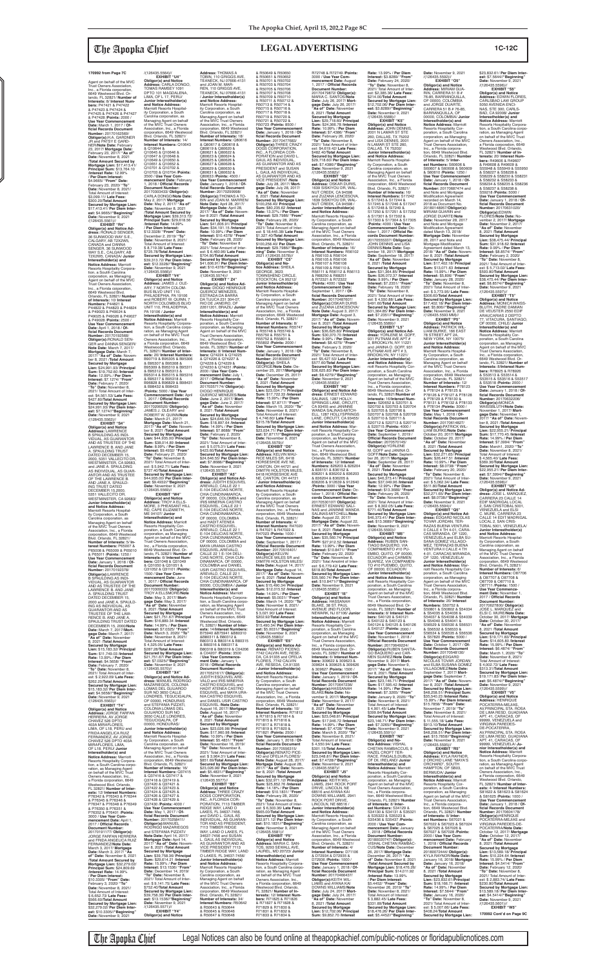Agent on behalf of the MVC Trust Owners Association, Inc., a Florida corporation, 6649 Westwood Blvd. Or-lando, FL 32821/ **Number of Interests:** 8/ **Interest Numbers:** P47421 & P47422 & P47423 & P47424 & P47425 & P47426 & P47427 & P47428 /**Points:** 2000 / **Use Year Commencer Date:** March 1, 2017 / **Offi cial Records Document Number:** 20170162569/ **Obligor(s):**H.A. GARDNER JR and PATSY E GARD-NER/**Note Date:** February 23, 2017/ **Mortgage Date:** February 23, 2017/ **"As of" Date:** November 8, 2021 /**Total Amount Secured by Mortgage Lien:** \$17,413.41/ **Principal Sum:** \$13,764.10 /**Interest Rate:** 12.99% / **Per Diem Interest:** \$4.9665/ **"From" Date:** February 23, 2020/ **"To" Date:** November 8, 2021/ Total Amount of Interest: \$3,099.11/ **Late Fees:** \$300.20/**Total Amount Secured by Mortgage Lien:** \$17,413.41/ **Per Diem Interest:** \$4.9665//"**Beginning"**<br>**Date:** November 9, 2021<br>/(126435.5561)//

**EXHIBIT "S4" Obligor(s) and Notice Address:** LAWRENCE B SPAULDING AS INDI-VIDUAL, AS GUARANTOR AND AS TRUSTEE OF THE LAWRENCE B. AND JANE A. SPAULDING TRUST DATED DECEMBER 15, 2000, 5351 VALLECITO DR, WESTMINSTER, CA 92683, and JANE A. SPAULDING<br>AS INDIVIDUAL, AS GUAR-<br>ANTOR AND AS TRUSTEE<br>OF THE LAWRENCE B. AND JANE A. SPAULD-ING TRUST DATED DECEMBER 15,2000,<br>5351 VALLECITO DR,<br>WESTMINSTER, CA 92683/

**EXHIBIT "R4" Obligor(s) and Notice Ad-dress:** RONALD SENGER, 36 SUNWOOD WAY S.E., CALGARY, AB T2X2W5, CANADA and DANNA SENGER, 36 SUNWOOD WAY S.E., CALGARY, AB T2X2W5, CANADA/ **Junior Interestholder(s) and Notice Address:** Marriott Resorts Hospitality Corporation, a Soutih Carolina corporation, as Managing Agent on behalf of the MVC Trust Owners Association, Inc., a Florida coiporation, 6649 Westwood Blvd. Orlando, FL 32821/ **Number of Interests:** 10/ **Interest Numbers:** P44821 &<br>P44822 & P44823 & P44824<br>& P49023 & P49024 & P49025 & P49026 & P49027 & P49028 /**Points:** 2500 / **Use Year Commencement Date:** April 1, 2018 / **Of-fi cial Records Document Number:** 20170192568/ **Obligor(s):**RONALD SEN-GER and DANNA SENGER/ **Note Date:** March 7, 2017/ **Mortgage Date:** March 7, 2017/ **"As of" Date:** Novem-ber 8, 2021 /**Total Amount Secured by Mortgage Lien:** \$24,991.93/ **Principal Sum:** \$19,752.60 /**Interest Rate:** 12.99% / **Per Diem Interest:** \$7.1274/ **"From" Date:** February 7, 2020/ **"To" Date:** November 8, 2021/ Total Amount of Inter-<br>est: \$4.561.53/ Late Fees: est: \$4,561.53/ **Late Fees:** \$427.80/**Total Amount Secured by Mortgage Lien:** \$24,991.93/ **Per Diem Interest:** \$7.1274//**"Beginning" Date:** November 9, 2021 /(126435.5562)//

> **Secured by Mortgage Lien:** \$44,935.00/ **Per Diem Inter-est:** \$9.4932//**"Beginning" Date:** November 9, 2021 /(126435.5569)// **EXHIBIT "W4" Obligor(s) and Notice Address:** TROY A ELLS-MORE, 3 PHEASANT HILL RD, CAPE ELIZABETH, ME 04107/ **Junior Interestholder(s) and Notice Address:** Marriott<br>Resorts Hospitality Cor-<br>poration, a South Carolina corporation, as Managing Agent on behalf of the MVC Trust Owners Association, Inc., a Florida corporation, 6649 Westwood Blvd. Or-lando, FL 32821/ **Number of Interests:** 6/ **Interest Numbers:** Q31048 & Q31049 & Q31050 & Q31051 & Q31052 & Q31101 /**Points:** 1500 / **Use Year Com-mencement Date:** June 1, 2017 / **Offi cial Records Document Number:** 20170309333/ **Obligor(s):** TROY A ELLSMORE/**Note Date:** May 3, 2017/ **Mort-gage Date:** May 3, 2017/ As of" Date: Novembe 8, 2021 /**Total Amount Secured by Mortgage Lien:** \$21,751.67/ **Principal Sum:** \$16,889.34 /**Interest Rate:** 14.99% / **Per Diem Interest:** \$7.0325/ **"From" Date:** March 3, 2020/ "To **Date:** November 8, 2021/<br>Total Amount of Interest: Total Amount of Interest: \$ 4,325.05/ **Late Fees:** \$287.28/**Total Amount Secured by Mortgage Lien:** \$21,751.67/ **Per Diem Inter-est:** \$7.0325//**"Beginning" Date:** November 9, 2021 /(126435.5570)// **EXHIBIT "X4" Obligor(s) and Notice Address:** MANUEL RODRIGO MAZARIEGOS, COLONIA LOMAS DEL GUIJAROO SUR NO 3650 CALLE LONDRES, TEGUCIGALPA, OF 00000, HONDURAS and STEFANIA PIZZATI, COLONIA LOMAS DEL GUIJAROO SUR NO 3650 CALLE LONDRES, TEGUCIGALPA, OF 00000, HONDURAS/ **Junior Interestholder(s) and Notice Address:** Marriott Resorts Hospital-ity Corporation, a South Carolina corporation, as Managing Agent on behalf of the MVC Trust Owners Association, Inc., a Florida corporation, 6649 Westwood Blvd. Orlando, FL 32821/ **Number of Interests:** 16/ **Interest Numbers:** Q37415 & Q37416 & Q37417 & Q37418 & Q37419 & Q37420 & Q37421 & Q37422 & Q37423 & Q37424 & Q37425 & Q37426 & Q37427 & Q37428 & Q37429 & Q37430 /**Points:** 4000 **Use Year Commencement<br><mark>Date:</mark> May 1, 2017 / <mark>Of-</mark><br>ficial Records Document Number:** 20170258411/ **Obligor(s):**MANUEL<br>RODRIGO MAZARIEGOS and STEFANIA PIZZATI/ **Note Date:** April 14, 2017/ **Mortgage Date:** April 14, 2017/ **"As of" Date:** November 8, 2021 /**Total Amount Secured by Mortgage Lien:** \$39,758.36/ **Principal Sum:** \$29,614.21 /**Interest Rate:** 15.99% / **Per Diem Interest:** \$13.1536/ **"From" Date:** December 14, 2019/ **"To" Date:** November 8, 2021/ Total Amount of Inter-est: \$ 9,141.75/ **Late Fees:** \$752.40/**Total Amount Secured by Mortgage Lien:** \$39,758.36/ **Per Diem Interest:** \$13.1536//**"Beginning" Date:** November 9, 2021<br>/(126435.5571)// **EXHIBIT "Y4" Obligor(s) and Notice dress:** JUDITH ESQUIVEL AREVALO, CALLE 22 1 E-104 DELICIAS NORTE, CHIA CUNDINAMARCA, OF 00000, COLOMBIA and IRIS MINERVA CASTRO<br>ESQUIVEL, CALLE 22 1<br>E-104 DELICIAS NORTE, CHIA CUNDINAMARCA, OF 00000, COLOMBIA and HADIT ATENEA<br>CASTRO ESQUIVEL,<br>AREVALO, CALLE 22 1<br>E-104 DELICIAS NORTE, CHIA CUNDINAMARCA, OF 00000, COLOMBIA and MAYA URANIA CASTRO ESQUIVEL,AREVALO, CALLE 22 1 E-104 DELI-CIAS NORTE, CHIA CUN-DINAMARCA, OF 00000, COLOMBIA and DANIEL USIR CASTRO ESQUIVEL, AREVALO, CALLE 22 1 E-104 DELICIAS NORTE, CHIA CUNDINAMARCA, OF 00000, COLOMBIA / **Junior Interestholder(s) and Notice Address:** Marriott<br>Resorts Hospitality Corpora-<br>tion, a South Carolina corporation, as Managing Agent on behalf of the MVC Trust<br>Owners Association, Inc., Owners Association, Inc.,<br>a Florida corporation, 6649<br>Westwood Blvd. Orlando,<br>FL 32821/ **Number of Interests:** 14/**Interest Numbers:** B75940 &B75941 &B80310 &B80311 & B80312 &<br>B80313 & B80314 & B80315 B80313 & B80314 & B80315 & B80316 & B80317 & B80318 & B80319 & C04206 & C04207 /**Points:** 3500 / **Use Year Commence-ment Date:** January 1, 2018 / **Offi cial Records Document Number:** 20170521617/ **Obligor(s):** JUDITH ESQUIVEL ARE VALO and IRIS MINERVA CASTRO ESQUIVEL and HADIT ATENEA CASTRO ESQUIVEL and MAYA URA-NIA CASTRO ESQUIVEL and DANIEL USIR CASTRO ESQUIVEL /**Note Date:** August 16, 2017/ **Mortgage Date:** August 16, 2017/<br>**"As of" Date:** November<br>8, 2021 /**Total Amount Secured by Mortgage Lien:** \$23,026.98/ **Principal Sum:** \$17,960.98 /**Interest Rate:** 10.99% / **Per Diem Interest:** \$5.4831/ **"From" Date:** November 16, 2019/ **"To" Date:** November 8, 2021/ Total Amount of Interest: \$ 3,964.31/ **Late Fees:** \$851.69/**Total Amount Secured by Mortgage Lien:** \$23,026.98/ **Per Diem Interest:** \$5.4831//**"Beginning" Date:** November 9, 2021<br>/(126435.5577)// **EXHIBIT "B5" Obligor(s) and Notice Address:** THREE CRAZY DOGS CORPORATION, INC., A FLORIDA COR-PORATION, 7113 TIMBER RIDGE WAY, LAND O LAKES, FL 34637-7456,<br>and DAVID L. GAUL AS<br>INDIVIDUAL, AS GUARAN-TOR AND AS PRESIDENT, 7113 TIMBER RIDGE WAY, LAND O LAKES, FL 34637-7456 and SUSAN L. GAUL AS INDIVIDUAL, AS GUARANTOR AND AS VICE PRESIDENT 7113 TIMBER RIDGE WAY, LAND O LAKES, FL 34637-7456/ **Junior Interestholder(s) and Notice Address:** Marriott Resorts Hospitality Corporation, a South Carolina corporation, as Managing Agent on behalf of the MVC Trust Owners Association, Inc., a Florida corporation, 6649 Westwood Blvd. Orlando, FL 32821/ **Number of Interests:** 34/ **Interest Numbers:** R50642<br>& R50643 & R50644<br>& R50645 & R50646<br>& R50647 & R50648

**Junior Interestholder(s) and Notice Address:** Marriott Resorts Hospitality Corporation, a South Carolina corporation, as Managing Agent on behalf of the MVC Trust Owners Association, Inc., a Florida corporation, 6649 Westwood Blvd. Orlando, FL 32821/ **Number of Interests:** 5/ **In-terest Numbers:** P65007 & P65008 & P65009 & P65010 & P65011 /**Points:** 1250 / **Use Year Commencement Date:** January 1, 2018 / **Of-**<br>ficial Records Document<br>Number: 20170192378/ **Obligor(s):**LAWRENCE B SPAULDING AS INDI-VIDUAL, AS GUARANTOR AND AS TRUSTEE OF THE LAWRENCE B. AND JANE A. SPAULDING TRUST DATED DECEMBER 15, 2000 and JANE A. SPAULD-ING AS INDIVIDUAL, AS GUARANTOR AND AS TRUSTEE OF THE LAW-RENCE B. AND JANE A. SPAULDING TRUST DATED DECEMBER 15, 2000/**Note Date:** March 7, 2017/**Mort-gage Date:** March 7, 2017/ **"As of" Date:** November 8, 2021 /**Total Amount Secured by Mortgage Lien:** \$15,183.32/ **Principal Sum:** \$11,749.03 /**Interest Rate:** 13.99% / **Per Diem Interest:** \$4.5658/ **"From" Date:** February 7, 2020/ **"To" Date:** November 8, 2021/ Total Amount of Inter-est: \$ 2,922.09/ **Late Fees:** \$262.20/**Total Amount Secured by Mortgage Lien:** \$15,183.32/ **Per Diem Inter-est:** \$4.5658//**"Beginning" Date:** November 9, 2021<br>/(126435.5563)// **EXHIBIT "T4" Obligor(s) and Notice Address:** JORGE FARFAN HERRERA, AV JORGE CHAVEZ 526 DPTO<br>403A MIRAFI ORES 403A MIRAFLORES,<br>LIMA, OF L18, PERU and<br>FRIDA ANGELICA RUIZ<br>FERNANDEZ, AV JORGE<br>CHAVEZ 526 DPTO 403A<br>MIRAFLORES, LIMA, OF L18, PERU/ **Junior Interestholder(s) and Notice Address:** Marriott Resorts Hospitality Corpora tion, a South Carolina corporation, as Managing Agent on behalf of the MVC Trust Owners Association, Inc., a Florida corporation, 6649 Westwood Blvd. Orlando, FL 32821/ **Number of Inter-ests:** 12/ **Interest Numbers:** P76342 & P76343 & P76344 & P76345 & P76346 & P76347 & P76348 & P76349 & P76350 & P76351 & P76352 & P76401 /**Points:** 3000 / **Use Year Commencement Date:** April 1, 2017 / **Offi cial Records Document Number:<br>20170191177/ Obligor(s):**<br>JORGE FARFAN HERRERA<br>and FRIDA ANGELICA RUIZ<br>FERNANDEZ/**Note Date:** March 3, 2017/ **Mortgage Date:** March 3, 2017/ **"As**  of" Date: November 8, 2021 /**Total Amount Secured by Mortgage Lien:** \$32,279.02/ **Principal Sum:** \$24,809.69 /**Interest Rate:** 14.99% / **Per Diem Interest:** \$10.3305/ **"From" Date:** February 3, 2020/ **"To" Date:** November 8, 2021/ Total Amount of Interest: \$ 6,652.73/ **Late Fees:** \$566.60/**Total Amount Secured by Mortgage Lien:** \$32,279.02/ **Per Diem Interest:** \$10.3305//**"Beginning" Date:** November 9, 2021

/(126435.5564)//

& Q10644 &

**EXHIBIT "U4" Obligor(s) and Notice Address:** CARLA DONGO, TOMAS RAMSEY 1091 DPTO 101 MAGDALENA, LIMA, OF L 17, PERU/ **Junior Interestholder(s) and Notice Address:** Marriott Resorts Hospitality Corporation, a South Carolina corporation, as Managing Agent on behalf of the MVC Trust Owners Association, Inc., a Florida corporation, 6649 Westwood Blvd. Orlando, FL 32821/ **Number of Interests:** 14/ **Interest Numbers:** Q10643 Q10645 & Q10646 & Q10647 & Q10648 & Q10649 & Q10650 & Q10651 & Q10652 & Q10701 & Q10702 & Q10703 & Q10704 /**Points:** 3500 / **Use Year Com-mencement Date:** February 1, 2018 / **Offi cial Records Document Number:** 20170303433/ **Obligor(s):** CARLA DONGO/**Note Date:** May 2, 2017/ **Mortgage Date:** May 2, 2017/ **"As of" Date:** November 8, 2021 /**Total Amount Secured by Mortgage Lien: \$39,313 Principal Sum:** \$29,618.56 /**Interest Rate:** 14.99% / **Per Diem Interest:** \$12.3328/ **"From" Date:** December 2, 2019/ **"To" Date:** November 8, 2021/ Total Amount of Interest: \$ 8,719.38/ **Late Fees:** \$725.78/**Total Amount Secured by Mortgage Lien:** \$39,313.72/ **Per Diem Inter-est:** \$12.3328//**"Beginning" Date:** November 9, 2021 /(126435.5566)// **EXHIBIT "V4" Obligor(s) and Notice Address:** JAMES J. OLE-ARY, 7 NORTH COLOM-BUS BLVD UNIT 110, PHILADEPHIA, PA 19106 and ROBERT W. QUINN, 7 NORTH COLOMBUS BLVD UNIT 110, PHILADEPHIA, PA 19106 / **Junior Address:** THOMAS A<br>TOBIN, 110 GRIGGS AVE,<br>TEANECK, NJ 07666-4131<br>and JOAN M. MAR-REN, 110 GRIGGS AVE, TEANECK, NJ 07666-4131 / **Junior Interestholder(s) and Notice Address:** Marriott Resorts Hospitality Corporation, a South Carolina corporation, as Managing Agent on behalf of the MVC Trust Owners Association, Inc., a Florida corporation, 6649 Westwood Blvd. Orlando, FL 32821/ **Number of Interests:** 18/ **Interest Numbers:** Q80616 & Q80617 & Q80618 & Q80619 & Q80620 & Q80621 & Q80622 & Q80623 & Q80624 & Q80625 & Q80626 & Q80627 & Q80628 & Q80629 & Q80630 & Q80631 & Q80632 & Q80633 /**Points:** 4500 / **Use Year Commencen Date:** January 1, 2018 / **Of-fi cial Records Document Number:** 20170299998/<br>**Obligor(s):**THOMAS A TO-<br>BIN and JOAN M. MARREN/ **Note Date:** April 28, 2017/ **Mortgage Date:** April 28,<br>2017/ "**As of" Date:** Novem-<br>ber 8 2021 /**Total Amount Secured by Mortgage Lien:** \$41,606.91/ **Principal Sum:** \$34,191.15 /**Interest Rate:** 10.99% / **Per Diem Interest:** \$10.4378/ **"From" Date:** February 28, 2020/ **"To" Date:** November 8 2021/ Total Amount of Inter-est: \$ 6,460.96/ **Late Fees:** \$704.80/**Total Amount Secured by Mortgage Lien:**<br>\$41,606,91/ Per Diem Inter \$41,606.91/ **Per Diem Inter-est:** \$10.4378//**"Beginning" Date:** November 9, 2021 /(126435.5574)// **EXHIBIT " Z4" Obligor(s) and Notice Ad-dress:** DIOGO HENRIQUE QUEIROZ MENEZES, ESTRADA DA BARRA DA TIJUCA 231 304-07, RIO DE JANEIRO, OF 22611201, BRAZIL/ **Junior** 

**Interestholder(s) and Notice Address:** Marriott Resorts Hospitality Corporation, a South Carolina corpo-ration, as Managing Agent on behalf of the MVC Trust Owners Association, Inc., a Florida corporation, 6649 Westwood Blvd. Orlando, FL 32821/ **Number of Interests:** 20/ **Interest Numbers:**<br>B90719 & B95305 & B95306<br>& B95307 & B95308 &<br>B95309 & B95310 & B95311 & B95312 & B95313 & B95314 & B95315 & B95316 & B95317 & B95318 & B96828 & B96829 & B98431 & B98432 & B98433 /**Points:** 5000 / **Use Year Commencement Date:** April 1, 2017 / **Offi cial Records Document Number:** 20170206520/ **Obligor(s):** JAMES J. OLEARY and ROBERT W. QUINN/**Note Date:** March 21, 2017/ **Mortgage Date:** March 21, 2017/ **"As of" Date:** Novem-ber 8, 2021 /**Total Amount Secured by Mortgage Lien:** \$44,935.00/ **Principal Sum:** \$38,014.89 /**Interest Rate:** 8.99% / **Per Diem Interest:** \$9.4932/ **"From" Date:** February 21, 2020/ **"To" Date:** November 8, 2021/ Total Amount of Interest: \$ 5,942.71/ **Late Fees:** \$727.40/**Total Amount Interestholder(s) and Notice Address:** Marriott Resorts Hospitality Cor-poration, a South Carolina corporation, as Managing Agent on behalf of the MVC Trust Owners Association, Inc., a Florida corporation, 6649 Westwood Blvd. Orlando, FL 32821/ **Number of Interests:** 8/ **Interest Num-bers:** Q74224 & Q74225 & Q74226 & Q74227 & Q74228 & Q74229 & Q74230 & Q74231 /**Points:** 2000 / **Use Year Commencement Date:** July 1, 2017 / **Offi cial Records Document Number:** 20170357174/ **Obligor(s):** DIOGO HENRIQUE QUEIROZ MENEZES/**Note Date:** June 2, 2017/ **Mort-gage Date:** June 2, 2017/ **"As of" Date:** November 8, 2021 /**Total Amount Secured by Mortgage Lien:** \$24,646.55/ **Principal Sum:** \$18,897.64 /**Interest Rate:** 14.99% / **Per Diem Interest:** \$7.8688/ **"From" Date:** February 2, 2020/ **"To" Date:** November 8, 2021/ Total Amount of Interest: \$ 5,075.31/ **Late Fees:** \$423.60/**Total Amount Secured by Mortgage Lien:** \$24,646.55/ **Per Diem Interest:** \$7.8688//**"Beginning" Date:** November 9, 2021 /(126435.5575)// **EXHIBIT "A5" Obligor(s) and Notice Ad-**

R72748 & R72749 /**Points:** 3000 / **Use Year Commencement Date:** August 1, 2017 / **Offi cial Records Document Number:** 20170479872/ **Obligor(s):** MARIA C. SANTOS/**Note Date:** July 26, 2017/ **Mort-Rate:** 13.99% / **Per Diem Interest:** \$3.8289/ **"From" Date:** February 24, 2020/ **"To" Date:** November 8, 2021/ Total Amount of Interest: \$2,385.36/ **Late Fees:** \$214.00/**Total Amount Secured by Mortgage Lien:** \$12,702.06/ **Per Diem Interest:** \$3.8289//**"Beginning" Date:** November 9, 2021 /(126435.5588)//<br>**EXHIBIT "K5"<br><b>Obligor(s) and Notice<br><b>Address:** JOHN DENNIS,<br>2001 N LAMAR ST STE<br>260, DALLAS, TX 75202 and LISA DENNIS, 2001 N LAMAR ST STE 260, DALLAS, TX 75202/ **Junior Interestholder(s) and Notice Address:** Marriott Resorts Hospitality Corporation, a South Carolina corporation, as Managing Agent on behalf of the MVC Trust Owners Association, Inc., a Florida corporation, 6649 Westwood Blvd. Orlando, FL 32821/<br>**Number of Interests:** 16/<br>**Interest Numbers:** S17242<br>& S17243 & S17244 & S17245 & S17246 & S17247 & S17248 & SI7249 & S17250 & S17251 & S17252 & S17301 & S17302 & S17303 & S17304 & S17305 /**Points:** 4000 / **Use Year Commencement Date:** Oc-<br>tober 1, 2017 / **Official Records Document Number:** 20170555337/ **Obligor(s):** JOHN DENNIS and LISA DENNIS/**Note Date:** September 18, 2017/ **Mortgage Date:** September 18, 2017/ **"As of" Date:** November 8, 2021 /**Total Amount Secured by Mortgage Lien:** \$31,364.85/ **Principal Sum:** \$26,072.37 /**Interest Rate:** 9.99% / **Per Diem Interest:** \$7.2351/ **"From" Date:** February 18, 2020/ **"To" Date:** November 8, 2021/ Total Amount of Inte est: \$ 4,550.88/ **Late Fees:** \$491.60/**Total Amount Secured by Mortgage Lien:** \$31,364.85/ **Per Diem Inter-est:** \$7.2351//**"Beginning" Date:** November 9, 2021 /(126435.5589)// **EXHIBIT "L5" Obligor(s) and Notice Ad-dress:** YORLENE M. GOFF, 931 PUTNAM AVE APT # 3, BROOKLYN, NY 11221 and JANINA O. GOFF, 931 PUTNAM AVE APT # 3, BROOKLYN, NY 11221/ **Junior Interestholder(s) and Notice Address:** Marriott Resorts Hospitality Cor-poration, a South Carolina corporation, as Managing<br>Agent on behalf of the MVC<br>Trust Owners Association,<br>Inc., a Florida corporation,

**est:** \$7.8717//**"Beginning"**<br>**Date:** November 9, 2021<br>/(126435.5579)// CANTON, OH 44721 and DIMITRI HOLSTON MILES, 6418 HORSESHOE AVE / **Junior Interestholder(s) and Notice Address:** Marriott Resorts Hospital-<br>Carolina corporation, as<br>Managing Agent on behalf<br>of the MVC Trust Owners<br>Association, Inc., a Florida<br>corporation, 6649 Westwood Blvd. Orlando, FL 32821/ **Number of Interests:** 4/ **Interest Numbers:** R47020 & R47021 & R47022 & R47023 /**Points:** 1000 / **Use Year Commencement** September 1, 2017 /<br>al **Becords** Docume **gage Date:** July 26, 2017/ **"As of" Date:** November 8, 2021 /**Total Amount Secured by Mortgage Lien:** \$29,718.60/ **Principal Sum:** \$24,366.78 /**Interest Rate:** 10.99% / **Per Diem Interest:** \$7.4386/ **"From" Date:** February 26, 2020/ **"To" Date:** November 8, 2021/ Total Amount of Inter-est: \$4,619.42/ **Late Fees:** \$482.40/**Total Amount Secured by Mortgage Lien:** \$29,718.60/ **Per Diem Interest:** \$7.4386//**"Beginning"<br><b>Date:** November 9, 2021<br>/(126435.5582)//<br>**EXHIBIT "G5" Obligor(s) and Notice Address:** OSKAR DURIS, 1639 SISKIYOU DR, WAL-NUT CREEK, CA 94598 and ZUZANA LENCESOVA, 1639 SISKIYOU DR, WAL-NUT CREEK, CA 94598 / **Junior Interestholder(s) and Notice Address:** Marriott Resorts Hospital-ity Corporation, a South Carolina corporation, as Managing Agent on behalf of the MVC Trust Owners Association, Inc., a Florida corporation, 6649 Westwood Blvd. Orlando, FL 32821/ **Number of Interests:** 16/ **Interest Numbers:** R56102<br>& R56103 & R56104 & R56105 & R56106 & R56107 & R56108 & R56109 & R56110 & R56111 & R56112 & R56113 & R68250 & R68251 & R72321 & R72322 /**Points:** 4000 / **Use Year Commencement Date:**<br>September 1, 2017 / **Of-**<br>**ficial Records Document<br>Number:** 20170487607/ **Obligor(s):**OSKAR DURIS and ZUZANA LENCESOVA/ **Note Date:** August 3, 2017/ **Mortgage Date:** August 3, 2017/ **"As of" Date:** Novem-ber 8, 2021 /**Total Amount Secured by Mortgage Lien:** \$36,625.83/ **Principal Sum:** \$30,370.70 /**Interest Rate:** 9.99% / **Per Diem Interest:** \$8.4279/ **"From" Date:** February 3, 2020/ **"To" Date:** November 8, 2021/ Total Amount of Inter-est: \$5,427.53/ **Late Fees:** \$577.60/**Total Amount Secured by Mortgage Lien:** \$36,625.83/ **Per Diem Interest:** \$8.4279//**"Beginning" Date:** November 9, 2021<br>/(126435.5583)// **EXHIBIT "H5" Obligor(s) and Notice Ad-dress:** ERNEST EDWARD SALINAS, 1287 HOLLY-SPRINGS LANE, ORCUTT, CA 93455 and JANINNE WANDA SALINAS-MITCH-ELL, 1287 HOLLYSPRINGS<br>LANE, ORCUTT, CA 93455/ **Junior Interestholder(s) and Notice Address:** Marriott Resorts Hospitality Cor-poration, a South Carolina corporation, as Managing Agent on behalf of the MVC Trust Owners Association, Inc., a Florida corpora-tion, 6649 Westwood Blvd. Orlando, FL 32821/ **Number of Interests:** 12/ **Interest Numbers:** 826203 & 826204 & 836151 & 836152 & 836201 & 836202 & 836203 & 836204 & 836205 & 836206 & 912639 & 912640 /**Points:** 3000 / **Use Year Commencement Date:** Oc-tober 1, 2018 / **Offi cial Records Document Number:** 20170530107/ **Obligor(s):** ERNEST EDWARD SALI-NAS and JANINNE WANDA SALINAS-MITCHELL/**Note Date:** August 22, 2017/ **Mortgage Date:** August 22, 2017/ **"As of" Date:** Novem-ber 8, 2021 /**Total Amount Secured by Mortgage Lien:** \$35,560.74/ **Principal Sum:** \$27,912.52 /**Interest Rate:** 13.99% / **Per Diem I**rest: \$10.8 **Date:** February 22, 2020/ **"To" Date:** November 8, 2021/ Total Amotmt of Interest: \$ 6,779.42/ **Late Fees:** \$618.80/**Total Amount Secured by Mortgage Lien:** \$35,560.74/ **Per Diem Interest:** \$10.8471//**"Beginning" Date:** November 9, 2021 /(126435.5585)// **EXHIBIT "I5" Obligor(s) and Notice Address:** HASSANAH BLAKE, 38 ST. PAUL AVENUE 2ND FLOOR, NEWARK, NJ 07106/ **Junior Interestholder(s) and Notice Address:** Marriott Resorts Hospitality Cor-poration, a South Carolina corporation, as Managing Agent on behalf of the MVC Trust Owners Association, Inc., a Florida corporation, 6649 Westwood Blvd. Or-lando, FL 32821/ **Number of Interests:** 6/ **Interest Numbers:** 309622 & 309623 & 309624 & 309625 & 309626 & 309627 /**Points:** 1500 / **Use Year Commencement Date:** January 1, 2019 / **Offi cial Records Document Number:** 20170647236/ **Obligor(s):**HASSANAH BLAKE/**Note Date:** November 9, 2017/ **Mortgage Date: November 9, 2017**<br>"As of" Date: November **"As of" Date:** November 8, 2021 /**Total Amount Secured by Mortgage Lien:** \$23,048.81/ **Principal Sum:** \$17,946.72 /**Interest Rate:** 14.99% / **Per Diem Interest:** \$7.4728/ **"From" Date:** March 9, 2020/ **"To" Date:** November 8, 2021/ Total Amount of Interest: \$ 4,550.94/ **Late Fees:** \$301.15/**Total Amount Secured by Mortgage Lien:** \$23,048.81/ **Per Diem Inter-est:** \$7.4728//**"Beginning" Date:** November 9, 2021 /(126435.5587)// **EXHIBIT "J5" Obligor(s) and Notice Address:** KEITH WIL-LIAMS, 2941 ROCK PORT DRIVE, LINCOLN, NE 68516 and AYANA KAI DOWNS WILLIAMS, 2941 ROCK PORT DRIVE,<br>LINCOLN, NE 68516 / **Junior Interestholder(s) and Notice Address:** Marriott Resorts Hospitality Corporation, a South Carolina corporation, as<br>Managing Agent on behalf Managing Agent on behalf of the MVC Trust Owners Association, Inc., a Florida corporation, 6649 Westwood Blvd. Orlando, FL 32821/ **Number of Interests:** 4/ **Interest Numbers:** D71106 & D72934 & D72935 & D72936 /**Points:** 1000 / **Use Year Commencement Date:** January 1, 2018 / **Offi cial Records Document Number:** 20170466437/ **Obligor(s):**KEITH WIL-LIAMS and AYANA KAI DOWNS WILLIAMS/**Note Date:** July 24, 2017/ **Mortgage Date:** July 24, 2017/ **"As of" Date:** November 8, 2021 /**Total Amount Secured by Mortgage Lien:** \$12,702.06/ **Principal Sum:** \$9,852.70 /**Interest** 

**est:** \$13.3689//"**Beginning"**<br>**Date:** November 9, 2021<br>/(126435.5590)// **EXHIBIT "M5" Obligor(s) and Notice Address:** RUBEN SAN-TIAGO BAQUERO, VIA COMPAMENTO #10 PU-EMBO, QUITO, OF 00000, ECUADOR and CARMEN<br>SUAREZ, VIA COMPAMEN-TO #10 PUEMBO, QUITO, OF 00000, ECUADOR/ **Junior Interestholder(s)**  and Notice Address: M riott Resorts Hospitality Corporation, a South Carolina corporation, as Managing Agent on behalf of the MVC Trust Owners Association, Inc., a Florida corporation 6649 Westwood Blvd. Or-lando, FL 32821/ **Number of Interests:** 8/ **Interest Numbers:** S40120 & S40121 & S40122 & S40123 & S40124 & S40125 & S40126 & S40127 /**Points:** 2000 / **Use Year Commencement**  Date: November 1, 2018 /<br>Official Records Docume **Official Records Document<br><b>Number:** 20170649224/<br>**Obligor(s):**RUBEN SANTIA-<br>GO BAQUERO and CAR-MEN SUAREZ/**Note Date:** November 9, 2017/ **Mort-gage Date:** November 9, 2017/ **"As of" Date:** Novem-ber 8, 2021 /**Total Amount Secured by Mortgage Lien:** \$23,146.71/ **Principal Sum:** \$17,595.42 /**Interest Rate:** 14.99% / **Per Diem Interest:** \$7.3265/ **"From" Date:** January 9, 2020/ **"To" Date:** November 8, 2021/ Total Amount of Interest: \$ 4,901.45/ **Late Fees:** \$399.84/**Total Amount Secured by Mortgage Lien:** \$23,146.71/ **Per Diem Inter-est:** \$7.3265//**"Beginning" Date:** November 9, 2021 /(126435.5591)// **EXHIBIT "N5" Obligor(s) and No-tice Address:** VISHAL CHETAN RAMBACCUS, 9 HAZEL CROFT TER-RACE, FINGALS,DUBLIN, OF Dll, IRELAND/ **Junior Interestholder(s) and Notice Address:** Marriott Resorts Hospitality Corporation, a South Carolina corporation, as Managing Agent on behalf of the MVC Trust Owners Association, Inc., a Florida corpora-tion, 6649 Westwood Blvd. Orlando, FL 32821/ **Number of Interests:** 8/ **Inter-est Numbers:** S34129 & S34130 & S34131 & S35321 & S35322 & S35323 & S35436 & S35437 /**Points:** 2000 / **Use Year Commencement Date:** January 1, 2018 / **Offi cial Records Document Number:** 20180020747/ **Obligor(s):** VISHAL CHETAN RAMBAC-CUS/**Note Date:** December 26, 2017/ **Mortgage Date:** December 26, 2017/ **"As of" Date:** November 8, 2021 /**Total Amount Secured by Mortgage Lien:** \$18,476.26/ **Principal Sum:** \$14,011.92 /**Interest Rate:** 13.99% / **Per Diem Interest:** \$5.4452/ **"From" Date:** November 26, 2019/ **"To" Date:** November 8, 2021/ Total Amount of Interest: \$ 3,882.45/ **Late Fees:** \$331.89/**Total Amount Secured by Mortgage Lien:** \$18,476.26/ **Per Diem Inter-est:** \$5.4452//**"Beginning"** 

& R50649 & R50650 & R50651 & R50652 & R50701 & R50702 & R50703 & R50704 & R50705 & R50706 & R50707 & R50708 & R50709 & R50710 & R50711 & R50712 & R50713 & R50714 & R50715 & R50716 & R50717 & R50718 & R50719 & R50720 & R50721 & R50722 & R50723 /**Points:** 8500 / **Use Year Commencement Date:** January 1, 2018 / **Official Records Document<br><b>Number:** 20170477683/<br>**Obligor(s):THREE CRAZY**<br>DOGS CORPORATION,<br>INC., A FLORIDA COR-<br>PORATION and DAVID L. GAUL AS INDIVIDUAL, AS GUARANTOR AND AS PRESIDENT and SUSAN L. GAUL AS INDIVIDUAL, AS GUARANTOR AND AS VICE PRESIDENT /**Note Date:** July 28, 2017/ **Mortgage Date:** July 28, 2017/ **"As of" Date:** November 8, 2021 /**Total Amount Secured by Mortgage Lien:** \$100,258.40/ **Principal Sum:** \$80,235.62 /**Interest Rate:** 13.37% / **Per Diem Interest:** \$29.7986/ **"From" Date:** February 28, 2020/ **"To" Date:** November 8, 2021/ Total Amount of Interest: \$ 18,445.38/ **Late Fees:** \$1,327.40/**Total Amoun Secured by Mortgage Lien:** \$100,258.40/ **Per Diem Interest:** \$29.7986//**"Beginning" Date:** November 9, 2021 /(126435.5578)//<br>**EXHIBIT** "C5" **EXHIBIT "C5" Obligor(s) and No-tice Address:** SHEILA GEORGE, 3623 TOWNSHEND CIRCLE, STOCKTON, CA 95212/ **Junior Interestholder(s) and Notice Address:** Marriott Resorts Hospitality Corporation, a South arolina corporation, as Managing Agent on behalf<br>of the MVC Trust Owners<br>Association, Inc., a Florida<br>corporation, 6649 Westwood Blvd. Orlando, FL 32821/ **Number of Interests:** 8/ **Interest Numbers:** R55747 & R55748 & R55749 & R55750 & R55751 & R55752 & R55801 & R55802 /**Points:** 2000 / **Use Year Commencement Date:** January 1, 2018 / **Official Records Document<br><b>Number:** 20180000775/<br>**Obligor(s): SHEILA<br>GEORGE/Note Date: De-<br>cember 25, 2017/<b>Mortgage Date:** December 25, 2017/ **"As of" Date:** November 8, 2021 /**Total Amount Secured by Mortgage Lien:** \$23,034.71/ **Principal Sum:** \$17,722.33 /**Interest Rate:** 15.99% / **Per Diem Interest:** \$7.8717/ **"From" Date:** March 15, 2020/ **"To" Date:** November 8, 2021/ Total Amount of Interest: \$ 4,746.60/ **Late Fees:** \$315.78/**Total Amount Secured by Mortgage Lien:** \$23,034.71/ **Per Diem Inter-**

**EXHIBIT "D5" Obligor(s) and Notice Address:** KELVIN MAU-RICE MILES SR, 6418 HORSESHOE AVE NE,

**NE, CANTON, OH 44721** 

## **est:** \$7.5644//**"Beginning"**<br>**Date:** November 9, 2021<br>/(126435.5596)// **EXHIBIT "S5" Obligor(s) and Notice Address:** EDWIN FLORES, CARLSBAD LAW GROUP 5050 AVENIDA ENCI-NAS, STE 300, CARLS-BAD, CA 92008/ **Junior**<br>**Interestholder(s) and<br><b>Notice Address:** Marriott<br>Resorts Hospitality Corporation, a South Carolina corporation, as Managing Agent<br>on behalf of the MVC Trust Owners Association, Inc., a Florida corporation, 6649 Westwood Blvd. Orlando, Westwood Blvd. Orlando,<br>FL 32821/ **Number of Interests:** 20/ **Interest Numbers:** R49606 & R49607<br>& R49608 & R49609 & & R49608 & R49609 & S55948 & S55949 & S55950 & S58227 & S58228 & S58229 & S58230 & S58231 & S58232 & S58233 & S58234 & S58235 & S58236 & S58237 & S58238 & S59218 /**Points:** 5000 / **Use Year Commencement Date:** January 1, 2018 / **Offi cial Records Document Number:** 20170631020/ **Obligor(s):**EDWIN FLORES/**Note Date:** No-vember 2, 2017/ **Mortgage Date:** November 2, 2017/ **"As of" Date:** November 8, 2021 /**Total Amount Secured by Mortgage Lien:** \$38,475.44/ **Principal Sum:** \$31,918.62 /**Interest**

**Address:** MONICA WAISS-<br>BLUTH, PADRE DAMIAN<br>DE VEUSTER 2550 EDIF<br>ARAUCARIAS 2 DEPTO<br>77, VITACURA, SANTIAGO,<br>07, VITACURA, SANTIAGO,<br>0F 00000, CHILE/ **Junior**<br>Interestholder(s) and **Notice Address:** Marriott<br>Resorts Hospitality Cor-<br>poration, a South Carolina corporation, as Managing Agent on behalf of the MVC Trust Owners Association, Inc., a Florida corporation, 6649 Westwood Blvd. Or-lando, FL 32821/ **Number of Interests:** 8/**Interest Numbers:** R78925 & R78926 & S53513 & S53514 & S53515 & S53516 & S53517 & S53518 /**Points:** 2000 / **Use Year Commencement Date:** January 1, 2018 / **Of**ficial Records Document<br>Number: 20170632206/ **Number:** 20170632206/<br>**Obligor(s):**MONICA<br>WAISSBLUTH/**Note Date:**<br>November 1, 2017/ **Mort-**<br>**gage Date:** November 1,<br>2017/ **"As of" Date:** Novem-<br>ber 8, 2021 /**Total Amount Secured by Mortgage Lien:** \$22,955.21/ **Principal Sum:** \$17,770.45 /**Interest Rate:** 14.99% / **Per Diem Interest:** \$7.3994/ **"From" Date:** March1, 2020/ **"To" Date:** November 8, 2021/ Total Amount of Interest: \$ 4,565.40/ **Late Fees:** \$369.36/**Total Amount Secured by Mortgage Lien:** \$22,955.21/ **Per Diem Interest:** \$7.3994//**"Beginning"<br><b>Date:** November 9, 2021<br>/(126435.5598)// **EXHIBIT "U5"**

**Offi cial Records Document Number:** 20170516401/ **Obligor(s):**KELVIN<br>MAURICE MILES SR and DIMITRI HOLSTON MILES/ **Note Date:** August 14, 2017/ **Mortgage Date:** August 14, 2017/ **"As of" Date:** Novem-ber 8, 2021 /**Total Amount Secured by Mortgage Lien:** \$15,490.34/ **Principal Sum:** \$12,015.52 /**Interest Rate:** 14.99% / **Per Diem Interest:** \$5.0031/ **"From" Date:** March 14, 2020/ **"To" Date:** November 8, 2021/ Total Amount of Interest: \$ 3,021.90/ **Late Fees:** \$202.92/**Total Amount Secured by Mortgage Lien:** \$15,490.34/ **Per Diem Interest:** \$5.0031//**"Beginning" Date:** November 9, 2021 /(126435.5580)// **EXHIBIT "E5" Obligor(s) and Notice Address:** RENATO PICENO, 7742 CALVIN AVE, RESE-DA, CA 91335 and OFFLIA FLORES, 7742 CALVIN<br>AVE, RESEDA, CA 91335 / **Junior Interestholder(s) and Notice Address:** Marriott Resorts Hospitality Corporation, a South arolina corporation, as Managing Agent on behalf of the MVC Trust Owners Association, Inc., a Florida corporation, 6649 Westwood Blvd. Orlando, FL 32821/ **Number of Interests:** 10/ **Interest Numbers:** R71812<br>& R71813 & R71814 &<br>R71815 & R71816 & R71817 & R71818 & R71819 & R71820 & R71821 /**Points:** 2500 / **Use Year Commencement<br><b>Date:** January 1, 2018 / **Of-**<br>ficial Records Document **Number:** 20170556315/ **Obligor(s):**RENATO PICE-NO and OFELIA FLORES/ **Note Date:** August 28, 2017/ **Mortgage Date:** August 28, 2017/ **"As of" Date:** Novem-ber 8, 2021 /**Total Amount Secured by Mortgage Lien:** \$32,971.12/ **Principal Sum:** \$25,852.76 /**Interest Rate:** 14.18% / **Per Diem Interest:** \$10.1831/ **"From" Date:** February 28, 2020/ **"To" Date:** November 8, 2021/ Total Amount of Interest: \$ 6,303.36/ **Late Fees:** \$565.00/**Total Amount Secured by Mortgage Lien:** \$32,971.12/ **Per Diem Interest:** \$10.1831//**"Beginning" Date:** November 9, 2021 /(126435.5581)// **EXHIBIT "F5" Obligor(s) and Notice Address:** MARIA C. SAN-TOS, 9293 SEWALL AVE, LAUREL, MD 20723/ **Junior Interestholder(s) and Notice Address:** Marriott Resorts Hospitality Corporation, a South Carolina corporation, as Managing Agent<br>on behalf of the MVC Trust Owners Association, Inc., a Florida corporation, 6649 Westwood Blvd. Orlando, FL 32821/ **Number of Interests:** 12/ **Interest Num-bers:** R71825 & R71826 & R71827 & R71828 & R71829 & R71830 & R71831 & R71832 & R71833 & R71834 &

6649 Westwood Blvd. Or-lando, FL 32821/**Number of Interests:** 16/**Interest Numbers:** S20652 & S20701 &<br>S20702 & S20703 & S20704<br>& S20705 & S20706 & S20707 & S20708 & S20709 & S20710 & S20711 & S20712 & S20713 & S20714 & S20715 /**Points:** 4000 / **Use Year Commencement Date:** September 1, 2019 /<br>**Official Records Document Number: 20705 Obligor(s):**YORLENE M. GOFF and JANINA O.<br>GOFF/**Note Date:** Septer GOFF/**Note Date:** Septem-ber 26, 2017/ **Mortgage Date:** September 26, 2017/ **"As of" Date:** November 8, 2021 /**Total Amount Secured by Mortgage Lien:** \$46,373.41/ **Principal Sum:** \$37,049.96 /**Interest Rate:** 12.99% / **Per Diem Interest:** \$13.3689/ **"From" Date:** February 26, 2020/ **"To" Date:** November 8, 2021/ Total Amount of Interest: \$ 8,302.05/ **Late Fees:** \$771.40/**Total Amount Secured by Mortgage Lien:** \$46,373.41/ **Per Diem Inter-**

Association, Inc., a Florida corporation, 6649 Westwood Blvd. Orlando, FL 32821/<br>**Number of Interests:** 12/<br>**Interest Numbers:** P78123<br>& P78124 & P78125 & P78126 & P78127 & P78128 & P78129 & P78130 & P78131 & P78132 & P78133 & P78134 /**Points:** 3000 / **Use Year Commencement Date:** May 1, 2018 / **Offi cial Records Document Number:** 20170614827/ **Obligor(s):**PATRICK WIL-LIAM BURKE/**Note Date:** October 20, 2017/ **Mortgage Date:** October 20, 2017/ **"As of" Date:** November 8, 2021 /**Total Amount Secured by Mortgage Lien:** \$32,271.65/ **Principal Sum:** \$26,447.51 /**Interest Rate:** 10.99% / **Per Diem Interest:** \$8.0738/ **"From" Date:** February 20, 2020/ **"To" Date:** November 8, 2021/ Total Amount of Interest: \$ 5,062.34/ **Late Fees:** \$511.80/**Total Amount Secured by Mortgage Lien:** \$32,271.65/ **Per Diem Interest:** \$8.0738//**"Beginning" Date:** November 9, 2021

**Date:** November 9, 2021 /(126435.5592)// **EXHIBIT "O5" Obligor(s) and Notice Address:** MIRIAM GUA-RIN, CARRERA 51 B # 76-85, BARRANQUILLA, OF 00000, COLOMBIA and JORGE DUARTE, CARRERA 51 B # 76-85, BARRANQUILLA, OF 00000, COLOMBIA/ Junio **Interestholder(s) and Notice Address:** Marriott Resorts Hospitality Corporation, a South Carolina corporation, as Managing Agent on behalf of the MVC Trust Owners Association, Inc., a Florida corpora-tion, 6649 Westwood Blvd. Orlando, FL 32821/ **Number of Interests:** 5/ **Interest Numbers:** S60606 & S60607 & S60608 & S60609 & S60610 /**Points:** 1250 / **Use Year Commencem Date:** January 1, 2018 / **Of-**<br>ficial Records Document **Number:** 20170687474 and<br>and Note and Mortgage<br>Modification Agreement<br>recorded on March 14, 2018 as Document No. 20180148957/**Obligor(s):** MIRIAM GUARIN and<br>JORGE DUARTE/**Note<br><b>Date:** November 28, 2017<br>and Note and Mortgage Modification Agreement<br>dated March 13, 2018/ **Mortgage Date:** November<br>28, 2017 and Note and<br>Mortgage Modification<br>Agreement dated March 13, 2018/ **"As of" Date:** Novem-ber 8, 2021 /**Total Amount Secured by Mortgage Lien:** \$17,402.18/ **Principal Sum:** \$13,071.63 /**Interest Rate:** 15.99% / **Per Diem Interest:** \$5,806/ **"From" Date:** January 28, 2020/ **"To" Date:** November 8, 2021/ Total Amount of Inter-est: \$ 3,773.95/ **Late Fees:** \$306.60/**Total Amount Secured by Mortgage Lien:** \$17,402.18/ **Per Diem Interest:** \$5.806//"**Beginning"<br>Date:** November 9, 2021<br>/(126435.5593 MM)//<br>**EXHIBIT "P5" Obligor(s) and Notice Address:** PATRICK WIL-LIAM BURKE, 166 EAST 78 STREET APT 2A, NEW YORK, NY 10075/ **Junior Interestholder(s) and Notice Address:** Marriott Resorts Hospitality Corporation, a South Carolina corporation, as Managing Agent on behalf of the MVC Trust Owners \$23,832.61/ **Per Diem Inter-**

**Rate:** 9.99% / **Per Diem Interest:** \$8.8574/ **"From" Date:** February 2, 2020. **"To" Date:** November 8, 2021/ Total Amount of Inter-est: \$ 5,713.02/ **Late Fees:** \$593.80/**Total Amount Secured by Mortgage Lien:** \$38,475.44/ **Per Diem Interest:** \$8.8574//"**Beginning"**<br>**Date:** November 9, 2021<br>/(126435.5597)// **EXHIBIT "T5" Obligor(s) and Notice** 

/(126435.5594)// **EXHIBIT "Q5" Obligor(s) and Notice Ad-dress:** EDGARD NICOLAS TOVAR JORDAN, TER-RAZAS BUENA VENTURA I CALLE 4 TH 4-01, CARA CAS MIRANDA, OF 1220, VENEZUELA and ELBA SU-SANA GOMEZ VILLAGO-MEZ, TERRAZAS BUENA VENTURA II CALLE 4 TH 4-01, CARACAS MIRANDA, OF 1220, VENEZUELA/ **Junior Interestholder(s) and Notice Address:** Marriott Resorts Hospitality Cor-poration, a South Carolina corporation, as Managing Agent on behalf of the MVC Trust Owners Association, Inc., a Florida corporation, 6649 Westwood Blvd. Orlando, FL 32821/ **Number of Interests:** 20/ **Interest Numbers:** S50752 & S50801 & S50802 & S54034 & S54035 & S54036 & s<br>554037 & S54038 & S54039<br>8 S54040 & S54041 & & S54040 & S54041 & S56529 & S56530 & S56531 & S56532 & S56533 & S56534 & S56535 & S56536 & S57820 /**Points:** 5000 / **Use Year Commencement**<br>**Date:** October 1, 2017 / Of-**Date:** October 1, 2017 / **Of-fi cial Records Document Number:** 20170548130/<br>**Obligor(s):**EDGARD<br>NICOLAS TOVAR JORDAN and ELBA SUSANA GOMEZ VILLAGOMEZ/**Note Date:** September 7, 2017/ **Mortgage Date:** September 7, 2017/ **"As of" Date:** November 8, 2021 /**Total Amount Secured by Mortgage Lien:** \$48,258.51/ **Principal Sum:** \$35,540.23 /**Interest Rate:** 15.99% / **Per Diem Interest:** \$15.7858/ **"From" Date:** November 7, 2019/ **"To" Date:** November 8, 2021/ Total Amount of Interest: \$ 11,555.18/ **Late Fees:** \$913.10/**Total Amount Secured by Mortgage Lien:** \$48,258.51/ **Per Diem Inter-est:** \$15.7858//**"Beginning" Date:** November 9, 2021 /(126435.5595)// **EXHIBIT "R5" Obligor(s) and Notice Address:** KYLA RAYNOR, 2 ORCHID LANE "MAYA'S ORCHARD", SOUTH HAMPTON, OF SB03, BERMUDA/ **Junior Interestholder(s) and Notice Address:** Marriott<br>Resorts Hospitality Cor-<br>poration, a South Carolina corporation, as Managing Agent on behalf of the MVC Trust Owners Association, Inc., a Florida corpora-tion, 6649 Westwood Blvd. Orlando, FL 32821/ **Number of Interests:** 8/ **Inter-est Numbers:** S67021 & S67022 & S67023 & S67024 & S67025 & S67026 & S67027 & S67028 /**Points:** 2000 / **Use Year Commencement Date:** February 1, 2018 / **Offi cial Records Document Number:** 20180072444/ **Obligor(s):** KYLA RAYNOR/**Note Date:** January 16, 2018/ **Mortgage Date:** January 16, 2018/ **"As of" Date:** November 8, 2021 /**Total Amount Secured by Mortgage Lien:** \$23,832.61/**Principal Sum:** \$18,166.71 /**Interest Rate:** 14.99% / **Per Diem Interest:** \$7.5644/ **"From" Date:** January 16, 2020/<br>**"To" Date:** November 8,<br>2021/ Total Amount of Interest: \$ 5,007.66/ **Late Fees:** \$408.24/**Total Amount Secured by Mortgage Lien: 170992 Cont'd on Page 9C**

**Obligor(s) and Notice Ad-dress:** JOSE L. MARQUEZ, CARRERA 23 CALLE 14 EDIF MADRIGAL LOCAL 2, SAN CRISTOBAL 5001, VENEZUELA and ELSI C. MURE, CARRERA 23 CALLE 14 EDIT MADRIGAL LOCAL 2, SAN CRIS-TOBAL 5001, VENEZUELA/ **Junior Interestholder(s) and Notice Address:** Marriott Resorts Hospitality Corporation, a South rolina coiporation, as Managing Agent on behalf of the MVC Trust Owners Association, Inc., a Florida corporation, 6649 Westwood Blvd. Orlando, FL 32821/ **Number of Interests:** 6/ **Interest Numbers:** O87706 & O87707 & O87708 & O87709 & O87710 & O87711 /**Points:** 1500 / **Use Year Commencement Date:** November 1,<br>2017 / **Official Records**<br><mark>Document Number:</mark> 20170627800/ **Obligor(s):** JOSE L. MARQUEZ and ELSI C. MURE/**Note Date:** October 30, 2017/ **Mortgage Date:** October 30, 2017/ "As of" Date: November 8, 2021 /**Total Amount Secured by Mortgage Lien:** \$19,171.83/ **Principal Sum:** \$14,605.80 /**Interest Rate:** 15.99% / **Per Diem Interest:** \$6.4874/ **"From" Date:** March 1, 2020/ **"To" Date:** November 8, 2021/ Total Amount of Interest: \$ 4,002.72/ **Late Fees:** \$313.31/**Total Amount Secured by Mortgage Lien:** \$19,171.83/ **Per Diem Interest:** \$6.4874//**"Beginning" Date:** November 9, 2021 /(126435.5599)// **EXHIBIT "V5" Obligor(s) and Notice Address:** HENRIQUE POCATERRA-MEJIAS, AV.PRINCIPAL STA. ROSA DE LIMA RESD. GUADIANA APT. 41, CARACAS, OF 99999, VENEZUELA and VIRGINIA PAREDES-DE-POCATERRA, AV.PRINCIPAL STA. ROSA DE LIMA RESD. GUADIANA APT. 41, CARACAS, OF 99999, VENEZUELA/ **Junior Interestholder(s) and Notice Address:** Marriott Resorts Hospitality Corporation, a South Carolina corpo-ration, as Managing Agent on behalf of the MVC Trust Owners Association, Inc., a Florida corporation, 6649 Westwood Blvd. Orlando, FL 32821/ **Number of Inter-ests:** 4/ **Interest Numbers:** S81622 & S81623 & S81624 & S81625 /**Points:** 1000 / **Use Year Commencement Date:** January 1, 2018 / **Of-**<br>ficial Records Document **Number:** 20170604178/<br>**Obligor(s):**HENRIQUE<br>POCATERRA-MEJIAS and VIRGINIA PAREDES-DE-POCATERRA/**Note Date:** October 12, 2017/ **Mortgage Date:** October 12, 2017/ **"As of" Date:** November 8, 2021 /**Total Amount Secured by Mortgage Lien:** \$13,589.18/ **Principal Sum:** \$10,224.64 /**Interest Rate:** 15.99% / **Per Diem Interest:** \$4.5414/ **"From" Date:** February 12, 2020/ **"To" Date:** November 8, 2021/ Total Amount of Inter-est: \$ 2,883.74/ **Late Fees:** \$230.80/**Total Amount Secured by Mortgage Lien:** \$13,589.18/ **Per Diem Interest:** \$4.5414//**"Beginning" Date:** November 9, 2021<br>/(126435.5601)// **EXHIBIT "W5"**

### **170992 from Page 7C**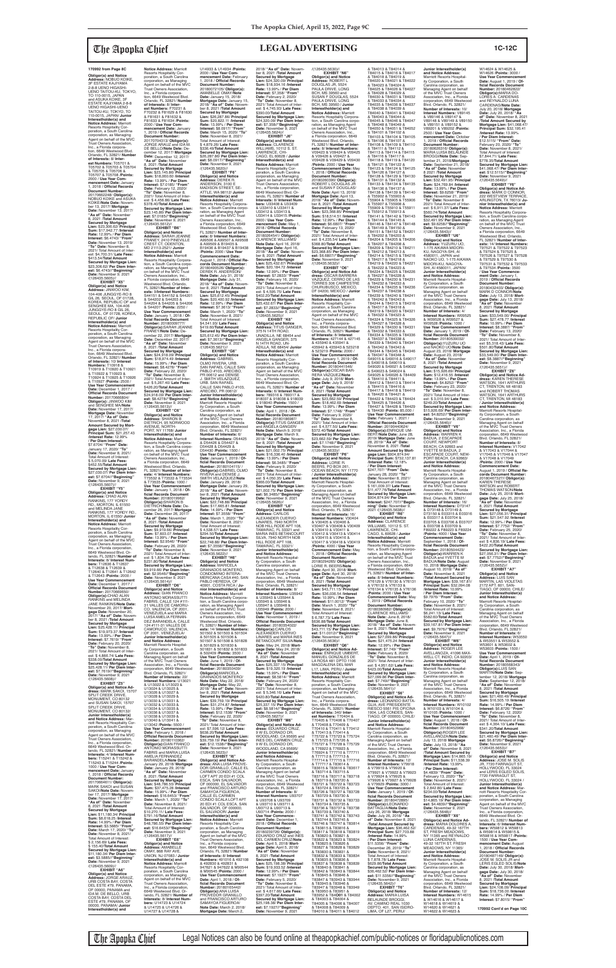### **Obligor(s) and Notice Address:** NOBUO KOIKE, 3F ESTATE KAJIYAMA 2-8-8 UENO HIGASHI-UENO TAITOU-KU, TOKYO, TO 110-0015, JAPAN<br>and ASUKA KOIKE, 3F ESTATE KAJIYAMA 2-8-8 UENO HIGASHI-UENO<br>TAITOU-KU, TOKYO, TO 110-0015, JAPAN/ **Junior Interestholder(s) and Notice Address:** Marriott Resorts Hospitality Corporation, a South Carolina corporation, as Managing Agent on behalf of the MVC Trust Owners Association, Inc., a Florida corporation, 6649 Westwood Blvd. Orlando, FL 32821/ **Number of Interests:** 8/ **Inter-est Numbers:** T05701 & T05702 & T05703 & T05704 & T05705 & T05706 & T05707 & T05708 /**Points:** 2000 / **Use Year Commencement Date:** January<br>1, 2018 / **Official Records<br>Document Number:<br>20170662248/ <b>Obligor(s):** NOBUO KOIKE and ASUKA KOIKE/**Note Date:** November 13, 2017/ **Mortgage Date:** November 13, 2017/ **"As of" Date:** November 8, 2021 /**Total Amount Secured by Mortgage Lien:** \$23,306.62/ **Principal Sum:** \$17,942.77 /**Interest Rate:** 12.99% / **Per Diem Interest:** \$6.4743/ **"From" Date:** November 13, 2019/ **"To" Date:** November 8, 2021/ Total Amount of Inter-est: \$4,700.31/ **Late Fees:** \$413.54/**Total Amount Secured by Mortgage Lien:** \$23,306.62/ **Per Diem Interest:** \$6.4743//**"Beginning" Date:** November 9, 2021<br>/(126435.5605)// **EXHIBIT "X5" Obligor(s) and Notice Address:** JINWOO KIM, 104-406 JUNGGYE-RO 8 GIL 26, SEOUL, OF 01728, KOREA, REPUBLIC OF and SENGHEE MA, 104-406 JUNGGYE-RO 8 GIL 26, SEOUL, OF 01728, KOREA, REPUBLIC OF/ **Junior Interestholder(s) and<br><b>Notice Address:** Marriott<br>Resorts Hospitality Corporation, a South Carolina corporation, as Managing Agent on behalf of the MVC Trust Owners Association, Inc., a Florida corpora-tion, 6649 Westwood Blvd. Orlando, FL 32821/ **Number of Interests:** 10/ **Interest Numbers:** T10918 & T10919 & T10920 & T10921 & T10922 & T10923 & T10924 & T10925 & T10926 & T10927 /**Points:** 2500 / **Use Year Commencement Date:** December 1, 2017 / **Official Records Docun<br>Number: 20170666804/ Number:** 20170666804/ **Obligor(s):** JINWOO KIM and SENGHEE MA/**Note Date:** November 17, 2017/ **Mortgage Date: November<br>17, 2017/ "As of" Date:<br>November 8, 2021 /<b>Total**<br>**Amount Secured by Mortgage Lien:** \$27,030.07/ **Principal Sum:** \$21,257.43 /**Interest Rate:** 12.99% / **Per Diem Interest:** \$7.6704/ **"From" Date:** January 17, 2020/ **"To" Date:** November 8, 2021/ Total Amount of Interest: \$ 5,070.09/ **Late Fees:**  $$452.55/T$ otal Amount **Secured by Mortgage Lien:** \$27,030.07/ **Per Diem Inter-est:** \$7.6704//**"Beginning" Date:** November 9, 2021

/(126435.5607)// **EXHIBIT "Y5" Obligor(s) and Notice Address:** CHAD ALAN RANKINS, 177 YORDY RD., MORTON, IL 61550 and MELINDA JANE RANKINS, 177 YORDY RD., MORTON, IL 61550/ **Junior Interestholder(s) and Notice Address:** Marriott Resorts Hospitality Corporation, a South Carolina<br>corporation, as Managing corporation, as Managing Agent on behalf of the MVC Trust Owners Association, Inc., a Florida corporation, 6649 Westwood Blvd. Orlando, FL 32821/ **Number of Interests: 8/ Interest Num**<br>here: T12636 & T12637 **bers:** T12636 & T12637<br>& T12638 & T12639 &<br>T12640 & T12641 & T12642 & T12643 /**Points:** 2000 / **Use Year Commencement Date:** December 1, 2017 / **Official Records Document<br><b>Number**: 20170669650/<br>**Obligor(s):**CHAD ALAN RANKINS and MELINDA JANE RANKINS/**Note Date:** November 20, 2017/ **Mortgage Date:** November 20,<br>2017/ **"As of" Date:** Novem-<br>ber 8, 2021 /**Total Amount**<br>**Secured by Mortgage Lien:** \$25,428.11/ **Principal Sum:** \$19,973.37 /**Interest Rate:** 13.99% / **Per Diem Interest:** \$7.7619/ **"From" Date:** February 20, 2020/ **"To" Date:** November 8, 2021/ Total Amount of Inter-est: \$ 4,866.74/ **Late Fees:** \$338.00/**Total Amount Secured by Mortgage Lien:** \$25,428.11/ **Per Diem Interest:** \$7.7619//**"Beginning" Date:** November 9, 2021<br>/(126435.5608)// **EXHIBIT "Z5" Obligor(s) and Notice Ad-dress:** MARK SAKOI, 15707 SPLIT CREEK DRIVE, MONUMENT, CO 80132 and SUSAN SAKOI, 15707 SPLIT CREEK DRIVE, MONUMENT, CO 80132/ **Junior Interestholder(s) and Notice Address:** Marriott Resorts Hospitality Cor-poration, a South Carolina corporation, as Managing Agent on behalf of the MVC Trust Owners Association, Inc., a Florida corporation, 6649 Westwood Blvd. Or-lando, FL 32821/ **Number of Interests:** 4/ **Interest Num-bers:** T15241 & T15242 & T15243 & T15244 /**Points:** 1000 / **Use Year Commencement Date:** January 1, 2018 / **Offi cial Records Document Number:** 20170664611/ **Obligor(s):** MARK SAKOI and SUSAN SAKOI/**Note Date:** November 17, 2017/ **Mortgage Date:** November 17, 2017/ **"As of" Date:** November 8, 2021 /**Total Amount Secured by Mortgage Lien:** \$11,180.34/ **Principal Sum:** \$8,618.25 /**Interest Rate:** 14.99% / **Per Diem Interest:** \$3.5885/ **"From" Date:** March 17, 2020/ **"To" Date:** November 8, 2021/ Total Amount of Interest: \$ 2,156.69/ **Late Fees:** \$ 155.40/**Total Amount Secured by Mortgage Lien:** \$11,180.34/ **Per Diem Inter-est:** \$3.5885//**"Beginning" Date:** November 9, 2021 /(126435.5609)// **EXHIBIT "A6" Obligor(s) and Notice<br><b>Address:** JORGE ARAUZ,<br>URB COSTA BAY, COSTA<br>DEL ESTE #79, PANAMA, OF 00000, PANAMA and IDA M. DE BELLO, URB COSTA BAY, COSTA DEL ESTE #79, PANAMA, OF

**Notice Address:** Marriott<br>Resorts Hospitality Cor-<br>poration, a South Carolina corporation, as Managing Agent on behalf of the MVC Trust Owners Association, Inc., a Florida corpora-<br>tion. 6649 Westwood Blvd. tion, 6649 Westwood Blvd. Orlando, FL 32821/ **Number of Interests:** 8/ **Inter-est Numbers:** F70231 & F70232 & F81629 & F81630 & F81631 & F81632 & F81633 & F81634 /**Points:** 2000 / **Use Year Commencement Date:** January 1, 2019 / **Offi cial Records Document Number:** 20170704313/ **Obligor(s):** JORGE ARAUZ and IDA M. DE BELLO/**Note Date:** December 12, 2017/ **Mortgage Date:** December 12, 2017/ "As of" Date: November<br>8 2021 /Total Amount 8, 2021 /**Total Amount Secured by Mortgage Lien:** \$23,145.86/ **Principal Sum:** \$18,060.60 /**Interest Rate:** 13.99% / **Per Diem Interest:** \$7.0185/ **"From" Date:** February 12, 2020/ **"To" Date:** November 8, 2021/ Total Amount of Inter-est: \$ 4,456.86/ **Late Fees:** \$378.40/**Total Amount Secured by Mortgage Lien:**<br>\$23.145.86/ Per Diem Inter-\$23,145.86/ **Per Diem Inter-est:** \$7.0185//**"Beginning" Date:** November 9, 2021 /(126435.5612)// **EXHIBIT "B6" Obligor(s) and Notice Address:** SARAH JEANNE FRANEY, 2410 PINEVILLE CREST CT, ODENTON, MD 21113-2521/ **Junior Interestholder(s) and Notice Address:** Marriott<br>Resorts Hospitality Corpora-<br>tion, a South Carolina corporation, as Managing Agent<br>on behalf of the MVC Trust Owners Association, Inc., a Florida corporation, 6649 Westwood Blvd. Orlando, FL 32821/**Number of Interests:** 9/**Interest Numbers:** S44151 & S44152 & S44201 & S44202 & S44203 & S44204 & S44205 & S44206 & S44207 /**Points:** 2250 / **Use Year Commencement Date:** January 1, 2018 / **Of-fi cial Records Document Number:** 20180009777/ **Obligor(s):**SARAH JEANNE FRANEY/**Note Date:** De-cember 22, 2017/ **Mortgage Date:** December 22, 2017/ **"As of" Date:** November 8, 2021 /**Total Amount Secured by Mortgage Lien:** \$24,918.09/ **Principal Sum:** \$18,974.49 /**Interest Rate:** 15.99% / **Per Diem Interest:** \$8.4278/ **"From" Date:** February 22, 2020/<br>**"To" Date:** November 8,<br>2021/ Total Amount of Interest: \$ 5,267.40/ **Late Fees:** \$426.20/**Total Amount Secured by Mortgage Lien:** \$24,918.09/ **Per Diem Interest:** \$8.4278//**"Beginning"<br><b>Date:** November 9, 2021<br>/(126435.5613)//<br>**EXHIBIT "C6" Obligor(s) and Notice Address:** SHARON B DIETRICH, 95 NORWOOD AVENUE, NORTH-PORT, NY 11768/ **Junior Interestholder(s) and Notice Address:** Marriott Resorts Hospitality Corporation, a South Carolina corpo ration, as Managing Agent on behalf of the MVC Trust Owners Association, Inc., a Florida corporation, 6649 Westwood Blvd. Orlando, FL 32821/ **Number of Inter-ests:** 4/ **Interest Numbers:** T73532 & T73533 & T73534 & T73535 /**Points:** 1000 / **Use Year Commencement Date:** January 1, 2018 / **Official Records Document<br><b>Number**: 20180019962/<br>**Obligor(s):SHARON B<br>DIETRICH/Note Date:** De-<br>cember 26, 2017/ **Mortgage Date:** December 26, 2017/ **"As of" Date:** November 8, 2021 /**Total Amount Secured by Mortgage Lien:** \$9,919.66/ **Principal Sum:** \$7,603.07 /**Interest Rate:** 13.99% / **Per Diem Interest:** \$2.9546/ **"From" Date:** February 26, 2020/ **o**" **Date:** November 8 2021/ Total Amount of Inter-est: \$ 1,834.79/ **Late Fees:** \$231.80/**Total Amount Secured by Mortgage Lien:** \$9,919.66/ **Per Diem Inter-est:** \$2.9546//**"Beginning" Date:** November 9, 2021 /(126435.5614)// **EXHIBIT "D6" Obligor(s) and Notice Address:** GIAN FRANCO ANTONIO MORASSUTTI FABRIS, CALLE 124 #111- 31 VALLES DE CAMORU-CO, VALENCIA, OF 2001, VENEZUELA and MARIA LUISA AMELIA FERNAN-DEZ BARANDELA, CALLE 124 #111-31 VALLES DE CAMORUCO, VALENCIA, OF 2001, VENEZUELA/ **Junior Interestholder(s) and Notice Address:** Marriott Resorts Hospital-ity Corporation, a South Carolina corporation, as Managing Agent on behalf of the MVC Trust Owners Association, Inc., a Florida corporation, 6649 Westwood Blvd. Orlando, FL 32821/ **Number of Interests:** 22/ **Interest Numbers:** U13021 & U13022 & U13023 & U13024 & U13025 & U13026 & U13027 & U13028 & U13029 & U13030 & U13031 & U13032 & U13033 & U13034 & U13035 & U13036 & U13037 & U13038 & U13039 & U13040 & U13041 & U13042 /**Points:** 5500 / **Use Year Commencement Date:** February 1, 2018 / **Official Records Document<br><b>Number:** 20180110362/<br>**Obligor(s):**GIAN FRANCO<br>ANTONIO MORASSUTTI FABRIS and MARIA LUISA AMELIA FERNANDEZ BARANDELA/**Note Date:** January 29, 2018/ **Mortgage Date:** January 29, 2018/ "As of" Date: Novembe 8, 2021 /**Total Amount Secured by Mortgage Lien:** \$48,786.55/ **Principal Sum:** \$37,475.28 /**Interest Rate:** 15.99% / **Per Diem Interest:** \$16.6453/ **"From" Date:** March 1, 2020/ **"To" Date:** November 8, 2021/ Total Amount of Interest: \$10,270.11/ **Late Fees:** \$791.16/**Total Amount Secured by Mortgage Lien:** \$48,786.55/ **Per Diem Inter-est:** \$16.6453//**"Beginning" Date:** November 9, 2021 /(126435.5617)// **EXHIBIT "E6" Obligor(s) and Notice Address:** AMABELLE OMAY, 868 RAY AVE, UNION, NJ 07083 / **Junior Interestholder(s) and Notice Address:** Marriott Resorts Hospitality Corporation, a South Carolina corporation, as Managing Agent on behalf of the MVC Trust Owners Association, Inc., a Florida corporation, 6649 Westwood Blvd. Orlando, FL 32821/ **Number of Interests:** 8/ **Interest Numbers:** U14723 & U14724<br>& U14725 & U14726 &<br>U14727 & U14728 &

00000, PANAMA/ **Junior Interestholder(s) and** 

U14933 & U14934 /**Points:** 2000 / **Use Year Com-mencement Date:** February 1, 2018 / **Offi cial Records Document Number:** 20180072105/ **Obligor(s):** AMABELLE OMAY/**Note Date:** January 15, 2018/ **Mortgage Date:** January 15, 2018/ **"As of" Date:** November 8, 2021 /Total Amount<br>Secured by Mortgage<br>Lien: \$26,287.86/ Principal<br>Sum: \$20,822.11 /Interest<br>Rate: 13.99% / Per Diem<br>Interest: \$8.0917/ "From" **Date:** March 15, 2020/ **"To" Date:** November 8, 2021/ Total Amount of Interest: \$ 4,879.26/ **Late Fees:** \$336.49/**Total Amount Secured by Mortgage Lien:** \$26,287.86/ **Per Diem Interest:** \$8.0917//**"Beginning" Date:** November 9, 2021 /(126435.5620)// **EXHIBIT "F6" Obligor(s) and Notice Address:** DEREK R. ANDERSON, 3100 E MADISON STREET, SE-ATTLE, WA 98112/ **Junior Interestholder(s) and Notice Address:** Marriott Resorts Hospitality Corpora tion, a South Carolina corporation, as Managing Agent<br>on behalf of the MVC Trust<br>Owners Association, Inc.,<br>a Florida corporation, 6649 Westwood Blvd. Orlando, FL 32821/ **Number of Inter-ests:** 8/ **Interest Numbers:** A99506 & A99507 & A99508 & A99509 & B19435 & B19436 & B19437 & B19438 /**Points:** 2000 / **Use Year Commencement Date:** August 1, 2018 / **Offi cial Re-cords Document Number:** 20180490526/ **Obligor(s):** DEREK R. ANDERSON/ **Note Date:** July 31, 2018/ **Mortgage Date:** July 31,<br>2018/ **"As of" Date:** Novem-<br>ber 8, 2021 /**Total Amount Secured by Mortgage Lien:** \$25,612.45/ **Principal Sum:** \$20,400.92 /**Interest Rate:** 12.99% / **Per Diem Interest:** \$7.3613/ **"From" Date:** March 1, 2020/ **"To" Date:** November 8, 2021/ Total Amount of Interest: \$4,541.93/ **Late Fees:** \$419.60/**Total Amount Secured by Mortgage Lien:** \$25,612.45/ **Per Diem Interest:** \$7.3613//**"Beginning" Date:** November 9, 2021 /(126435.5621)//<br>"EXHIBIT "G6 **EXHIBIT "G6"<br><b>Addres**s: GABRIEL<br>**Addres**: GABRIEL<br>OLMO RIVERA, URB.<br>SAN RAFAEL CALLE SAN<br>PABLO #103, ARECIBO, PR 00612 and DENISE<br>J. SMITH VELAZOUEZ J. SMITH VELAZQUEZ,<br>URB. SAN RAFAEL<br>CALLE SAN PABLO #103,<br>ARECIBO, PR 00612/ **Junior Interestholder(s) and Notice Address:**<br>Marriott Resorts Hospital-<br>ity Corporation, a South Carolina corporation, as Managing Agent on behalf of the MVC Trust Owners Association, Inc., a Florida corporation, 6649 Westwood Blvd. Orlando, FL 32821/ **Number of Interests:** 6/ **Interest Numbers:** D54425 & D54426 & D54427 & D54428 & D54429 & D54430 /**Points:** 1500 / **Use Year Commencement Date:** January 1, 2019 / **Of-**<br>ficial Records Document **Number:** 20180104115/ / **Obligor(s):**GABRIEL OLMO<br>RIVERA and DENISE J. SMITH VELAZQUEZ/**Note Date:** January 29, 2018/ **Mortgage Date:** January 29, 2018/ **"As of" Date:** November 8, 2021 /**Total Amount Secured by Mortgage Lien:** \$22,748.88/ **Principal Sum:** \$17,665.81 /**Interest Rate:** 14.99% / **Per Diem Interest:** \$7.3558/ **"From" Date:** March 1, 2020/ **"To" Date:** November 8, 2021/ Total Amount of Interest: \$ 4,538.57/ **Late Fees:** \$294.50/**Total Amount Secured by Mortgage Lien:** \$22,748.88/ **Per Diem Inter-est:** \$7.3558//**"Beginning"**  vember 9, 2021 /(126435.5622)// **EXHIBIT "H6" Obligor(s) and Notice Address:** MARICELA GRANADOS MONTERO, CONDOMINIO INTERA MERICANA CASA #40, SAN PABLO HEREDIA, O 40901, COSTA RICA / **Junior Interestholder(s) and<br><b>Notice Address:** Marriott<br>Resorts Hospitality Corporation, a South Carolina corpo-ration, as Managing Agent on behalf of the MVC Trust Owners Association, Inc., a Florida corporation, 6649 Westwood Blvd. Orlando, FL 32821/ **Number of Interests:** 14/ **Interest Numbers:** 501502 & 501503 & 501504 & 501505 & 501506 & 501507 & 501508 & 501828 & 501829 & 501830 & 501831 & 501832 & 501833 & 502409 /**Points:** 3500 / **Use Year Commencement Date:** June 1, 2019 / **Official Records Document<br><b>Number:** 20180350439/<br>**Obligor(s):**MARICELA<br>GRANADOS MONTERO/ **Note Date:** May 22, 2018/ **Mortgage Date:** May 22, 2018/ **"As of" Date:** November 8, 2021 /**Total Amount Secured by Mortgage Lien:** \$39,759.19/ **Principal Sum:** \$31,274.87 /**Interest Rate:** 13.99% / **Per Diem Interest:** \$12.1538/ **"From" Date:** February 22, 2020/ **"To" Date:** November 8, 2021/ Total Amount of Interest: \$7,596.12/ **Late Fees:** \$638.20/**Total Amount Secured by Mortgage Lien:** \$39,759.19/ **Per Diem Inter-est:** \$12.1538//**"Beginning" Date:** November 9, 2021 /(126435.5623)// **EXHIBIT "I6" Obligor(s) and Notice Ad-dress:** ANA LUISA PROVE-DOR GRANILLO, CALLE EL CARMEN CONDO SCALA LOFT APT 20 EDI #1 COL ESCA, SAN SALVADOR, OF 000000, EL SALVADOR and FRANCISCO ARTURO SAMAYOA FIGUEROA, CALLE EL CARMEN CONDO SCALA LOFT APT 20 EDI #1 COL ESCA, SAN SALVADOR, OF 000000, EL SALVADOR/ **Junior Interestholder(s) and Notice Address:** Marriott Resorts Hospitality Cor-poration, a South Carolina corporation, as Managing Agent on behalf of the MVC Trust Owners Association, Inc., a Florida corporation, 6649 Westwood Blvd. Orlando, FL 32821/ **Number of Interests:** 8/ **Interest Numbers:** 491016 & 492108 & 492830 & 492831 & 947621 & 947622 & M90544 & M90545 /**Points:** 2000 / **Use Year Commencement Date:** April 1, 2018 / **Of-<br>ficial Records Document<br><b>Number:** 20180165442/<br>**Obligor(s):**ANA LUISA PROVEDOR GRANILLO and FRANCISCO ARTURO SAMAYOA FIGUEROA/ **Note Date:** March 2, 2018/ **Mortgage Date:** March 2, \$390.00/**Total Amoun** /(126435.5624)// **EXHIBIT "J6"** & U33410 & U33411 & 2000 / **Use Year Com-Document Number:** Use Year Comment **Address:** CARLOS HILL RODE APT 108, TAMARAC, FL 33321/ U35945 & U35946 & U35947 & U35948 & **Obligor(s):**CARLOS **and Notice Address:** U93712 & U93713 & **Document Number:** \$397.20/**Total Amount est:** \$7.1927//**"Beginning" Date:** November 9, 2021

**Number:** 20180504423/<br>**Obligor(s):**WARREN K<br>BADUA and YVETTE M BADUA/**Note Date:** August 10, 2018/ **Mortgage Date:** August 10, 2018/ **"As of" Date:** November 8, 2021 /**Total Amount Secured by Mortgage Lien:** \$39,167.81/ **Principal Sum:** \$32,094.08 /**Interest Rate:** 10.99% / **Per Diem Interest:** \$9.7976/ **"From" Date:** February 10, 2020/ **"To" Date:** November 8, 2021/ Total Amount of Interest: \$6,241.13/ **Late Fees:** \$582.60/**Total Amount Secured by Mortgage Lien:** \$39,167.81/ **Per Diem Interest:** \$9.7976//**"Beginning" Date:** November 9, 2021 /(126435.5647)// **EXHIBIT "W6" Obligor(s) and Notice Address:** ROGER LEE AVELLANOZA, 41096 MAX-WELL CT, INDIO, CA 92203/ **Junior Interestholder(s) and Notice Address:** Marriott Resorts Hospitality Corporation, a South Carolina corporation, as Managing Agent on behalf of the MVC Trust Owners Association, Inc., a Florida corporation, 6649 Westwood Blvd. Orlando, FL 32821/ **Number of Interests:** 4/ **Interest Numbers:** W10102 & W10103 & W10104 & W10105 /**Points:** 1000 / **Use Year Commencement Date:** August 1, 2018 / **Offi cial Records Document Number:** 20180452968/ **Obligor(s):**ROGER LEE AVELLANOZA/**Note Date:** July 13, 2018/ **Mortgage Date:** July 13, 2018/ **of" Date:** November 8, 2021 /**Total Amount Secured by Mortgage Lien:** \$14,865.19/ **Principal Sum:** \$11,538.39 /**Interest Rate:** 13.99% / **Per Diem Interest:** \$4.4839/ **"From" Date:** February 13, 2020/ **"To" Date:** November 8, 2021/ Total Amount of Interest: \$ 2,842.80/ **Late Fees:** \$234.00/**Total Amount Secured by Mortgage Lien:** \$14,865.19/ **Per Diem Interest:** \$4.4839//**"Beginning" Date:** November 9, 2021 /(126435.5648)// **EXHIBIT "X6" Obligor(s) and Notice Ad-dress:** MARIA DOLORES A. CARDENAS, 49-32 167TH ST, FRESH MEADOWS NY 11365 and REYNALDO LUNA CARDENAS,<br>49-32 167TH ST, FRESH MEADOWS, NY 11365/ **Junior Interestholder(s) and Notice Address:** Marriott Resorts Hospitality Corporation, a South Carolina corporation, as Managing Agent on behalf<br>of the MVC Trust Owners<br>Association, Inc., a Florida<br>corporation, 6649 Westwood Blvd. Orlando, FL 32821/ **Number of Interests:** 12/ **Interest Numbers:** W14615 & W14616 & W14617 & W14618 & W14619 & W14620 & W14621 & W14622 & W14623 &

**"To" Date:** November 8, 2021/ Total Amount of Inter-est: \$ 4,836.19/ **Late Fees:** \$422.20/**Total Amoun** 

2018/ **"As of" Date:** Novem-ber 8, 2021 /**Total Amount Secured by Mortgage Lien:** \$24,320.09/ **Principal Sum:** \$18,934.16 /**Interest Rate:** 13.99% / **Per Diem Interest:** \$7,358/ **"From" Date:** February 2, 2020/ **"To" Date:** November 8, 2021/ Total Amount of Inte est: \$ 4,745.93/ **Late Fees: Secured by Mortgage Lien:** \$24,320.09/ **Per Diem Inter-est:** \$7.358//**"Beginning" Date:** November 9, 2021 **Obligor(s) and Notice<br><b>Address:** CLARENCE<br>WILLIAMS, 10112 S. ST.<br>LAWRENCE, CHI-CAGO, EL 60628 / **Junior Interestholder(s) and Notice Address:** Marriott Resorts Hospitality Cor-poration, a South Carolina corporation, as Managing Agent on behalf of the MVC Trust Owners Association, Inc., a Florida corporation, 6649 Westwood Blvd. Or-lando, FL 32821/ **Number of Interests:** 8/ **Interest Num-bers:** U33408 & U33409 U33412 & U33413 & U33414 & U33415 /**Points: mencement Date:** May 1,<br>2018 / **Official Records** 20180264541/ **Obligor(s):** CLARENCE WILLIAMS/ **Note Date:** April 16, 2018/ **Mortgage Date:** April 16, 2018/ **"As of" Date:** November 8, 2021 /Total Amount<br>Secured by Mortgage<br>Lien: \$25,432.67/ Principal<br>Sum: \$20,184.72 /Interest<br>Rate: 12.99% / Per Diem<br>Interest: \$7.2833/ "From" **Date:** February 16, 2020/ **"To" Date:** November 8, 2021/ Total Amount of Inter-est: \$ 4,595.75/ **Late Fees:** \$402.20/**Total Amount Secured by Mortgage Lien:** \$25,432.67/ **Per Diem Inter-est:** \$7.2833//**"Beginning" Date:** November 9, 2021 /(126435.5625)// **EXHIBIT "K6" Obligor(s) and Notice<br><b>Address:** TITUS GANGER,<br>375 N 14TH ROAD, UNADILLA, NE 68454 and ANGELA GANGER, 375 N 14TH ROAD, UN-ADILLA, NE 68454/ **Junior Interestholder(s) and Notice Address:** Marriott Resorts Hospitality Corporation, a South Carolina corporation, as Managing Agent on behalf of the MVC Trust Owners Association,<br>Inc., a Florida corporation,<br>6649 Westwood Blvd. Or-<br>lando, FL 32821/ **Number of Interests:** 6/ **Interest Numbers:** 789316 & 789317 & 918037 & 918038 & 918039 & 918040 /**Points:** 1500 / **Date:** April 1, 2018 / **Of-fi cial Records Document Number:** 20180186987/ **Obligor(s):**TITUS GANGER and ANGELA GANGER/ **Note Date:** March 9, 2018/ **Mortgage Date:** March 9, 2018/ **"As of" Date:** November 8, 2021 /**Total Amount Secured by Mortgage Lien:** \$21,002.75/ **Principal Sum:** \$16,336.40 /**Interest Rate:** 13.99% / **Per Diem Interest:** \$6.3485/ **"From" Date:** February 9, 2020/ **"To" Date:** November 8, 2021/ Total Amount of Inter-est: \$ 4,050.35/ **Late Fees:** \$366.00/**Total Amount Secured by Mortgage Lien:** \$21,002.75/ **Per Diem Interest:** \$6.3485//**"Beginning"<br><b>Date:** November 9, 2021<br>/(126435.5626)//<br>**EXHIBIT "L6" Obligor(s) and Notice**  ALEXANDER CUERVO<br>LINARES, 7940 NORTH NOB HILL RODE APT 108, TAMARAC, FL 33321 and MARIA INES BETANCOURT SILVA, 7940 NORTH NOB tholder(s **and Notice Address:** Marriott Resorts Hospitality Corporation, a South Carolina corporation, as Managing Agent on behalf of the MVC Trust Owners Association, Inc., a Florida corporation, 6649 Westwood Blvd. Orlando, FL 32821/<br>**Number of Interests:** 8/<br>**Interest Numbers:** U35942<br>& U35943 & U35944 & U35949 /**Points:** 2000 / **Use Year Commencement Date:** November 1, 2019 / **Official Records Document Number:** 20180354022/ ALEXANDER CUERVO LINARES and MARIA INES BETANCOURT SILVA/**Note Date:** May 24, 2018/ **Mortgage Date:** May 24, 2018/ **"As of" Date:** November 8, 2021 /**Total Amount Secured by Mortgage Lien:** \$25,337.15/ **Principal Sum:** \$19,320.19 /**Interest Rate:** 15.99% / **Per Diem Interest:** \$8.5814/ **"From" Date:** February 24, 2020/ **"To" Date:** November 8, 2021/ Total Amount of Inter-est: \$ 5,346.16/ **Late Fees:** \$420.80/**Total Amount Secured by Mortgage Lien:** \$25,337.15/ **Per Diem Inter-est:** \$8.5814//**"Beginning" Date:** November 9, 2021 /(126435.5627)// **EXHIBIT "M6" Obligor(s) and Notice Address:** EDUARDO CRUZ, 9 W EL DORADO DR, WOODLAND, CA 95695 and INES DEL CARMEN CRUZ, 9 W EL DORADO DR, WOODLAND, CA 95695/ **Junior Interestholder(s)**  Marriott Resorts Hospital-ity Corporation, a South Carolina corporation, as Managing Agent on behalf of the MVC Trust Owners Association, Inc., a Florida corporation, 6649 Westw Blvd. Orlando, FL 32821/ **Number of Interests:** 8/ **Interest Numbers:** U93707 & U93708 & U93709 & U93710 & U93711 & U93714 /**Points:** 2000 / **Use Year Commencement Date:** December 1, 2018 / Official Records 20180239726/ **Obligor(s):** EDUARDO CRUZ and INES DEL CARMEN CRUZ/**Note Date:** April 5, 2018/ **Mortgage Date:** April 5, 2018/ **"As of" Date:** November 8, 2021 /**Total Amount Secured by Mortgage Lien:** \$25,198.38/ **Principal Sum:** \$19,933.52 /**Interest Rate:** 12.99% / **Per Diem Interest:** \$7.1927/ **"From" Date:** February 5, 2020/ **"To" Date:** November 8, 2021/ Total Amount of Inter-est: \$ 4,617.66/ **Late Fees: Secured by Mortgage Lien:** \$25,198.38/ **Per Diem Inter-**/(126435.5630)// **EXHIBIT "N6" Obligor(s) and Notice Address:** ROBERT L DOUGLAS JR, 5524 PAULA DRIVE, LONG BCH, MS 39560 and SUSAN F DOUGLAS, 5524 PAULA DRIVE, LONG BCH, MS 39560 / **Junior Interestholder(s) and Notice Address:** Marriott Resorts Hospitality Corpora-tion, a South Carolina corpo-ration, as Managing Agent on behalf of the MVC Trust Owners Association, Inc., a Florida corporation, 6649 Westwood Blvd. Orlando, FL 32821/ **Number of Inter-ests:** 8/ **Interest Numbers:** V09423 & V09424 & V09425 & V09426 & V09427 & V09428 & V09429 & V09430 /**Points:** 2000 / **Use Year Commencement Date:** May 1, 2018 / **Offi cial Records Document Number:** 20180260390/ **Obligor(s):** ROBERT L DOUGLAS JR and SUSAN F DOUGLAS/ **Note Date:** April 13, 2018/ **Mortgage Date:** April 13, 2018/ **"As of" Date:** November 8, 2021 /Total Amount<br>Secured by Mortgage<br>Lien: \$23,368.85/ Principal<br>Sum: \$18,514.51 /Interest<br>Rate: 12.99% / Per Diem<br>Interest: \$6.6807/ "From" **Date:** February 13, 2020/ **"To" Date:** November 8, 2021/ Total Amount of Inter-est: \$ 4,235.54/ **Late Fees:** \$368.80/**Total Amount Secured by Mortgage Lien:** \$23,368.85/ **Per Diem Inter-est:** \$6.6807//**"Beginning" Date:** November 9, 2021 /(126435.5632)// **EXHIBIT "O6" Obligor(s) and Notice Ad-dress:** OSCAR BARRERA VAZQUEZ, CERRO DE LAS TORRES 306 CAMPESTRE CHURUBUSCO, MEXICO, DF 04200, MEXICO / **Junior Interestholder(s) and Notice Address:** Marriott Resorts Hospitality Corporation, a South Carolina corporation, as Managing Agent on behalf of the MVC Trust Owners Association, Inc., a Florida corpora-tion, 6649 Westwood Blvd. Orlando, FL 32821/ **Number** of Interests: 8/ Interest **of Interests:** 8/ **Interest<br><b>Numbers:** 427144 & 427145<br>& 435940 & 435941 &<br>435942 & 435943 & 523218 & 523219 /**Points:** 2000 / **Use Year Commencement<br>Date:** January 1, 2019 / <mark>Of-</mark><br>ficial Records Document **Number:** 20180441546/ **Obligor(s):**OSCAR BAR-RERA VAZQUEZ/**Note Date:** July 9, 2018/ **Mort-gage Date:** July 9, 2018/ **"As of" Date:** November 8, 2021 /**Total Amount Secured by Mortgage Lien:** \$23,662.59/ **Principal Sum:** \$18,462.69 /**Interest Rate:** 13.99% / **Per Diem Interest:** \$7.1748/ **"From" Date:** February 9, 2020/ **"To" Date:** November 8, 2021/ Total Amount of Inter-est: \$ 4,577.50/ **Late Fees:** \$372.40/**Total Amount Secured by Mortgage Lien:** \$23,662.59/ **Per Diem Interest:** \$7.1748//**"Beginning" Date:** November 9, 2021<br>/(126435.5633)// **EXHIBIT "P6" Obligor(s) and Notice Address:** LORIE R. BEERS, PO BOX 261 OCEAN BEACH, NY 11770 / **Junior Interestholder(s) and Notice Address:** Marriott Resorts Hospitality Corporation, a South Carolina corporation, as Managing Agent on behalf of the MVC Trust Owners Association, Inc., a Florida corporation, 6649 Westwood Blvd. Orlando, FL 32821/ **Number of Interests:** 16/ **Interest Numbers:** V30404 & V30405 & V30406 & V30407 & V30408 & V30409 & V30410 & V30411 & V30412 & V30413 & V30414 & V30415 & V30416 & V30417 & V30418 & V30419 /**Points:** 4000 / **Use Year Commencement Date:** May 1, 2018 / **Offi cial Records Document Number:** 20180294265/ **Obligor(s):** LORIE R. BEERS/**Note Date:** April 30, 2018/ **Mort-gage Date:** April 30, 2018/ **"As of" Date:** November 8, 2021 /**Total Amount Secured by Mortgage Lien:** \$43,711.15/ **Principal Sum:** \$36,036.54 /**Interest Rate:** 10.99% / **Per Diem Interest:** \$11.0012/ **"From" Date:** March 1, 2020/ **"To" Date:** November 8, 2021/ Total Amount of Interest: \$ 6,787.73/ **Late Fees:** \$636.88/**Total Amount Secured by Mortgage Lien:** \$43,711.15/ **Per Diem Interest:** \$11.0012//**"Beginning" Date:** November 9, 2021 /(126435.5636)//<br>**EXHIBIT** "Q6" **EXHIBIT "Q6" Obligor(s) and Notice Ad-dress:** ENRIQUE UMBERT, MANUEL GONZALES DE LA ROSA 481 DPTO 1106 MAGDALENA DEL MAR L17, LIMA, PERU / **Junior Interestholder(s) and Notice Address:** Marriott Resorts Hospitality Corporation, a South Carolina rranch, a Coding Card<br>prooration, as Managi Agent on behalf of the MVC Trust Owners Association, Inc., a Florida corporation, 6649 Westwood Blvd. Orlando, FL 32821/ **Number of Interests:** 340/ **Inter-est Numbers:** T70404 & T70405 & T70406 & T70407 & T70408 & T70409 & T70410 & T70411 & T70412 & T70413 & T70414 & T75722 & T75723 & T75724 & T75725 & T75726 & T75727 & T75728 & T75729 & T76922 & T76923 & T76924 & T77710 & T77711 & T77712 & T77713 & T77714 & T77715 & T77716 & T77717 & T83614 & T83615 & T83616 & T83617 & T83714 & T83715 & T83716 & T83717 & T83718 & T83719 & T83720 & T83721 & T83722 & T83723 & T83724 & T83725 & T83726 & T83727 & T83728 & T83729 & T83730 & T83731 & T83732 & T83733 & T83734 & T83735 & T83736 & T83737 & T83738 & T83739 & T83740 & T83741 & T83742 & T83743 & T83744 & T83745 & T83746 & T83747 & T83814 & T83815 & T83816 & T83817 & T83818 & T83819 & T83820 & T83821 & T83822 & T83823 & T83824 & T83825 & T83826 & T83827 & T83828 & T83829 & T83830 & T83831 & T83832 & T83833 & T83834 & T83835 & T83836 & T83837 & T83838 & T83839 & T83840 & T83841 & T83842 & T83843 & T83844 & T83845 & T83846 & T83847 & T83943 & T83944 & T83945 & T83946 & T83947 & T83948 & T83949 & T83950 & T83951 & T83952 & T84**O01** & T84002 & T84003 & T84004 & T84005 & T84006 & T84007 & T84008 & T84009 & T84010 & T84011 & T84012

& T84013 & T84014 & T84015 & T84016 & T84017 & T84018 & T84019 & T84020 & T84021 & T84022 & T84023 & T84024 & T84025 & T84026 & T84027 & T84028 & T84029 & T84030 & T84031 & T84032 & T84033 & T84034 & T84035 & T84036 & T84037 & T84038 & T84039 & T84040 & T84041 & T84042 & T84043 & T84044 & T84045 & T84046 & T84047 & T84048 & T84049 & T84050 & T84051 & T84052 & T84101 & T84102 & T84103 & T84104 & T84105 & T84106 & T84107 & T84108 & T84109 & T84110 & T84111 & T84112 & T84113 & T84114 & T84115 & T84116 & T84117 & T84118 & T84119 & T84120 & T84121 & T84122 & T84123 & T84124 & T84125 & T84126 & T84127 & T84128 & T84129 & T84130 & T84131 & T84132 & T84133 & T84134 & T84135 & T84136 & T84137 & T84138 & T84139 & T84140 & T55902 & T55903 & T55904 & T55905 & T55906 & T55907 & T55908 & T55909 & T55910 & T55911 & T55912 & T55913 & T84141 & T84142 & T84143 & T84144 & T84145 & T84146 & T84147 & T84148 & T84149 & T84150 & T84151 & T84152 & T84201 & T84202 & T84203 & T84204 & T84205 & T84206 & T84207 & T84208 & T84209 & T84210 & T84211 & T84212 & T84213 & T84214 & T84215 & T84216 & T84217 & T84218 & T84219 & T84220 & T84221 & T84222 & T84223 & T84224 & T84225 & T84226 & T84227 & T84228 & T84229 & T84230 & T84231 & T84232 & T84233 & T84234 & T84235 & T84236 & T84237 & T84238 & T84239 & T84240 & T84241 & T84242 & T84243 & T84244 & T84315 & T84316 & T84317 & T84318 & T84319 & T84320 & T84321 & T84322 & T84323 & T84324 & T84325 & T84326 & T84327 & T84328 & T84329 & T84330 & T84331 & T84332 & T84333 & T84334 & T84335 & T84336 & T84337 & T84338 & T84339 & T84340 & T84341 & T84342 & T84343 & T84344 & T84345 & T84346 & T84347 & T84348 & S49015 & S49016 & S49017 & S49018 & S49019 & S49020 & S49021 & S49022 & S49023 & S49024 & S49025 & S49026 & T84409 & T84410 & T84411 & T84412 & T84413 & T84414 & T84415 & T84416 & T84417 & T84418 & T84419 & T84420 & T84421 & T84422 & T84423 & T84424 & T84425 & T84426 & T84427 & T84428 & T84429 & T84430 /**Points:** 85,000 / **Use Year Commencement<br><b>Date:** February 1, 2021 /<br><mark>Official Records Document</mark> **Number:** 20190440624/ **Obligor(s):**ENRIQUE UM-BERT/**Note Date:** June 28, 2019/ **Mortgage Date:** June 28, 2019/ **"As of" Date:** November 8, 2021 /**Total Amount Secured by Mort-gage Lien:** \$904,874.94/ **Principal Sum:** \$732,137.81 /**Interest Rate:** 12.18% / **Per Diem Interest:** \$247,707/ **"From" Date:** January 28, 2020/ **"To" Date:** November 8, 2021/ Total Amount of Interest: \$ 161,009.37/ **Late Fees:** \$11,477.76/**Total Amount** 

**Secured by Mortgage Lien:** \$904,874.94/ **Per Diem Interest:** \$247.707//**"Begin-ning" Date:** November 9, 2021 /(126435.5638)// **EXHIBIT "R6" Obligor(s) and Notice Address:** CLARENCE<br>WILLIAMS, 10112 S. ST. LAWRENCE, CHI-CAGO, IL 60628 / **Junior Interestholder(s) and Notice Address:** Marriott Resorts Hospitality Corporation, a South Carolina corpo-ration, as Managing Agent on behalf of the MVC Trust Owners Association, Inc., a Florida corporation, 6649 Westwood Blvd. Orlando,<br>FL 32821/ **Number of Interests:** 8/ **Interest Numbers:** V76129 & V76130 & V76131 & V76132 & V76133 & V76134 & V76135 & V76136 /**Points:** 2000 / **Use Year Commencement Date:** May 1, 2019 / **Offi cial Records Document Number:** 20180380982/ **Obligor(s):** CLARENCE WILLIAMS **Note Date:** June 8, 2018/<br>**Mortgage Date:** June 8,<br>2018/ **"As of" Date:** November 8, 2021 /**Total Amount Secured by Mortgage Lien:** \$27,099.86/ **Principal Sum:** \$21,475.24 /**Interest Rate:** 12.99% / **Per Diem Interest:** \$7.749/ **"From" Date:** February 8, 2020/ **"To" Date:** November 8, 2021/ Total Amount of Inter-est: \$ 4,951.62/ **Late Fees:** \$423.00/**Total Amount Secured by Mortgage Lien:** \$27,099.86 **Per Diem Interest:** \$7.749//**"Beginning"**  Date: November 9, 202<sup>2</sup> /(126435.5641)// **EXHIBIT "S6" Obligor(s) and Notice Ad-dress:** LEONARDO BATTA-GLIA, AVE PRESIDENTE RIESCO 5561 PIS OFICINA 1904, LAS CONDES, SAN-TIAGO, OF 000000, CHILE/ **Junior Interestholder(s) and Notice Address:** Marriott Resorts Hospitality Corporation, a South Carolina corporation, as Managing Agent on behalf of the MVC Trust Owners Association, Inc., a Florida corporation, 6649 Westwood Blvd. Orlando, FL 32821/ **Number of Interests:** 12/ **Interest Numbers:** V79918 & V79919 & V79920 & V79921 & V79922 & V79923 & V79924 & V79925 & V79926 & V79927 & V79928 & V79929 /**Points:** 3000 / **Use Year Commencement Date:** January 1, 2019 / **Of-**<br>ficial Records Document **Number:** 20180472895/ **Obligor(s):**LEONARDO BATTAGLIA/**Note Date:** July 26, 2018/ **Mortgage Date:** July 26, 2018/ **"As of" Date:** November 8, 2021 /**Total Amount Secured by Mortgage Lien:** \$36,462.52/ **Principal Sum:** \$27,703.88 /**Interest Rate:** 14.99% / **Per Diem Interest:** \$11.5356/ **"From" Date:** December 26, 2019/ **"To" Date:** November 8, 2021/ Total Amount of Interest: \$ 7,878.78/ **Late Fees:** \$629.86/**Total Amoun Secured by Mortgage Lien:** \$36,462.52/ **Per Diem Interest:** \$11.5356//**"Beginning" Date:** November 9, 2021 /(126435.5642)// **EXHIBIT "T6" Obligor(s) and Notice Address:** MARIA LUISA BELAUNDE BROGGI,<br>AV. CAMINO REAL 1030 AV. CAMINO REAL 1030 DEPTO. 401, SAN ISIDRO-LIMA, OF L27, PERU/

**Junior Interestholder(s) and Notice Address:** Marriott Resorts Hospitality Corporation, a South Carolina corporation, as Managing Agent on behalf of the MVC Trust Owners Association, Inc., a Florida corporation, 6649 Westwood Blvd. Orlando, FL 32821/ **Number of Interests:** 10/ **Interest Numbers:** V89145<br>& V89146 & V89147 &<br>V89148 & V89149 & V89150 & V89151 & V89152 & V89201 & V89202 /**Points:** 2500 / **Use Year Commencement Date:** October 1, 2018 / **Offi cial Records Document Number:** 20180626316/ **Obligor(s):** MARIA LUISA BELAUNDE BROGGI/**Note Date:** September 21, 2018/**Mortgage Date:** September 21, 2018/ **"As of" Date:** November 8 2021 /**Total Amount Secured by Mortgage Lien:** \$32,491.95/ **Principal Sum:** \$24,769.84 /**Interest Rate:** 13.99% / **Per Diem Interest:** \$9.6258/ "From **Date:** November 21, 2019/ **"To" Date:** November 8 2021/ Total Amount of Inter-est: \$ 6,911.37/ **Late Fees:** \$560.74/**Total Amount Secured by Mortgage Lien:** \$32,491.95/ **Per Diem Inter-est:** \$9.6258//**"Beginning" Date:** November 9, 2021<br>/(126435.5643)// **EXHIBIT "U6" Obligor(s) and Notice Address:** YUZURU UO, 1-175 AIKAWA MIDORI-KU, NAGOYA-SHI, AI 4580011, JAPAN and NAOKO UO, 1-175 AIKAWA<br>MIDORI-KU, NAGOYA-<br>SHI, AI 4580011, JAPAN/<br>**Junior Interestholder(s) and Notice Address:** Marriott Resorts Hospitality Corporation, a South Carolina corporation, as Managing Agent on behalf of the MVC Trust Owners Association, Inc., a Florida corporation, 6649 Westwood Blvd. Orlando, FL 32821/<br>**Number of Interests:** 4/<br>**Interest Numbers:** W09525<br>& W09526 & W09527 & W09528 /**Points:** 1000 / Use Year Commencement<br> **Date:** January 1, 2019 / **Of-**<br> **ficial Records Document<br>
Number: 20180539032/<br>
Obligor(s):YUZURU UO<br>
and NAOKO UO/<b>Note Date:** August 23, 2018/ **Mortgage Date:** August 23, 2018/ **"As of" Date:** November 8, 2021 /**Total Amount Secured by Mortgage Lien:** \$15,926.69/ **Principal Sum:** \$12,416.55 /**Interest Rate:** 13.99% / **Per Diem Interest:** \$4.8252/ **"From" Date:** February 23, 2020/ **"To" Date:** November 8, 2021/ Total Amount of Inter-est: \$ 3,010.94/ **Late Fees:** \$249.20/**Total Amount Secured by Mortgage Lien:** \$15,926.69/ **Per Diem Inter-est:** \$4.8252//**"Beginning" Date:** November 9, 2021<br>/(126435.5646)// **EXHIBIT "V6" Obligor(s) and Notice Address:** WARREN K BADUA, 2 ESCAPADE COURT, NEWPORT<br>BEACH, CA 92663 and YVETTE M BADUA, 2 ESCAPADE COURT, NEW-PORT BEACH, CA 92663/ **Junior Interestholder(s) and Notice Address:** Marriott Resorts Hospitality Corporation, a South Carolina corporation, as Managing Agent on behalf of the MVC Trust Owners

Association, Inc., a Florida corporation, 6649 Westwood Blvd. Orlando, FL 32821/<br>**Number of Interests:** 16/<br>**Interest Numbers:** D73147<br>& D73148 & D73149 & D73150 & E03315 & E03316 & E03317 & E03704 & E03705 & E03706 & E03707 & E03708 & E03709 & F89222 & F89223 & F89224 /**Points:** 4000 / **Use Year Commencement Date:** September 1, 2018 / **Offi cial Records Document** 

W14624 & W14625 & W14626 /**Points:** 3000 / **Use Year Commencement Date:** August 1, 2019 / **Official Records Document Number:** 20180462822/<br>**Obligor(s):**MARIA DO-<br>LORES A. CARDENAS and REYNALDO LUNA CARDENAS/**Note Date:** July 20, 2018/ **Mortgage Date:** July 20, 2018/ **"As of" Date:** November 8, 2021 /**Total Amount Secured by Mortgage Lien:** \$41,068.47/ **Principal Sum:** \$32,195.41 /**Interest Rate:** 13.99% / **Per Diem Interest:** \$12.5115/ **"From" Date:** February 20, 2020/ **"To" Date:** November 8, 2021/ Total Amount of Interest: \$7,844.71/ **Late Fees:** \$778.35/**Total Amount Secured by Mortgage Lien:** \$41,068.47/ **Per Diem Inter-est:** \$12.5115//**"Beginning" Date:** November 9, 2021 /(126435.5649)// **EXHIBIT "Y6" Obligor(s) and Notice Ad-dress:** MARK D CONNOR,

222 WESTVIEW TERRACE, ARLINGTON, TX 76013/ **Junior Interestholder(s) and Notice Address:** Marriott<br>Resorts Hospitality Corpora-<br>tion, a South Carolina corporation, as Managing Agent<br>on behalf of the MVC Trust Owners Association, Inc., a Florida corporation, 6649 Westwood Blvd. Orlando, FL 32821/ **Number of Interests:** 14/ **Interest Numbers:** T97521 & T97522 & T97523 & T97524 & T97525 & T97526 & T97527 & T97528 & T97529 & T97530 & T97531 & T97532 & T97533 & T97534 /**Points:** 3500 / **Use Year Commencement Date:** January 1, 2019 / **Offi cial Records Document Number:** 20180432403/ **Obligor(s):** MARK D CONNOR/**Note Date:** July 13, 2018/ **Mortgage Date:** July 13, 2018/ **"As of" Date:** November 8, 2021 /**Total Amount Secured by Mortgage Lien:** \$33,549.00/ **Principal Sum:** \$27,478.77 /**Interest Rate:** 10.99% / **Per Diem Interest:** \$8.3887/ **"From" Date:** February 13, 2020/ **"To" Date:** November 8, 2021/ Total Amount of Inter-est: \$5,318.43/ **Late Fees:** \$501.80/**Total Amount Secured by Mortgage Lien:** \$33,549.00/ **Per Diem Interest:** \$8.3887//"**Beginning"**<br>**Date:** November 9, 2021<br>/(126435.5651)// **EXHIBIT "Z6" Obligor(s) and Notice Ad-dress:** KAREN THERESE WATSON, 1641 ARTHURS CT, TRENTON, MI 48183 and ROBERT THOMAS WATSON, 1641 ARTHURS CT, TRENTON, MI 48183 / **Junior Interestholder(s) and Notice Address:** Marriott Resorts Hospitality Corporation, a South Carolina corporation, as Managing Agent on behalf of the MVC Trust Owners Association, Inc., a Florida corporation, 6649 Westwood Blvd. Orlando, FL 32821/ **Number of Interests:** 8/ **Interest Numbers:** V17042 & V17043 & V17044 & V17045 & V17046 & V17047 & V17048 & V17049 /**Points:** 2000 / **Use Year Commencement Date:**<br>August 1, 2019 / **Official Records Document Number:** 20180467327// **Obligor(s):** KAREN THERESE WATSON and ROBERT THOMAS WATSON/**Note Date:** July 25, 2018/ **Mortgage Date:** July 25, 2018/ **"As of" Date:** November 8, 2021 /**Total Amount Secured by Mortgage Lien:** \$27,056.31/ **Principal Sum:** \$21,547.92 /**Interest Rate:** 12.99% / **Per Diem Interest:** \$7.7752/ **"From" Date:** February 25, 2020/

**Secured by Mortgage Lien:** \$27,056.31/ **Per Diem Inter-est:** \$7.7752//**"Beginning" Date:** November 9, 2021<br>/(126435.5652)// **EXHIBIT "A7" Obligor(s) and Notice Address:** LUIS SAN MARTIN, LAS VIOLETAS 2172 APT. 601, SAN-TIAGO, OF 00000, CHILE/ **Junior Interestholder(s) and Notice Address:** Marriott Resorts Hospitality Corporation, a South Carolina corporation, as Managing Agent on behalf of the MVC Trust Owners Association, Inc., a Florida corporation, 6649 Westwood Blvd. Orlando, FL 32821/ **Number of Interests:** 6/ **Interest Numbers:** W53550 & W53551 & W53552 & W53601 & W53602 & W53603 /**Points:** 1500 / **Use Year Commencement Date:** April 1, 2019 / **Of-fi cial Records Document Number:** 20180568343/ **Obligor(s):**LUIS SAN MARTIN/**Note Date:** September 12, 2018/ **Mortgage Date:** September 12, 2018/ **As of" Date: Nove** 8, 2021 /**Total Amount Secured by Mortgage Lien:** \$21,460.49/ **Principal Sum:** \$16,505.19 /**Interest Rate:** 14.99% / **Per Diem Interest:** \$6.8726/ **"From"**  Date: February 12, 2020/<br>"To" Date: November 8. **"To" Date:** November 8, 2021/ Total Amount of Inter-est: \$ 4,364.10/ **Late Fees:** \$341.20/**Total Amount Secured by Mortgage Lien:** \$21,460.49/ **Per Diem Inter-est:** \$6.8726//**"Beginning" Date:** November 9, 2021 /(126435.5653)// **EXHIBIT "B7" Obligor(s) and Notice Address:** JOSE M. SOLIS JR, 7720 FARRAGUT ST, HOLLYWOOD, FL 33024 and LERIS EGLED SOLIS, 7720 FARRAGUT ST, HOLLYWOOD, FL 33024 / **Junior Interestholder(s) and Notice Address:** Marriott Resorts Hospitality Corporation, a South Carolina corporation, as Managing

Agent on behalf of the MVC Trust Owners Association, Inc., a Florida corporation 6649 Westwood Blvd. Or-lando, FL 32821/ **Number of Interests:** 6/ **Interest Numbers:** W59812 & W59813 & W59814 & W59815 & W59816 & W59817 /**Points:** 1500 / **Use Year Commencement Date:** August 1, 2018 / **Offi cial Records Document Number:** 20180487149/ **Obligor(s):** JOSE M. SOLIS JR and LERIS EGLED SOLIS/**Note Date:** July 30, 2018/ **Mortgage Date:** July 30, 2018/ **"As of" Date:** November 8, 2021 /**Total Amount Secured by Mortgage Lien:** \$24,108.09/ **Principal Sum:** \$18,736.00 /**Interest Rate:** 14.99% / **Per Diem Interest:** \$7.8015/ **"From" 170992 Cont'd on Page 10C**

**170992 from Page 8C**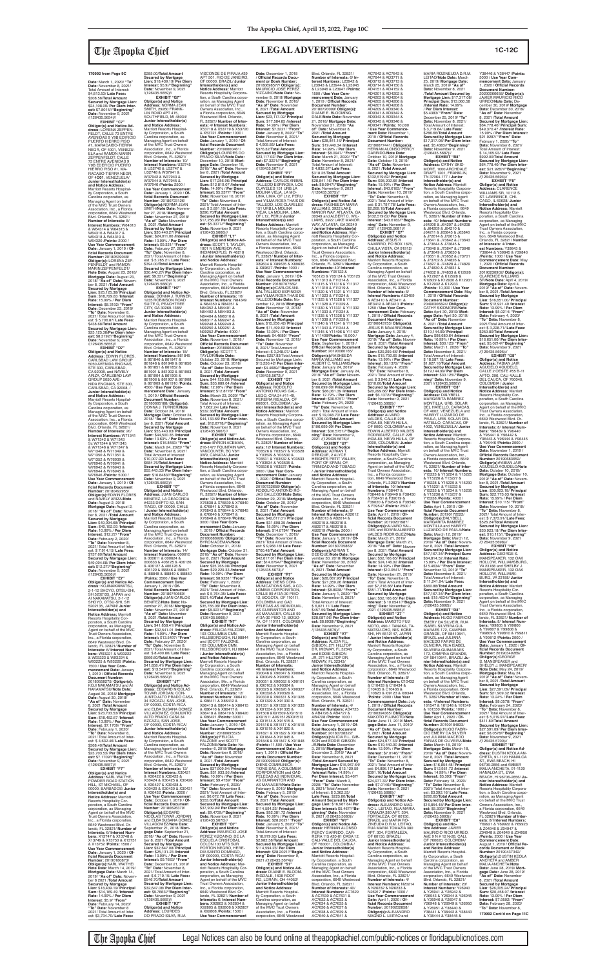**Date:** March 1, 2020/ **"To" Date:** November 8, 2021/ Total Amount of Interest: \$4,813.53/ **Late Fees:** \$308.56/**Total Amount Secured by Mortgage Lien:** \$24,108.09/ **Per Diem Interest:** \$7.8015//**"Beginning" Date:** November 9, 2021<br>/(126435.5654)//

## The Apopka Chief **LEGAL ADVERTISING 1C-12C**

**EXHIBIT "C7" Obligor(s) and Notice Ad-dress:** LORENA ZEPPEN-FELDT, CALLE 73 ENTRE AVENIDAS 9 Y9B EDIFICIO PUERTO HIERRO PISO<br>#1. MARACAIBO-TIERRA #1, MARACAIBO-TIERRA<br>NEGR, OF 4001, VENEZU-<br>ELA and RAMON MARIN<br>ZEPPENFELDT, CALLE<br>73 ENTRE AVENIDAS 9<br>Y9B EDEFICIO PUERTO HIERRO PISO #1, MA-RACABO-TIERRA NEGR, OF 4**O01**, VENEZUELA/ **Junior Interestholder(s) and Notice Address:** Marriott Resorts Hospitality Corporation, a South Carolina corporation, as Managing Agent on behalf of the MVC Trust Owners Association, Inc., a Florida corporation, 6649 Westwood Blvd. Orlando, FL 32821/ **Number of Interests:** 8/ **Interest Numbers:** W64313 & W64314 & W64315 & W64316 & W64317 & W64318 & W64319 & W64320 /**Points:** 2000 / **Use Year Commencement<br><b>Date:** January 1, 2019 / **Of-**<br>ficial Records Document **Number:** 20180539048/ **Obligor(s):** LORENA ZEP-PENFELDT and RAMON MARIN ZEPPENFELDT/ **Note Date:** August 23, 2018/ **Mortgage Date:** August 23, 2018/ **"As of" Date:** Novem-ber 8, 2021 /**Total Amount Secured by Mortgage Lien:** \$25,125.38/ **Principal Sum:** \$18,729.83 /**Interest Rate:** 15.99% / **Per Diem Interest:** \$8.3192/ **"From" Date:** December 23, 2019/ **"To" Date:** November 8, 2021/ Total Amount of Inter-est: \$ 5,706.87/ **Late Fees:** \$438.68/**Total Amount Secured by Mortgage Lien:** \$25,125.38/**Per Diem Interest:** \$8.3192//**"Beginning" Date:** November 9, 2021 /(126435.5655)// **EXHIBIT "D7" Obligor(s) and Notice Address:** EDWIN FLORES,

**Obligor(s) and Notice Ad-<br><b>dress:** KOJINAKAMATSU,<br>2-1-12 SHOYO, OTSU-SHI,<br>SH 5202135, JAPAN and AI NAKAMATSU, 2-1-12 SHOYO, OTSU-SHI, SH 5202135, JAPAN/ **Junior Interestholder(s) and Notice Address:** Marriott Resorts Hospitality Corporation, a South Carolina<br>corporation, as Managing corporation, as Managing Agent on behalf of the MVC Trust Owners Association, Inc., a Florida corporation, 6649 Westwood Blvd. Orlando, FL 32821/ **Number of Interests:** 6/ **Interest Numbers:** W93221 & W93222 & W93223 & W93224 & W93225 & W93226 /**Points:** 1500 / **Use Year Commencement Date:** January 1, 2019 / **Offi cial Records Document Number:** 20180558275/ **Obligor(s):** KOJI NAKAMATSU and AI NAKAMATSU/**Note Date:** August 30, 2018/ **Mortgage Date:** August 30, 2018/ **"As of" Date:** November 8, 2021 /**Total Amount Secured by Mortgage Lien: \$23,703.53/ Principa Sum:** \$18,452.67 /**Interest Rate:** 13.99% / **Per Diem Interest:** \$7.1709/ **"From" Date:** February 1, 2020/ **"To" Date:** November 8, 2021/ Total Amount of Inter-est: \$ 4,632.46/ **Late Fees:** \$368.40/**Total Amount Secured by Mortgage Lien:** \$23,703.53/ **Per Diem Interest:** \$7.1709//"**Begin Date:** November 9, 2021 /(126435.5657)// **EXHIBIT "F7" Obligor(s) and Notice Address:** KARL WAITHE, POWDER ROAD STATION HILL, ST MICHAEL, OF 00000, BARBADOS/ **Junior Interestholder(s) and Notice Address:** Marriott Resorts Hospitality Corporation, a South Carolina corporation, as Managing Agent on behalf of the MVC Trust Owners Association, Inc., a Florida corporation, 6649 Westwood Blvd. Or-

CARLSBAD LAW GROUP 5050 AVENIDA ENCINAS, STE 300, CARLSBAD,<br>CA 92008, and NAVELY<br>ARIZA, CARLSBAD LAW GROUP 5050 AVE-NIDA ENCINAS, STE 300, CARLSBAD, CA 92008, / **Junior Interestholder(s) and Notice Address:** Marriott Resorts Hospital-ity Corporation, a South Carolina corporation, as<br>Managing Agent on beha Managing Agent on behalf of the MVC Trust Owners Association, Inc., a Florida corporation, 6649 Westwood Blvd. Orlando, FL 32821/ **Number of Interests:** 20/ **Interest Numbers:** W71341 & W71342 & W71343 Sc W71344 & W71345 & W71346 & W71347 & W71348 & W71349 & W71350 & W71351 & W71352 & W76939 & W76940 & W76941 & W76942 & W76943 & W76944 & W76945 & W76946 /**Points:** 5000 / **Use Year Commencement Date:** January 1, 2019 / **Official Records Document<br><b>Number:** 20180492955/<br>**Obligor(s):**EDWIN FLORES<br>and NAVELY ARIZA/**Note Date:** August 2, 2018/ **Mortgage Date:** August 2, 2018/ **"As of" Date:** Novem-ber 8, 2021 /**Total Amount Secured by Mortgage Lien:** \$49,094.68/ **Principal Sum:** \$40,192.93 /**Interest Rate:** 10.99% / **Per Diem Interest:** \$12.27/ **"From" Date:** February 2, 2020/ **"To" Date:** November 8, 2021/ Total Amount of Inter-

est: \$ 7,914.15/ **Late Fees:** \$737.60/**Total Amount Secured by Mortgage Lien:** \$49,094.68/ **Per Diem Inter-est:** \$12.27//**"Beginning" Date:** November 9, 2021 /(126435.5656)// **EXHIBIT "E7"**

lando, FL 32821/ **Num Interests:** 6/ **Interest Num-bers:** X13747 & X13748 & X13749 & X13750 & X13751 & X13752 /**Points:** 1500 / **Use Year Commencement Date:** January 1, 2020 / **Offi cial Records Document Number:** 20190180873/ **Obligor(s):**KARL WAITHE/ **Note Date:** March 14, 2019/ **Mortgage Date:** March 14, 2019/ **"As of" Date:** November 8 2021 /**Total Amount Secured by Mortgage Lien:** \$18,439.19/ **Principal Sum:** \$14,169.49 /**Interest Rate:** 14.99% / **Per Diem Interest:** \$5.9/ **"From" Date:** February 14, 2020/ **"To" Date:** November 8 2021/ Total Amount of Interest: \$3,734.70/ **Late Fees:** DO PRADO SILVA, RUA

\$285.00/**Total Amoun Secured by Mortgage Lien:** \$18,439.19/ **Per Diem Interest:** \$5.9//**"Beginning" Date:** November 9, 2021 /(126435.5659)// **EXHIBIT "G7" Obligor(s) and Notice Address:** NORMA JEAN SMITH, 29260 FRANK-LIN ROAD APT 415, SOUTHFIELD, MI 48034/ **Junior Interestholder(s) and Notice Address:** Marriott Resorts Hospital-ity Corporation, a South Carolina corporation, as Managing Agent on behalf of the MVC Trust Owners Association, Inc., a Florida corporation, 6649 Westwood Blvd. Orlando, FL 32821/ **Number of Interests:** 10/<br>**Interest Numbers:** U32745<br>& U32746 & U32747 &<br>U32748 & W37941 & W37942 & W37943 & W37944 & W37945 & W37946 /**Points:** 2500 / **Use Year Commencement Date:** January 1, 2020 / **Offi cial Records Document Number:** 20180723126/ **Obligor(s):**NORMA JEAN SMITH/**Note Date:** Novem-ber 27, 2018/ **Mortgage Date:** November 27, 2018/ **"As of" Date:** November 8, 2021 /**Total Amount Secured by Mortgage Lien:** \$30,440.27/ **Principal Sum:** \$24,011.06 /**Interest Rate:** 13.99% / **Per Diem Interest:** \$9.331/ **"From"**<br> **Date:** February 27, 2020/<br>"To" Date: November 8,<br>
2021/ Total Amount of Inter-<br>
est: \$ 5,785.21/ **Late Fees:**<br>\$394.00/**Total Amount Secured by Mortgage Lien:** \$30,440.27/ **Per Diem Interest:** \$9.331//"**Beginning"**<br>**Date:** November 9, 2021<br>/(126435.5660)// **EXHIBIT "H7" Obligor(s) and Notice Ad-dress:** DONNA J. TURNER, 1235 ROBINSON ROAD SUITE G, PEACHTREE CITY, GA 30269-1385/ **Junior Interestholder(s) and Notice Address:** Marriott Resorts Hospitality Corporation, a South Carolina corporation, as Managing Agent on behalf of the MVC Trust Owners Association, Inc., a Florida corporation, 6649 Westwood Blvd. Orlando, FL 32821/ **Number of Interests:** 18/<br>**Interest Numbers:** 861845<br>& 861846 & 861847 & 861848 & 861849 & 861850 & 861851 & 861852 & 861901 & 861902 & 861903 & 861904 & 861905 & 861906 & 861907 & 861908 & 861909 & 861910 /**Points:** 4500 / **Use Year Com-mencement Date:** January 1, 2019 / **Official Records<br><b>Document Number:**<br>20180665188/ **Obligor(s):**<br>DONNA J. TURNER/**Note Date:** October 24, 2018/ **Mortgage Date:** October 24, 2018/ **"As of" Date:** Novem-ber 8, 2021 /**Total Amount Secured by Mortgage Lien:** \$55,443.03/ **Principal Sum:** \$44,500.35 /**Interest Rate:** 13.63% / **Per Diem Interest:** \$16.8483/ **"From" Date:** March 24, 2020/ **"To" Date:** November 8, 2021/ Total Amount of Interest: \$10,007.92/ **Late Fees:** \$684.76/**Total Amount Secured by Mortgage Lien:** \$55,443.03/ **Per Diem Inter-est:** \$16.8483//**"Beginning" Date:** November 9, 2021 /(126435.5663)//<br>"EXHIBIT "I7 **EXHIBIT "17"<br><b>Address:** JUAN CARLOS<br>**Address:** JUAN CARLOS<br>BENITEZ, LA GEACONDA<br>#4233 DEPTO 52, SAN-TIAGO, OF 00000, CHILE / **Junior Interestholder(s) and Notice Address:** Marriott Resorts Hospital-ity Corporation, a South Carolina corporation, as Managing Agent on behalf of the MVC Trust Owners Association, Inc., a Florida corporation, 6649 Westwood Blvd. Orlando, FL 32821/ **Number of Interests:** 14/ **Interest Numbers:** 000610 & 000611 & 000624 & 000633 & 406125 & 406126 & 406127 & 406128 & 406129 & I88846 & I88847 & I88848 & I88849 & I88850 /**Points:** 3500 / **Use Year Commencement Date:** January 1, 2019 / **Official Records Document<br><b>Number:** 20180740660/<br>**Obligor(s):**JUAN CARLOS<br>BENITEZ/**Note Date:** November 27, 2018/ **Mortgage Date:** November 27, 2018/ **"As of" Date:** November 8, 2021 /**Total Amount Secured by Mortgage Lien:** \$41,858.41/ **Principal Sum:** \$32,541.01 /**Interest Rate:** 14.99% / **Per Diem Interest:** \$13.5497/ **"From" Date:** February 27, 2020/ **"To" Date:** November 8, 2021/ Total Amount of Interest: \$ 8,400.80/ **Late Fees:** \$666.60/**Total Amount Secured by Mortgage Lien:** \$41,858.41/ **Per Diem Interest:** \$13.5497//"**Beginning"**<br>**Date:** November 9, 2021<br>/(126435.5664)// **EXHIBIT "J7" Obligor(s) and Notice Ad-dress:** EDGARD NICOLAS TOVAR JORDAN, CON-JUNTO ALTO PRADO CASA 34 EZCAZU, SAN JOSE, OF 00000, COSTA RICA and ELBA SUSANA GOMEZ VILLAGOMEZ, CONJUNTO ALTO PRADO CASA 34 EZCAZU, SAN JOSE, OF 00000, COSTA RICA/ **Junior Interestholder(s) and Notice Address:** Marriott Resorts Hospitality Corporation, a South Carolina corporation, as Managing Agent on behalf of the MVC Trust Owners Association, Inc., a Florida corporation, 6649 Westwood Blvd. Orlando, FL 32821/ **Number of Interests:** 12/ **Interest Numbers:** X30421 & X30422 & X30423 & X30424 & X30425 & X30426 & X30427 & X30428 & X30429 & X30430 & X30431 & X30432 /**Points:** 3000 / **Use Year Commencement Date:** October 1, 2019 / **Of-**<br>ficial Records Document **Number:** 20180626379/ **Obligor(s):**EDGARD<br>NICOLAS TOVAR JORDAN and ELBA SUSANA GOMEZ VILLAGOMEZ/**Note Date:** September 21, 2018/ **Mort-gage Date:** September 21, 2018/ **"As of" Date:** Novem-ber 8, 2021 /**Total Amount Secured by Mortgage Lien:** \$32,647.08/ **Principal Sum:** \$25,131.23 /**Interest Rate:** 13.99% / **Per Die Interest:** \$9.7663/ **"From" Date:** December 21, 2019/ **"To" Date:** November 8, 2021/ Total Amount of Inter-est: \$ 6,719.15/ **Late Fees:** \$546.70/**Total Amount Secured by Mortgage Lien:** \$32,647.08/ **Per Diem Interest:** \$9.7663//**"Beginning" Date:** November 9, 2021<br>/(126435.5665)// **EXHIBIT "K7" Obligor(s) and Notice Address:** LOURDES & X76841 & X76842 & X76843 & X76844 & X76845 & X76846 & X76847 & X76848 & X76849 /**Points:** 3000 / **Use Year Commencement Date:** January 1, 2019 / **Offi cial Records Document Number:** 20180686926/ **Obligor(s):**

VISCONDE DE PIRAJA #39 APT 501, RIO DE JANEIRO, OF 00000, BRAZIL/ **Junior Interestholder(s) and**<br>**Notice Address:** Marriott<br>Resorts Hospitality Corporation, a South Carolina corporation, as Managing Agent<br>on behalf of the MVC Trust Owners Association, Inc., a Florida corporation, 6649 Westwood Blvd. Orlando, FL 32821/ **Number of Inter-ests:** 4/ **Interest Numbers:** X53718 & X53719 & X53720 & X53721 /**Points:** 1000 / **Use Year Commencement Date:** January 1, 2019 / **Of-fi cial Records Document Number:** 20190000461/ **Obligor(s):**LOURDES DO PRADO SILVA/**Note Date:** December 10, 2018/ **Mort-gage Date:** December 10, 2018/ **"As of" Date:** Novem-ber 8, 2021 /**Total Amount Secured by Mortgage Lien:** \$17,256.96/ **Principal Sum:** \$12,819.07 /**Interest Rate:** 14.99% / **Per Diem Interest:** \$5.3377/ **"From" Date:** November 10, 2019/ **"To" Date:** November 8, 2021/ Total Amount of Interest: \$ 3,891.19/ **Late Fees:** \$296.70/**Total Amount Secured by Mortgage Lien:** \$17,256.96/ **Per Diem Interest:** \$5.3377//**"Beginning" Date:** November 9, 2021 /(126435.5666)// **EXHIBIT "L7" Obligor(s) and Notice Address:** SCOTT T. TAYLOR, 1901 N EMERSON AVE, INDIANAOPLIS, IN 46218 / **Junior Interestholder(s) and Notice Address:** Marriott Resorts Hospitality Corporation, a South Carolina corporation, as Managing Agent on behalf<br>of the MVC Trust Owners<br>Association, Inc., a Florida<br>corporation, 6649 Westwood Blvd. Orlando, FL 32821/<br>Number of Interests: 16/ **Number of Interests:** 16/<br>**Interest Numbers**: N84349<br>& N84350 & N84351 &<br>N84352 & N84401 &<br>N84402 & N84403 & N84404 & N98316 & N98317 & N99247 & N99248 & N99249 & N99250 & N99251 & N99252 /**Points:** 4000 / **Use Year Commencement Date:** November 1, 2018 / **Offi cial Records Document Number:** 20180664098/ **Obligor(s):** SCOTT T. TAYLOR/**Note Date:** October 23, 2018/ **Mortgage Date:** October 23, 2018/ **"As of" Date:** November 8, 2021 /**Total Amount Secured by Mortgage Lien:** \$44,133.66/ **Principal Sum:** \$35,689.04 /**Interest Rate:** 12.99% / **Per Diem Interest:** \$12.8778/ **"From" Date:** March 23, 2020/ **"To" Date:** November 8, 2021/ Total Amount of Interest: \$ 7,662.24/ **Late Fees:** \$532.38/**Total Amount Secured by Mortgage Lien:** \$44,133.66/ **Per Diem Interest:** \$12.8778//"**Beginning"**<br>**Date:** November 9, 2021<br>/(126435.5667)// **EXHIBIT "M7" Obligor(s) and Notice Ad-dress:** BYRON ACEMAN, 216-1477 FOUNTAIN WAY, VANCOUVER, BC V6H 3W9, CANADA/ **Junior Interestholder(s) and Notice Address:** Marriott Resorts Hospitality Corpora-tion, a South Carolina corpo-ration, as Managing Agent on behalf of the MVC Trust Owners Association, Inc., a Florida corporation, 6649 Westwood Blvd. Orlando, FL 32821/ **Number of Inter-ests:** 12/ **Interest Numbers:** X76838 & X76839 & X76840 **Date:** December 1, 2018<br>/ **Official Records Document or Book Number:** \$ 4,905.85/ **Late Fees:** \$376.32/**Total Amount** 

AC7642 & AC7643 & AC7644 & AD3711 & AD3712 & AD3713 & AD3714 & AD4150 & AD4151 & AD4152 & AD4201 & AD4202 & AD4203 & AD4204 & AD4205 & AD4206 & AD4207 & AD4208 & AD4209 & AD9340 &<br>AD9341 & AD9342 & AD9341 & AD9342 & AD9343 & AD9344 & AD9345 & AD9346 & AD9347 /**Points:** 10,000 / **Use Year Commence-ment Date:** November 1, 2019 / **Offi cial Records Document Number:** 20190677441/ **Obligor(s):** HERNAN ALONSO PERCY GARRIDO/**Note Date:** October 10, 2019/ **Mortgage Date:** October 10, 2019/ **"As of" Date:** November 8, 2021 /**Total Amount Secured by Mortgage Lien:** \$132,519.62/ **Principal Sum:** \$98,202.66 /**Interest Rate:** 15.99% / **Per Diem Interest:** \$43.6183/ **"From" Date:** November 10, 2019/ **"To" Date:** November 8, 2021/ Total Amount of Inter est: \$ 31,797.78/ **Late Fees:** \$2,269.18/**Total Amount Secured by Mortgage Lien:** \$132,519.62/ **Per Diem Interest:** \$43.6183//**"Beginning" Date:** November 9, 2021 /(126435.5681)// **EXHIBIT "X7" Obligor(s) and Notice Address:** JESUS R NAVARRO, PO BOX 1876, CHULA VISTA, CA 91912 **Junior Interestholder(s)<br><b>and Notice Address:**<br>Marriott Resorts Hospitality Corporation, a South Carolina corporation, as Managing Agent on behalf of the MVC Trust Owners Association, Inc., a Florida corporation, 6649 Westwood Blvd. Orlando, FL 32821/ **Number of Interests:** 5/ **Interest Numbers:** AE3409 & AE3410 & AE3411 & AE3412 & AE3413 /**Points:** 1250 / **Use Year Commencement Date:** February 1, 2019 / **Offi cial Records Document Number:** 20190043753/ **Obligor(s):** JESUS R NAVARRO/**Note Date:** January 4, 2019/ **Mortgage Date:** January 4, 2019/ **"As of" Date:** November 8, 2021 /**Total Amount Secured by Mortgage Lien:** \$20,299.66/ **Principal Sum:** \$15,792.65 /**Interest Rate:** 13.99% / **Per Diem Interest:** \$6.1372/ **"From" Date:** February 4, 2020/ **"To" Date:** November 8, 2021/ Total Amount of Inter-est: \$ 3,946.21/**Late Fees:** \$310.80/**Total Amount Secured by Mortgage Lien:** \$20,299.66/ **Per Diem Inter-est:** \$6.1372//**"Beginning" Date:** November 9, 2021 /(126435.5682)// **EXHIBIT "Y7" Obligor(s) and Notice Address:** ALVARO<br>VALDES, CALLE 22B

BYRON ACEMAN/**Note Date:** October 31, 2018/ **Mortgage Date:** October 31, 2018/ **"As of" Date:** Novem-ber 8, 2021 /**Total Amount Secured by Mortgage Lien:** \$35,765.08/ **Principal Sum:** \$29,229.33 /**Interest Rate:** 10.99% / **Per Diem Interest:** \$8.9231/ **"From" Date:** February 1, 2020/ **"To" Date:** November 8, 2021/ Total Amount of Inter-est: \$ 5,764.35/ **Late Fees:** \$521.40/**Total Amount Secured by Mortgage Lien:** \$35,765.08/ **Per Diem Interest:** \$8.9231//**"Beginning"**<br>**Date:** November 9, 2021<br>/(126435.5668)// **EXHIBIT "N7" Obligor(s) and Notice Ad-dress:** FELICIA FALZONE, 103 COLUMBIA CMN, HILLSBOROUGH, NJ 08844 and SCOTT FALZONE, 103 COLUMBIA CMN, HILLSBOROUGH, NJ 08844 / **Junior Interestholder(s) and Notice Address:** Marriott Resorts Hospitality Corporation, a South Carolina corporation, as Managing Agent on behalf of the MVC Trust Owners Association, Me., a Florida corporation, 6649 Westwood Blvd. Orlando, FL 32821/ **Number of Interests:** 12/ **Interest Numbers:** X86410 & X86411 & X86412 & X86413 & X86414 & X86415 & X86416 & X86417 & X86418 & X86419 & X86420 & X86421 /**Points:** 3000 / **Use Year Commencem Date:** January 1, 2019 / **Of-**<br>ficial Records Document<br>Number: 20180695525/ **Obligor(s):**FELICIA FALZONE and SCOTT FALZONE/**Note Date:** November 6, 2018/ **Mortgage Date:** November 6, 2018/ **"As of" Date:** November 8, 2021 /**Total Amount Secured by Mortgage Lien:** \$37,909.94/ **Principal Sum:** \$31,033.56 /**Interest Rate:** 10.99% / **Per Diem Interest:** \$9.4739/ **"From" Date:** February 6, 2020/ **"To" Date:** November 8, 2021/ Total Amount of Interest: \$6,072.78/ **Late Fees:** \$553.60/**Total Amount Secured by Mortgage Lien:** \$37,909.94/ **Per Diem Interest:** \$9.4739//**"Beginning" Date:** November 9, 2021 /(126435.5670)//<br>"EXHIBIT "O7 **EXHIBIT "O7" Obligor(s) and Notice Address:** MAURICIO JOSE PEREZ VIZCAINO, DE LA ESCUELA CRISTOBAL COLON 100 MTS SUR PORTON NEGRO, HERE-DIA SANTO DOMINGO, OF 000000, COSTA RICA **Junior Interestholder(s) and Notice Address:** Marriott Resorts Hospitality Cor-poration, a South Carolina corporation, as Managing Agent on behalf of the MVC Trust Owners Association, Inc., a Florida corporation, 6649 Westwood Blvd. Orlando, FL 32821/ **Number of Interests:** 6/ **Interest Num-bers:** X92803 & X92804 & X92805 & X92806 & X92807 & X92808 /**Points:** 1500 / **Use Year Commencement** 

**Obligor(s):**ALEJANDRO<br>MAGNO L. LEITAO and \$34,814.52 /**Interest Rate:** 15.99% / **Per Diem Interest:** \$15.4634/ **"From" Date:** November 12, 2019/ **"To" Date:** November 8, 2021/ Total Amount of Interest: \$ 11,241.94/ **Late Fees:** \$860.88/**Total Amount Secured by Mortgage Lien:** \$47,167.34/ **Per Diem Inter-est:** \$15.4634//**"Beginning" Date:** November 9, 2021 /(126435.5692)// **EXHIBIT "D8" Obligor(s) and Notice Address:** HUGO FABRICIO EMERY DA SILVEIR, RUA ISABEL SILVEIRA GUI-MARAES 172, CAMPINA GRANDE, OF 58410841, BRAZIL and JULIANA MACEDO FARIAS DE OLIVEIRA, RUA ISABEL SILVEIRA GUIMARAES 172, CAMPINA GRANDE, OF 58410841, BRAZIL/ **Ju-nior Interestholder(s) and Notice Address:** Marriott Resorts Hospitality Corporation, a South Carolina corporation, as Managing Age on behalf of the MVC Trust Owners Association, Inc., a Florida corporation, 6649 Westwood Blvd. Orlando, FL 32821/**Number of Interests:** 4/**Interest Numbers:** 161547 & 161548 & 161549 & 161550 /**Points:** 1000 / **Use Year Commencement Date:** April 1, 2020 / **Offi cial Records Document Number:** 20190184833/ **Obligor(s):**HUGO FABRI-CIO EMERY DA SILVEIR and JULIANA MACEDO FARIAS DE OLIVEIRA/**Note Date:** March 18, 2019/ **Mortgage Date:** March 18, 2019/ **"As of" Date:** November 8, 2021 /**Total Amount Secured by Mortgage Lien:** \$16,854.48/ **Principal Sum:** \$12,951.72 /**Interest Rate:** 14.99% / **Per Diem Interest:** \$5.393/ "**From"**<br>**Date:** February 18, 2020/<br>"**To" Date:** November 8,<br>2021/ Total Amount of Interest: \$3,392.16/ **Late Fees:** \$260.60/**Total Amount Secured by Mortgage Lien:** \$16,854.48/ **Per Diem Inter-est:** \$5.393//**"Beginning" Date:** November 9, 2021 /(126435.5693)// **EXHIBIT "E8" Obligor(s) and No-tice Address:** JAVIER MAURICIO RICO URREO, AVE 9 N # 12 N-28, CALI, OF 760020, COLOMBIA/ **Junior Interestholder(s) and Notice Address:** Marriott Resorts Hospital-ity Corporation, a South Carolina corporation, as Managing Agent on behalf of the MVC Trust Owners Association, Inc., a Florida corporation, 6649 Westwood Blvd. Orlando, FL 32821/ **Number of Interests:** 20/ **Interest Numbers:** Y26940 & Y26941 & Y26942 & Y26943 & Y26944 & Y26945 & Y26946 & Y26947 & Y26948 & Y26949 & Y26950 & Y26951 & Y38440 & Y38441 & Y38442 & Y38443 & Y38444 & Y38445 &

20180698577/ **Obligor(s):** MAURICIO JOSE PEREZ VIZCAINO/**Note Date:** November 8, 2018/ **Mortgage Date:** November 8, 2018/ **"As of" Date: November**<br>8. 2021 /**Total Amount** 8, 2021 /**Total Amount Secured by Mortgage Lien:** \$23,117.02/ **Principal Sum:** \$17,584.85 /**Interest Rate:** 14.99% / **Per Diem Interest:** \$7.3221/ **"From" Date:** January 8, 2020/ **"To" Date:** November 8, 2021/ Total Amount of Interest: **Secured by Mortgage Lien:** \$23,117.02/ **Per Diem Inter-est:** \$7.3221//**"Beginning" Date:** November 9, 2021 /(126435.5671)// **EXHIBIT "P7" Obligor(s) and Notice Address:** CARLOS ANIBAL TALLEDO ESPINOSA, LOS CLAVELES 151 URB.LA MOLINA VIEJA, LA MO-LINA, LIMA, OF L12, PERU and VILMA ROSA THAIS DE TALLEDO, LOS CLAVELES 151 URB.LA MOLINA VIEJA, LA MOLINA, LIMA, OF L12, PERU/ **Junior Interestholder(s) and Notice Address:** Marriott Resorts Hospitality Corpora-tion, a South Carolina corporation, as Managing Agent<br>on behalf of the MVC Trust Owners Association, Inc., a Florida corporation, 6649 Westwood Blvd. Orlando, FL 32821/ **Number of Inter-ests:** 4/ **Interest Numbers:** X89634 & X89635 & X89636 & X89637 /**Points:** 1000 / **Use Year Commencement Date:** January 1, 2019 / **Of-fi cial Records Document Number:** 20180707569/<br>**Obligor(s):**CARLOS ANI-<br>BAL TALLEDO ESPINOSA and VILMA ROSA THAIS DE TALLEDO/**Note Date:** November 12, 2018/ **Mortgage Date:** November 12, 2018/ **"As of" Date:** November 8, 2021 /**Total Amount Secured by Mortgage Lien:** \$15,256.42/ **Principal Sum:** \$11,499.62 /**Interest Rate:** 13.99% / **Per Diem Interest:** \$4.4689/ **"From" Date:** November 12, 2019/ **"To" Date:** November 8, 2021/ Total Amount of Interest: \$ 3,248.97/ **Late Fees:** \$257.83/Total Amount Secured by Mortgage Lieln: \$15,256.42/ **Per Diem Inter-est:** \$4.4689//**"Beginning" Date:** November 9, 2021 /(126435.5672)// **EXHIBIT "Q7" Obligor(s) and Notice Address:** RODOLFO ANTONIO ROJAS GAL-LEGO, CRA 24 #11-49, PEREIRA RISALDA, OF 660001, COLOMBIA / **Ju-nior Interestholder(s) and Notice Address:** Marriott Resorts Hospitality Corporation, a South Carolina corporation, as Managing Agent<br>on behalf of the MVC Trust Owners Association, Inc., a Florida corporation, 6649 Westwood Blvd. Orlando, FL 32821/ **Number of Inter-ests:** 12/ **Interest Numbers:** Y03526 & Y03527 & Y03528 & Y03529 & Y03530 & Y03531 & Y03532 & Y03533 & Y03534 & Y03535 &<br>Y03536 & Y03537 /**Points:** Y03536 & Y03537 /**Points:** 3000 / **Use Year Com-mencement Date:** January 1, 2020 / **Offi cial Records Document Number:** 20190722656/ **Obligor(s):** RODOLFO ANTONIO RO-JAS GALLEGO/**Note Date:** October 29, 2019/ **Mortgage Date:** October 29, 2019/ **"As of" Date:** November 8, 2021 /**Total Amount Secured by Mortgage Lien:** \$42,617.01/ **Principal Sum:** \$31,698.35 /**Interest Rate:** 15.99% / **Per Diem Interest:** \$14.0794/ **"From" Date:** December 1, 2019/ **"To" Date:** November 8, 2021/ Total Amount of Inter-est: \$ 9,968.18/ **Late Fees:** \$700.48/**Total Amount Secured by Mortgage Lien:** \$42,617.01/ **Per Diem Interest:** \$14.0794//**"Beginning"<br><b>Date:** November 9, 2021<br>/(126435.5673)// **EXHIBIT "R7" Obligor(s) and Notice Address:** DIENS COM-MUNICATIONS SAS, A CO-LOMBIA CORPORATION, CALLE 99 #13A-30 PISO 12, BOGOTA, OF 110111, COLOMBIA and GAD PELEDAS AS INDIVIDUAL, AS GUARANTOR AND AS MANAGER, CALLE 99 #13A-30 PISO 12, BOGO-TA, OF 110111, COLOMBIA/ **Junior Interestholder(s) and Notice Address:** Marriott Resorts Hospitality Corporation, a South Carolina corporation, as Managing Agent on behalf of the MVC Trust Owners Association, Inc., a Florida corporation, 6649 Westwood Blvd. Orlando, FL 32821/ **Number of Interests:** 46/ **Interest Numbers:** X90046 & X90047 & X90048 & X90049 & X90050 & X90051 & X90052 & X90101<br>& X90102 & X90324 &<br>X90325 & X90326 & X90327 & X90328 & X90329 & X90330 & X90331 & X91328 & X91329 & X91330 & X91331 & X91332 & X91333 & X91334 & X91335 & X91508 &X91509 &X91510 &X91511 &X91512&X91513 & X91514 & X91515 & X91516 & X91517 & X91518 & X91519 & X91820 & X91821 & X91822 & X91843 & X91844 & X91845 & X91846 & X91847 & X91848 /**Points:** 11,500 / **Use Year Commencement Date:** January 1, 2019 / Official Re-<br>cords Document Number **cords Document Number:<br>20190099844/ <b>Obligor(s):**<br>DIENS COMMUNICA-<br>TIONS SAS, A COLOMBIA CORPORATION and GAD PELEDAS AS INDIVIDUAL,<br>AS GUARANTOR AND AS MANAGER/**Note Date:** Febraary 5, 2019/ **Mortgage Date:** February 5, 2019/ **"As of" Date:** November 9, 2021 /**Total Amount Secured by Mortgage Lien:** \$114,594.23/ **Principal Sum:** \$92,381.72 /**Interest Rate:** 10.99% / **Per Diem Interest:** \$28.2021/ **"From" Date:** January 5, 2020/ **"To" Date:** November 9, 2021/ Total Amount of Interest: \$ 18,979.93/ **Late Fees:** \$2,982.58/**Total Amount Secured by Mortgage Lien:** \$114,594.23/ **Per Diem Interest:** \$28.2021//**"Beginning" Date:** November 9, 2021 /(126435.5674)// **EXHIBIT "S7" Obligor(s) and Notice Address:** DUANE E. BLOOM-INGDALE, 1608 ROOT RD, LORAIN, OH 44052/ **Junior Interestholder(s) and Notice Address:** Marriott Resorts Hospitality Corporation, a South Carolina corporation, as Managing Agent on behalf of the MVC Trust Owners Association, Inc., a Florida corporation, 6649 Westwood Blvd. Orlando, FL 32821/ **Number of Interests:** 6/ **Interest Numbers:** L23942 & L23943 & L23944 & L23945 & L23946 & L23947 /**Points:** 1500 / **Use Year Commencement Date:** January 1, 2019 / **Offi cial Records Document Number:** 20180720099/ **Obligor(s):** DUANE E. BLOOMING-DALE/**Note Date:** November 21, 2018/ **Mortgage Date:** November 21, 2018/ **"As of" Date:** November 8, 2021 /**Total Amount Secured by Mortgage Lien:** \$28,841.16/ **Principal Sum:** \$19,440.34 /**Interest Rate:** 14.99% / **Per Diem Interest:** \$8.0947/ **"From" Date:** March 21, 2020/ **"To" Date:** November 8, 2021/ Total Amount of Interest: \$ 4,832.57/ **Late Fees:** \$318.25/**Total Amount Secured by Mortgage Lien:** \$28,841.16/ **Per Diem Inter-est:** \$8.0947//**"Beginning" Date:** November 9, 2021 /(126435.5675)// **EXHIBIT "T7" Obligor(s) and Notice Ad-dress:** RASHEEDA MARIA WILLIAMS, 3922 LAKE MANOR WAY, ATLANTA, GA 30349 and ALBERT C. WIL-LIAMS, 3922 LAKE MANOR WAY, ATLANTA, GA 30349 / **Junior Interestholder(s) and Notice Address:** Mar-riott Resorts Hospitality Corporation, a South Carolina corporation, as Managing Agent on behalf of the MVC Trust Owners Association, Inc., a Florida corpora-tion, 6649 Westwood Blvd. Orlando, FL 32821/ **Number of Interests:** 40/ **Interest Numbers:** Y05122 & Y05123 & Y05124 & Y05125 & Y11313 & Y11314 & Y11315 & Y11316 & Y11317 & Y11318 & Y11319 & Y11320 & Y11321 & Y11322 & Y11323 & Y11324 & Y11325 & Y11326 & Y11327 & Y11328 & Y11329 & Y11330 & Y11331 & Y11332 & Y11333 & Y11334 & Y11335 & Y11336 & Y11337 & Y11338 & Y11339 & Y11340 & Y11341 & Y11342 & Y11343 & Y11344 & Y11345 & Y11406 & Y11407 & Y11408/**Points:** 10,000 / **Use Year Commencement Date:** September 1, 2019 / **Offi cial Records Document Number:** 20190080165/<br>**Obligor(s):**RASHEEDA<br>MARIA WILLIAMS and<br>ALBERT C. WILLIAMS/**Note Date:** January 24, 2019/ **Mortgage Date:** January 24, 2019/ **"As of" Date:** Novem-ber 8, 2021 /**Total Amount Secured by Mortgage Lien:** \$106,699.09/ **Principal Sum:** \$86,061.39 /**Interest Rate:** 12.79% / **Per Diem Interest:** \$30.5757/ "From" **Date:** February 24, 2020/ **"To" Date:** November 8, 2021/ Total Amount of Interest: \$ 19,048.70/ **Late Fees:** \$1,339.00/**Total Amount Secured by Mortgage Lien:** \$106,699.09/ **Per Diem Interest:** \$30.5757//**"Beginning" Date:** November 9, 2021 /(126435.5676)// **EXHIBIT "U7" Obligor(s) and Notice Address:** ADRIAN T. DEBIQUE, 2 ALYCE HEIGHTS PETIT VALLEY, PORT OF SPAIN, OF, TRINIDAD AND TOBAGO / **Junior Interestholder(s) and Notice Address:** Marriott Resorts Hospitality Corporation, a South<br>Carolina corporation, as Carolina corporation, as Managing Agent on behalf of the MVC Trust Owners Association, Inc., a Florida corporation, 6649 Westwood Blvd. Orlando, FL 32821/ **Number of Interests:** 8/ **Interest Numbers:** AB2012 & AB2013 & AB2014 & AB2015 & AB2016 & AB2017 & AB2018 & AB2019 /**Points:** 2000 / **Use Year Commencement Date:** January 1, 2019 / **Of-**<br>ficial Records Document<br>Number: 20180735863/ **Obligor(s):**ADRIAN T. DEBIQUE/**Note Date:** November 30, 2018/ **Mortgage Date:** November 30, 2018/ **"As of" Date:** November 8, 2021 /**Total Amount Secured by Mortgage Lien:** \$28,087.96/ **Principal Sum:** \$21,359.26 /**Interest Rate:** 14.99% / **Per Diem Interest:** \$8.8938/ **"From" Date:** January 1, 2020/ **"To" Date:** November 8, 2021/ Total Amount of Interest: \$ 6,021.11/ **Late Fees:** \$457.59/**Total Amount Secured by Mortgage Lien:** \$28,087.96/ **Per Diem Interest:** \$8.8938//**"Beginning" Date:** November 9, 2021<br>/(126435.5679)// **EXHIBIT "V7" Obligor(s) and Notice Address:** ALICIA R.L. GIBSON, 271 HILLTOP DR, MIDWAY, FL 32343 and EDDIE GIBSON JR, 271 HILLTOP DR, MIDWAY, FL 32343 **Junior Interestholder(s) and Notice Address:** Marriott Resorts Hospitality Corporation, a South Carolina corporation, as Managing Agent on behalf of the MVC Trust Owners Association, Inc., a Florida corporation, 6649 Westwood Blvd. Orlando, FL 32821/<br>Number of Interests: 4/ **Number of Interests:** 4/ **Interest Numbers:** AB4725 & AB4726 & AB4727 & AB4728 /**Points:** 1000 / **Use Year Commencement Date:** January 1, 2019 / **Official Records Document<br><b>Number:** 20180738322/<br>**Obligor(s):**ALICIA R.L. GIB-<br>SON and EDDIE GIBSON JR/**Note Date:** December 3, 2018/ **Mortgage Date:** December 3, 2018/ **"As of" Date:** November 8, 2021 /**Total Amount Secured by Mortgage Lien:** \$16,967.64/ **Principal Sum:** \$13,129.59 /**Interest Rate:** 14.99% / **Per Diem Interest:** \$5.467/ **"From" Date:** March 3, 2020/ **"To" Date:** November 8, 2021/ Total Amount of Interest: \$ 3,362.25/ **Late Fees:** \$225.80/**Total Amount Secured by Mort-gage Lien:** \$16,967.64/ **Per Diem Interest:** \$5.467//**"Beginning" Date:** November 9, 2021 /(126435.5680)// **EXHIBIT "W7" Obligor(s) and Notice Ad-dress:** HERNAN ALONSO PERCY GARRIDO, CAR-RERA 115 #20-61 CASA 12, CALI-VALLE DEL CAUCA, OF 760001, COLOMBIA / **Junior Interestholder(s) and Notice Address:** Marriott Resorts Hospitality Corporation, a South arolina corporation, as Managing Agent on behalf<br>of the MVC Trust Owners<br>Association, Inc., a Florida<br>corporation, 6649 Westwood Blvd. Orlando, FL 32821/ **Number of Interests:** 40/ **Interest Numbers:** AC7629 & AC7630 & AC7631 & AC7632 & AC7633 & AC7634 & AC7635 & AC7636 & AC7637 & AC7638 & AC7639 & AC7640 & AC7641 &

#43A-80, NEIVA HUILA, OF 0000, COLOMBIA and EDWIN ALBERTO VALDES RODRIGUEZ, CALLE 22B #43A-80, NEIVA HUILA, OF 0000, COLOMBIA/ **Junior Interestholder(s) and<br><b>Notice Address:** Marriott<br>Resorts Hospitality Cor-<br>poration, a South Carolina corporation, as Managing Agent on behalf of the MVC Trust Owners Association,<br>Inc., a Florida corpora-<br>tion, 6649 Westwood Blvd.<br>Orlando, FL 32821/ **Number of Interests:** 10/ **Interest Numbers: F38447 &<br>F38448 & F38449 & F38450** F38448 & F38449 & F38450<br>& F38451 & F39019 &<br>F39020 & F39545 & F39546<br>& F39547 /**Points:** 2500 / **Use Year Commencement Date:** April 1, 2019 / **Offi cial Records Document Number:** 20190201987/ **Obligor(s):**ALVARO VAL-DES and EDWIN ALBERTO VALDES RODRIGUEZ/**Note Date:** March 21, 2019/ **Mortgage Date:** March 21, 2019/ **"As of" Date:** November 8, 2021 /**Total Amount Secured by Mortgage Lien:** \$32,166.65/ **Principal Sum:** \$24,146.02 /**Interest Rate:** 14.99% / **Per Diem Interest:** \$10.0541/ **"From" Date:** November 21, 2019/ **"To" Date:** November 8, 2021/ Total Amount of Interest: \$7,218.86/ **Late Fees:** \$551.77/**Total Amount Secured by Mortgage Lien:** \$32,166.65/ **Per Diem Interest:** \$ 10.0541//**"Beginning" Date: November 9, 2021 /(126435.5685)//** 2021 /(126435.5685)// **EXHIBIT "Z7 " Obligor(s) and Notice Address:** MAKOTO FUJI MOTO, 490-1 TANAKA, TA-MATSU-CHO, NIS, KOBE<br>SHI, HY 6512147, JAPAN SHI, HY 6512147, JAPAN / **Junior Interestholder(s) and Notice Address:** Marriott Resorts Hospitality Corporation, a South Carolina corporation, as Managing Agent on behalf of the MVC Trust Owners Association, Inc., a Florida corporation, 6649 Westwood Blvd. Orlando, FL 32821/ **Number of Interests:** 8/ **Interest Numbers:** C10432 & C10433 & C10434 & C10435 & C10436 & C10823 & I09123 & I09344 /**Points:** 2000 / **Use Year Commencement Date:** July 1, 2019 / **Offi cial Records Document Number:** 20190394365/ **Obligor(s):** MAKOTO FUJIMOTO/**Note**  Date: June 11, 2019/ **Mort-<br>gage Date:** June 11, 2019/<br>"As of" Date: November<br>8, 2021 /**Total Amount<br>Secured by Mortgage<br><b>Lien:** \$24,977.33/ **Principal Sum:** \$19,440.00 /**Interest Rate:** 12.99% / **Per Diem Interest:** \$7.0146/ **"From" Date:** December 11, 2019/ **"To" Date:** November 8, 2021/ Total Amount of Inter est: \$4,896.17/ **Late Fees:** \$391.16/**Total Amount Secured by Mortgage Lien:** \$24,977.33/ **Per Diem Inter-est:** \$7.0146//**"Beginning" Date:** November 9, 2021 /(126435.5686)// **EXHIBIT "A8" Obligor(s) and Notice Ad-<br><b>dress:** ALEJANDRO MAG-<br>NO L. LEITAO, RUA MARIA<br>TOMAZIA 380 APT. 304, FORTALEZA, OF 60150, BRAZIL and MARIA RO-ZINEUDA D.R.M. LEITAO, RUA MARIA TOMAZIA 380 APT. 304, FORTALEZA, OF 60150, BRAZIL/ **Junior Interestholder(s) and Notice Address:** Marriott Resorts Hospital-ity Corporation, a South Carolina corporation, as Managing Agent on behalf of the MVC Trust Owners Association, Inc., a Florida corporation, 6649 Westwood Blvd. Orlando, FL 32821/ **Number of Interests:** 4/ **Interest Numbers:** N20214 & N26232 & N26233 & N26917 /**Points:** 1000 / **Use Year Commencement<br><mark>Date:</mark> April 1, 2020 / <mark>Of-</mark><br>ficial Records Document Number:** 20190202858/

### MARIA ROZINEUDA D.R.M. LEITAO/**Note Date:** March 25, 2019/ **Mortgage Date:** March 25, 2019/ **"As of" Date:** November 8, 2021 /**Total Amount Secured by Mortgage Lien:** \$17,317.08/ **Principal Sum:** \$13,060.58 /**Interest Rate:** 14.99% / **Per Diem Interest:** \$5.4383/ **"From" Date:** December 25, 2019/ **"To" Date:** November 8, 2021/ Total Amount of Interest: \$ 3,719.84/ **Late Fees:** \$286.66/**Total Amount Secured by Mortgage Lien:** \$17,317.08/ **Per Diem Interest:** \$5.4383//"**Beginning"**<br>**Date:** November 9, 2021<br>/(126435.5687)// **EXHIBIT "B8" Obligor(s) and Notice Address:** CATHY SKID-MORE, 1000 ARCHDALE DRAFT 1201, FRANKLIN, TN 37064-177 / **Junior Interestholder(s) and<br><b>Notice Address:** Marriott<br>Resorts Hospitality Corporation, a South Carolina corpo-ration, as Managing Agent on behalf of the MVC Trust Owners Association, Inc., a Florida corporation, 6649 Westwood Blvd. Orlando, Y38446 & Y38447 /**Points:** 5000 / **Use Year Com-mencement Date:** January 1, 2020 / **Official Records<br><b>Document Number:**<br>20200066658/ **Obligor(s):**<br>JAVIER MAURICIO RICO URREO/**Note Date:** December 30, 2019/ **Mortgage Date:** December 30, 2019/ **"As of" Date:** November 8, 2021 /**Total Amount Secured by Mortgage Lien:** \$64,778.40/ **Principal Sum:** \$49,370.47 /**Interest Rate:** 15.99% / **Per Diem Interest:** \$21.9287/ **"From" Date:** February 1, 2020/ **"To" Date:** November 8, 2021/ Total Amount of Interest: \$ 14,165.93/ **Late Fees:** \$992.00/**Total Amount Secured by Mortgage Lien:** \$64,778.40/ **Per Diem Inter-est:** \$21.9287//**"Beginning" Date:** November 9, 2021 /(126435.5694)// **EXHIBIT "F8" Obligor(s) and Notice<br><b>Address:** CLARENCE<br>WILLIAMS SR, 10112 S.<br>ST. LAWRENCE, CHI-CAGO, IL 60628/ **Junior Interestholder(s) and Notice Address:** Marriott

FL 32821/ **Number of Inter-ests:** 40/ **Interest Numbers:** J64206 & J64207 & J64208 & J64209 & J64210 & J64211 & J65845 & J65846 & J72614 & J72615 & J73641 & J73642 & J73643 & J73644 & J73645 & J73646 & J73647 & J73648 & J73649 & J73650 & J73651 & J73652 & J73701 & J73702 & J74826 & J74827 & J74828 & J74829 & J74830 & J74831 & J74832 & J74833 & K12926 & K12927 & K12928 & K12929 & K12930 & K12931 & K12932 & K12933 /**Points:** 10,000 / **Use Year Commencement Date:** May 1, 2019 / **Offi cial Records Document Number:** 20490306824/ **Obligor(s):** CATHY SKIDMORE/**Note Date:** April 30, 2019/ **Mort-gage Date:** April 30, 2019/ **"As of" Date:** November 8, 2021 /**Total Amount Secured by Mortgage Lien:** \$119,144.99/ **Principal Sum:** \$98,680.64 /**Interest Rate:** 10.99% / **Per Diem**  Resorts Hospitality Corporation, a South Carolina corporation, as Managing<br>Agent on behalf of the MVC Agent on behalf of the MVC<br>Trust Owners Association,<br>Inc., a Florida corpora-<br>tion, 6649 Westwood Blvd.<br>Orlando, FL 32821/ **Number<br>of Interests:** 4/ **Interest Numbers:** Y39843 & Y39844 & Y39845 & Y39846 /**Points:** 1000 / **Use Year Commencement Date:** May 1, 2020 / **Offi cial Records Document Number:** 20190230902/ **Obligor(s):** CLARENCE WILLIAMS SR/**Note Date:** April 4, 2019/ **Mortgage Date:** April 4, 2019/ **"As of" Date:** Novem-ber 8, 2021 /**Total Amount Secured by Mortgage Lien:** \$16,651.00/ **Principal Sum:** \$12,921.49 /**Interest Rate:** 13.99% / **Per Diem Interest:** \$5.0214/ **"From" Date:** February 4, 2020/ **"To" Date:** November 8, 2021/Total Amount of Inter-est: \$ 3,228.71/ **Late Fees:** \$250.80/**Total Amount Secured by Mortgage Lien:** \$16,651.00/ **Per Diem Interest:** \$5.0214//**"Beginning"** 

**Interest:** \$30.125/ **"From" Date:** March 1, 2020/ **"To" Date:** November 8, 2021/ Total Amount of Interest: \$ 18,587.19/ **Late Fees:** \$1,627.16/**Total Amount Secured by Mortgage Lien:** \$119,144.99/ **Per Diem Interest:** \$30.125//**"Beginning" Date:** November 9, 2021 /(126435.5688)// **EXHIBIT "C8" Obligor(s) and Notice Address:** DALYBELL MARGARITA RAMIREZ MONTILLA, URB. SOLAR DEL HATELLO, CARACAS, OF 4002, VENEZUELA and HARRYT LUZARDO DE PAULA, URB. SOLAR DEL HATELLO, CARACAS, OF 4002, VENEZUELA/ **Junior Interestholder(s) and Notice Address:** Marriott Resorts Hospitality Corporation, a South Carolina corpo-ration, as Managing Agent on behalf of the MVC Trust Owners Association, Inc., a Florida corporation, 6649 Westwood Blvd. Orlando, FL 32821/ **Number of Inter-ests:** 16/ **Interest Numbers:** Y15223 & Y15224 & Y15225 & Y15226 & Y15227 & Y15228 & Y15229 & Y15230 & Y15231 & Y15232 & Y15233 & Y15234 & Y15235 & Y15236 & Y15237 & Y15238 /**Points:** 4000 / **Use Year Commencement Date:** April 1, 2019 / **Offi cial Records Document Number:** 20190172022/ **Obligor(s):**DALYBELL<br>MARGARITA RAMIREZ<br>MONTILLA and HARRYT<br>LUZARDO DE PAULA/**Note Date:** March 12, 2019/ **Mortgage Date:** March 12, 2019/ **"As of" Date:** November 8, 2021 /**Total Amount Secured by Mortgage Lien:** \$47,167.34/ **Principal Sum: Date:** November 9, 2021<br>/(126435.5695)// **EXHIBIT "G8" Obligor(s) and Notice Address:** FABIAN JAIR AGUDELO AGUDELO, CALLE 2 OESTE #55 B-11<br>APTO. 206. CALI-VALLE APTO. 206, CALI-VALLE DEL CAUCA, OF 760040, COLOMBIA / **Junior Interestholder(s) and Notice Address:** Marriott<br>Resorts Hospitality Cor-<br>poration, a South Carolina<br>corporation, as Managing<br>Agent on behalf of the MVC<br>Trust Owners Association, Inc., a Florida corporation, 6649 Westwood Blvd. Or-lando, FL 32821/ **Number of Interests:** 8/ **Interest Numbers:** Y96439 & Y96440 & Y96441 & Y96442 & Y96443 & Y96444 & Y96445 & Y96446 /**Points:** 2000 / **Use Year Commencement Date:** November 1, 2019 / **Offi cial Records Document Number:** 20190683652/ **Obligor(s):**FABIAN JAIR AGUDELO AGUDELO/**Note Date:** October 10, 2019/ **Mortgage Date:** October 10, 2019/ **"As of" Date:** Novem-ber 8, 2021 /**Total Amount Secured by Mortgage Lien:** \$30,923.18/ **Principal Sum:** \$22,773.03 /**Interest Rate:** 15.99% / **Per Diem Interest:** \$10.115/ **"From" Date:** November 10, 2019/ **"To" Date:** November 8, 2021/ Total Amount of Inter-est: \$ 7,373.91/ **Late Fees:** \$526.24/**Total Amount Secured by Mortgage Lien:** \$30,923.18/ **Per Diem Interest:** \$10.115//,"**Beginning"**<br>**Date:** November 9, 2021<br>/(126435.5698)// **EXHIBIT "H8" Obligor(s) and Notice Address:** GEORGE S. **Interestholder(s) and**  Resorts Hospitality Cor**bers:** Y99805 & Y99806 & Y99807 & Y99808 & **Number:** 20190349269/ **Obligor(s):**GEORGE<br>S. MANSPEAKER and \$411.80/**Total Amount**  /(126435.5700)// **EXHIBIT "I8"** 96706-2856 and AMBER ANCHETA and AMBER MALIA ANCHETA/**Note Secured by Mortgage "To" Date:** November 8,

MANSPEAKER, 132 OAK HOLLOW, WILLIAMSBURG,<br>VA 23188 and SHELBY J. MANSPEAKER, 132 OAK HOLLOW, WILLIAMS-BURG, VA 23188/ **Junior Notice Address:** Marriott poration, a South Carolina corporation, as Managing Agent on behalf of the MVC Trust Owners Association, Inc., a Florida corporation, 6649 Westwood Blvd. Or-lando, FL 32821/ **Number of Interests:** 8/ **Interest Num-**Y99809 & Y99810 & Y99811 & Y99812 /**Points:** 2000 / **Use Year Commencement Date:** January 1, 2020 / **Offi cial Records Document**  SHELBY J. MANSPEAKER/ **Note Date:** May 24, 2019/ **Mortgage Date:** May 24, 2019/ **"As of" Date:** November 8, 2021 /**Total Amount Secured by Mortgage Lien:** \$27,591.09/ **Principal Sum:** \$21,909.32 /**Interest Rate:** 13.24% / **Per Diem Interest:** \$8.0578/ **"From" Date:** February 24, 2020/ **"To" Date:** November 8, 2021/ Total Amount of Inter-est: \$ 5,019.97/ **Late Fees: Secured by Mortgage Lien:** \$27,591.09/ **Per Diem Inter-est:** \$8.0578//**"Beginning" Date:** November 9, 2021 **Obligor(s) and Notice Ad-dress:** DUSTIN KEOLA AN-CHETA, 91-1120 HANALOA ST,, EWA BEACH, HI MALIA ANCHETA, 91-1120 HANALOA ST,, EWA BEACH, HI 96706-2856/ **Ju-nior Interestholder(s) and Notice Address:** Marriott Resorts Hospitality Corporation, a South Carolina corporation, as Managing Agent on behalf of the MVC Trust Owners Association, Inc., a Florida corporation, 6649 Westwood Blvd. Orlando, FL 32821/ **Number of Interests:** 8/ **Interest Numbers:** Y69921 & Y69922 & Y69923 & Z04946 & Z04947 & Z04948 & Z04949 & Z04950 /**Points:** 2000 / **Use Year Commencement Date:**<br>August 1, 2019 / **Official Records Document or Book Number:** 20190437342/ **Obligor(s):**DUSTIN KEOLA **Date:** June 28, 2019/ **Mortgage Date:** June 28, 2019/ **"As of" Date:** November 8, 2021 /**Total Amount Lien:** \$26,005.24/ **Principal Sum:** \$20,458.07 /**Interest Rate:** 13.99% / **Per Diem Interest:** \$7.9502/ **"From" Date:** February 28, 2020/ **170992 Cont'd on Page 11C**

### **170992 from Page 9C**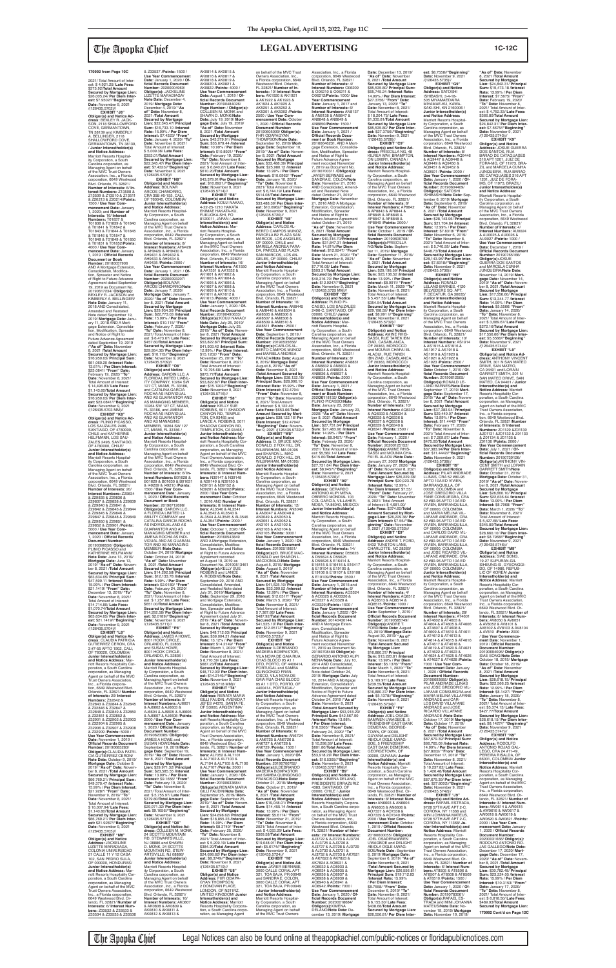2021/ Total Amount of Inter-est: \$ 4,921.25/ **Late Fees:** \$375.92/**Total Amount Secured by Mortgage Lien:** \$26,005.24/ **Per Diem Inter-est:** \$7.9502//**"Beginning" Date:** November 9, 2021

/(126435.5702)// **EXHIBIT "J8" Obligor(s) and Notice Ad-dress:** BEXLEY R. JACK-SON, 2118 SHALLOWFORD COVE, GERMANTOWN, TN 38139 and KIMBERLY A. BELLINGER, 2118 SHALLOWFORD COVE, GERMANTOWN, TN 38139, / **Junior Interestholder(s) and Notice Address:** Marriott Resorts Hospitality Corporation, a South Carolina corporation, as Managing Agent on behalf of the MVC Trust Owners Association, Inc., a Florida corporation, 6649 Westwood Blvd. Orlando, FL 32821/ **Number of Interests:** 6/ **Interest Numbers:** Z13508 & Z13509 & Z13510 & Z13511 & Z20213 & Z20214/**Points:** 1500 / **Use Year Com-mencement Date:** January 1, 2020; and **Number of Interests:** 16/ **Interest Numbers: T**01837 &<br>T01838 & T01839 & T01840<br>& T01841 & T01842 &<br>T01843 & T01844 & T01845 & T01846 & T01847 & T01848 & T01849 & T01850 & T01851 & T01852/**Points:** 4000 / **Use Year Commencement Date:** January 1, 2019 / **Offi cial Records Document or Book Number:** 20180057906<br>AND A Mortgage Extension,<br>Consolidation, Modification, Spreader and Notice of Right to Future Advance Agreement dated September<br>19, 2019 as Document No.<br>20190617234/ **Obligor(s):**<br>BEXLEY R. JACKSON and<br>KIMBERLY A. BELLINGER/ **Note Date:** January 11, 2018 AND Consolidated, Amended and Restated<br>Note dated September 19 Note dated September 19,<br>2019/ **Mortgage Date:** Janu-<br>ary 11, 2018 AND A Mortgage Extension, Consolida-<br>tion, Modification, Spreader and Notice of Right to Future Advance Agreement dated September 19, 2019 /**"As of" Date:** November 8, 2021 /**Total Amount Secured by Mortgage Lien:** \$76,950.63/ **Principal Sum:** \$61,060.20 /**Interest Rate:** 13.61% / **Per Diem Interest:** \$23.0841/ **"From" Date:** February 19, 2020/ **"To" Date:** November 8, 2021/ Total Amount of Interest:<br>\$14,496,83/Late Fees: \$ 14,496.83/ **Late Fees:** \$1,143.60/**Total Amount Secured by Mortgage Lien:** \$76,950.63/ **Per Diem Interest:** \$23.0841//**"Beginning" Date:** November 9, 2021 /(126435.5703 MM)// **EXHIBIT "K8" Obligor(s) and Notice Ad-dress:** PLINIO PICASSO,

LOS SAUZALES 2496, SANTIAGO, OF 4780000, CHILE and KATHERINE HELFMANN, LOS SAU-ZALES 2496, SANTIAGO, OF 4780000, CHILE/ **Junior Interestholder(s) and Notice Address:** Marriott Resorts Hospitality Corporation, a South Carolina corporation, as Managing Agent on behalf of the MVC Trust Owners Association, Inc., a Florida corporation, 6649 Westwood Blvd. Orlando, FL 32821/ **Number of Interests:** 20/ **Interest Numbers:** Z29834 & Z29835 & Z29836 & Z29837 & Z29838 & Z29839 & Z29840 & Z29841 & Z29842 & Z29843 & Z29844 & Z29845 & Z29846 & Z29847 & Z29848 & Z29849 & Z29850 & Z29851 & Z29852 & Z29901 /**Points:** 5000 / **Use Year Com-mencement Date:** January 1, 2020 / **Offi cial Records Document Number:** 20190398550/ **Obligor(s):**

**Interests:** 6/ **Interest Num-**

PLINIO PICASSO and KATHERINE HELFMANN/ **Note Date:** June 13, 2019/ **Mortgage Date:** June 13, 2019/ **"As of" Date:** November 8, 2021 /**Total Amount Secured by Mortgage Lien:** \$63,634.65/ **Principal Sum:** \$47,599.11 /**Interest Rate:** 15.99% / **Per Diem Interest:** \$21.1419/ **"From" Date:** December 13, 2019/ **"To" Date:** November 8, 2021/ Total Amount of Interest: \$14,714.80/ **Late Fees:** \$1,070.74/**Total Amount Secured by Mortgage Lien:** \$63,634.65/ **Per Diem Interest:** \$21.1419//"**Beginning**<br> **Date:** November 9, 2021 **Date:** November 9, 2021 /(126435.5704)// **EXHIBIT "L8" Obligor(s) and Notice Address:** CLAUDIA PATRICIA GUTIERREZ CERON, CRA 3 #7-55 APTO 1902, CALI,<br>OF 760020, COLOMBIA/<br>**Junior Interestholder(s)**<br>**and Notice Address:** Marriott Resorts Hospitality Cor-poration, a South Carolina corporation, as Managing Agent on behalf of the MVC Trust Owners Association, Inc., a Florida corporation, 6649 Westwood Blvd.<br>Orlando, El. 32821/ Numbe Orlando, FL 32821/ **Number of Interests:** 20/ **Interest Numbers:** Z32842 & Z32843 & Z32844 & Z32845 & Z32846 & Z32847 & Z32848 & Z32849 & Z32850 & Z32851 & Z32852 & Z32901 & Z32902 & Z32903 & Z32904 & Z32905 & Z32906 & Z32907 & Z32908 & Z32909 /**Points:** 5000 / **Use Year Commencement Date:** November 1, 2019 / **Official Records Document Number:** 20190683283/<br>**Obligor(s):**CLAUDIA PATRI-<br>CIA GUTIERREZ CERON/ **Note Date:** October 9, 2019/ **Mortgage Date:** October 9, 2019/ **"As of" Date:** Novem-ber 8, 2021 /**Total Amount Secured by Mortgage Lien:** \$66,769.21/ **Principal Sum:** \$49,370.47 /**Interest Rate:** 15.99% / **Per Diem Interest:** \$21.9287/ **"From" Date:** November 9, 2019/ **"To" Date:** November 8, 2021/ Total Amount of Interest: \$ 16,007.94/ **Late Fees:** \$1,140.80/**Total Amount Secured by Mortgage Lien:** \$66,769.21/ **Per Diem Interest:** \$21.9287//**"Beginning" Date:** November 9, 2021<br>/(126435.5705)// **EXHIBIT "M8" Obligor(s) and Notice Address:** JACKELINE LIZETTE MARADIAGA, COLONIA UNIVERSIDAD<br>21 CALLE 11 Y 12 CASA 102, SAN PEDRO SULA, OF 000000, HONDURAS/ **Junior Interestholder(s) and Notice Address:** M riott Resorts Hospitality Corporation, a South Carolina corporation, as Managing Agent on behalf of the MVC Trust Owners Association, MEMBER /**Note Date:** October 24, 2019/ **Mortgage Date:** October 24, 2019/

**Number:** 20160543849<br>AND A Mortgage Extension,<br>Consolidation, Modification, Spreader and Notice of Right to Future Advance Agreement recorded on August 19, 2019 as Document No. 20190513461 /**Obligor(s):**KELLY SUE ROBBINS and LANCE A. ROBBINS/**Note Date:** September 29, 2016 AND Consolidated, Amended, and Restated Note dated July 31, 2019/ **Mortgage**  Date: September 29, 2016 and Mortgage Extension,<br>Consolidation, Modification, Spreader and Notice of Right to Future Advance Agreement dated July 31, 2019 /"**As of" Date:** November 8, 2021 /**Total Amount Secured by Mortgage Lien:** \$48,712.03/ **Principal Sum:** \$39,004.21 /**Interest Rate:** 13.12% / **Per Diem Interest:** \$14.2149/ **"From" Date:** March 1, 2020/ **"To" Date:** November 8, 2021/ Total Amount of Interest: \$ 8,770.59/ **Late Fees:** \$687.23/**Total Amount Secured by Mortgage Lien:** \$48,712.03/ **Per Diem Interest:** \$14.2149//"**Beginning"**<br>**Date:** November 9, 2021<br>/(126435.5718 MM)// **EXHIBIT "T8" Obligor(s) and Notice Address:** RENATA MARIA GILLI FAUDIN, AVENIDA 7 JEFES #4375, SANTA FE, OF S3000, ARGENTINA/ **Junior Interestholder(s) and Notice Address:** Marriott Resorts Hospitality Cor-poration, a South Carolina corporation, as Managing Agent on behalf of the MVC Trust Owners Association, Inc., a Florida corporation, 6649 Westwood Blvd. Orlando, FL 32821/ **Number of Interests:** 8/ **Interest Num-bers:** AL7052 & AL7101 & AL7102 & AL7103 & AL7104 & AL7105 & AL7106 & AL7107 /**Points:** 2000 / **Use Year Commencement<br><b>Date:** January 1, 2020 / **Of-**<br>ficial Records Document **Number:** 20190633684/ **Obligor(s):**RENATA MARIA GILLI FAUDIN/**Note Date:** September 25, 2019/ **Mort-gage Date:** September 25, 2019/ **"As of" Date:** November 8, 2021 /**Total Amount Secured by Mortgage Lien:** \$24,698.62/ **Principal Sum:** \$18,855.23 /**Interest Rate:** 15.99% / **Per Diem Interest:** \$8.3749/ **"From" Date:** February 25, 2020/ **"To" Date:** November 8, 2021/ Total Amount of Interest: \$ 5,209.19/ **Late Fees:** \$384.20/**Total Amount Secured by Mortgage Lien:** \$24,698.62/ **Per Diem Interest:** \$8.3749//**"Beginning" Date:** November 9, 2021 /(126435.5719)// **EXHIBIT "U8" Obligor(s) and Notice Address:** FIIFI ODAPA-GYAN THOMPSON, 2 DONOVAN PLACE, LONDON, OF N211RZ,<br>UNITED KINGDOM/ **Junior**<br>**Interestholder(s) and Notice Address:** Marriott Resorts Hospitality Corpora-tion, a South Carolina corporation, as Managing Agent

6649 Westwood Blvd. Or-lando, FL 32821/ **Number of bers:** Z33532 & Z33533 & Z33534 & Z33535 & Z33536 **"As of" Date:** November 8, 2021 /**Total Amount Secured by Mortgage Lien:** \$14,292.58/ **Principal Sum:** \$12,133.78 /**Interest Rate:** 5.99% / **Per Diem Interest:** \$2.0189/ **"From" Date:** February 24, 2020/ **"To" Date:** November 8, 2021/ Total Amount of Inter-est: \$ 1,257.80/ **Late Fees:** \$651.00/**Total Amount Secured by Mortgage Lien:** \$14,292.58/ **Per Diem Inter-est:** \$2.0189//**"Beginning" Date:** November 9, 2021<br>/(126435.5711)// **EXHIBIT "P8" Obligor(s) and Notice Address:** JAMES A HOWE, 8001 HOOK CIRCLE, ORLANDO, FL 32836 and SUSAN HOWE,<br>8001 HOOK CIRCLE 8001 HOOK CIRCLE,<br>ORLANDO, FL 32836 /<br>**Junior Interestholder(s) and Notice Address:** Marriott Resorts Hospitality Corporation, a South Carolina corporation, as Managing Agent on behalf of the MVC Trust Owners Association, Inc., a Florida corporation, 6649 Westwood Blvd. Orlando, FL 32821/ **Number of Interests:** 8/ **Interest Numbers:** AJ6601 & AJ6602 & AJ6603 & AJ6604 & AJ6605 & AJ6606 & AJ6607 & AJ6608 /**Points:** 2000 / **Use Year Commencement Date:** January<br>1, 2020 / **Official Records**<br><mark>Document Number:</mark> 20190623385/ **Obligor(s):** JAMES A HOWE and SUSAN HOWE/**Note Date:** September 19, 2019/**Mort-gage Date:** September 19, 2019/ **"As of" Date:** November 8, 2021 /**Total Amount Secured by Mortgage Lien:** \$29,971.32/ **Principal Sum:** \$23,585.55 /**Interest Rate:** 13.99% / **Per Diem Interest:** \$9.1656/ **"From" Date:** February 19, 2020/ **"To" Date:** November 8, 2021/ Total Amount of Inter est: \$ 5,755.97/ **Late Fees:** \$379.80/**Total Amount Secured by Mortgage Lien:** \$29,971.32/ **Per Diem Interest:** \$9.1656//**"Beginning" Date:** November 9, 2021 /(126435.5713)// **EXHIBIT "Q8"<br><b>Obligor(s) and Notice Ad-**<br>dress: COLLEEN M. MONK,<br>24 SCOTTS MOUNTAIN RD, STEWARTSVILLE, NJ 08886 and SHAWN<br>D. MONK, 24 SCOTTS D. MONK, 24 SCOTTS MOUNTAIN RD, STEW-ARTSVILLE, NJ 08886/ **Junior Interestholder(s) and Notice Address:** Marriott Resorts Hospital-ity Corporation, a South Carolina corporation, as Managing Agent on behalf of the MVC Trust Owners Association, Inc., a Florida corporation, 6649 Westwood Blvd. Orlando, FL 32821/ **Number of Interests:** 16/ **Interest Numbers:** AK0807 & AK0808 & AK0809 & AK0810 & AK0811 & AK0812 & AK0813 &

& Z33537 /**Points:** 1500 / **Use Year Commencement Date:** January 1, 2020 / **Of-**<br>ficial Records Document **Number:** 20200004960/<br>**Obligor(s):** JACKELINE<br>LIZETTE MARADIAGA/ **Note Date:** December 4, 2019/ **Mortgage Date:** December 4, 2019/ **"As of" Date:** November 8, 2021 /**Total Amount Secured by Mortgage Lien:** \$22,345.47/ **Principal Sum:** \$16,733.10 /**Interest Rate:** 15.99% / **Per Diem Interest:** \$7.4323/ **"From" Date:** January 4, 2020/ **"To" Date:** November 8, 2021/ Total Amount of Interest: \$ 5,009.36/ **Late Fees:** \$353.01/**Total Amount Secured by Mortgage Lien:** \$22,345.47/ **Per Diem Interest:** \$7.4323//**"Beginning" Date:** November 9, 2021 /(126435.5706)// **EXHIBIT "N8" Obligor(s) and Notice Address:** BOLIVAR ARCOS CHAMORRO, CRA 35B #5-155, CALI,<br>OF 760045, COLOMBIA/ **Junior Interestholder(s) and Notice Address:** Marriott Resorts Hospitality Corporation, a South Carolina corporation, as Managing Agent on behalf of the MVC Trust Owners Association, Inc., a Florida corporation, 6649 Westwood Blvd. Orlando, FL 32821/ **Number of Interests:** 8/ **Interest Numbers:** AH9428 & AH9429 & AH9430 & AH9431 & AH9432 & AH9433 & AH9434 & AH9435 /**Points:** 2000 / **Use Year Commencement<br><b>Date:** January 1, 2021 / **Of-**<br>ficial Records Document **Number:** 20200093207/ **Obligor(s):**BOLIVAR ARCOS CHAMORRO/**Note Date:** January 7, 2020/<br>**Mortgage Date:** January 7,<br>2020/ "**As of" Date:** November 8, 2021 /**Total Amount Secured by Mortgage Lien:** \$29,954.30/ **Principal Sum:** \$22,773.03 /**Interest Rate:** 15.99% / **Per Diem Interest:** \$10.115/ **"From" Date:** February 7, 2020/ **"To" Date:** November 8, 2021/ Total Amount of Interest: \$ 6,473.67/ **Late Fees:** \$457.60/**Total Amount Secured by Mortgage Lien:** \$29,954.30/ **Per Diem Inter-est:** \$10.115//**"Beginning" Date:** November 9, 2021 /(126435.5709)// **EXHIBIT "O8" Obligor(s) and Notice Address:** GAROIN LLC, A FLORIDA LIMITED LIABIL-ITY COMPANY, 10264 SW 127 CT, MIAMI, FL 33186,<br>and CATALINA GARCIA and CATALINA GARCIA<br>ROCHA AS INDIVIDUAL<br>AND AS GUARANTOR AND<br>AS MANAGING MEMBER, 10264 SW 127 CT, MIAMI, FL 33186, and JIMENA ROCHA AS INDIVIDUAL AND AS GUARANTOR AND AS MANAGING MEMBER, 10264 SW 127 CT, MIAMI, FL 33186 / **Junior Interestholder(s) and Notice Address:**<br>Marriott Resorts Hospital-<br>ity Corporation, a South Carolina corporation, as Managing Agent on behalf of the MVC Trust Owners Association, Inc., a Florida<br>corporation, 6649 Westwood<br>Blvd. Orlando, FL 32821/<br>**Number of Interests:** 6/ **Interest Numbers:** B01628 & B01629 & B01630 & B01631 & I49209 & I49210 /**Points:** 1500 / **Use Year Com-mencement Date:** January 1, 2020 / **Offi cial Records Document or Book Number:** 20190712698/ **Obligor(s):** GAROIN LLC,<br>A FLORIDA LIMITED LI-<br>ABILITY COMPANY and<br>CATALINA GARCIA ROCHA AS INDIVIDUAL AND AS GUARANTOR AND AS MANAGING MEMBER and JIMENA ROCHA AS INDI-VIDUAL AND AS GUARAN-TOR AND AS MANAGING N39201 & N39202/**Points:** 2000 / **Use Year Com-mencement Date:** October 1, 2016 AND **Number of Interests:** 8/ **Interest Numbers:** AL3540 & AL3541<br>& AL3542 & AL3543 &<br>AL3544 & AL3545 & AL3546<br>& AL3547/**Points:** 2000 / **Use Year Commencement Date:** October 1, 2020 / **Of-fi cial Records Document** 

AK0814 & AK0815 & AK0816 & AK0817 & AK0818 & AK0819 & AK0820 & AK0821 & AK0822 /**Points:** 4000 / **Use Year Commencement Date:** August 1, 2019 / **Offi cial Records Document Number:** 20190484026/<br>**Page Number: / Obligor(s):**<br>COLLEEN M. MONK and SHAWN D. MONK/**Note Date:** July 19, 2019/ **Mortgage Date:** July 19, 2019/ **"As of" Date:** November 8, 2021 /**Total Amount Secured by Mortgage Lien:** \$43,379.91/ **Principal Sum:** \$35,679.44 /**Interest Rate:** 10.99% / **Per Diem Interest:** \$10.8921/ **"From" Date:** February 19, 2020/ **"To" Date:** November 8, 2021/ Total Amount of Inter-est: \$ 6,840.27/ **Late Fees:** \$610.20/**Total Amount Secured by Mortgage Lien:** \$43,379.91/**Per Diem Interest:** \$10.8921//**"Beginning"<br><b>Date:** November 9, 2021<br>/(126435.5714)// **EXHIBIT "R8" Obligor(s) and Notice Address:** KOUJI NAKAO, 4-22-25-1210 HAKATA EKIMAE HAKATA-KU, FUKUOKA-SHI, FO 8120011, JAPAN / **Junior Interestholder(s) and Notice Address:** Mar-riott Resorts Hospitality Corporation, a South Carolina corporation, as Managing Agent on behalf of the MVC Trust Owners Association, Inc., a Florida<br>corporation, 6649 Westwood<br>Blvd. Orlando, FL 32821/<br>**Number of Interests:** 16/ **Interest Numbers:** AK1550 & AK1551 & AK1552 & AK1601 & AK1602 & AK1603 & AK1604 & AK1605 & AK1606 & AK1607 & AK1608 & AK1609 & AK1610 & AK1611 & AK1612 & AK1613 /**Points:** 4000 / **Use Year Commencement Date:** January 1, 2020 / **Of-fi cial Records Document Number:** 20190490633/ **Obligor(s):**KOUJI NAKAO/ **Note Date:** July 25, 2019/ **Mortgage Date:** July 25, 2019/ **"As of" Date:** November 8, 2021 /**Total Amount Secured by Mortgage Lien:** \$53,822.87/ **Principal Sum:** \$41,903.42 /**Interest Rate:** 12.99% / **Per Diem Interest:** \$15.1202/ **"From" Date:** November 25, 2019/ **"To" Date:** November 8, 2021/ Total Amount of Interest: \$ 10,795.68/ **Late Fees:** \$873.77/**Total Amount Secured by Mortgage Lien:** \$53,822.87/ **Per Diem Interest:** \$15.1202//**"Beginning" Date:** November 9, 2021 /(126435.5716)// **EXHIBIT "S8" Obligor(s) and Notice Address:** KELLY SUE ROBBINS, 5011 SHADOW CANYON RD, TEMPLE-TON, CA 93465 and LANCE A. ROBBINS, 5011 SHADOW CANYON RD, TEMPLETON, CA 93465 / **Junior Interestholder(s) and Notice Address:** Marriott Resorts Hospitality Corporation, a South Carolina corporation, as Managing Agent on behalf of the MVC<br>Trust Owners Association,<br>Inc., a Florida corporation,<br>6649 Westwood Blvd. Or-<br>lando, FL 32821/ **Number of**<br>**Interests:** 8/ **Interest Numbers:** N39147 & N39148 & N39149 & N39150 & N39151 & N39152 & on behalf of the MVC Trust Owners Association, Inc., a Florida corporation, 6649 Westwood Blvd. Orlando,<br>FL 32821/ **Number of In-**<br>**terests:** 10/ **Interest Numbers:** AK1920 & AK1921 & AK1922 & AK1923 & AK1924 & AK1925 & AK5251 & AK5252 & AK5301 & AK5302 /**Points: and Notice Address:** AM8505 & AM8506 & AM8507 & AM8508 & AM8509 & AM8510 & and SHARON L. MAC-

> OF 00000, COLOMBIA<br>and JOSE RICARDO VIL-LAFANE ANDRADE, CRA 52 #80-96 APTO 10A ED VIVIEN, BARRANQUILLA, OF 00000, COLOMBIA / **Junior Interestholder(s) and Notice Address:** Marriott Resorts Hospital-ity Corporation, a South Carolina corporation, as Managing Agent on behalf of the MVC Trust Owners Association, Inc., a Florida corporation, 6649 Westwood Blvd. Orlando, FL 32821/ **Number of Interests:** 28/ **Interest Numbers:** AT4601 & AT4602 & AT4603 & AT4604 & AT4605 & AT4606 & AT4607 & AT4608 & AT4609 & AT4610 & AT4611 & AT4612 & AT4613 & AT4614 & AT4615 & AT4616 & AT4617 & AT4618 & AT4619 & AT4620 & AT4621 & AT4622 & AT4623 & AT4624 & AT4625 & AT4626 & AT4627 & AT4628 /**Points:** 7000 / **Use Year Com-mencement Date:** January 1, 2020 / **Offi cial Records Document Number:** 20190693685/ **Obligor(s):** PILAR ANDRADE LLINAS and JOSE GREGORIO VIL-LAFANE CONSUEGRA and MARIA MELINA VILLAFANE ANDRADE and CAR-LOS DAVID VILLAFANE ANDRADE and JOSE RICARDO VILLAFANE ANDRADE /**Note Date:** October 17, 2019/ **Mortgage Date:** October 17, 2019/ **"As of" Date:** November 8, 2021 /**Total Amount Secured by Mortgage Lien:** \$87,679.39/ **Principal Sum:** \$66,765.09 /**Interest Rate:** 14.99% / **Per Diem Interest:** \$27.8002/ **"From" Date:** December 17, 2019/ **"To" Date:** November 8, 2021/ Total Amount of Interest: \$ 19,237.82/ **Late Fees:** \$ 1,426.48/**Total Amount Secured by Mortgage Lien:** \$87,679.39/ **Per Diem Inter-est:** \$27.8002//**"Beginning" Date:** November 9, 2021 /(126435.5742)// **EXHIBIT "J9" Obligor(s) and Notice Ad-dress:** RAFAEL ESTRADA, 9728 57TH AVE APT 2-C, CORONA, NY 11368 and MINI JOHANNA MATEUS,<br>9728 57TH AVE APT 2-C, CORONA, NY 11368/ **Junior Interestholder(s) and Notice Address:** Marriott Resorts Hospitality Corporation, a South Carolina corporation, as Managing Agent on behalf of the MVC Trust Owners Association, Inc., a Florida corporation,<br>6649 Westwood Blvd. Or-6649 Westwood Blvd. Or-lando, FL 32821/ **Number of Interests:** 6/ **Interest Num-bers:** AT8505 & AT8506 & AT8507 & AT8508 & AT8509 & AT8510 /**Points:** 1500 / **Use Year Commencement Date:** January 1, 2020 / **Of-**<br>ficial Records Document **Number:** 20190783061/<br>**Obligor(s):**RAFAEL ES-<br>TRADA and MINI JOHANNA MATEUS/**Note Date:** November 19, 2019/ **Mortgage Date:** November 19, 2019/

2500 / **Use Year Com**mencement Date: October<br>1, 2020 / Official Records 1, 2020 / **Official Records<br><b>Document Number:**<br>20190605009/ **Obligor(s):**<br>FHFI ODAPAGYAN<br>THOMPSON/**Note Date:**<br>September 10, 2019/ **Mortgage Date:** September 10,<br>2019/ "**As of" Date:** Novem-<br>ber 8, 2021 /**Total Amount Secured by Mortgage Lien:** \$33,488.39/ **Principal Sum:** \$25,980.12 /**Interest Rate:** 13.99% / **Per Diem Interest:** \$10.0962/ **"From" Date:** January 10, 2020/ **"To" Date:** November 8, 2021/ Total Amount of Inter-est: \$ 6,744.19/ **Late Fees:** \$514.08/**Total Amount Secured by Mortgage Lien:** \$33,488.39/ **Per Diem Inter-est:** \$10.0962//**"Beginning" Date:** November 9, 2021 /(126435.5720)// **EXHIBIT "V8"<br>
<b>Obligor(s) and Notice**<br> **Address:** CARLOS AL-<br>
BERTO CAMPOS MUNOZ,<br>
PARCELA B2 PLAZA SAN<br>
MARCOS, LOS ANGELES,<br>
OF 00000, CHILE and MARIELA ANDREA PARA-<br>DA. PARCELA B2 PLAZA DA, PARCELA B2 PLAZA SAN MARCOS, LOS AN-GELES, OF 00000, CHILE/ **Junior Interestholder(s)**  Marriott Resorts Hospital-ity Corporation, a South Carolina corporation, as Managing Agent on behalf of the MVC Trust Owners Association, Inc., a Florida<br>Blvd. Orlando, FL 32821/<br>**Blvd. Orlando, FL 32821/<br><b>Number of Interests**: 10/<br>**Interest Numbers**: AM8445<br>& AM8446 & AM8504 & AM8511 /**Points:** 2500 / **Use Year Commencement Date:** September 1, 2019 / **Official Records Document<br><b>Number**: 20190535658/<br>**Obligor(s):C**ARLOS AL-<br>BERTO CAMPOS MUNOZ<br>and MARIELA ANDREA<br>PARADA/**Note Date:** August 8, 2019/ **Mortgage Date:** August 8, 2019/ **"As of" Date:** November 8, 2021 /**Total Amount Secured by Mortgage Lien:** \$38,122.16/ **Principal Sum:** \$28,096.10 /**Interest Rate:** 15.99% / **Per Diem Interest:** \$12.4794/ **"From" Date:** November 8, 2019/ **"To" Date:** November 8, 2021/ Total Amount of Interest: \$ 9,122.40/<br>Late Fees: \$653.66/Total<br>Amount Secured by Mort-<br>gage Lien: \$38,122.16/ Per<br>Diem Interest: \$12.4794//<br>"Beginning" Date: Novem-<br>ber 9, 2021 /(126435.5722)// **EXHIBIT "W8" Obligor(s) and Notice Address:** D. BRUCE MAC-DONALD, 2 FOX HILL DR, WILBRAHAM, MA 01095 DONALD, 2 FOX HILL DR, WILBRAHAM, MA 01095/ **Junior Interestholder(s) and Notice Address:** Marriott Resorts Hospitality Corporation, a South Carolina corporation, as Managing Agent on behalf of the MVC Trust Owners Association, Inc., a Florida corporation, 6649 Westwood Blvd. Orlando, FL 32821/ **Number of Interests:** 12/ **Interest Numbers:** AN3046<br>& AN3047 & AN3048 &<br>AN3049 & AN3050 &<br>AN3051 & AN3052 & AN3101 & AN3102 & AN3103 & AN3104 & AN3105 /**Points:** 3000 / **Use Year Commencement Date:** January 1, 2020 / **Of-fi cial Records Document Number:** 20190519851/<br>**Obligor(s):**D. BRUCE MAC-<br>DONALD and SHARON L. MACDONALD/**Note Date:** August 5, 2019/ **Mortgage Date:** August 5, 2019/ **"As of" Date:** November 8, 2021 /**Total Amount Secured by Mortgage Lien:** \$41,525.10/ **Principal Sum:** \$33,399.52 /**Interest Rate:** 12.99% / **Per Diem Interest:** \$12.0517/ **"From" Date:** March 5, 2020/ **"To" Date:** November 8, 2021/ Total Amount of Interest: \$ 7,387.66/ **Late Fees:** \$487.92/**Total Amount Secured by Mortgage Lien:** \$41,525.10/ **Per Diem Inter-est:** \$12.0517//**"Beginning" Date:** November 9, 2021 /(126435.5723)// **EXHIBIT "X8" Obligor(s) and Notice Address:** ILDEBRANDO MADEIRA BOMPASTOR,<br>VILA NOVA DE GAIA RUA<br>CHAS BLOCO 95 A1 1<br>DTO, PORTO, OF 4400414, PORTUGAL and SAMBA QUINGONGO FRAN-CISCO, VILA NOVA DE GAIA RUA CHAS BLOCO 95 A1 1 DTO, PORTO, OF 4400414, PORTUGAL/ **Junior Interestholder(s) and Notice Address:** Marriott Resorts Hospital-ity Corporation, a South Carolina corporation, as Managing Agent on behalf of the MVC Trust Owners Association, Inc., a Florida corporation, 6649 Westwood Blvd. Orlando, FL 32821/ **Number of Interests:** 6/ **Interest Numbers:** AN6724 & AN6725 & AN6726 & AN6727 & AN6728 & AN6729 /**Points:** 1500 / **Use Year Commencement Date:** January 1, 2020/ **Of-fi cial Records Document Number:** 20190700782/ **Obligor(s):**ILDEBRANDO MADEIRA BOMPASTOR and SAMBA QUINGONGO FRANCISCO/**Note Date:** October 21, 2019/ **Mortgage Date:** October 21, 2019/ **As of" Date: November** 8, 2021 /**Total Amount Secured by Mortgage Lien:** \$19,048.01/ **Principal Sum:** \$14,455.14 /**Interest Rate:** 13.99% / **Per Diem Interest:** \$5.6174/ **"From" Date:** November 21, 2019/ **"To" Date:** November 8, 2021/ Total Amount of Inter-est: \$ 4,033.29/ **Late Fees:** \$309.58/**Total Amount Secured by Mortgage Lien:** \$19,048.01/ **Per Diem Interest:** \$5.6174//"**Beginning"**<br>**Date:** November 9, 2021<br>/(126435.5724)// **EXHIBIT "Y8" Obligor(s) and Notice Ad-dress:** JAVIER BERNABE, 3000 CALLE CORAL APT 321, TOA BAJA, PR 00949 and SANDRA E. COLON, 3000 CALLE CORAL APT 321, TOA BAJA, PR 00949 / **Junior Interestholder(s) and Notice Address:** Marriott Resorts Hospitality Corporation, a South Carolina corporation, as Managing Agent on behalf of the MVC Trust Owners AN8848 & AN8849 &<br>AN8850/Points: 1500 / ment recorded Novembe JAVIER BERNABE and ed and Restated Note dated October 21, 2019/ Modification, Spreader<br>and Notice of Right to Future Advance Agreemen dated October 21, 2019<br>"As of" Date: November **"As of" Date:** November 8, 2021 /**Total Amount Date:** November 8, 2021/ Total Amount of Interest: \$7,716.08/ **Late Fees:** 00000, CHILE/ **Junior Interestholder(s) and Notice Address:** Marriott Resorts Hospitality Corporation, a South Carolina corporation, as corporation, 6649 Westwo Blvd. Orlando, FL 32821/ **Number of Interests:** 8/ & AN8832 & AN8833 & AN8834 & AN8835 & AN8836 & AN8837 & AN8838 /**Points:** 2000 / **Use Year Commencemer Date:** January 1, 2021 / **Official Records Document or Book Number:** PLINIO PICASSO/**Note Date:** January 23, 2020/ **Rate:** 14.99% / **Per Diem**  \$415.60/**Total Amount Obligor(s) and Notice Address:** GERARDO ANTONIO ALIPI MENA **Junior Interestholder(s)<br><mark>and Notice Address:</mark><br>Marriott Resorts Hospital**ity Corporation, a South Carolina corporation, as & D55626 & E16414 & & E19104 & E19105 & **Number of Interests:** 6/ & AO3325 & AO3326 & AO3327 & AO3328 & AO3329)/**Points:** 1500 / **Use Year Commencer Number:** 20140430144, AND A Mortgage Exten-sion, Consolidation, Modifi cation, Spreader and Notice of Right to Future Advance Agreement recorded November 2014 AND Consolidated, Amended and Restated<br>Note dated October 24 Extension, Consolidation, Notice of Right to Future **Date:** November 8, 2021 /**Interest Rate:** 13.98% / **Per Diem Interest:** \$16.5305/ **"From" Date:** February 24, 2020/ **"To" Date:** November 8, 2021/ Total Amount of Interest: \$ 10,298.59/ **Late Fees:** \$801.80/**Total Amount Date:** November 9, 2021<br>/(126435.5727 MM)// 4383, SANTIAGO, OF 00000, CHILE / **Junior Interestholder(s) and**  & AK7822 & AK7823 & AK7824 & AO8931 & AO8932 & AO8933 & AO8934 & AO8935 & AO8936 & AO8937 & AO8938 & AO8939 & AO8940 & AO8941 & AO8942 /**Points:** 7000 / **Number:** 20200018684/

Association, Inc., a Florida corporation, 6649 Westwood Blvd. Orlando, FL 32821/ **Number of Interests:** 4/<br>**Interest Numbers:** O06209<br>& O06210 & O06211 & O06212/**Points:** 1000/ **Use Year Commencement Date:** January 1, 2017 and **Number of Interests:** 6/ **Interest Numbers:** AN8137 & AN8138 & AN8847 & AN8850/**Points:** 1500 / **Use Year Commencement Date:** January 1, 2021 / **Offi cial Records Document or Book Number:** 20160646231, AND A Mortgage Extension, Consolida-<br>tion, Modification, Spreader<br>and Notice of Right to<br>Future Advance Agree-7, 2019 as Document No. 20190700311 /**Obligor(s):** SANDRA E. COLON/**Note Date:** November 21, 2016 AND Consolidated, Amend-**Mortgage Date:** November<br>21, 2016 AND A Mortgage<br>Extension, Consolidation, **Secured by Mortgage Lien:** \$40,316.70/**Principal Sum:** \$31,847.31 /**Interest Rate:** 14.61%/**Per Diem Interest:** \$12.9247/ **"From" Date:** March 21, 2020/ "To \$503.31/**Total Amount Secured by Mortgage Lien:** \$40,316.70/ **Per Diem Inter-est:** \$12.9247//**"Beginning" Date:** November 9, 2021 /(126435.5725 MM)// **EXHIBIT "Z8" Obligor(s) and Notice Address:** PLINIO PI-CASSO, LOS SAUZALES 2496-C, SANTIAGO, OF Managing Agent on behalf of the MVC Trust Owners Association, Inc., a Florida **Interest Numbers:** AN8831 **ment or Book Number:** 202**O01**18132/ **Obligor(s): Mortgage Date:** January 23, 2020/ **"As of" Date:** Novem-ber 8, 2021 /**Total Amount Secured by Mortgage Lien:** \$27,731.64/ **Principal Sum:** \$21,483.90 /**Interest Interest:** \$8.9457/ **"From" Date:** Febmaiy 23, 2020/ **"To" Date:** November 8, 2021/ Total Amount of Inter-est: \$5,582.14/ **Late Fees: Secured by Mortgage Lien:** \$27,731.64/ **Per Diem Interest:** \$8.9457//"**Beginning"**<br>**Date:** November 9, 2021<br>/(126435.5726)// **EXHIBIT "A9"** OBRERO MONDIAL 103 COL GARCIA, VILLAHER-MOSA, TA 86040, MEXICO/ Managing Agent on behalf of the MVC Trust Owners Association, Inc., a Florida corporation, 6649 Westwood Blvd. Orlando, FL 32821/ **Number of Interests:** 14/ **Interest Numbers:** D55623 & D55624 & D55625 E16415 & E16416 & E16417 E19106 & E19107 & E19108<br>& E19109//**Points:** 3500 / & E19109//**Points:** 3500 / **Use Year Commencement Date:** January 1, 2015 and **Interest Numbers:** AO3324 **Date:** January 1,2022 / **Of-fi cial Records Document**  11, 2019 as Document No. 20190708488 **Obligor(s):** GERARDO ANTONIO ALIPI MENA/**Note Date:** July 10, Note dated October 24, 2019/ **Mortgage Date:** July 10, 2014 AND A Mortgage Modification, Spreader and Advance Agreement dated October 24, 2019 /**"As of"**  /**Total Amount Secured by Mortgage Lien:** \$53,918.29/ **Principal Sum:** \$42,567.90 **Secured by Mortgage Lien:** \$53,918.29/ **Per Diem Inter-est:** \$16.5305//**"Beginning" EXHIBIT "B9" Obligor(s) and Notice Ad-dress:** XIMENA DELANO, PRESIDENTE ERRAZURIZ **Notice Address:** Marriott Resorts Hospitality Corpora-tion, a South Carolina corporation, as Managing Agent<br>on behalf of the MVC Trust Owners Association, Inc., a Florida corporation, 6649 Westwood Blvd. Orlando, FL 32821/ Number of Inter **ests:** 28/ **Interest Numbers:** AJ3722 & AJ3723 & AJ3724 & AJ3725 & AJ3726 & AJ3727 & AJ3728 & AJ3729 & AJ3730 & AJ3731 & AJ3732 & AJ3733 & AK7821 **Use Year Commencement<br><b>Date:** January 1, 2020 / **Of-**<br>ficial Records Document **Obligor(s):**XIMENA DELANO/**Note Date:** December 13, 2019/ **Mortgage Date:** December 13, 2019/ **"As of" Date:** November 8, 2021 /**Total Amount Secured by Mortgage Lien:** \$85,535.80/ **Principal Sum:** \$65,745.24 /**Interest Rate:** 14.99% / **Per Diem Interest:** \$27.3756/ **"From" Date:** January 13, 2020/ **"To" Date:** November 8, 2021/ Total Amount of Interest: \$ 18,204.75/ **Late Fees:** \$1,335.81/**Total Amount Secured by Mortgage Lien:** \$85,535.80/ **Per Diem Inter-est:** \$27.3756//**"Beginning" Date:** November 9, 2021 /(126435.5728)// **EXHIBIT "C9" Obligor(s) and Notice Ad-dress:** PRISCILLA NG, 48 KILREA WAY, BRAMPTON,<br>ON L6X0R1, CANADA / **Junior Interestholder(s) and Notice Address:** Marriott Resorts Hospitality Corporation, a South Carolina corporation, as Managing Agent on behalf of the MVC Trust Owners Association, Inc., a Florida corporation, 6649 Westwood Blvd. Orlando, FL 32821/<br>**Number of Interests:** 8/<br>**Interest Numbers:** AP8842<br>& AP8843 & AP8844 & AP8845 & AP8846 & AP8847 & AP8848 & AP8849 /**Points:** 2000 / **Use Year Commencement Date:** October 1, 2019 / **Of-fi cial Records Document Number:** 20190606708/ **Obligor(s):**PRISCILLA NG/**Note Date:** Septem-ber 11, 2019/ **Mortgage Date:** September 11, 2019/ **"As of" Date:** November 8, 2021 /**Total Amount Secured by Mortgage Lien:** \$29,198.59/ **Principal Sum:** \$23,136.52 /**Interest Rate:** 13.99% / **Per Diem Interest:** \$8.9911/ **"From" Date:** March 11, 2020/ **"To" Date:** November 8, 2021/ Total Amount of Interest: \$ 5,457.53/ **Late Fees:** \$354.54/**Total Amount Secured by Mortgage Lien:** \$29,198.59/ **Per Diem Inter-est:** \$8.991 l//**"Beginning" Date:** November 9, 2021 /(126435.5732)// **EXHIBIT "D9" Obligor(s) and Notice Address:** AMINE RHIS-SASSI, RUE TAREK IBN ZIAD, CASABLANCA, OF 20363, MOROCCO and MOUNIA CHAFAI EL ALAOUI, RUE TAREK<br>IBN ZIAD, CASABLANCA, OF 20363, MOROCCO/ **Junior Interestholder(s) and Notice Address:** Marriott Resorts Hospitality Corporation, a South Carolina corporation, as Managing Agent on behalf<br>of the MVC Trust Owners<br>Association, Inc., a Florida<br>corporation, 6649 Westwood<br>Blvd. Orlando, FL 32821/<br>**Number of Interests:** 10/ **Interest Numbers:** AQ8332 & AQ8333 & AQ8334 & AQ8335 & AQ8336 & AQ8337 & AQ8338 & AQ8339 & AQ8340 & AQ8341 /**Points:** 2500 / **Use Year Commenceme Date:** February 1, 2020 /<br>**Official Records Document Number:** 20200125152/<br>**Obligor(s):**AMINE RHIS-<br>SASSI and MOUNIA CHA-FAI EL ALAOUI/Note Date:<br>January 27, 2020/ Mortgage<br>Date: January 27, 2020/ "As<br>of" Date: November 8, 2021<br>Mortgage Lien: \$26,229,38/<br>Mincipal Sum: \$26,929,78 /**Interest Rate:** 12.99% / **Per Diem Interest:** \$7.55/ **"From" Date:** February 27, 2020/ **"To" Date:** November 8, 2021/ Total Amount of Interest: \$ 4,681.00/<br>Late Fees: \$374.60/Total<br>Amount Secured by Mort-<br>gage Lien: \$26,229.38/ Per<br>Diem Interest: \$7.55//"Be-<br>ginning" Date: November<br>9, 2021 /(126435.5733)// **EXHIBIT "E9" Obligor(s) and Notice Address:** ANDRE T. FORD, 6432 TUNSTON LANE, CHARLOTTE, NC 28269/ **Junior Interestholder(s) and Notice Address:**<br>Marriott Resorts Hospital-<br>ity Corporation, a South Carolina corporation, as Managing Agent on behalf of the MVC Trust Owners Association, Inc., a Florida corporation, 6649 Westwood Blvd. Orlando, FL 32821/ **Number of Interests:** 4/ **Interest Numbers:** AQ8512 & AQ8513 & AQ8514 & AQ8515 /**Points:** 1000 / **Use Year Commencement**  Date: September 1, 2019 **Official Records Document Number:** 20190585749/ **Obligor(s):**ANDRE T. FORD/**Note Date:** August 30, 2019/ **Mortgage Date:** August 30, 2019/ **"As of" Date:** November 8, 2021 /**Total Amount Secured by Mortgage Lien:** \$16,880.37/ **Principal Sum:** \$13,220.81 /**Interest Rate:** 13.99% / **Per Diem Interest:** \$5.1378/ **"From" Date:** March 1, 2020/ "To **Date:** November 8, 2021/ Total Amount of Interest: \$ 3,169.97/ **Late Fees:** \$239.59/**Total Amount Secured by Mortgage Lien:** \$16,880.37/ **Per Diem Interest:** \$5.1378//**"Beginning" Date:** November 9, 2021 /(126435.5734)// **EXHIBIT "F9" Obligor(s) and Notice Address:** JOEL OSADE-BAMWEN UWAGBOE, 5 FRIENDSHIP EAST BANK DEMERAN, GEORGE-TOWN, OF 00000, GUYANA and DELIGHT ABIOLA OGLE-UWAG-BOE, 5 FRIENDSHIP<br>EAST BANK DEMERAN, GEORGETOWN, OF 00000, GUYANA/ **Junior Interestholder(s) and Notice Address:** Marriott<br>Resorts Hospitality Cor-<br>poration, a South Carolina<br>corporation, as Managing<br>Agent on behalf of the MVC<br>Trust Owners Association, Inc., a Florida corporation, 6649 Westwood Blvd. Or-lando, FL 32821/ **Number of Interests:** 8/ **Interest Numbers:** AN6603 & AN6604 & AN6605 & AN6606 & AO7337 & AO7338 & AO7339 & AO7340 /**Points:** 2000 / **Use Year Commencement Date:** October 1, 2019 / **Offi cial Records Document Number:** 20190600055/ **Obligor(s):** JOEL OSADEBAMWEN UWAGBOE and DELIGHT ABIOLA OGLE-UWAG-BOE/**Note Date:** September 6, 2019/ **Mortgage Date:** September 6, 2019/ **"As of" Date:** November 8, 2021 /**Total Amount Secured by Mortgage Lien:** \$26,556.81/ **Principal Sum:** \$19,712.83 /**Interest Rate:** 15.99% / **Per Diem Interest:** \$8.7558/ **"From" Date:** December 6, 2019/ **"To" Date:** November 8, 2021/ Total Amount of Interest: \$ 6,155.30/ **Late Fees:** \$438.68/**Total Amount Secured by Mortgage Lien:** \$26,556.81/ **Per Diem Inter-**

**est:** \$8.7558//**"Beginning" Date:** November 9, 2021 /(126435.5735)// **EXHIBIT "G9" Obligor(s) and Notice Address:** SATOSHI ISHIBASHI, 3-4-18- 505 MIYAMAEDAIRA MIYAMAE-KU, KAWA-SAKI-SHI, KN 2160006 / **Junior Interestholder(s) and Notice Address:** Marriott Resorts Hospitality Corporation, a South Carolina corporation, as Managing Agent on behalf of the MVC Trust Owners Association, Inc., a Florida corporation, 6649 Westwood Blvd. Orlando, FL 32821/ **Number of Interests:** 8/ **Interest Numbers:** AQ9446 & AQ9447 & AQ9448 & AQ9449 & AQ9450 & AQ9451 & AQ9452 & AQ9501 /**Points:** 2000 / **Use Year Comment Date:** January 1, 2020 / **Of-**<br>ficial Records Document **Number:** 20190604409/ **Obligor(s):** SATOSHI ISHIBASHI/**Note Date:** September 6, 2019/ **Mortgage Date:** September 6, 2019/ **"As of" Date:** November 8, 2021 /**Total Amount Secured by Mortgage Lien:** \$28,143.96/ **Principal Sum:** \$21,704.64 /**Interest Rate:** 12.99% / **Per Diem Interest:** \$7.8318/ **"From" Date:** November 6, 2019/ **"To" Date:** November 8, 2021/ Total Amount of Interest: \$ 5,740.59/ **Late Fees:** \$448.73/**Total Amount Secured by Mortgage Lien:** \$28,143.96/ **Per Diem Interest:** \$7.8318//**"Beginning" Date:** November 9, 2021 /(126435.5736)// **EXHIBIT "H9" Obligor(s) and Notice Address:** RONALD LELAND BARNES, 4120 BELVEDERE SQ. APT. F, DECATUR, GA 30035/ **Junior Interestholder(s) and Notice Address:** Marriott Resorts Hospitality Corporation, a South rolina corporation, as Managing Agent on behalf<br>of the MVC Trust Owners<br>Association, Inc., a Florida<br>corporation, 6649 Westwood Blvd. Orlando, FL 32821/ **Number of Interests:** 10/ **Interest Numbers:** AS1914<br>& AS1915 & AS1916 &<br>AS1917 & AS1918 & AS1919 & AS1920 & AS1921 & AS1922 & AS1923 /**Points:** 2500 / **Use Year Commencement<br><mark>Date:</mark> October 1, 2019 / <mark>Of-</mark><br>ficial Records Document Number:** 20190612505/ **Obligor(s):**RONALD LE-LAND BARNES/**Note Date:** September 17, 2019/ **Mort-gage Date:** September 17, 2019/ **"As of" Date:** November 8, 2021 /**Total Amount Secured by Mortgage Lien:** \$37,383.94/ **Principal Sum:** \$29,449.07 /**Interest Rate:** 13.99% / **Per Diem Interest:** \$11.4442/ **"From" Date:** February 17, 2020/ **"To" Date:** November 8, 2021/ Total Amount of Interest: \$ 7,209.87/ **Late Fees:** \$475.00/**Total Amount Secured by Mortgage Lien:** \$37,383.94/**Per Diem Interest:** \$11.4442//**"Beginning" Date:** November 9, 2021 /(126435.5738)//<br>**EXHIBIT** "I9" **EXHIBIT "I9" Obligor(s) and Notice Address:** PILAR ANDRADE LLINAS, CRA 52 #80-96 APTO 10A ED VIVIEN, BARRANQUILLA, OF<br>00000. COLOMBIA and 00000, COLOMBIA and JOSE GREGORIO VILLA FANE CONSUEGRA, CRA 52 #80-96 APTO 10A ED VIVIEN, BARRANOUILLA OF 00000, COLOMBIA<br>and MARIA MELINA VILand MARIA MELINA VIL-LAFANE ANDRADE, CRA 52 #80-96 APTO 10A ED VIVIEN, BARRANQUILLA,

OF 00000, COLOMBIA and CARLOS DAVID VIL-LAFANE ANDRADE, CRA 52 #80-96 APTO 10A ED VIVIEN, BARRANQUILLA,

Inc., a Florida corporation

**"As of" Date:** November 8, 2021 /**Total Amount Secured by Mortgage Lien:** \$24,842.31/ **Principal Sum:** \$19,473.18 /**Interest Rate:** 13.99% / **Per Diem Interest:** \$7.5675/ **"From"**  Date: February 19, 2020/<br>"To" Date: November 8. **"To" Date:** November 8, 2021/ Total Amount of Inter-est: \$ 4,752.33/ **Late Fees:** \$366.80/**Total Amount Secured by Mortgage Lien:**<br>\$24,842.31/ **Per Diem Inter-<br>est: \$7.5675//"Beginning"<br><b>Date:** November 9, 2021<br>/(126435.5743)//<br>**EXHIBIT "K9" Obligor(s) and Notice Address:** JOSUE GUERRA DOS SANTOS, RUA BARAO DE CATAGUASES 316 APT 1201, JUIZ DE FORA-MG, OF 11973, BRA-ZIL and MARCELA CUNHA JUNQUEIRA, RUA BARAO DE CATAGUASES 316 APT 1201, JUIZ DE FORA-MG, OF 11973, BRAZIL/ **Junior Interestholder(s) and Notice Address:** Marriott Resorts Hospitality Corporation, a South Carolina corporation, as Managing Agent on behalf of the MVC Trust Owners Association, Inc., a Florida corporation, 6649 Westwood Blvd. Orlando, FL 32821/<br>**Number of Interests:** 4/<br>**Interest Numbers:** AU0024<br>& AU0025 & AU0026 & AU0027 /**Points:** 1000 / **Use Year Commencement Date:** December 1, 2019 /<br>**Official Records Document**<br>**Number:** 20190765166/ **Obligor(s):**JOSUE GUERRA DOS SANTOS and MARCELA CUNHA JUNQUEIRA/**Note Date:** November 14, 2019/ **Mort-gage Date:** November 14, 2019/ **"As of" Date:** November 8, 2021 /**Total Amount Secured by Mortgage Lien:** \$17,556.60/ **Principal Sum:** \$13,344.77 /**Interest Rate:** 14.99% / **Per Diem Interest:** \$5.5566/ **"From" Date:** January 14, 2020/ **"To" Date:** November 8, 2021/ Total Amount of Inter-est: \$ 3,689.67/ **Late Fees:** \$272.16/**Total Amount Secured by Mortgage Lien:** \$17,556.60/ **Per Diem Inter-est:** \$5.5566//**"Beginning" Date:** November 9, 2021 /(126435.5744)// **EXHIBIT "L9" Obligor(s) and Notice Ad-dress:** ANTHONY VINCENT SMITH, 301 N SAN MATEO DRIVE, SAN MATEO,<br>CA 94401 and LORAIN<br>GARRETT SMITH, 301 N<br>SAN MATEO DRIVE, SAN MATEO, CA 94401 / **Junior Interestholder(s) and Notice Address:** Marriott Resorts Hospitality Cor-poration, a South Carolina corporation, as Managing Agent on behalf of the MVC Trust Owners Association, Inc., a Florida corpora-tion, 6649 Westwood Blvd. Orlando, FL 32821/**Number of Interests:** 8/ **Interest Numbers:** Z01129 &Z01130 &Z01131 &Z01132 & Z01133 & Z01134 & Z01135 & Z01136 /**Points:** 2000 / **Use Year Commencement Date:** July 1, 2021 / **Offi cial Records Document Number:** 20190739126/ **Obligor(s):**ANTHONY VIN-CENT SMITH and LORAIN GARRETT SMITH/**Note Date:** October 31, 2019/ **Mortgage Date:** October 31, 2019/ **"As of" Date:** November 8, 2021 /**Total Amount Secured by Mortgage Lien:** \$28,660.10/ **Principal Sum:** \$22,636.64 /**Interest Rate:** 13.99% / **Per Diem Interest:** \$8.7968/ **"From" Date:** March 1, 2020/ **"To" Date:** November 8, 2021/ Total Amount of Interest: \$ 5,427.66/ **Late Fees:**

\$345.80/**Total Amount Secured by Mortgage Lien:** \$28,660.10/ **Per Diem Inter-est:** \$8.7968//**"Beginning" Date:** November 9, 2021 /(126435.5746)// **EXHIBIT Obligor(s) and Notice Address:** SIAE SONG,<br>19-27 SUPURAN-GIL<br>SIHEUNG-SI, GYEONGGI-DO, OF 14986, REPUB-LIC OF KOREA/ **Junior Interestholder(s) and Notice Address:** Marriott Resorts Hospitality Cor-poration, a South Carolina corporation, as Managing Agent on behalf of the MVC Trust Owners Association, Inc., a Florida corporation 6649 Westwood Blvd. Orlando, FL 32821/ **Number of Interests:** 8/ **Interest Numbers:** AV8050 & AV8051 & AV8052 & AV8101 & AV8102 & AV8103 & AV8104 & AV810 /**Points:** 2000 Use Year Commence **ment Date:** November 1,<br>2019 / **Official Records Document Number:** 20190694096/ **Obligor(s):** SIAE SONG/**Note Date:** October 18, 2019/ **Mortgage Date:** October 18, 2019/ **"As of" Date:** November 8, 2021 /**Total Amount Secured by Mortgage Lien:** \$28,618.15/ **Principal Sum:** \$22,566.25 /**Interest Rate:** 12.99% / **Per Diem Interest:** \$8.1427/ **"From" Date:** January 18, 2020/ **"To" Date:** November 8, 2021/ Total Amount of Interest: \$5,374.13/ **Late Fees:** \$427.77/**Total Amount Secured by Mortgage Lien:** \$28,618.15/ **Per Diem Interest:** \$8.1427//" **"Beginning" Date:** November 9, 2021 /(126435.5747)// **EXHIBIT "N9" Obligor(s) and Notice Address:** RODOLFO ANTONIO ROJAS GAL<br>LEGO CRA 24 #11-49 LEGO, CRA 24 #11-49, PEREIRA RISALDA, OF 66001, COLOMBIA/ **Junior Interestholder(s) and Notice Address:** Marriott Resorts Hospitality Cor-poration, a South Carolina corporation, as Managing Agent on behalf of the MVC Trust Owners Association, Inc., a Florida corporation, 6649 Westwood Blvd. Or-lando, FL 32821/ **Number of Interests:** 8/ **Interest Numbers:** AW0614 & AW0615 & AW0616 & AW0617 & AW0618 & AW0619 & AW0620 & AW0621 /**Points:** 2000 / **Use Year Commencement Date:** January 1, 2020 / **Offi cial Records Document Number:** 20200031666/ **Obligor(s):** RODOLFO ANTONIO RO-JAS GALLEGO/**Note Date:** December 17, 2020/ **Mort-gage Date:** December 17, 2020/ **"As of" Date:** November 8, 2021 /**Total Amount Secured by Mortgage Lien:** \$30,782.48/ **Principal Sum:** \$23,224.05 /**Interest Rate:** 15.99% / **Per Diem Interest:** \$10.3153/ **"From" Date:** January 17, 2020/ **"To" Date:** November 8, 2021/ Total Amount of Inte est: \$ 6,818.50/ **Late Fees:** \$489.93/**Total Amount Secured by Mortgage Lien: 170992 Cont'd on Page 12C**

### **170992 from Page 10C**